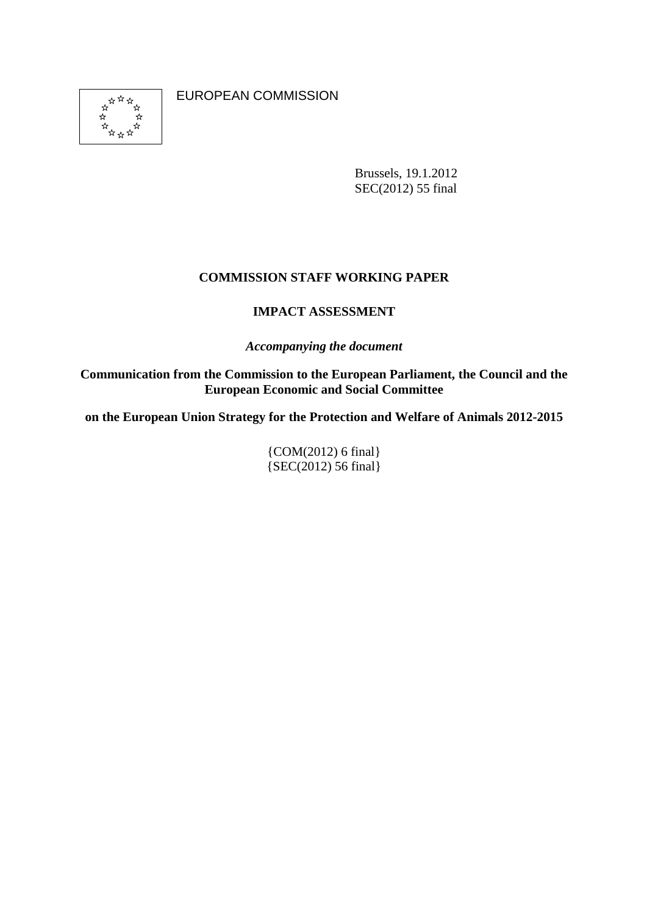\*\*\* \*\*\*\* ่\*  $\rightarrow$  EUROPEAN COMMISSION

Brussels, 19.1.2012 SEC(2012) 55 final

# **COMMISSION STAFF WORKING PAPER**

# **IMPACT ASSESSMENT**

*Accompanying the document* 

**Communication from the Commission to the European Parliament, the Council and the European Economic and Social Committee** 

**on the European Union Strategy for the Protection and Welfare of Animals 2012-2015** 

{COM(2012) 6 final} {SEC(2012) 56 final}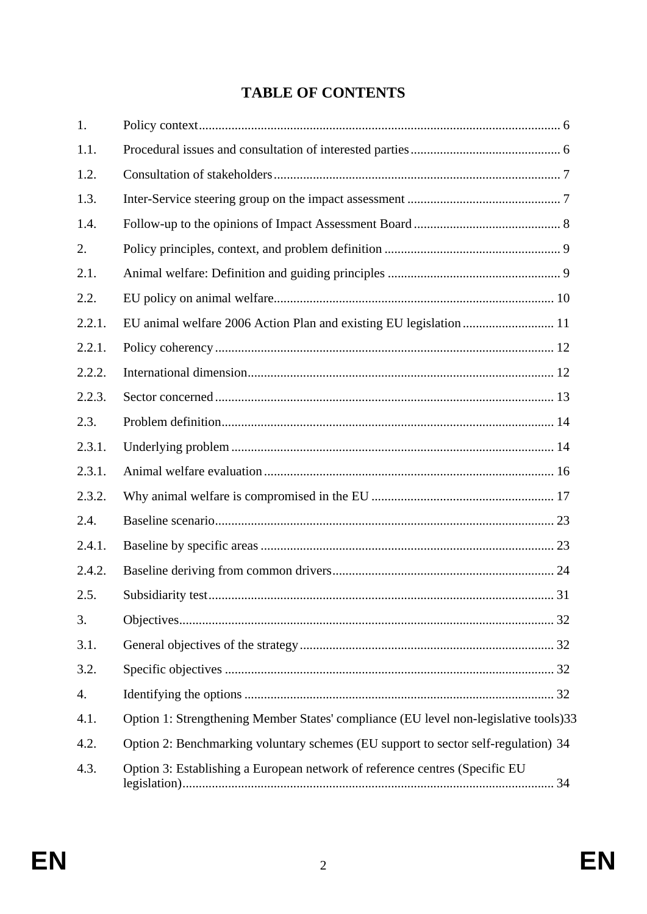# **TABLE OF CONTENTS**

| 1.     |                                                                                       |
|--------|---------------------------------------------------------------------------------------|
| 1.1.   |                                                                                       |
| 1.2.   |                                                                                       |
| 1.3.   |                                                                                       |
| 1.4.   |                                                                                       |
| 2.     |                                                                                       |
| 2.1.   |                                                                                       |
| 2.2.   |                                                                                       |
| 2.2.1. |                                                                                       |
| 2.2.1. |                                                                                       |
| 2.2.2. |                                                                                       |
| 2.2.3. |                                                                                       |
| 2.3.   |                                                                                       |
| 2.3.1. |                                                                                       |
| 2.3.1. |                                                                                       |
| 2.3.2. |                                                                                       |
| 2.4.   |                                                                                       |
| 2.4.1. |                                                                                       |
| 2.4.2. |                                                                                       |
| 2.5.   |                                                                                       |
| 3.     |                                                                                       |
| 3.1.   |                                                                                       |
| 3.2.   |                                                                                       |
| 4.     |                                                                                       |
| 4.1.   | Option 1: Strengthening Member States' compliance (EU level non-legislative tools) 33 |
| 4.2.   | Option 2: Benchmarking voluntary schemes (EU support to sector self-regulation) 34    |
| 4.3.   | Option 3: Establishing a European network of reference centres (Specific EU           |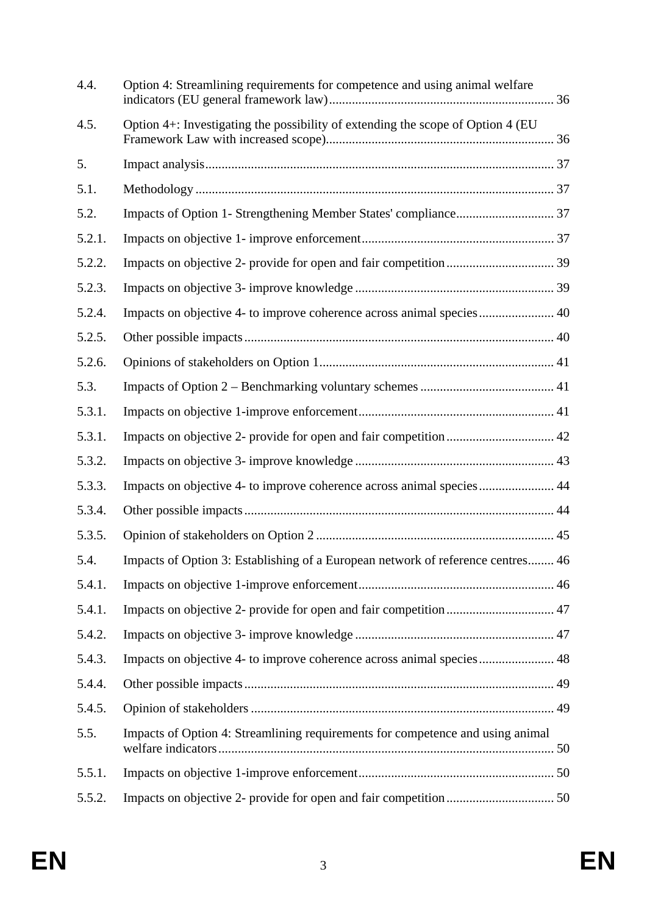| 4.4.   | Option 4: Streamlining requirements for competence and using animal welfare     |  |
|--------|---------------------------------------------------------------------------------|--|
| 4.5.   | Option 4+: Investigating the possibility of extending the scope of Option 4 (EU |  |
| 5.     |                                                                                 |  |
| 5.1.   |                                                                                 |  |
| 5.2.   |                                                                                 |  |
| 5.2.1. |                                                                                 |  |
| 5.2.2. |                                                                                 |  |
| 5.2.3. |                                                                                 |  |
| 5.2.4. | Impacts on objective 4- to improve coherence across animal species 40           |  |
| 5.2.5. |                                                                                 |  |
| 5.2.6. |                                                                                 |  |
| 5.3.   |                                                                                 |  |
| 5.3.1. |                                                                                 |  |
| 5.3.1. |                                                                                 |  |
| 5.3.2. |                                                                                 |  |
| 5.3.3. | Impacts on objective 4- to improve coherence across animal species 44           |  |
| 5.3.4. |                                                                                 |  |
| 5.3.5. |                                                                                 |  |
| 5.4.   | Impacts of Option 3: Establishing of a European network of reference centres 46 |  |
| 5.4.1. |                                                                                 |  |
| 5.4.1. |                                                                                 |  |
| 5.4.2. |                                                                                 |  |
| 5.4.3. | Impacts on objective 4- to improve coherence across animal species 48           |  |
| 5.4.4. |                                                                                 |  |
| 5.4.5. |                                                                                 |  |
| 5.5.   | Impacts of Option 4: Streamlining requirements for competence and using animal  |  |
| 5.5.1. |                                                                                 |  |
| 5.5.2. |                                                                                 |  |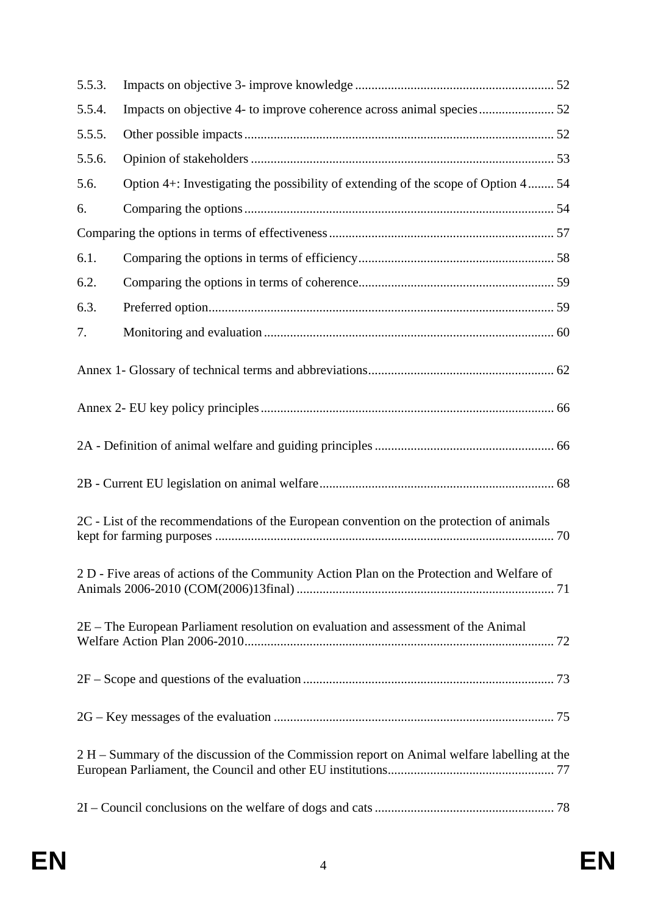| 5.5.3.                                                                                      |                                                                                   |  |  |  |  |
|---------------------------------------------------------------------------------------------|-----------------------------------------------------------------------------------|--|--|--|--|
| 5.5.4.                                                                                      |                                                                                   |  |  |  |  |
| 5.5.5.                                                                                      |                                                                                   |  |  |  |  |
| 5.5.6.                                                                                      |                                                                                   |  |  |  |  |
| 5.6.                                                                                        | Option 4+: Investigating the possibility of extending of the scope of Option 4 54 |  |  |  |  |
| 6.                                                                                          |                                                                                   |  |  |  |  |
|                                                                                             |                                                                                   |  |  |  |  |
| 6.1.                                                                                        |                                                                                   |  |  |  |  |
| 6.2.                                                                                        |                                                                                   |  |  |  |  |
| 6.3.                                                                                        |                                                                                   |  |  |  |  |
| 7.                                                                                          |                                                                                   |  |  |  |  |
|                                                                                             |                                                                                   |  |  |  |  |
|                                                                                             |                                                                                   |  |  |  |  |
|                                                                                             |                                                                                   |  |  |  |  |
|                                                                                             |                                                                                   |  |  |  |  |
| 2C - List of the recommendations of the European convention on the protection of animals    |                                                                                   |  |  |  |  |
| 2 D - Five areas of actions of the Community Action Plan on the Protection and Welfare of   |                                                                                   |  |  |  |  |
| 2E - The European Parliament resolution on evaluation and assessment of the Animal          |                                                                                   |  |  |  |  |
|                                                                                             |                                                                                   |  |  |  |  |
|                                                                                             |                                                                                   |  |  |  |  |
| 2 H – Summary of the discussion of the Commission report on Animal welfare labelling at the |                                                                                   |  |  |  |  |
|                                                                                             |                                                                                   |  |  |  |  |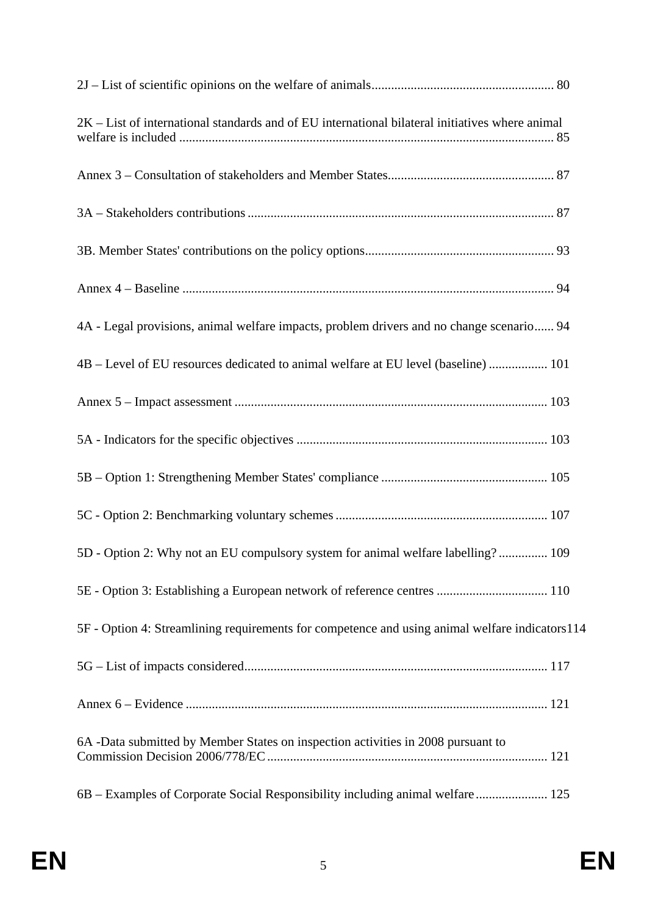| $2K$ – List of international standards and of EU international bilateral initiatives where animal |  |
|---------------------------------------------------------------------------------------------------|--|
|                                                                                                   |  |
|                                                                                                   |  |
|                                                                                                   |  |
|                                                                                                   |  |
| 4A - Legal provisions, animal welfare impacts, problem drivers and no change scenario 94          |  |
| 4B - Level of EU resources dedicated to animal welfare at EU level (baseline)  101                |  |
|                                                                                                   |  |
|                                                                                                   |  |
|                                                                                                   |  |
|                                                                                                   |  |
| 5D - Option 2: Why not an EU compulsory system for animal welfare labelling? 109                  |  |
| 5E - Option 3: Establishing a European network of reference centres  110                          |  |
| 5F - Option 4: Streamlining requirements for competence and using animal welfare indicators114    |  |
|                                                                                                   |  |
|                                                                                                   |  |
| 6A -Data submitted by Member States on inspection activities in 2008 pursuant to                  |  |
| 6B – Examples of Corporate Social Responsibility including animal welfare 125                     |  |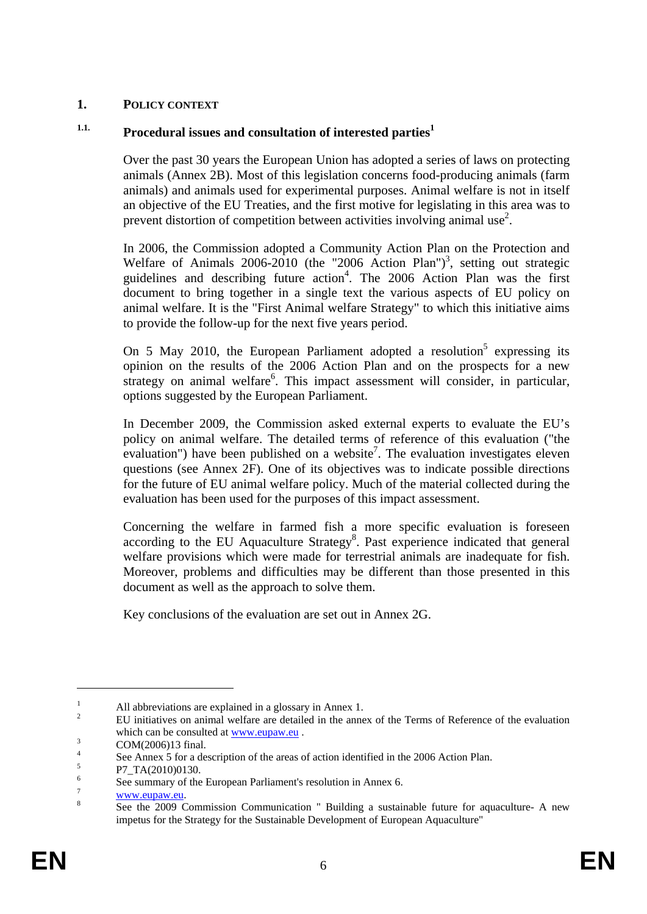# <span id="page-5-0"></span>**1. POLICY CONTEXT**

# <span id="page-5-1"></span><sup>1.1.</sup> Procedural issues and consultation of interested parties<sup>1</sup>

Over the past 30 years the European Union has adopted a series of laws on protecting animals (Annex 2B). Most of this legislation concerns food-producing animals (farm animals) and animals used for experimental purposes. Animal welfare is not in itself an objective of the EU Treaties, and the first motive for legislating in this area was to prevent distortion of competition between activities involving animal use<sup>2</sup>.

In 2006, the Commission adopted a Community Action Plan on the Protection and Welfare of Animals  $2006-2010$  (the "2006 Action Plan")<sup>3</sup>, setting out strategic guidelines and describing future action<sup>4</sup>. The 2006 Action Plan was the first document to bring together in a single text the various aspects of EU policy on animal welfare. It is the "First Animal welfare Strategy" to which this initiative aims to provide the follow-up for the next five years period.

On 5 May 2010, the European Parliament adopted a resolution<sup>5</sup> expressing its opinion on the results of the 2006 Action Plan and on the prospects for a new strategy on animal welfare<sup>6</sup>. This impact assessment will consider, in particular, options suggested by the European Parliament.

In December 2009, the Commission asked external experts to evaluate the EU's policy on animal welfare. The detailed terms of reference of this evaluation ("the evaluation") have been published on a website<sup>7</sup>. The evaluation investigates eleven questions (see Annex 2F). One of its objectives was to indicate possible directions for the future of EU animal welfare policy. Much of the material collected during the evaluation has been used for the purposes of this impact assessment.

Concerning the welfare in farmed fish a more specific evaluation is foreseen according to the EU Aquaculture Strategy<sup>8</sup>. Past experience indicated that general welfare provisions which were made for terrestrial animals are inadequate for fish. Moreover, problems and difficulties may be different than those presented in this document as well as the approach to solve them.

Key conclusions of the evaluation are set out in Annex 2G.

<sup>1</sup> All abbreviations are explained in a glossary in Annex 1.

<sup>2</sup> EU initiatives on animal welfare are detailed in the annex of the Terms of Reference of the evaluation which can be consulted at  $\underline{\text{www.eupaw.eu}}$ .<br>3

COM(2006)13 final.

<sup>4</sup> See Annex 5 for a description of the areas of action identified in the 2006 Action Plan.

<sup>5</sup> P7\_TA(2010)0130.

<sup>6</sup> See summary of the European Parliament's resolution in Annex 6.

<sup>7</sup>  $\frac{www.eupaw.eu.}{8}$ 

See the 2009 Commission Communication " Building a sustainable future for aquaculture- A new impetus for the Strategy for the Sustainable Development of European Aquaculture"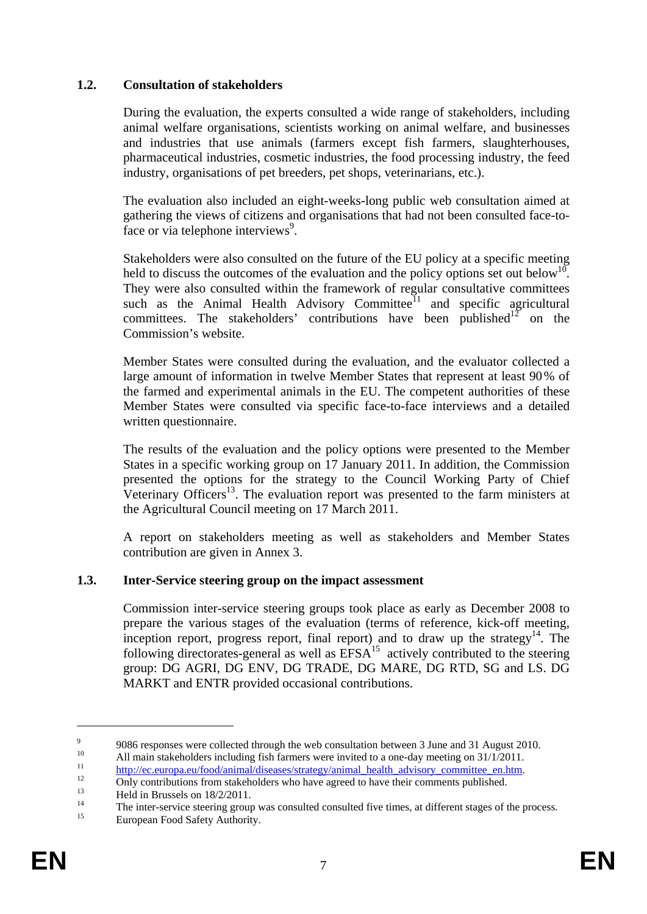# <span id="page-6-0"></span>**1.2. Consultation of stakeholders**

During the evaluation, the experts consulted a wide range of stakeholders, including animal welfare organisations, scientists working on animal welfare, and businesses and industries that use animals (farmers except fish farmers, slaughterhouses, pharmaceutical industries, cosmetic industries, the food processing industry, the feed industry, organisations of pet breeders, pet shops, veterinarians, etc.).

The evaluation also included an eight-weeks-long public web consultation aimed at gathering the views of citizens and organisations that had not been consulted face-toface or via telephone interviews<sup>9</sup>.

Stakeholders were also consulted on the future of the EU policy at a specific meeting held to discuss the outcomes of the evaluation and the policy options set out below<sup>10</sup>. They were also consulted within the framework of regular consultative committees such as the Animal Health Advisory Committee<sup>11</sup> and specific agricultural committees. The stakeholders' contributions have been published<sup>12</sup> on the Commission's website.

Member States were consulted during the evaluation, and the evaluator collected a large amount of information in twelve Member States that represent at least 90% of the farmed and experimental animals in the EU. The competent authorities of these Member States were consulted via specific face-to-face interviews and a detailed written questionnaire.

The results of the evaluation and the policy options were presented to the Member States in a specific working group on 17 January 2011. In addition, the Commission presented the options for the strategy to the Council Working Party of Chief Veterinary Officers<sup>13</sup>. The evaluation report was presented to the farm ministers at the Agricultural Council meeting on 17 March 2011.

A report on stakeholders meeting as well as stakeholders and Member States contribution are given in Annex 3.

### <span id="page-6-1"></span>**1.3. Inter-Service steering group on the impact assessment**

Commission inter-service steering groups took place as early as December 2008 to prepare the various stages of the evaluation (terms of reference, kick-off meeting, inception report, progress report, final report) and to draw up the strategy<sup>14</sup>. The following directorates-general as well as  $EFSA<sup>15</sup>$  actively contributed to the steering group: DG AGRI, DG ENV, DG TRADE, DG MARE, DG RTD, SG and LS. DG MARKT and ENTR provided occasional contributions.

<sup>9</sup> 9086 responses were collected through the web consultation between 3 June and 31 August 2010.

<sup>&</sup>lt;sup>10</sup> All main stakeholders including fish farmers were invited to a one-day meeting on  $31/1/2011$ .

<sup>&</sup>lt;sup>11</sup> http://ec.europa.eu/food/animal/diseases/strategy/animal\_health\_advisory\_committee\_en.htm.<br>Only contributions from stakeholders who have agreed to have their comments published.

<sup>&</sup>lt;sup>13</sup> Held in Brussels on  $\frac{18}{2}$  14

<sup>&</sup>lt;sup>14</sup> The inter-service steering group was consulted consulted five times, at different stages of the process.<br><sup>15</sup> European Food Safety Authority.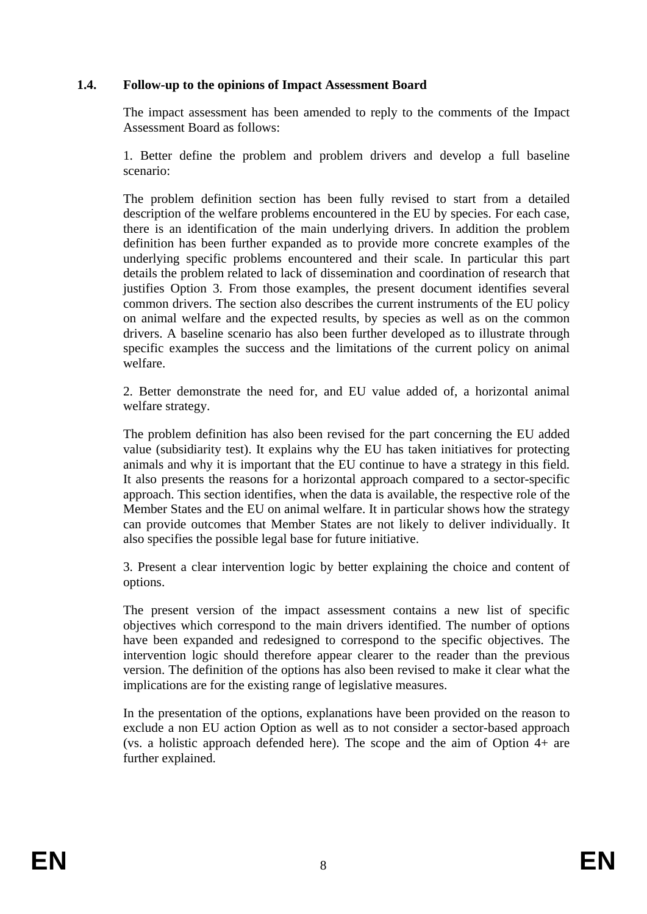# <span id="page-7-0"></span>**1.4. Follow-up to the opinions of Impact Assessment Board**

The impact assessment has been amended to reply to the comments of the Impact Assessment Board as follows:

1. Better define the problem and problem drivers and develop a full baseline scenario:

The problem definition section has been fully revised to start from a detailed description of the welfare problems encountered in the EU by species. For each case, there is an identification of the main underlying drivers. In addition the problem definition has been further expanded as to provide more concrete examples of the underlying specific problems encountered and their scale. In particular this part details the problem related to lack of dissemination and coordination of research that justifies Option 3. From those examples, the present document identifies several common drivers. The section also describes the current instruments of the EU policy on animal welfare and the expected results, by species as well as on the common drivers. A baseline scenario has also been further developed as to illustrate through specific examples the success and the limitations of the current policy on animal welfare.

2. Better demonstrate the need for, and EU value added of, a horizontal animal welfare strategy.

The problem definition has also been revised for the part concerning the EU added value (subsidiarity test). It explains why the EU has taken initiatives for protecting animals and why it is important that the EU continue to have a strategy in this field. It also presents the reasons for a horizontal approach compared to a sector-specific approach. This section identifies, when the data is available, the respective role of the Member States and the EU on animal welfare. It in particular shows how the strategy can provide outcomes that Member States are not likely to deliver individually. It also specifies the possible legal base for future initiative.

3. Present a clear intervention logic by better explaining the choice and content of options.

The present version of the impact assessment contains a new list of specific objectives which correspond to the main drivers identified. The number of options have been expanded and redesigned to correspond to the specific objectives. The intervention logic should therefore appear clearer to the reader than the previous version. The definition of the options has also been revised to make it clear what the implications are for the existing range of legislative measures.

In the presentation of the options, explanations have been provided on the reason to exclude a non EU action Option as well as to not consider a sector-based approach (vs. a holistic approach defended here). The scope and the aim of Option  $\overline{4+}$  are further explained.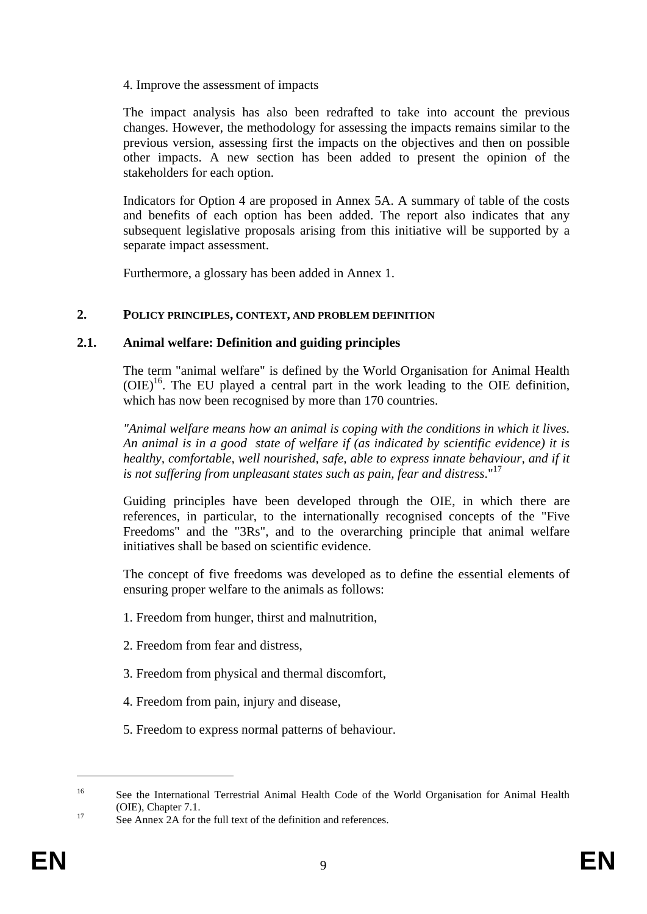4. Improve the assessment of impacts

The impact analysis has also been redrafted to take into account the previous changes. However, the methodology for assessing the impacts remains similar to the previous version, assessing first the impacts on the objectives and then on possible other impacts. A new section has been added to present the opinion of the stakeholders for each option.

Indicators for Option 4 are proposed in Annex 5A. A summary of table of the costs and benefits of each option has been added. The report also indicates that any subsequent legislative proposals arising from this initiative will be supported by a separate impact assessment.

Furthermore, a glossary has been added in Annex 1.

#### <span id="page-8-1"></span><span id="page-8-0"></span>**2. POLICY PRINCIPLES, CONTEXT, AND PROBLEM DEFINITION**

#### **2.1. Animal welfare: Definition and guiding principles**

The term "animal welfare" is defined by the World Organisation for Animal Health  $(OIE)^{16}$ . The EU played a central part in the work leading to the OIE definition, which has now been recognised by more than 170 countries.

*"Animal welfare means how an animal is coping with the conditions in which it lives. An animal is in a good state of welfare if (as indicated by scientific evidence) it is healthy, comfortable, well nourished, safe, able to express innate behaviour, and if it is not suffering from unpleasant states such as pain, fear and distress*."17

Guiding principles have been developed through the OIE, in which there are references, in particular, to the internationally recognised concepts of the "Five Freedoms" and the "3Rs", and to the overarching principle that animal welfare initiatives shall be based on scientific evidence.

The concept of five freedoms was developed as to define the essential elements of ensuring proper welfare to the animals as follows:

- 1. Freedom from hunger, thirst and malnutrition,
- 2. Freedom from fear and distress,
- 3. Freedom from physical and thermal discomfort,
- 4. Freedom from pain, injury and disease,
- 5. Freedom to express normal patterns of behaviour.

<sup>&</sup>lt;sup>16</sup> See the International Terrestrial Animal Health Code of the World Organisation for Animal Health (OIE), Chapter 7.1.<br><sup>17</sup> See Annex 2A for the full text of the definition and references.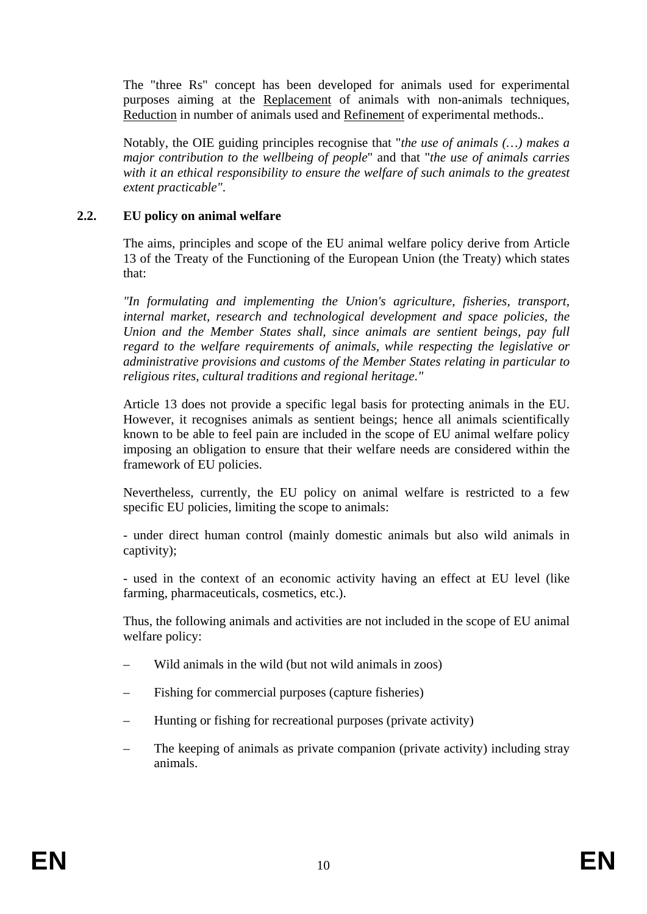The "three Rs" concept has been developed for animals used for experimental purposes aiming at the Replacement of animals with non-animals techniques, Reduction in number of animals used and Refinement of experimental methods..

Notably, the OIE guiding principles recognise that "*the use of animals (…) makes a major contribution to the wellbeing of people*" and that "*the use of animals carries with it an ethical responsibility to ensure the welfare of such animals to the greatest extent practicable"*.

# <span id="page-9-0"></span>**2.2. EU policy on animal welfare**

The aims, principles and scope of the EU animal welfare policy derive from Article 13 of the Treaty of the Functioning of the European Union (the Treaty) which states that:

*"In formulating and implementing the Union's agriculture, fisheries, transport, internal market, research and technological development and space policies, the Union and the Member States shall, since animals are sentient beings, pay full regard to the welfare requirements of animals, while respecting the legislative or administrative provisions and customs of the Member States relating in particular to religious rites, cultural traditions and regional heritage."*

Article 13 does not provide a specific legal basis for protecting animals in the EU. However, it recognises animals as sentient beings; hence all animals scientifically known to be able to feel pain are included in the scope of EU animal welfare policy imposing an obligation to ensure that their welfare needs are considered within the framework of EU policies.

Nevertheless, currently, the EU policy on animal welfare is restricted to a few specific EU policies, limiting the scope to animals:

- under direct human control (mainly domestic animals but also wild animals in captivity);

- used in the context of an economic activity having an effect at EU level (like farming, pharmaceuticals, cosmetics, etc.).

Thus, the following animals and activities are not included in the scope of EU animal welfare policy:

- Wild animals in the wild (but not wild animals in zoos)
- Fishing for commercial purposes (capture fisheries)
- Hunting or fishing for recreational purposes (private activity)
- The keeping of animals as private companion (private activity) including stray animals.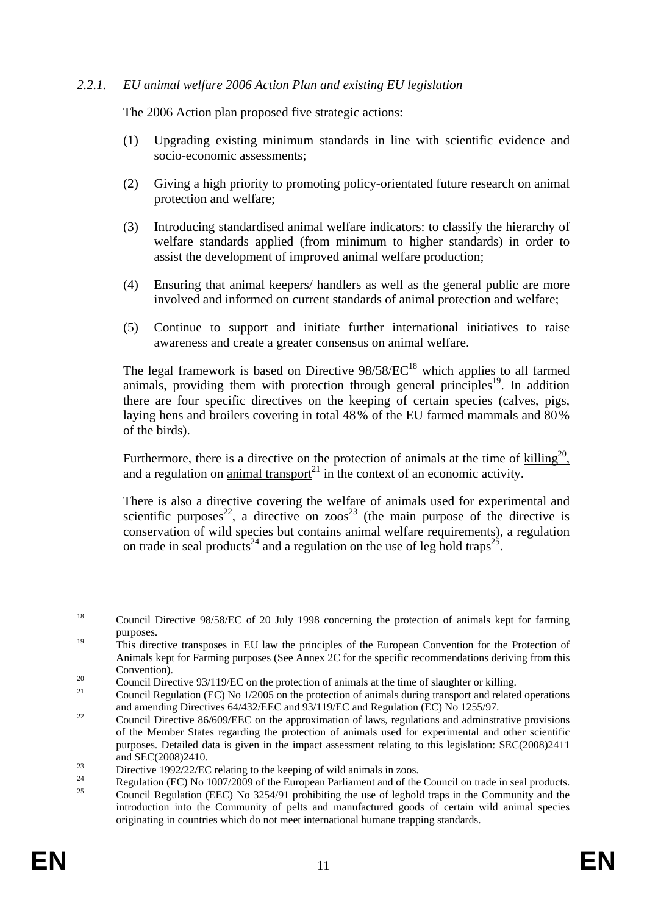### <span id="page-10-0"></span>*2.2.1. EU animal welfare 2006 Action Plan and existing EU legislation*

The 2006 Action plan proposed five strategic actions:

- (1) Upgrading existing minimum standards in line with scientific evidence and socio-economic assessments;
- (2) Giving a high priority to promoting policy-orientated future research on animal protection and welfare;
- (3) Introducing standardised animal welfare indicators: to classify the hierarchy of welfare standards applied (from minimum to higher standards) in order to assist the development of improved animal welfare production;
- (4) Ensuring that animal keepers/ handlers as well as the general public are more involved and informed on current standards of animal protection and welfare;
- (5) Continue to support and initiate further international initiatives to raise awareness and create a greater consensus on animal welfare.

The legal framework is based on Directive  $98/58/EC^{18}$  which applies to all farmed animals, providing them with protection through general principles<sup>19</sup>. In addition there are four specific directives on the keeping of certain species (calves, pigs, laying hens and broilers covering in total 48% of the EU farmed mammals and 80% of the birds).

Furthermore, there is a directive on the protection of animals at the time of  $\text{killing}^{20}$ , and a regulation on animal transport<sup>21</sup> in the context of an economic activity.

There is also a directive covering the welfare of animals used for experimental and scientific purposes<sup>22</sup>, a directive on zoos<sup>23</sup> (the main purpose of the directive is conservation of wild species but contains animal welfare requirements), a regulation on trade in seal products<sup>24</sup> and a regulation on the use of leg hold traps<sup>25</sup>.

<u>.</u>

<sup>&</sup>lt;sup>18</sup> Council Directive 98/58/EC of 20 July 1998 concerning the protection of animals kept for farming purposes.

<sup>&</sup>lt;sup>19</sup> This directive transposes in EU law the principles of the European Convention for the Protection of Animals kept for Farming purposes (See Annex 2C for the specific recommendations deriving from this

<sup>20</sup> Convention).<br>20 Council Directive 93/119/EC on the protection of animals at the time of slaughter or killing.<br>21 Council Regulation (EC) No 1/2005 on the protection of animals during transport and related operations

and amending Directives 64/432/EEC and 93/119/EC and Regulation (EC) No 1255/97.<br>Council Directive 86/609/EEC on the approximation of laws, regulations and adminstrative provisions

of the Member States regarding the protection of animals used for experimental and other scientific purposes. Detailed data is given in the impact assessment relating to this legislation: SEC(2008)2411

and SEC(2008)2410.<br>
Directive 1992/22/EC relating to the keeping of wild animals in zoos.<br>
Properly CONTA 1007/2000 of the France properly properly of the film

<sup>&</sup>lt;sup>24</sup> Regulation (EC) No 1007/2009 of the European Parliament and of the Council on trade in seal products.

<sup>25</sup> Council Regulation (EEC) No 3254/91 prohibiting the use of leghold traps in the Community and the introduction into the Community of pelts and manufactured goods of certain wild animal species originating in countries which do not meet international humane trapping standards.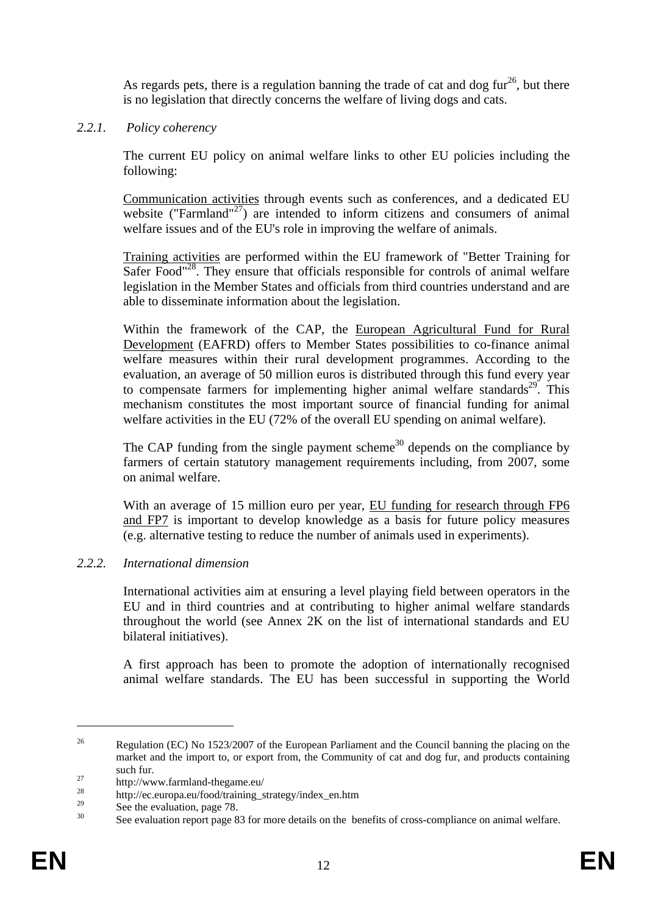As regards pets, there is a regulation banning the trade of cat and dog fur<sup>26</sup>, but there is no legislation that directly concerns the welfare of living dogs and cats.

# <span id="page-11-0"></span>*2.2.1. Policy coherency*

The current EU policy on animal welfare links to other EU policies including the following:

Communication activities through events such as conferences, and a dedicated EU website ("Farmland"<sup>27</sup>) are intended to inform citizens and consumers of animal welfare issues and of the EU's role in improving the welfare of animals.

Training activities are performed within the EU framework of "Better Training for Safer Food"<sup>28</sup>. They ensure that officials responsible for controls of animal welfare legislation in the Member States and officials from third countries understand and are able to disseminate information about the legislation.

Within the framework of the CAP, the European Agricultural Fund for Rural Development (EAFRD) offers to Member States possibilities to co-finance animal welfare measures within their rural development programmes. According to the evaluation, an average of 50 million euros is distributed through this fund every year to compensate farmers for implementing higher animal welfare standards<sup>29</sup>. This mechanism constitutes the most important source of financial funding for animal welfare activities in the EU (72% of the overall EU spending on animal welfare).

The CAP funding from the single payment scheme<sup>30</sup> depends on the compliance by farmers of certain statutory management requirements including, from 2007, some on animal welfare.

With an average of 15 million euro per year, EU funding for research through FP6 and FP7 is important to develop knowledge as a basis for future policy measures (e.g. alternative testing to reduce the number of animals used in experiments).

### <span id="page-11-1"></span>*2.2.2. International dimension*

International activities aim at ensuring a level playing field between operators in the EU and in third countries and at contributing to higher animal welfare standards throughout the world (see Annex 2K on the list of international standards and EU bilateral initiatives).

A first approach has been to promote the adoption of internationally recognised animal welfare standards. The EU has been successful in supporting the World

<sup>&</sup>lt;sup>26</sup> Regulation (EC) No 1523/2007 of the European Parliament and the Council banning the placing on the market and the import to, or export from, the Community of cat and dog fur, and products containing

such fur.<br>
http://www.farmland-thegame.eu/<br>
<sup>28</sup>

 $\frac{28}{29}$  http://ec.europa.eu/food/training\_strategy/index\_en.htm

<sup>&</sup>lt;sup>29</sup> See the evaluation, page 78.

See evaluation report page 83 for more details on the benefits of cross-compliance on animal welfare.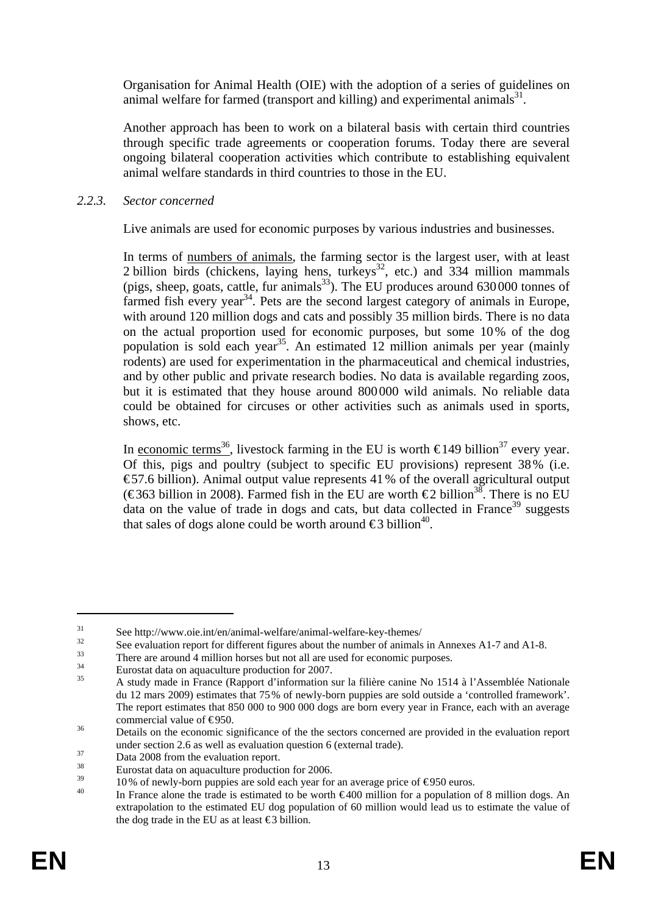Organisation for Animal Health (OIE) with the adoption of a series of guidelines on animal welfare for farmed (transport and killing) and experimental animals $^{31}$ .

Another approach has been to work on a bilateral basis with certain third countries through specific trade agreements or cooperation forums. Today there are several ongoing bilateral cooperation activities which contribute to establishing equivalent animal welfare standards in third countries to those in the EU.

# <span id="page-12-0"></span>*2.2.3. Sector concerned*

Live animals are used for economic purposes by various industries and businesses.

In terms of numbers of animals, the farming sector is the largest user, with at least 2 billion birds (chickens, laying hens, turkeys<sup>32</sup>, etc.) and 334 million mammals (pigs, sheep, goats, cattle, fur animals $^{33}$ ). The EU produces around 630 000 tonnes of farmed fish every year<sup>34</sup>. Pets are the second largest category of animals in Europe, with around 120 million dogs and cats and possibly 35 million birds. There is no data on the actual proportion used for economic purposes, but some 10% of the dog population is sold each year<sup>35</sup>. An estimated  $12$  million animals per year (mainly rodents) are used for experimentation in the pharmaceutical and chemical industries, and by other public and private research bodies. No data is available regarding zoos, but it is estimated that they house around 800000 wild animals. No reliable data could be obtained for circuses or other activities such as animals used in sports, shows, etc.

In economic terms<sup>36</sup>, livestock farming in the EU is worth  $\epsilon$ 149 billion<sup>37</sup> every year. Of this, pigs and poultry (subject to specific EU provisions) represent 38% (i.e. € 57.6 billion). Animal output value represents 41% of the overall agricultural output (€363 billion in 2008). Farmed fish in the EU are worth €2 billion<sup>38</sup>. There is no EU data on the value of trade in dogs and cats, but data collected in France<sup>39</sup> suggests that sales of dogs alone could be worth around  $\epsilon$ 3 billion<sup>40</sup>.

<sup>&</sup>lt;sup>31</sup> See http://www.oie.int/en/animal-welfare/animal-welfare-key-themes/<br><sup>32</sup> See evaluation report for different figures about the number of animals in Annexes A1-7 and A1-8.

There are around 4 million horses but not all are used for economic purposes.<br>Eurostat data on aquaculture production for 2007.

<sup>35</sup> A study made in France (Rapport d'information sur la filière canine No 1514 à l'Assemblée Nationale du 12 mars 2009) estimates that 75% of newly-born puppies are sold outside a 'controlled framework'. The report estimates that 850 000 to 900 000 dogs are born every year in France, each with an average commercial value of  $\epsilon$ 950.<br>36 Details on the economic significance of the the sectors concerned are provided in the evaluation report

under section 2.6 as well as evaluation question 6 (external trade).<br>Data 2008 from the evaluation report.

 $\frac{38}{39}$  Eurostat data on aquaculture production for 2006.

<sup>&</sup>lt;sup>39</sup> 10% of newly-born puppies are sold each year for an average price of  $\epsilon$ 950 euros.<br><sup>40</sup> In France alone the trade is estimated to be worth  $\epsilon$ 400 million for a population of 8 million dogs. An extrapolation to the estimated EU dog population of 60 million would lead us to estimate the value of the dog trade in the EU as at least  $\epsilon$ 3 billion.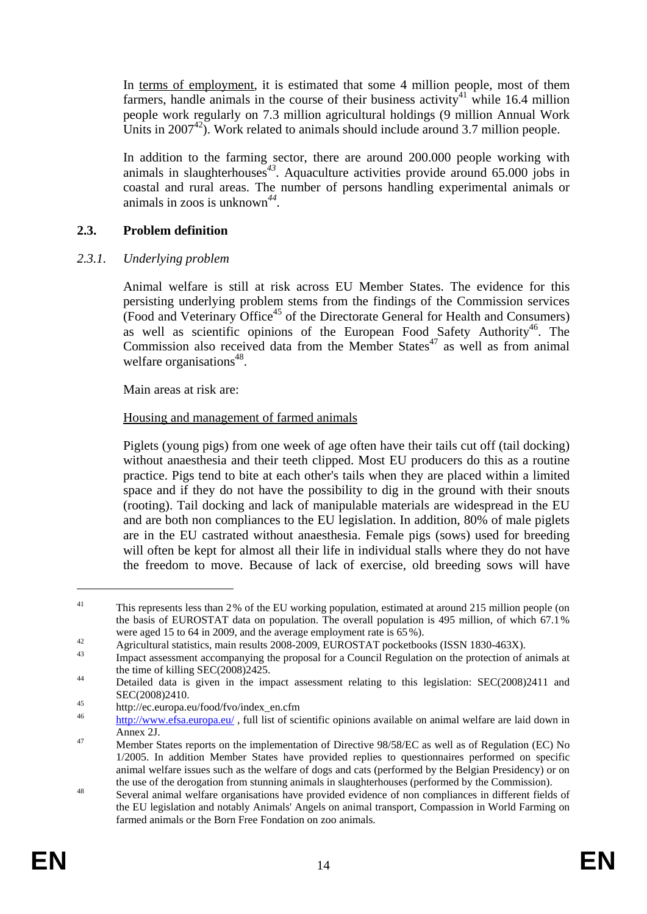In terms of employment, it is estimated that some 4 million people, most of them farmers, handle animals in the course of their business activity<sup>41</sup> while 16.4 million people work regularly on 7.3 million agricultural holdings (9 million Annual Work Units in  $2007^{42}$ . Work related to animals should include around 3.7 million people.

In addition to the farming sector, there are around 200.000 people working with animals in slaughterhouses<sup>43</sup>. Aquaculture activities provide around  $65.000$  jobs in coastal and rural areas. The number of persons handling experimental animals or animals in zoos is unknown*<sup>44</sup>*.

# <span id="page-13-0"></span>**2.3. Problem definition**

# <span id="page-13-1"></span>*2.3.1. Underlying problem*

Animal welfare is still at risk across EU Member States. The evidence for this persisting underlying problem stems from the findings of the Commission services (Food and Veterinary Office45 of the Directorate General for Health and Consumers) as well as scientific opinions of the European Food Safety Authority<sup>46</sup>. The Commission also received data from the Member States<sup>47</sup> as well as from animal welfare organisations<sup> $48$ </sup>.

Main areas at risk are:

# Housing and management of farmed animals

Piglets (young pigs) from one week of age often have their tails cut off (tail docking) without anaesthesia and their teeth clipped. Most EU producers do this as a routine practice. Pigs tend to bite at each other's tails when they are placed within a limited space and if they do not have the possibility to dig in the ground with their snouts (rooting). Tail docking and lack of manipulable materials are widespread in the EU and are both non compliances to the EU legislation. In addition, 80% of male piglets are in the EU castrated without anaesthesia. Female pigs (sows) used for breeding will often be kept for almost all their life in individual stalls where they do not have the freedom to move. Because of lack of exercise, old breeding sows will have

<sup>&</sup>lt;sup>41</sup> This represents less than 2% of the EU working population, estimated at around 215 million people (on the basis of EUROSTAT data on population. The overall population is 495 million, of which 67.1%

were aged 15 to 64 in 2009, and the average employment rate is 65%).<br>Agricultural statistics, main results 2008-2009, EUROSTAT pocketbooks (ISSN 1830-463X).

Impact assessment accompanying the proposal for a Council Regulation on the protection of animals at the time of killing SEC(2008)2425.<br>Detailed data is given in the impact assessment relating to this legislation: SEC(2008)2411 and

 $SEC(2008)2410.$ <br>
http://ec.europa.eu/food/fvo/index\_en.cfm

http://www.efsa.europa.eu/, full list of scientific opinions available on animal welfare are laid down in Annex 2J.<br>Member States reports on the implementation of Directive 98/58/EC as well as of Regulation (EC) No

<sup>1/2005.</sup> In addition Member States have provided replies to questionnaires performed on specific animal welfare issues such as the welfare of dogs and cats (performed by the Belgian Presidency) or on

the use of the derogation from stunning animals in slaughterhouses (performed by the Commission).<br><sup>48</sup> Several animal welfare organisations have provided evidence of non compliances in different fields of the EU legislation and notably Animals' Angels on animal transport, Compassion in World Farming on farmed animals or the Born Free Fondation on zoo animals.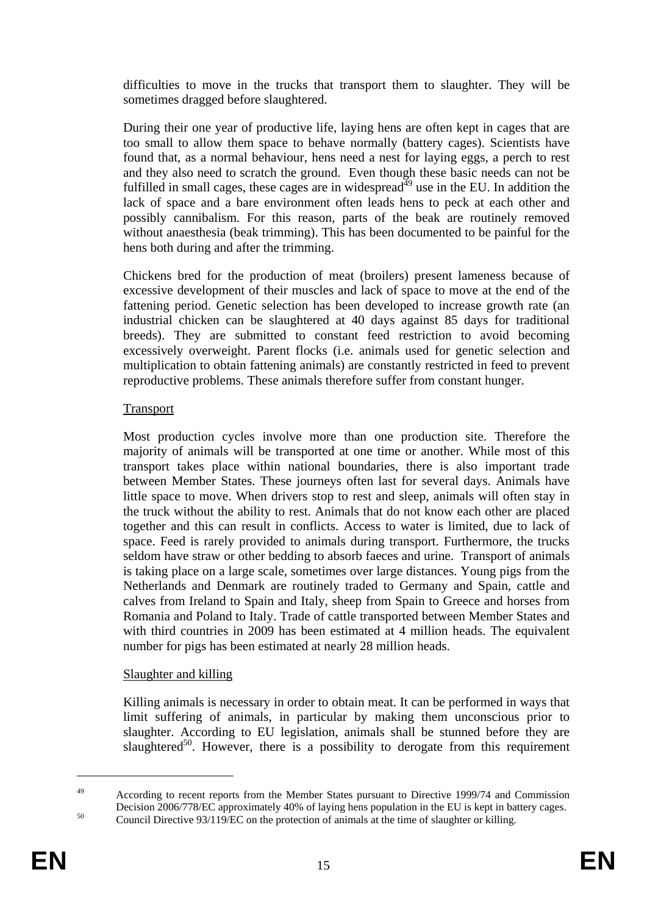difficulties to move in the trucks that transport them to slaughter. They will be sometimes dragged before slaughtered.

During their one year of productive life, laying hens are often kept in cages that are too small to allow them space to behave normally (battery cages). Scientists have found that, as a normal behaviour, hens need a nest for laying eggs, a perch to rest and they also need to scratch the ground. Even though these basic needs can not be fulfilled in small cages, these cages are in widespread<sup>49</sup> use in the EU. In addition the lack of space and a bare environment often leads hens to peck at each other and possibly cannibalism. For this reason, parts of the beak are routinely removed without anaesthesia (beak trimming). This has been documented to be painful for the hens both during and after the trimming.

Chickens bred for the production of meat (broilers) present lameness because of excessive development of their muscles and lack of space to move at the end of the fattening period. Genetic selection has been developed to increase growth rate (an industrial chicken can be slaughtered at 40 days against 85 days for traditional breeds). They are submitted to constant feed restriction to avoid becoming excessively overweight. Parent flocks (i.e. animals used for genetic selection and multiplication to obtain fattening animals) are constantly restricted in feed to prevent reproductive problems. These animals therefore suffer from constant hunger.

# Transport

Most production cycles involve more than one production site. Therefore the majority of animals will be transported at one time or another. While most of this transport takes place within national boundaries, there is also important trade between Member States. These journeys often last for several days. Animals have little space to move. When drivers stop to rest and sleep, animals will often stay in the truck without the ability to rest. Animals that do not know each other are placed together and this can result in conflicts. Access to water is limited, due to lack of space. Feed is rarely provided to animals during transport. Furthermore, the trucks seldom have straw or other bedding to absorb faeces and urine. Transport of animals is taking place on a large scale, sometimes over large distances. Young pigs from the Netherlands and Denmark are routinely traded to Germany and Spain, cattle and calves from Ireland to Spain and Italy, sheep from Spain to Greece and horses from Romania and Poland to Italy. Trade of cattle transported between Member States and with third countries in 2009 has been estimated at 4 million heads. The equivalent number for pigs has been estimated at nearly 28 million heads.

### Slaughter and killing

Killing animals is necessary in order to obtain meat. It can be performed in ways that limit suffering of animals, in particular by making them unconscious prior to slaughter. According to EU legislation, animals shall be stunned before they are slaughtered<sup>50</sup>. However, there is a possibility to derogate from this requirement

<sup>&</sup>lt;sup>49</sup> According to recent reports from the Member States pursuant to Directive 1999/74 and Commission Decision 2006/778/EC approximately 40% of laying hens population in the EU is kept in battery cages.<br>Council Directive 93/119/EC on the protection of animals at the time of slaughter or killing.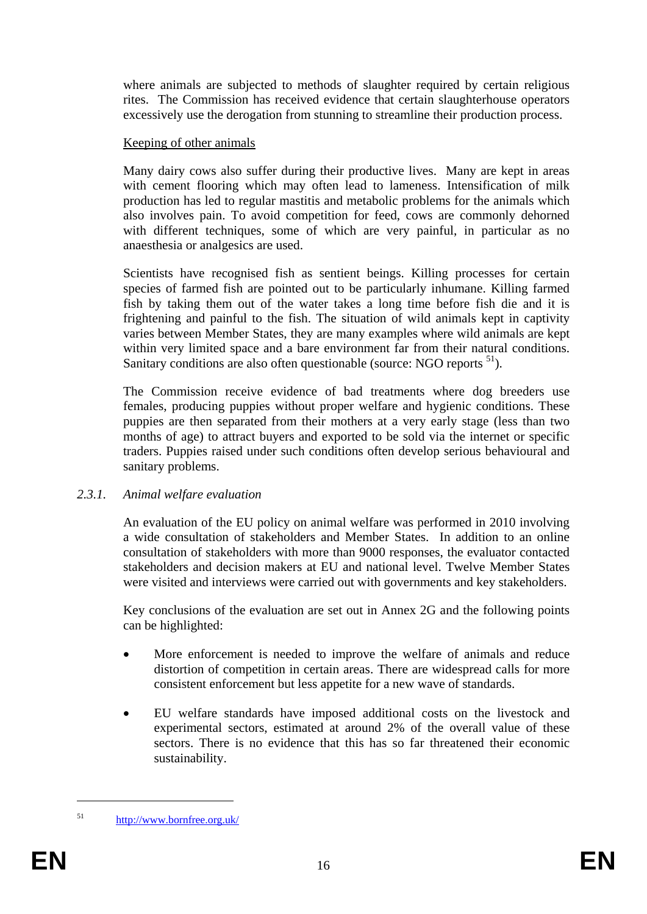where animals are subjected to methods of slaughter required by certain religious rites. The Commission has received evidence that certain slaughterhouse operators excessively use the derogation from stunning to streamline their production process.

# Keeping of other animals

Many dairy cows also suffer during their productive lives. Many are kept in areas with cement flooring which may often lead to lameness. Intensification of milk production has led to regular mastitis and metabolic problems for the animals which also involves pain. To avoid competition for feed, cows are commonly dehorned with different techniques, some of which are very painful, in particular as no anaesthesia or analgesics are used.

Scientists have recognised fish as sentient beings. Killing processes for certain species of farmed fish are pointed out to be particularly inhumane. Killing farmed fish by taking them out of the water takes a long time before fish die and it is frightening and painful to the fish. The situation of wild animals kept in captivity varies between Member States, they are many examples where wild animals are kept within very limited space and a bare environment far from their natural conditions. Sanitary conditions are also often questionable (source:  $NGO$  reports  $<sup>51</sup>$ ).</sup>

The Commission receive evidence of bad treatments where dog breeders use females, producing puppies without proper welfare and hygienic conditions. These puppies are then separated from their mothers at a very early stage (less than two months of age) to attract buyers and exported to be sold via the internet or specific traders. Puppies raised under such conditions often develop serious behavioural and sanitary problems.

# <span id="page-15-0"></span>*2.3.1. Animal welfare evaluation*

An evaluation of the EU policy on animal welfare was performed in 2010 involving a wide consultation of stakeholders and Member States. In addition to an online consultation of stakeholders with more than 9000 responses, the evaluator contacted stakeholders and decision makers at EU and national level. Twelve Member States were visited and interviews were carried out with governments and key stakeholders.

Key conclusions of the evaluation are set out in Annex 2G and the following points can be highlighted:

- More enforcement is needed to improve the welfare of animals and reduce distortion of competition in certain areas. There are widespread calls for more consistent enforcement but less appetite for a new wave of standards.
- EU welfare standards have imposed additional costs on the livestock and experimental sectors, estimated at around 2% of the overall value of these sectors. There is no evidence that this has so far threatened their economic sustainability.

<sup>51</sup> <http://www.bornfree.org.uk/>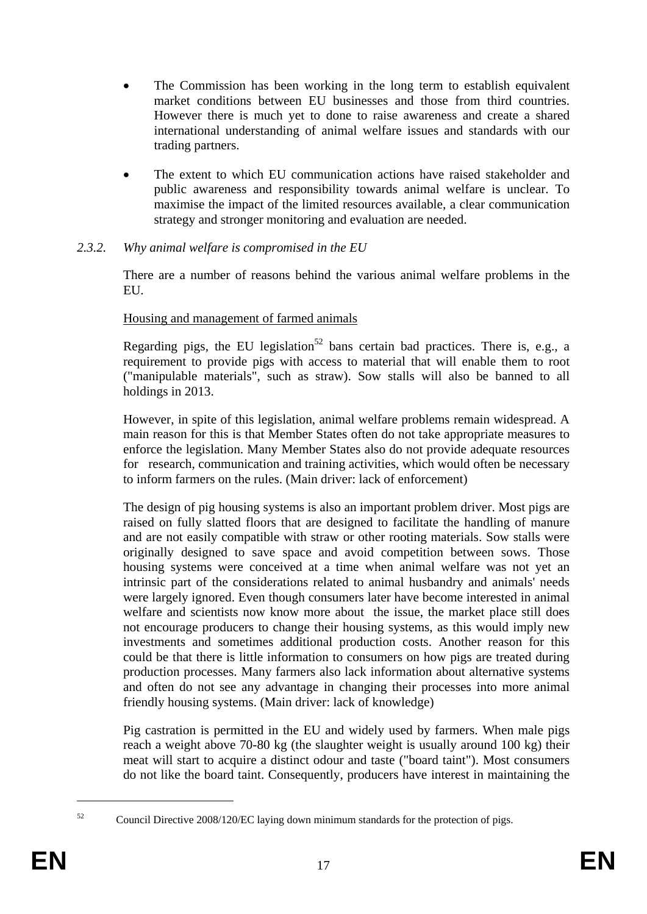- The Commission has been working in the long term to establish equivalent market conditions between EU businesses and those from third countries. However there is much yet to done to raise awareness and create a shared international understanding of animal welfare issues and standards with our trading partners.
- The extent to which EU communication actions have raised stakeholder and public awareness and responsibility towards animal welfare is unclear. To maximise the impact of the limited resources available, a clear communication strategy and stronger monitoring and evaluation are needed.

# <span id="page-16-0"></span>*2.3.2. Why animal welfare is compromised in the EU*

There are a number of reasons behind the various animal welfare problems in the EU.

# Housing and management of farmed animals

Regarding pigs, the EU legislation<sup>52</sup> bans certain bad practices. There is, e.g., a requirement to provide pigs with access to material that will enable them to root ("manipulable materials", such as straw). Sow stalls will also be banned to all holdings in 2013.

However, in spite of this legislation, animal welfare problems remain widespread. A main reason for this is that Member States often do not take appropriate measures to enforce the legislation. Many Member States also do not provide adequate resources for research, communication and training activities, which would often be necessary to inform farmers on the rules. (Main driver: lack of enforcement)

The design of pig housing systems is also an important problem driver. Most pigs are raised on fully slatted floors that are designed to facilitate the handling of manure and are not easily compatible with straw or other rooting materials. Sow stalls were originally designed to save space and avoid competition between sows. Those housing systems were conceived at a time when animal welfare was not yet an intrinsic part of the considerations related to animal husbandry and animals' needs were largely ignored. Even though consumers later have become interested in animal welfare and scientists now know more about the issue, the market place still does not encourage producers to change their housing systems, as this would imply new investments and sometimes additional production costs. Another reason for this could be that there is little information to consumers on how pigs are treated during production processes. Many farmers also lack information about alternative systems and often do not see any advantage in changing their processes into more animal friendly housing systems. (Main driver: lack of knowledge)

Pig castration is permitted in the EU and widely used by farmers. When male pigs reach a weight above 70-80 kg (the slaughter weight is usually around 100 kg) their meat will start to acquire a distinct odour and taste ("board taint"). Most consumers do not like the board taint. Consequently, producers have interest in maintaining the

<sup>&</sup>lt;sup>52</sup> Council Directive 2008/120/EC laying down minimum standards for the protection of pigs.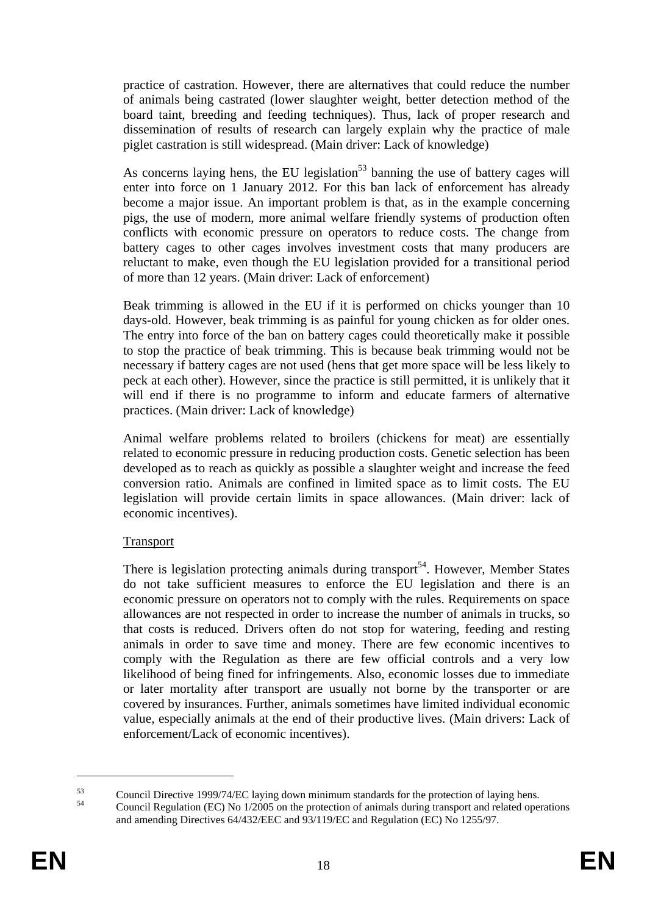practice of castration. However, there are alternatives that could reduce the number of animals being castrated (lower slaughter weight, better detection method of the board taint, breeding and feeding techniques). Thus, lack of proper research and dissemination of results of research can largely explain why the practice of male piglet castration is still widespread. (Main driver: Lack of knowledge)

As concerns laying hens, the EU legislation<sup>53</sup> banning the use of battery cages will enter into force on 1 January 2012. For this ban lack of enforcement has already become a major issue. An important problem is that, as in the example concerning pigs, the use of modern, more animal welfare friendly systems of production often conflicts with economic pressure on operators to reduce costs. The change from battery cages to other cages involves investment costs that many producers are reluctant to make, even though the EU legislation provided for a transitional period of more than 12 years. (Main driver: Lack of enforcement)

Beak trimming is allowed in the EU if it is performed on chicks younger than 10 days-old. However, beak trimming is as painful for young chicken as for older ones. The entry into force of the ban on battery cages could theoretically make it possible to stop the practice of beak trimming. This is because beak trimming would not be necessary if battery cages are not used (hens that get more space will be less likely to peck at each other). However, since the practice is still permitted, it is unlikely that it will end if there is no programme to inform and educate farmers of alternative practices. (Main driver: Lack of knowledge)

Animal welfare problems related to broilers (chickens for meat) are essentially related to economic pressure in reducing production costs. Genetic selection has been developed as to reach as quickly as possible a slaughter weight and increase the feed conversion ratio. Animals are confined in limited space as to limit costs. The EU legislation will provide certain limits in space allowances. (Main driver: lack of economic incentives).

# Transport

There is legislation protecting animals during transport<sup>54</sup>. However, Member States do not take sufficient measures to enforce the EU legislation and there is an economic pressure on operators not to comply with the rules. Requirements on space allowances are not respected in order to increase the number of animals in trucks, so that costs is reduced. Drivers often do not stop for watering, feeding and resting animals in order to save time and money. There are few economic incentives to comply with the Regulation as there are few official controls and a very low likelihood of being fined for infringements. Also, economic losses due to immediate or later mortality after transport are usually not borne by the transporter or are covered by insurances. Further, animals sometimes have limited individual economic value, especially animals at the end of their productive lives. (Main drivers: Lack of enforcement/Lack of economic incentives).

 $^{53}$  Council Directive 1999/74/EC laying down minimum standards for the protection of laying hens.<br> $^{54}$ 

<sup>54</sup> Council Regulation (EC) No 1/2005 on the protection of animals during transport and related operations and amending Directives 64/432/EEC and 93/119/EC and Regulation (EC) No 1255/97.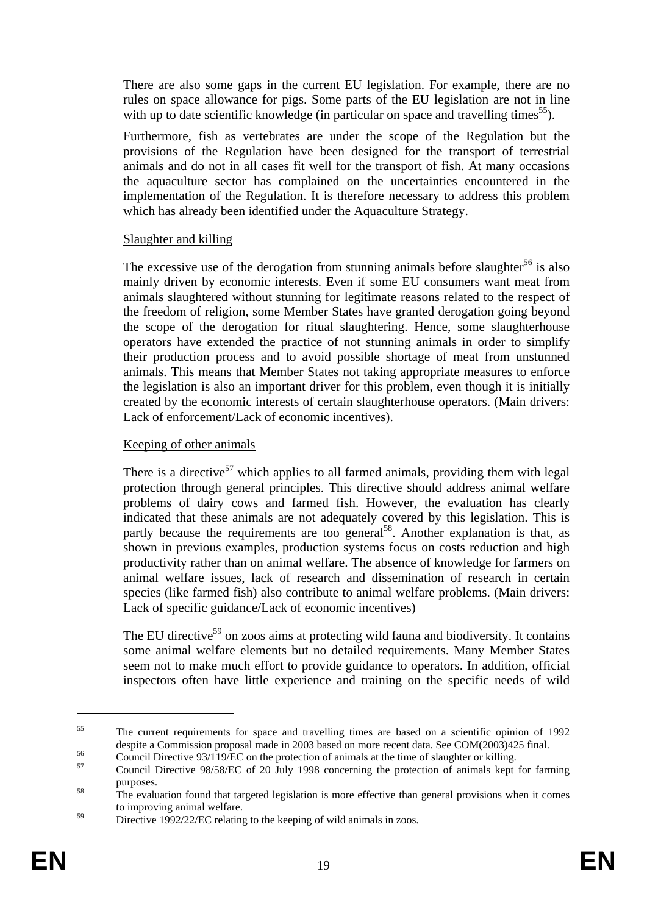There are also some gaps in the current EU legislation. For example, there are no rules on space allowance for pigs. Some parts of the EU legislation are not in line with up to date scientific knowledge (in particular on space and travelling times<sup>55</sup>).

Furthermore, fish as vertebrates are under the scope of the Regulation but the provisions of the Regulation have been designed for the transport of terrestrial animals and do not in all cases fit well for the transport of fish. At many occasions the aquaculture sector has complained on the uncertainties encountered in the implementation of the Regulation. It is therefore necessary to address this problem which has already been identified under the Aquaculture Strategy.

# Slaughter and killing

The excessive use of the derogation from stunning animals before slaughter<sup>56</sup> is also mainly driven by economic interests. Even if some EU consumers want meat from animals slaughtered without stunning for legitimate reasons related to the respect of the freedom of religion, some Member States have granted derogation going beyond the scope of the derogation for ritual slaughtering. Hence, some slaughterhouse operators have extended the practice of not stunning animals in order to simplify their production process and to avoid possible shortage of meat from unstunned animals. This means that Member States not taking appropriate measures to enforce the legislation is also an important driver for this problem, even though it is initially created by the economic interests of certain slaughterhouse operators. (Main drivers: Lack of enforcement/Lack of economic incentives).

# Keeping of other animals

There is a directive<sup>57</sup> which applies to all farmed animals, providing them with legal protection through general principles. This directive should address animal welfare problems of dairy cows and farmed fish. However, the evaluation has clearly indicated that these animals are not adequately covered by this legislation. This is partly because the requirements are too general<sup>58</sup>. Another explanation is that, as shown in previous examples, production systems focus on costs reduction and high productivity rather than on animal welfare. The absence of knowledge for farmers on animal welfare issues, lack of research and dissemination of research in certain species (like farmed fish) also contribute to animal welfare problems. (Main drivers: Lack of specific guidance/Lack of economic incentives)

The EU directive<sup>59</sup> on zoos aims at protecting wild fauna and biodiversity. It contains some animal welfare elements but no detailed requirements. Many Member States seem not to make much effort to provide guidance to operators. In addition, official inspectors often have little experience and training on the specific needs of wild

<u>.</u>

<sup>&</sup>lt;sup>55</sup> The current requirements for space and travelling times are based on a scientific opinion of 1992 despite a Commission proposal made in 2003 based on more recent data. See COM(2003)425 final.<br>Council Directive 93/119/EC on the protection of animals at the time of slaughter or killing.<br>Council Directive 98/58/EC of 20 J

purposes.<br>The evaluation found that targeted legislation is more effective than general provisions when it comes

to improving animal welfare.

<sup>&</sup>lt;sup>59</sup> Directive 1992/22/EC relating to the keeping of wild animals in zoos.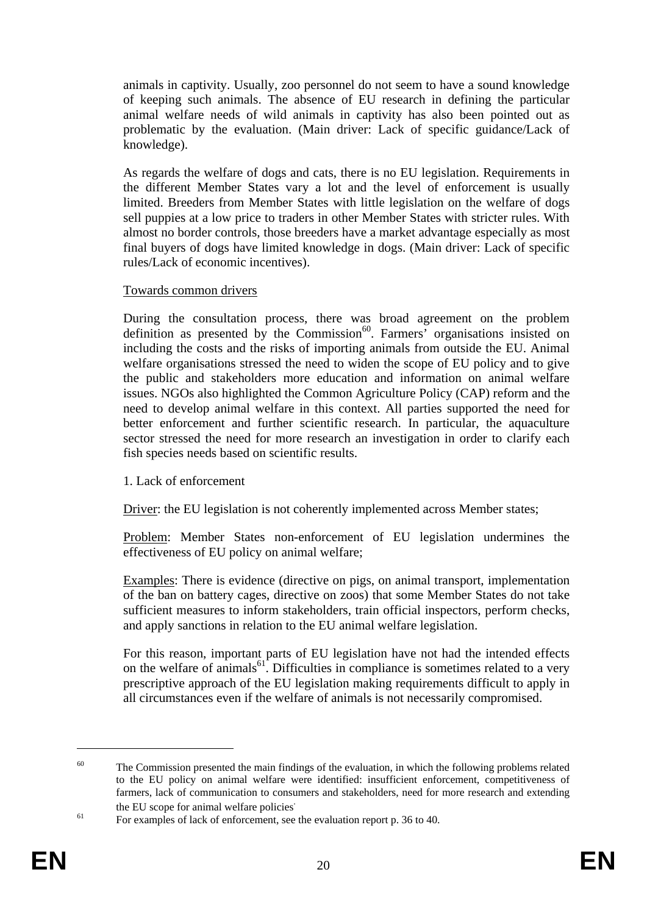animals in captivity. Usually, zoo personnel do not seem to have a sound knowledge of keeping such animals. The absence of EU research in defining the particular animal welfare needs of wild animals in captivity has also been pointed out as problematic by the evaluation. (Main driver: Lack of specific guidance/Lack of knowledge).

As regards the welfare of dogs and cats, there is no EU legislation. Requirements in the different Member States vary a lot and the level of enforcement is usually limited. Breeders from Member States with little legislation on the welfare of dogs sell puppies at a low price to traders in other Member States with stricter rules. With almost no border controls, those breeders have a market advantage especially as most final buyers of dogs have limited knowledge in dogs. (Main driver: Lack of specific rules/Lack of economic incentives).

### Towards common drivers

During the consultation process, there was broad agreement on the problem definition as presented by the Commission<sup>60</sup>. Farmers' organisations insisted on including the costs and the risks of importing animals from outside the EU. Animal welfare organisations stressed the need to widen the scope of EU policy and to give the public and stakeholders more education and information on animal welfare issues. NGOs also highlighted the Common Agriculture Policy (CAP) reform and the need to develop animal welfare in this context. All parties supported the need for better enforcement and further scientific research. In particular, the aquaculture sector stressed the need for more research an investigation in order to clarify each fish species needs based on scientific results.

### 1. Lack of enforcement

Driver: the EU legislation is not coherently implemented across Member states;

Problem: Member States non-enforcement of EU legislation undermines the effectiveness of EU policy on animal welfare;

Examples: There is evidence (directive on pigs, on animal transport, implementation of the ban on battery cages, directive on zoos) that some Member States do not take sufficient measures to inform stakeholders, train official inspectors, perform checks, and apply sanctions in relation to the EU animal welfare legislation.

For this reason, important parts of EU legislation have not had the intended effects on the welfare of animals<sup>61</sup>. Difficulties in compliance is sometimes related to a very prescriptive approach of the EU legislation making requirements difficult to apply in all circumstances even if the welfare of animals is not necessarily compromised.

 $60$  The Commission presented the main findings of the evaluation, in which the following problems related to the EU policy on animal welfare were identified: insufficient enforcement, competitiveness of farmers, lack of communication to consumers and stakeholders, need for more research and extending the EU scope for animal welfare policies.

 $\frac{61}{100}$  For examples of lack of enforcement, see the evaluation report p. 36 to 40.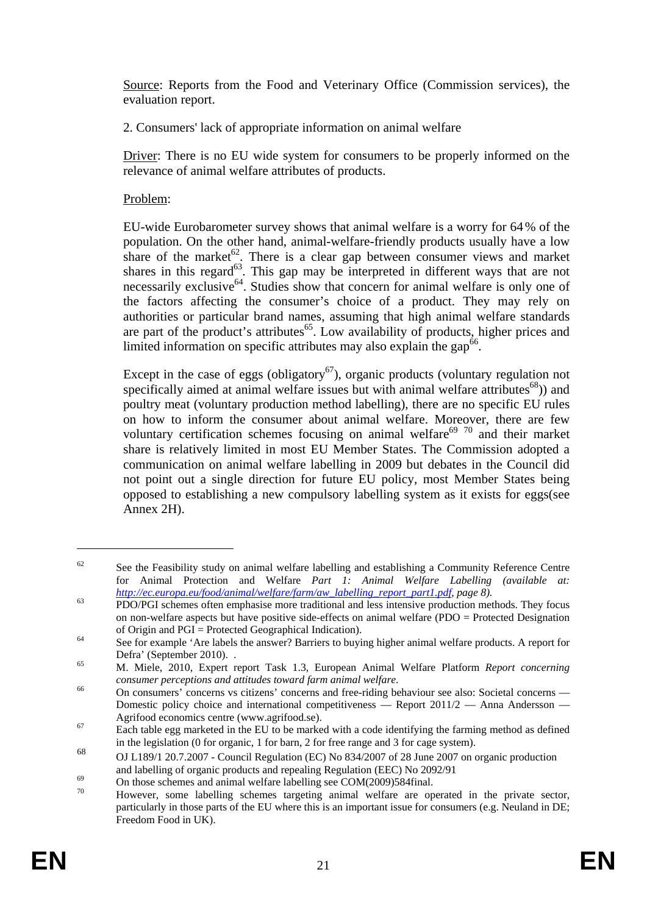Source: Reports from the Food and Veterinary Office (Commission services), the evaluation report.

2. Consumers' lack of appropriate information on animal welfare

Driver: There is no EU wide system for consumers to be properly informed on the relevance of animal welfare attributes of products.

# Problem:

EU-wide Eurobarometer survey shows that animal welfare is a worry for 64% of the population. On the other hand, animal-welfare-friendly products usually have a low share of the market $62$ . There is a clear gap between consumer views and market shares in this regard $^{63}$ . This gap may be interpreted in different ways that are not necessarily exclusive<sup>64</sup>. Studies show that concern for animal welfare is only one of the factors affecting the consumer's choice of a product. They may rely on authorities or particular brand names, assuming that high animal welfare standards are part of the product's attributes<sup>65</sup>. Low availability of products, higher prices and limited information on specific attributes may also explain the gap<sup>66</sup>.

Except in the case of eggs (obligatory<sup>67</sup>), organic products (voluntary regulation not specifically aimed at animal welfare issues but with animal welfare attributes $^{68}$ ) and poultry meat (voluntary production method labelling), there are no specific EU rules on how to inform the consumer about animal welfare. Moreover, there are few voluntary certification schemes focusing on animal welfare<sup>69 70</sup> and their market share is relatively limited in most EU Member States. The Commission adopted a communication on animal welfare labelling in 2009 but debates in the Council did not point out a single direction for future EU policy, most Member States being opposed to establishing a new compulsory labelling system as it exists for eggs(see Annex 2H).

<u>.</u>

 $62$  See the Feasibility study on animal welfare labelling and establishing a Community Reference Centre for Animal Protection and Welfare *Part 1: Animal Welfare Labelling (available at:* 

*[http://ec.europa.eu/food/ani](http://ec.europa.eu/food/animal/welfare/farm/aw_labelling_report_part1.pdf)mal/welfare/farm/aw\_labelling\_report\_part1.pdf, page 8).* PDO/PGI schemes often emphasise more traditional and less intensive production methods. They focus on non-welfare aspects but have positive side-effects on animal welfare (PDO = Protected Designation of Origin and PGI = Protected Geographical Indication).<br>
See for example 'Are labels the answer? Barriers to buying higher animal welfare products. A report for

Defra' (September 2010). .<br>
M. Miele, 2010, Expert report Task 1.3, European Animal Welfare Platform *Report concerning* 

*consumer perceptions and attitudes toward farm animal welfare.*<br>
On consumers' concerns vs citizens' concerns and free-riding behaviour see also: Societal concerns — Domestic policy choice and international competitiveness — Report 2011/2 — Anna Andersson —

Agrifood economics centre (www.agrifood.se).<br>Each table egg marketed in the EU to be marked with a code identifying the farming method as defined in the legislation (0 for organic, 1 for barn, 2 for free range and 3 for cage system).

<sup>68</sup> OJ L189/1 20.7.2007 - Council Regulation (EC) No 834/2007 of 28 June 2007 on organic production

and labelling of organic products and repealing Regulation (EEC) No 2092/91<br>On those schemes and animal welfare labelling see COM(2009)584final.<br>The strategy came labelling sebenes tensiting animal welfare are appropriate

<sup>70</sup> However, some labelling schemes targeting animal welfare are operated in the private sector, particularly in those parts of the EU where this is an important issue for consumers (e.g. Neuland in DE; Freedom Food in UK).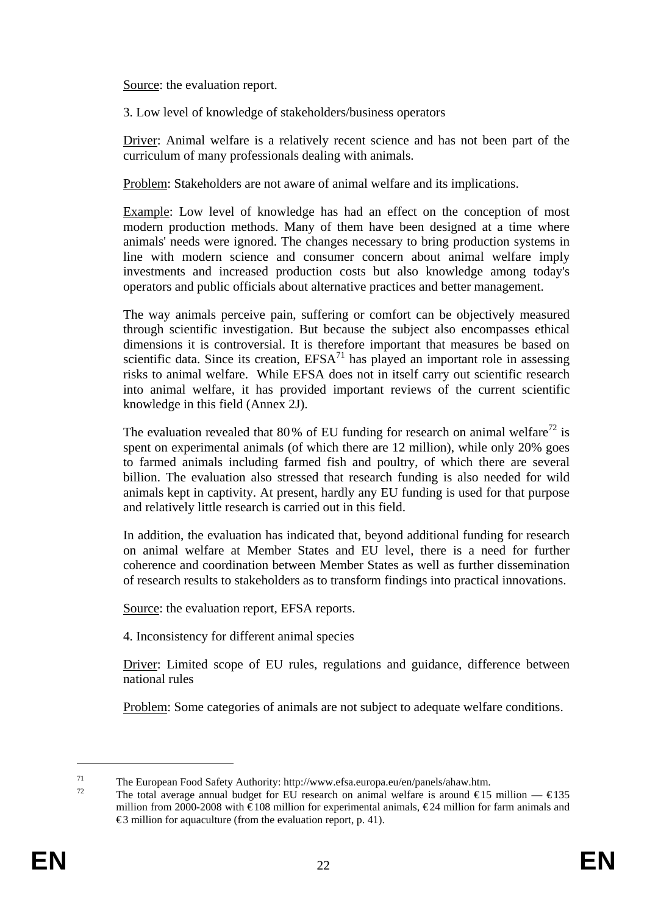Source: the evaluation report.

3. Low level of knowledge of stakeholders/business operators

Driver: Animal welfare is a relatively recent science and has not been part of the curriculum of many professionals dealing with animals.

Problem: Stakeholders are not aware of animal welfare and its implications.

Example: Low level of knowledge has had an effect on the conception of most modern production methods. Many of them have been designed at a time where animals' needs were ignored. The changes necessary to bring production systems in line with modern science and consumer concern about animal welfare imply investments and increased production costs but also knowledge among today's operators and public officials about alternative practices and better management.

The way animals perceive pain, suffering or comfort can be objectively measured through scientific investigation. But because the subject also encompasses ethical dimensions it is controversial. It is therefore important that measures be based on scientific data. Since its creation,  $EFSA<sup>71</sup>$  has played an important role in assessing risks to animal welfare. While EFSA does not in itself carry out scientific research into animal welfare, it has provided important reviews of the current scientific knowledge in this field (Annex 2J).

The evaluation revealed that 80% of EU funding for research on animal welfare<sup>72</sup> is spent on experimental animals (of which there are 12 million), while only 20% goes to farmed animals including farmed fish and poultry, of which there are several billion. The evaluation also stressed that research funding is also needed for wild animals kept in captivity. At present, hardly any EU funding is used for that purpose and relatively little research is carried out in this field.

In addition, the evaluation has indicated that, beyond additional funding for research on animal welfare at Member States and EU level, there is a need for further coherence and coordination between Member States as well as further dissemination of research results to stakeholders as to transform findings into practical innovations.

Source: the evaluation report, EFSA reports.

4. Inconsistency for different animal species

Driver: Limited scope of EU rules, regulations and guidance, difference between national rules

Problem: Some categories of animals are not subject to adequate welfare conditions.

The European Food Safety Authority: http://www.efsa.europa.eu/en/panels/ahaw.htm.<br>
The total average annual budget for EU research on animal welfare is around €15 million — €135

million from 2000-2008 with €108 million for experimental animals, €24 million for farm animals and  $\epsilon$ 3 million for aquaculture (from the evaluation report, p. 41).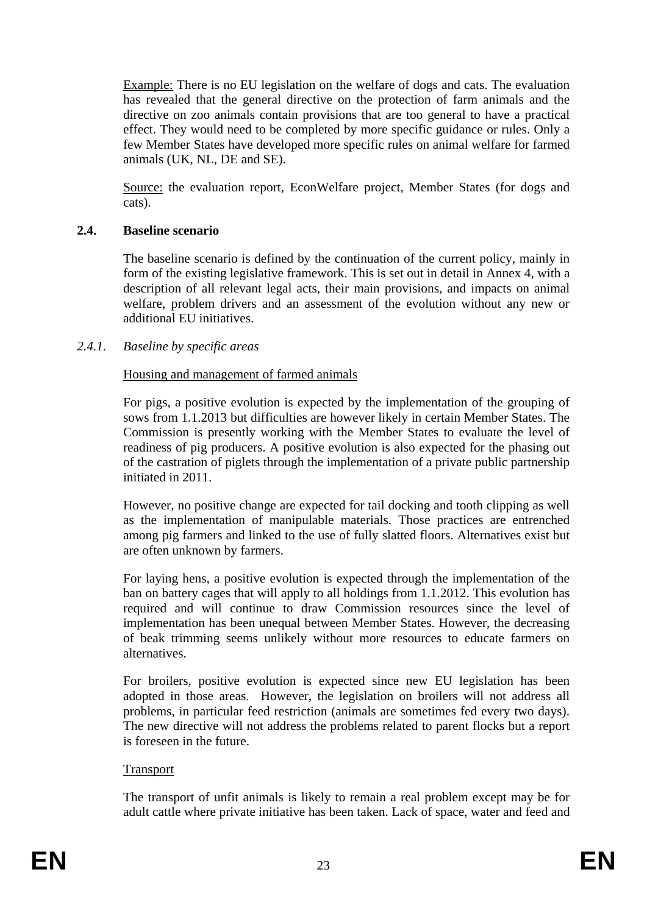Example: There is no EU legislation on the welfare of dogs and cats. The evaluation has revealed that the general directive on the protection of farm animals and the directive on zoo animals contain provisions that are too general to have a practical effect. They would need to be completed by more specific guidance or rules. Only a few Member States have developed more specific rules on animal welfare for farmed animals (UK, NL, DE and SE).

Source: the evaluation report, EconWelfare project, Member States (for dogs and cats).

# <span id="page-22-0"></span>**2.4. Baseline scenario**

The baseline scenario is defined by the continuation of the current policy, mainly in form of the existing legislative framework. This is set out in detail in Annex 4, with a description of all relevant legal acts, their main provisions, and impacts on animal welfare, problem drivers and an assessment of the evolution without any new or additional EU initiatives.

# <span id="page-22-1"></span>*2.4.1. Baseline by specific areas*

# Housing and management of farmed animals

For pigs, a positive evolution is expected by the implementation of the grouping of sows from 1.1.2013 but difficulties are however likely in certain Member States. The Commission is presently working with the Member States to evaluate the level of readiness of pig producers. A positive evolution is also expected for the phasing out of the castration of piglets through the implementation of a private public partnership initiated in 2011.

However, no positive change are expected for tail docking and tooth clipping as well as the implementation of manipulable materials. Those practices are entrenched among pig farmers and linked to the use of fully slatted floors. Alternatives exist but are often unknown by farmers.

For laying hens, a positive evolution is expected through the implementation of the ban on battery cages that will apply to all holdings from 1.1.2012. This evolution has required and will continue to draw Commission resources since the level of implementation has been unequal between Member States. However, the decreasing of beak trimming seems unlikely without more resources to educate farmers on alternatives.

For broilers, positive evolution is expected since new EU legislation has been adopted in those areas. However, the legislation on broilers will not address all problems, in particular feed restriction (animals are sometimes fed every two days). The new directive will not address the problems related to parent flocks but a report is foreseen in the future.

### **Transport**

The transport of unfit animals is likely to remain a real problem except may be for adult cattle where private initiative has been taken. Lack of space, water and feed and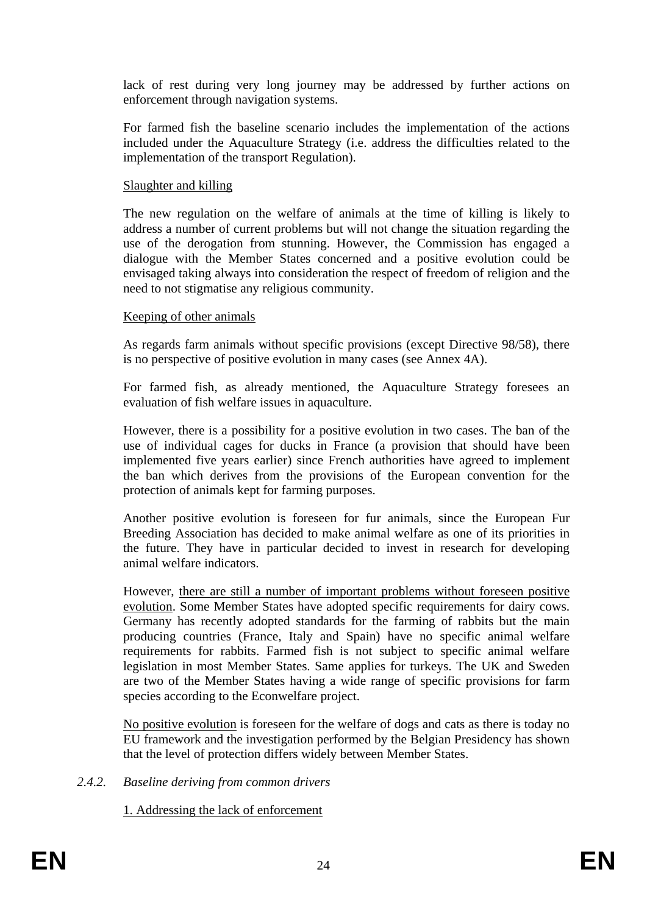lack of rest during very long journey may be addressed by further actions on enforcement through navigation systems.

For farmed fish the baseline scenario includes the implementation of the actions included under the Aquaculture Strategy (i.e. address the difficulties related to the implementation of the transport Regulation).

### Slaughter and killing

The new regulation on the welfare of animals at the time of killing is likely to address a number of current problems but will not change the situation regarding the use of the derogation from stunning. However, the Commission has engaged a dialogue with the Member States concerned and a positive evolution could be envisaged taking always into consideration the respect of freedom of religion and the need to not stigmatise any religious community.

# Keeping of other animals

As regards farm animals without specific provisions (except Directive 98/58), there is no perspective of positive evolution in many cases (see Annex 4A).

For farmed fish, as already mentioned, the Aquaculture Strategy foresees an evaluation of fish welfare issues in aquaculture.

However, there is a possibility for a positive evolution in two cases. The ban of the use of individual cages for ducks in France (a provision that should have been implemented five years earlier) since French authorities have agreed to implement the ban which derives from the provisions of the European convention for the protection of animals kept for farming purposes.

Another positive evolution is foreseen for fur animals, since the European Fur Breeding Association has decided to make animal welfare as one of its priorities in the future. They have in particular decided to invest in research for developing animal welfare indicators.

However, there are still a number of important problems without foreseen positive evolution. Some Member States have adopted specific requirements for dairy cows. Germany has recently adopted standards for the farming of rabbits but the main producing countries (France, Italy and Spain) have no specific animal welfare requirements for rabbits. Farmed fish is not subject to specific animal welfare legislation in most Member States. Same applies for turkeys. The UK and Sweden are two of the Member States having a wide range of specific provisions for farm species according to the Econwelfare project.

No positive evolution is foreseen for the welfare of dogs and cats as there is today no EU framework and the investigation performed by the Belgian Presidency has shown that the level of protection differs widely between Member States.

<span id="page-23-0"></span>*2.4.2. Baseline deriving from common drivers* 

1. Addressing the lack of enforcement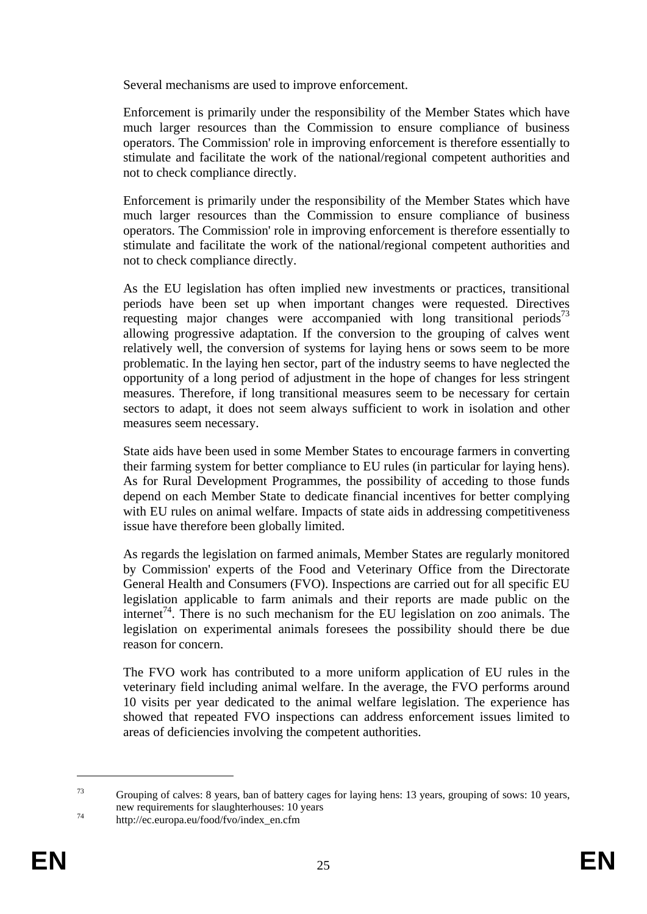Several mechanisms are used to improve enforcement.

Enforcement is primarily under the responsibility of the Member States which have much larger resources than the Commission to ensure compliance of business operators. The Commission' role in improving enforcement is therefore essentially to stimulate and facilitate the work of the national/regional competent authorities and not to check compliance directly.

Enforcement is primarily under the responsibility of the Member States which have much larger resources than the Commission to ensure compliance of business operators. The Commission' role in improving enforcement is therefore essentially to stimulate and facilitate the work of the national/regional competent authorities and not to check compliance directly.

As the EU legislation has often implied new investments or practices, transitional periods have been set up when important changes were requested. Directives requesting major changes were accompanied with long transitional periods<sup>73</sup> allowing progressive adaptation. If the conversion to the grouping of calves went relatively well, the conversion of systems for laying hens or sows seem to be more problematic. In the laying hen sector, part of the industry seems to have neglected the opportunity of a long period of adjustment in the hope of changes for less stringent measures. Therefore, if long transitional measures seem to be necessary for certain sectors to adapt, it does not seem always sufficient to work in isolation and other measures seem necessary.

State aids have been used in some Member States to encourage farmers in converting their farming system for better compliance to EU rules (in particular for laying hens). As for Rural Development Programmes, the possibility of acceding to those funds depend on each Member State to dedicate financial incentives for better complying with EU rules on animal welfare. Impacts of state aids in addressing competitiveness issue have therefore been globally limited.

As regards the legislation on farmed animals, Member States are regularly monitored by Commission' experts of the Food and Veterinary Office from the Directorate General Health and Consumers (FVO). Inspections are carried out for all specific EU legislation applicable to farm animals and their reports are made public on the internet<sup>74</sup>. There is no such mechanism for the EU legislation on zoo animals. The legislation on experimental animals foresees the possibility should there be due reason for concern.

The FVO work has contributed to a more uniform application of EU rules in the veterinary field including animal welfare. In the average, the FVO performs around 10 visits per year dedicated to the animal welfare legislation. The experience has showed that repeated FVO inspections can address enforcement issues limited to areas of deficiencies involving the competent authorities.

<sup>73</sup> Grouping of calves: 8 years, ban of battery cages for laying hens: 13 years, grouping of sows: 10 years, new requirements for slaughterhouses: 10 years<br>http://ec.europa.eu/food/fvo/index\_en.cfm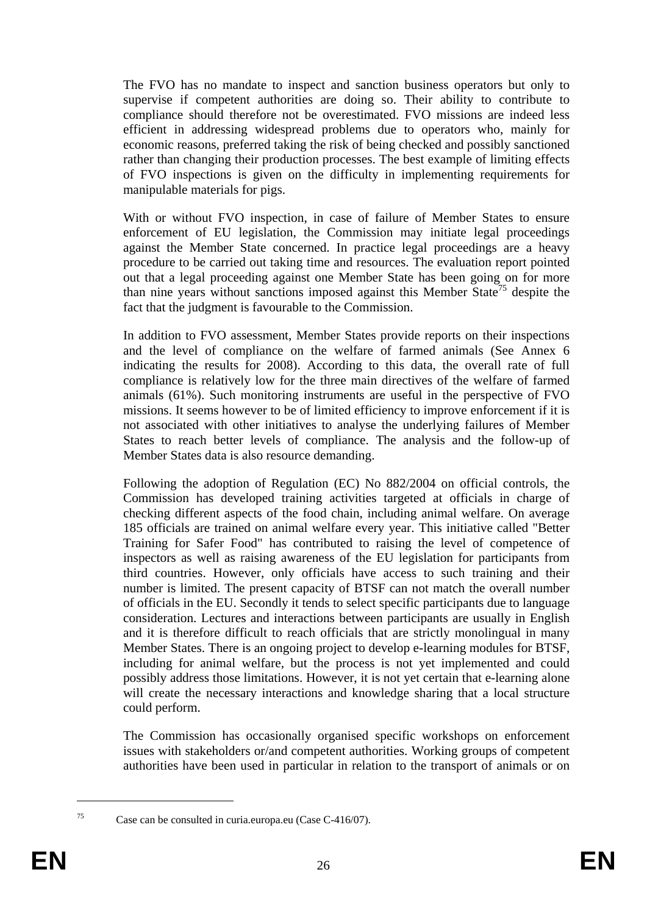The FVO has no mandate to inspect and sanction business operators but only to supervise if competent authorities are doing so. Their ability to contribute to compliance should therefore not be overestimated. FVO missions are indeed less efficient in addressing widespread problems due to operators who, mainly for economic reasons, preferred taking the risk of being checked and possibly sanctioned rather than changing their production processes. The best example of limiting effects of FVO inspections is given on the difficulty in implementing requirements for manipulable materials for pigs.

With or without FVO inspection, in case of failure of Member States to ensure enforcement of EU legislation, the Commission may initiate legal proceedings against the Member State concerned. In practice legal proceedings are a heavy procedure to be carried out taking time and resources. The evaluation report pointed out that a legal proceeding against one Member State has been going on for more than nine years without sanctions imposed against this Member State<sup>75</sup> despite the fact that the judgment is favourable to the Commission.

In addition to FVO assessment, Member States provide reports on their inspections and the level of compliance on the welfare of farmed animals (See Annex 6 indicating the results for 2008). According to this data, the overall rate of full compliance is relatively low for the three main directives of the welfare of farmed animals (61%). Such monitoring instruments are useful in the perspective of FVO missions. It seems however to be of limited efficiency to improve enforcement if it is not associated with other initiatives to analyse the underlying failures of Member States to reach better levels of compliance. The analysis and the follow-up of Member States data is also resource demanding.

Following the adoption of Regulation (EC) No 882/2004 on official controls, the Commission has developed training activities targeted at officials in charge of checking different aspects of the food chain, including animal welfare. On average 185 officials are trained on animal welfare every year. This initiative called "Better Training for Safer Food" has contributed to raising the level of competence of inspectors as well as raising awareness of the EU legislation for participants from third countries. However, only officials have access to such training and their number is limited. The present capacity of BTSF can not match the overall number of officials in the EU. Secondly it tends to select specific participants due to language consideration. Lectures and interactions between participants are usually in English and it is therefore difficult to reach officials that are strictly monolingual in many Member States. There is an ongoing project to develop e-learning modules for BTSF, including for animal welfare, but the process is not yet implemented and could possibly address those limitations. However, it is not yet certain that e-learning alone will create the necessary interactions and knowledge sharing that a local structure could perform.

The Commission has occasionally organised specific workshops on enforcement issues with stakeholders or/and competent authorities. Working groups of competent authorities have been used in particular in relation to the transport of animals or on

<sup>75</sup> Case can be consulted in curia.europa.eu (Case C-416/07).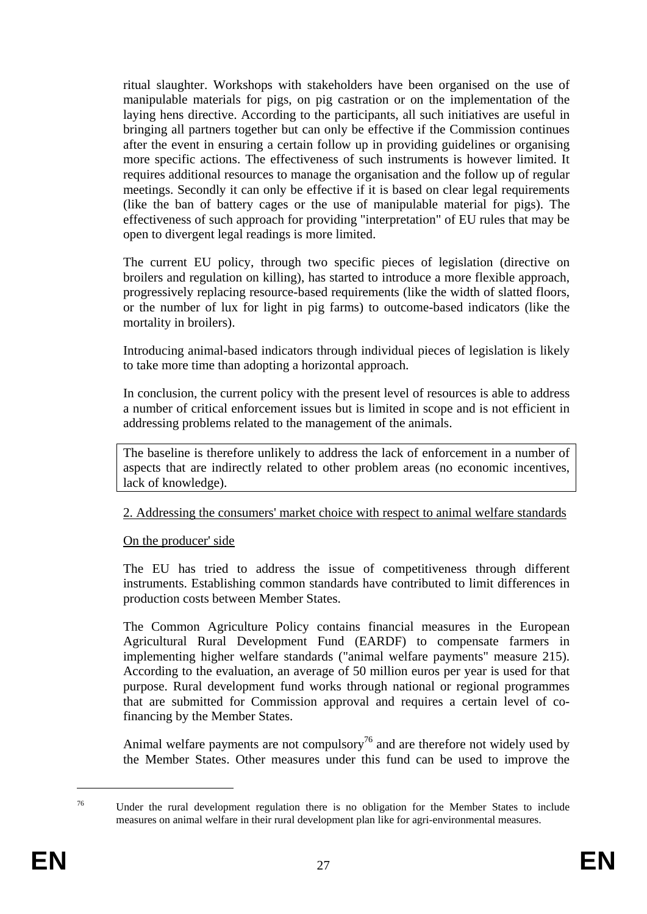ritual slaughter. Workshops with stakeholders have been organised on the use of manipulable materials for pigs, on pig castration or on the implementation of the laying hens directive. According to the participants, all such initiatives are useful in bringing all partners together but can only be effective if the Commission continues after the event in ensuring a certain follow up in providing guidelines or organising more specific actions. The effectiveness of such instruments is however limited. It requires additional resources to manage the organisation and the follow up of regular meetings. Secondly it can only be effective if it is based on clear legal requirements (like the ban of battery cages or the use of manipulable material for pigs). The effectiveness of such approach for providing "interpretation" of EU rules that may be open to divergent legal readings is more limited.

The current EU policy, through two specific pieces of legislation (directive on broilers and regulation on killing), has started to introduce a more flexible approach, progressively replacing resource-based requirements (like the width of slatted floors, or the number of lux for light in pig farms) to outcome-based indicators (like the mortality in broilers).

Introducing animal-based indicators through individual pieces of legislation is likely to take more time than adopting a horizontal approach.

In conclusion, the current policy with the present level of resources is able to address a number of critical enforcement issues but is limited in scope and is not efficient in addressing problems related to the management of the animals.

The baseline is therefore unlikely to address the lack of enforcement in a number of aspects that are indirectly related to other problem areas (no economic incentives, lack of knowledge).

2. Addressing the consumers' market choice with respect to animal welfare standards

### On the producer' side

The EU has tried to address the issue of competitiveness through different instruments. Establishing common standards have contributed to limit differences in production costs between Member States.

The Common Agriculture Policy contains financial measures in the European Agricultural Rural Development Fund (EARDF) to compensate farmers in implementing higher welfare standards ("animal welfare payments" measure 215). According to the evaluation, an average of 50 million euros per year is used for that purpose. Rural development fund works through national or regional programmes that are submitted for Commission approval and requires a certain level of cofinancing by the Member States.

Animal welfare payments are not compulsory<sup>76</sup> and are therefore not widely used by the Member States. Other measures under this fund can be used to improve the

<u>.</u>

<sup>76</sup> Under the rural development regulation there is no obligation for the Member States to include measures on animal welfare in their rural development plan like for agri-environmental measures.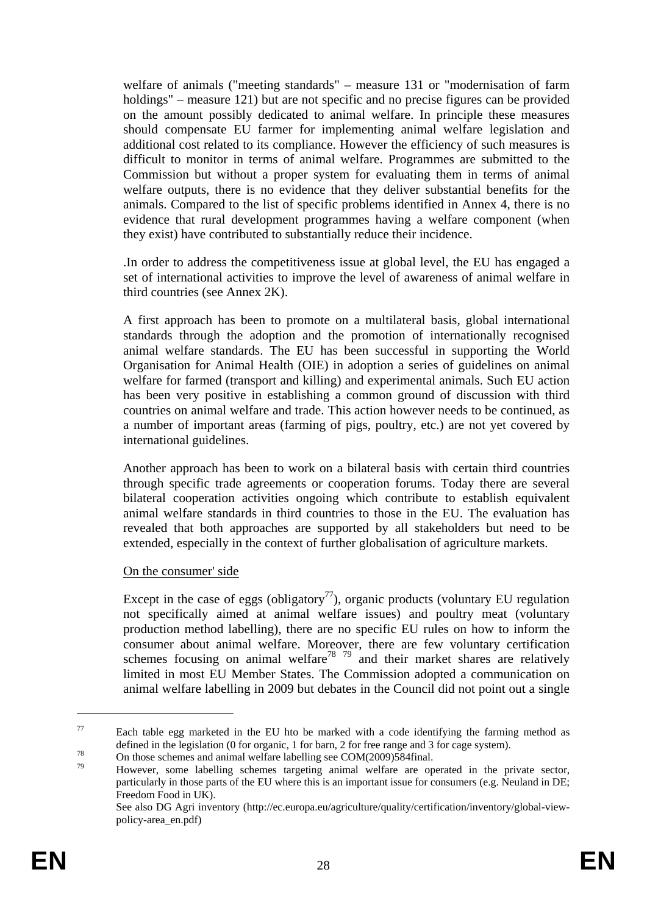welfare of animals ("meeting standards" – measure 131 or "modernisation of farm holdings" – measure 121) but are not specific and no precise figures can be provided on the amount possibly dedicated to animal welfare. In principle these measures should compensate EU farmer for implementing animal welfare legislation and additional cost related to its compliance. However the efficiency of such measures is difficult to monitor in terms of animal welfare. Programmes are submitted to the Commission but without a proper system for evaluating them in terms of animal welfare outputs, there is no evidence that they deliver substantial benefits for the animals. Compared to the list of specific problems identified in Annex 4, there is no evidence that rural development programmes having a welfare component (when they exist) have contributed to substantially reduce their incidence.

.In order to address the competitiveness issue at global level, the EU has engaged a set of international activities to improve the level of awareness of animal welfare in third countries (see Annex 2K).

A first approach has been to promote on a multilateral basis, global international standards through the adoption and the promotion of internationally recognised animal welfare standards. The EU has been successful in supporting the World Organisation for Animal Health (OIE) in adoption a series of guidelines on animal welfare for farmed (transport and killing) and experimental animals. Such EU action has been very positive in establishing a common ground of discussion with third countries on animal welfare and trade. This action however needs to be continued, as a number of important areas (farming of pigs, poultry, etc.) are not yet covered by international guidelines.

Another approach has been to work on a bilateral basis with certain third countries through specific trade agreements or cooperation forums. Today there are several bilateral cooperation activities ongoing which contribute to establish equivalent animal welfare standards in third countries to those in the EU. The evaluation has revealed that both approaches are supported by all stakeholders but need to be extended, especially in the context of further globalisation of agriculture markets.

### On the consumer' side

Except in the case of eggs (obligatory<sup>77</sup>), organic products (voluntary EU regulation not specifically aimed at animal welfare issues) and poultry meat (voluntary production method labelling), there are no specific EU rules on how to inform the consumer about animal welfare. Moreover, there are few voluntary certification schemes focusing on animal welfare<sup>78</sup>  $^{79}$  and their market shares are relatively limited in most EU Member States. The Commission adopted a communication on animal welfare labelling in 2009 but debates in the Council did not point out a single

<u>.</u>

 $77$  Each table egg marketed in the EU hto be marked with a code identifying the farming method as defined in the legislation (0 for organic, 1 for barn, 2 for free range and 3 for cage system).<br>On those schemes and animal welfare labelling see COM(2009)584final.

<sup>79</sup> However, some labelling schemes targeting animal welfare are operated in the private sector, particularly in those parts of the EU where this is an important issue for consumers (e.g. Neuland in DE; Freedom Food in UK).

See also DG Agri inventory (http://ec.europa.eu/agriculture/quality/certification/inventory/global-viewpolicy-area\_en.pdf)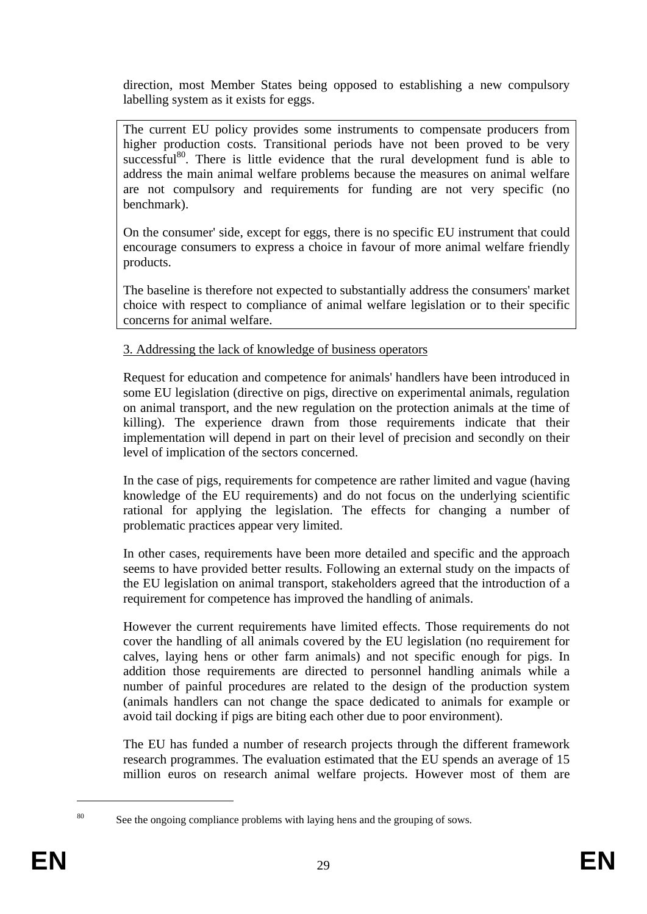direction, most Member States being opposed to establishing a new compulsory labelling system as it exists for eggs.

The current EU policy provides some instruments to compensate producers from higher production costs. Transitional periods have not been proved to be very successful<sup>80</sup>. There is little evidence that the rural development fund is able to address the main animal welfare problems because the measures on animal welfare are not compulsory and requirements for funding are not very specific (no benchmark).

On the consumer' side, except for eggs, there is no specific EU instrument that could encourage consumers to express a choice in favour of more animal welfare friendly products.

The baseline is therefore not expected to substantially address the consumers' market choice with respect to compliance of animal welfare legislation or to their specific concerns for animal welfare.

# 3. Addressing the lack of knowledge of business operators

Request for education and competence for animals' handlers have been introduced in some EU legislation (directive on pigs, directive on experimental animals, regulation on animal transport, and the new regulation on the protection animals at the time of killing). The experience drawn from those requirements indicate that their implementation will depend in part on their level of precision and secondly on their level of implication of the sectors concerned.

In the case of pigs, requirements for competence are rather limited and vague (having knowledge of the EU requirements) and do not focus on the underlying scientific rational for applying the legislation. The effects for changing a number of problematic practices appear very limited.

In other cases, requirements have been more detailed and specific and the approach seems to have provided better results. Following an external study on the impacts of the EU legislation on animal transport, stakeholders agreed that the introduction of a requirement for competence has improved the handling of animals.

However the current requirements have limited effects. Those requirements do not cover the handling of all animals covered by the EU legislation (no requirement for calves, laying hens or other farm animals) and not specific enough for pigs. In addition those requirements are directed to personnel handling animals while a number of painful procedures are related to the design of the production system (animals handlers can not change the space dedicated to animals for example or avoid tail docking if pigs are biting each other due to poor environment).

The EU has funded a number of research projects through the different framework research programmes. The evaluation estimated that the EU spends an average of 15 million euros on research animal welfare projects. However most of them are

<sup>&</sup>lt;sup>80</sup> See the ongoing compliance problems with laying hens and the grouping of sows.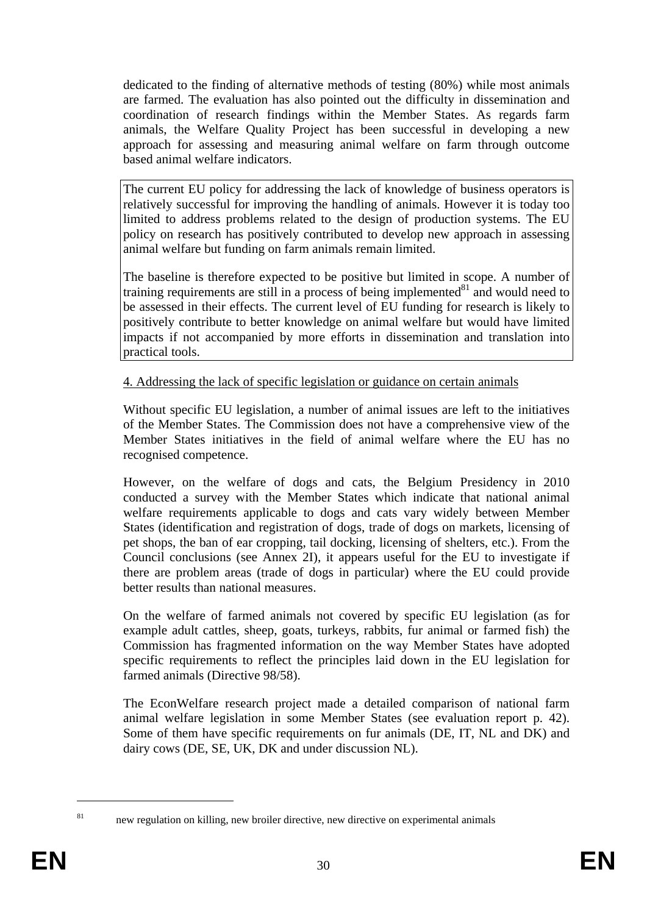dedicated to the finding of alternative methods of testing (80%) while most animals are farmed. The evaluation has also pointed out the difficulty in dissemination and coordination of research findings within the Member States. As regards farm animals, the Welfare Quality Project has been successful in developing a new approach for assessing and measuring animal welfare on farm through outcome based animal welfare indicators.

The current EU policy for addressing the lack of knowledge of business operators is relatively successful for improving the handling of animals. However it is today too limited to address problems related to the design of production systems. The EU policy on research has positively contributed to develop new approach in assessing animal welfare but funding on farm animals remain limited.

The baseline is therefore expected to be positive but limited in scope. A number of training requirements are still in a process of being implemented $^{81}$  and would need to be assessed in their effects. The current level of EU funding for research is likely to positively contribute to better knowledge on animal welfare but would have limited impacts if not accompanied by more efforts in dissemination and translation into practical tools.

4. Addressing the lack of specific legislation or guidance on certain animals

Without specific EU legislation, a number of animal issues are left to the initiatives of the Member States. The Commission does not have a comprehensive view of the Member States initiatives in the field of animal welfare where the EU has no recognised competence.

However, on the welfare of dogs and cats, the Belgium Presidency in 2010 conducted a survey with the Member States which indicate that national animal welfare requirements applicable to dogs and cats vary widely between Member States (identification and registration of dogs, trade of dogs on markets, licensing of pet shops, the ban of ear cropping, tail docking, licensing of shelters, etc.). From the Council conclusions (see Annex 2I), it appears useful for the EU to investigate if there are problem areas (trade of dogs in particular) where the EU could provide better results than national measures.

On the welfare of farmed animals not covered by specific EU legislation (as for example adult cattles, sheep, goats, turkeys, rabbits, fur animal or farmed fish) the Commission has fragmented information on the way Member States have adopted specific requirements to reflect the principles laid down in the EU legislation for farmed animals (Directive 98/58).

The EconWelfare research project made a detailed comparison of national farm animal welfare legislation in some Member States (see evaluation report p. 42). Some of them have specific requirements on fur animals (DE, IT, NL and DK) and dairy cows (DE, SE, UK, DK and under discussion NL).

<sup>1</sup> 

<sup>&</sup>lt;sup>81</sup> new regulation on killing, new broiler directive, new directive on experimental animals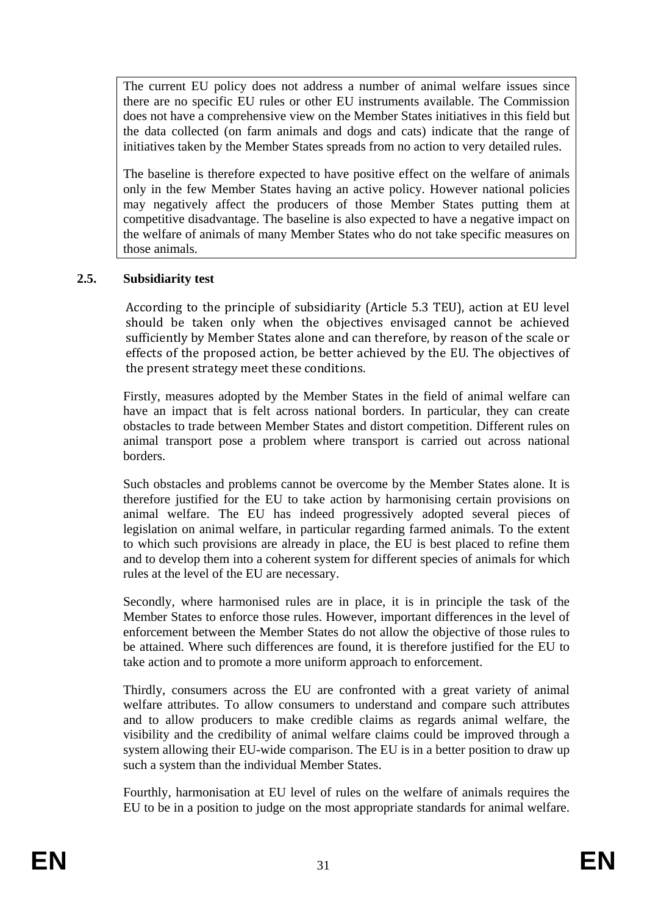The current EU policy does not address a number of animal welfare issues since there are no specific EU rules or other EU instruments available. The Commission does not have a comprehensive view on the Member States initiatives in this field but the data collected (on farm animals and dogs and cats) indicate that the range of initiatives taken by the Member States spreads from no action to very detailed rules.

The baseline is therefore expected to have positive effect on the welfare of animals only in the few Member States having an active policy. However national policies may negatively affect the producers of those Member States putting them at competitive disadvantage. The baseline is also expected to have a negative impact on the welfare of animals of many Member States who do not take specific measures on those animals.

# <span id="page-30-0"></span>**2.5. Subsidiarity test**

According to the principle of subsidiarity (Article 5.3 TEU), action at EU level should be taken only when the objectives envisaged cannot be achieved sufficiently by Member States alone and can therefore, by reason of the scale or effects of the proposed action, be better achieved by the EU. The objectives of the present strategy meet these conditions.

Firstly, measures adopted by the Member States in the field of animal welfare can have an impact that is felt across national borders. In particular, they can create obstacles to trade between Member States and distort competition. Different rules on animal transport pose a problem where transport is carried out across national borders.

Such obstacles and problems cannot be overcome by the Member States alone. It is therefore justified for the EU to take action by harmonising certain provisions on animal welfare. The EU has indeed progressively adopted several pieces of legislation on animal welfare, in particular regarding farmed animals. To the extent to which such provisions are already in place, the EU is best placed to refine them and to develop them into a coherent system for different species of animals for which rules at the level of the EU are necessary.

Secondly, where harmonised rules are in place, it is in principle the task of the Member States to enforce those rules. However, important differences in the level of enforcement between the Member States do not allow the objective of those rules to be attained. Where such differences are found, it is therefore justified for the EU to take action and to promote a more uniform approach to enforcement.

Thirdly, consumers across the EU are confronted with a great variety of animal welfare attributes. To allow consumers to understand and compare such attributes and to allow producers to make credible claims as regards animal welfare, the visibility and the credibility of animal welfare claims could be improved through a system allowing their EU-wide comparison. The EU is in a better position to draw up such a system than the individual Member States.

Fourthly, harmonisation at EU level of rules on the welfare of animals requires the EU to be in a position to judge on the most appropriate standards for animal welfare.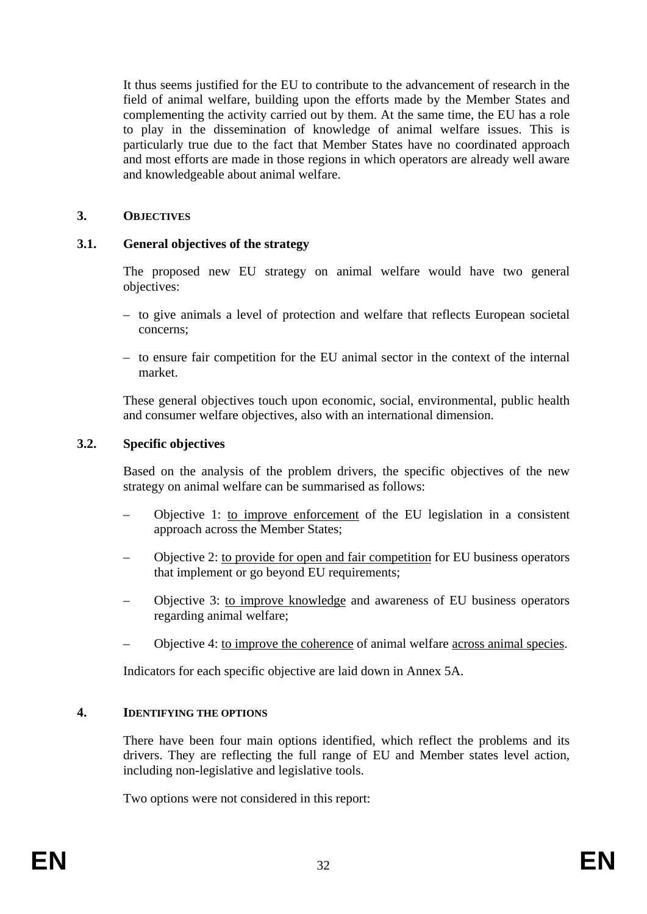It thus seems justified for the EU to contribute to the advancement of research in the field of animal welfare, building upon the efforts made by the Member States and complementing the activity carried out by them. At the same time, the EU has a role to play in the dissemination of knowledge of animal welfare issues. This is particularly true due to the fact that Member States have no coordinated approach and most efforts are made in those regions in which operators are already well aware and knowledgeable about animal welfare.

# <span id="page-31-0"></span>**3. OBJECTIVES**

# <span id="page-31-1"></span>**3.1. General objectives of the strategy**

The proposed new EU strategy on animal welfare would have two general objectives:

- to give animals a level of protection and welfare that reflects European societal concerns;
- to ensure fair competition for the EU animal sector in the context of the internal market.

These general objectives touch upon economic, social, environmental, public health and consumer welfare objectives, also with an international dimension.

# <span id="page-31-2"></span>**3.2. Specific objectives**

Based on the analysis of the problem drivers, the specific objectives of the new strategy on animal welfare can be summarised as follows:

- Objective 1: to improve enforcement of the EU legislation in a consistent approach across the Member States;
- Objective 2: to provide for open and fair competition for EU business operators that implement or go beyond EU requirements;
- Objective 3: to improve knowledge and awareness of EU business operators regarding animal welfare;
- Objective 4: to improve the coherence of animal welfare across animal species.

Indicators for each specific objective are laid down in Annex 5A.

### <span id="page-31-3"></span>**4. IDENTIFYING THE OPTIONS**

There have been four main options identified, which reflect the problems and its drivers. They are reflecting the full range of EU and Member states level action, including non-legislative and legislative tools.

Two options were not considered in this report: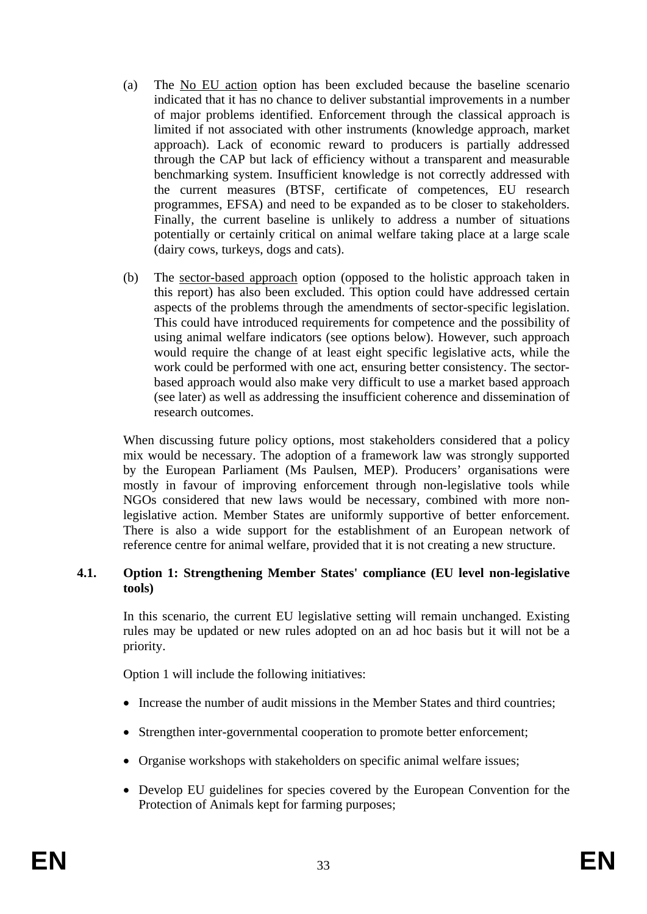- (a) The No EU action option has been excluded because the baseline scenario indicated that it has no chance to deliver substantial improvements in a number of major problems identified. Enforcement through the classical approach is limited if not associated with other instruments (knowledge approach, market approach). Lack of economic reward to producers is partially addressed through the CAP but lack of efficiency without a transparent and measurable benchmarking system. Insufficient knowledge is not correctly addressed with the current measures (BTSF, certificate of competences, EU research programmes, EFSA) and need to be expanded as to be closer to stakeholders. Finally, the current baseline is unlikely to address a number of situations potentially or certainly critical on animal welfare taking place at a large scale (dairy cows, turkeys, dogs and cats).
- (b) The sector-based approach option (opposed to the holistic approach taken in this report) has also been excluded. This option could have addressed certain aspects of the problems through the amendments of sector-specific legislation. This could have introduced requirements for competence and the possibility of using animal welfare indicators (see options below). However, such approach would require the change of at least eight specific legislative acts, while the work could be performed with one act, ensuring better consistency. The sectorbased approach would also make very difficult to use a market based approach (see later) as well as addressing the insufficient coherence and dissemination of research outcomes.

When discussing future policy options, most stakeholders considered that a policy mix would be necessary. The adoption of a framework law was strongly supported by the European Parliament (Ms Paulsen, MEP). Producers' organisations were mostly in favour of improving enforcement through non-legislative tools while NGOs considered that new laws would be necessary, combined with more nonlegislative action. Member States are uniformly supportive of better enforcement. There is also a wide support for the establishment of an European network of reference centre for animal welfare, provided that it is not creating a new structure.

# <span id="page-32-0"></span>**4.1. Option 1: Strengthening Member States' compliance (EU level non-legislative tools)**

In this scenario, the current EU legislative setting will remain unchanged. Existing rules may be updated or new rules adopted on an ad hoc basis but it will not be a priority.

Option 1 will include the following initiatives:

- Increase the number of audit missions in the Member States and third countries;
- Strengthen inter-governmental cooperation to promote better enforcement;
- Organise workshops with stakeholders on specific animal welfare issues;
- Develop EU guidelines for species covered by the European Convention for the Protection of Animals kept for farming purposes;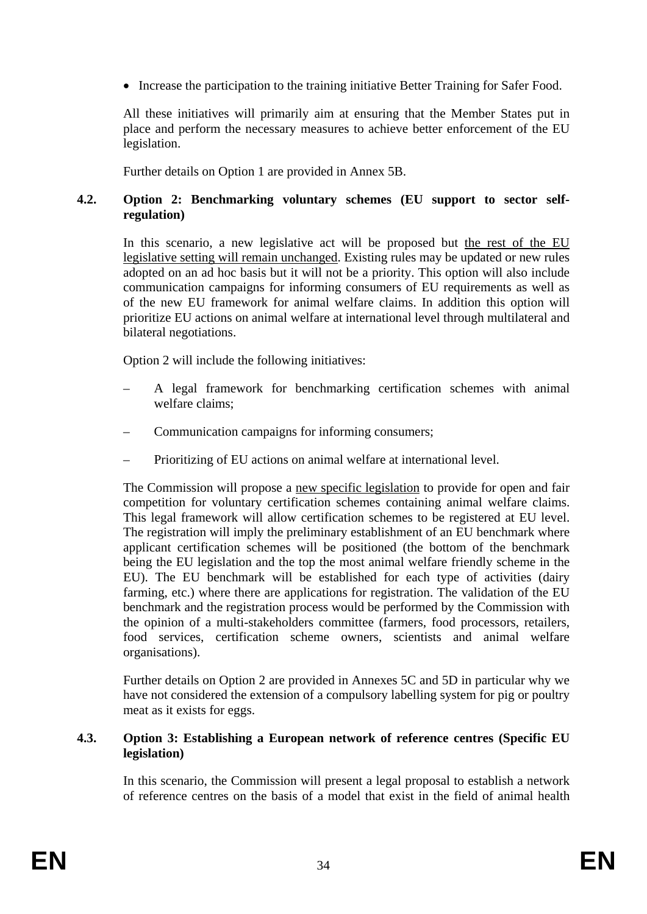• Increase the participation to the training initiative Better Training for Safer Food.

All these initiatives will primarily aim at ensuring that the Member States put in place and perform the necessary measures to achieve better enforcement of the EU legislation.

Further details on Option 1 are provided in Annex 5B.

### <span id="page-33-0"></span>**4.2. Option 2: Benchmarking voluntary schemes (EU support to sector selfregulation)**

In this scenario, a new legislative act will be proposed but the rest of the EU legislative setting will remain unchanged. Existing rules may be updated or new rules adopted on an ad hoc basis but it will not be a priority. This option will also include communication campaigns for informing consumers of EU requirements as well as of the new EU framework for animal welfare claims. In addition this option will prioritize EU actions on animal welfare at international level through multilateral and bilateral negotiations.

Option 2 will include the following initiatives:

- A legal framework for benchmarking certification schemes with animal welfare claims;
- Communication campaigns for informing consumers;
- Prioritizing of EU actions on animal welfare at international level.

The Commission will propose a new specific legislation to provide for open and fair competition for voluntary certification schemes containing animal welfare claims. This legal framework will allow certification schemes to be registered at EU level. The registration will imply the preliminary establishment of an EU benchmark where applicant certification schemes will be positioned (the bottom of the benchmark being the EU legislation and the top the most animal welfare friendly scheme in the EU). The EU benchmark will be established for each type of activities (dairy farming, etc.) where there are applications for registration. The validation of the EU benchmark and the registration process would be performed by the Commission with the opinion of a multi-stakeholders committee (farmers, food processors, retailers, food services, certification scheme owners, scientists and animal welfare organisations).

Further details on Option 2 are provided in Annexes 5C and 5D in particular why we have not considered the extension of a compulsory labelling system for pig or poultry meat as it exists for eggs.

### <span id="page-33-1"></span>**4.3. Option 3: Establishing a European network of reference centres (Specific EU legislation)**

In this scenario, the Commission will present a legal proposal to establish a network of reference centres on the basis of a model that exist in the field of animal health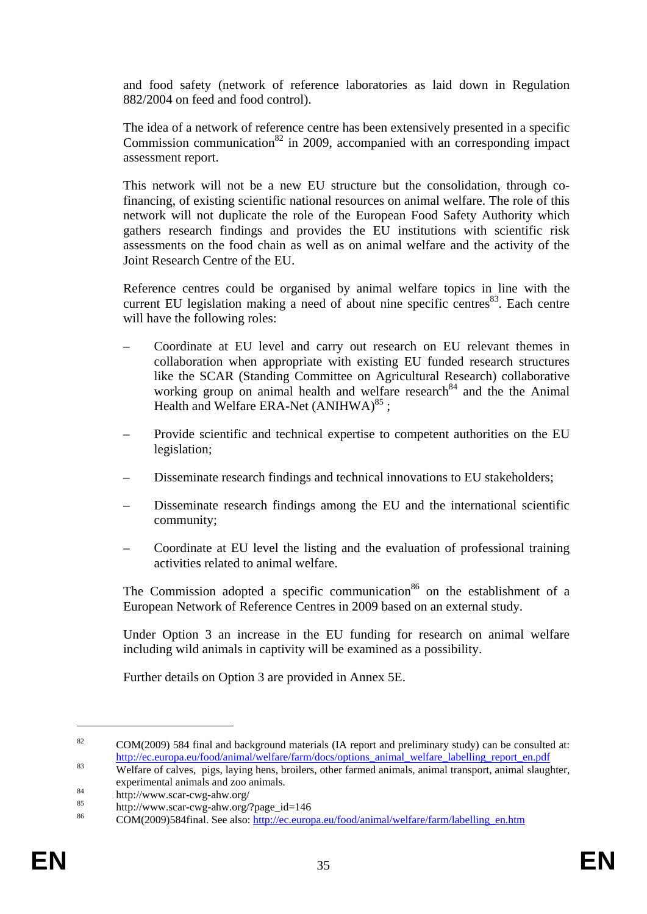and food safety (network of reference laboratories as laid down in Regulation 882/2004 on feed and food control).

The idea of a network of reference centre has been extensively presented in a specific Commission communication<sup>82</sup> in 2009, accompanied with an corresponding impact assessment report.

This network will not be a new EU structure but the consolidation, through cofinancing, of existing scientific national resources on animal welfare. The role of this network will not duplicate the role of the European Food Safety Authority which gathers research findings and provides the EU institutions with scientific risk assessments on the food chain as well as on animal welfare and the activity of the Joint Research Centre of the EU.

Reference centres could be organised by animal welfare topics in line with the current EU legislation making a need of about nine specific centres  $83$ . Each centre will have the following roles:

- Coordinate at EU level and carry out research on EU relevant themes in collaboration when appropriate with existing EU funded research structures like the SCAR (Standing Committee on Agricultural Research) collaborative working group on animal health and welfare research<sup>84</sup> and the the Animal Health and Welfare ERA-Net  $(ANIHWA)^{85}$ ;
- Provide scientific and technical expertise to competent authorities on the EU legislation;
- Disseminate research findings and technical innovations to EU stakeholders;
- Disseminate research findings among the EU and the international scientific community;
- Coordinate at EU level the listing and the evaluation of professional training activities related to animal welfare.

The Commission adopted a specific communication<sup>86</sup> on the establishment of a European Network of Reference Centres in 2009 based on an external study.

Under Option 3 an increase in the EU funding for research on animal welfare including wild animals in captivity will be examined as a possibility.

Further details on Option 3 are provided in Annex 5E.

<sup>&</sup>lt;sup>82</sup> COM(2009) 584 final and background materials (IA report and preliminary study) can be consulted at: [http://ec.europa.eu/food/animal/welfa](http://ec.europa.eu/food/animal/welfare/farm/docs/options_animal_welfare_labelling_report_en.pdf)re/farm/docs/options\_animal\_welfare\_labelling\_report\_en.pdf [Welfare of calves, pigs, laying hens,](http://ec.europa.eu/food/animal/welfare/farm/docs/options_animal_welfare_labelling_report_en.pdf) broilers, other farmed animals, animal transport, animal slaughter,

experimental animals and zoo animals.<br>
84 http://www.scar-cwg-ahw.org/<br>
85 http://www.scar-cwg-ahw.org/?page\_id=146 COM(2009)584final. See also: http://ec.europa.eu/food/animal/welfare/farm/labelling en.htm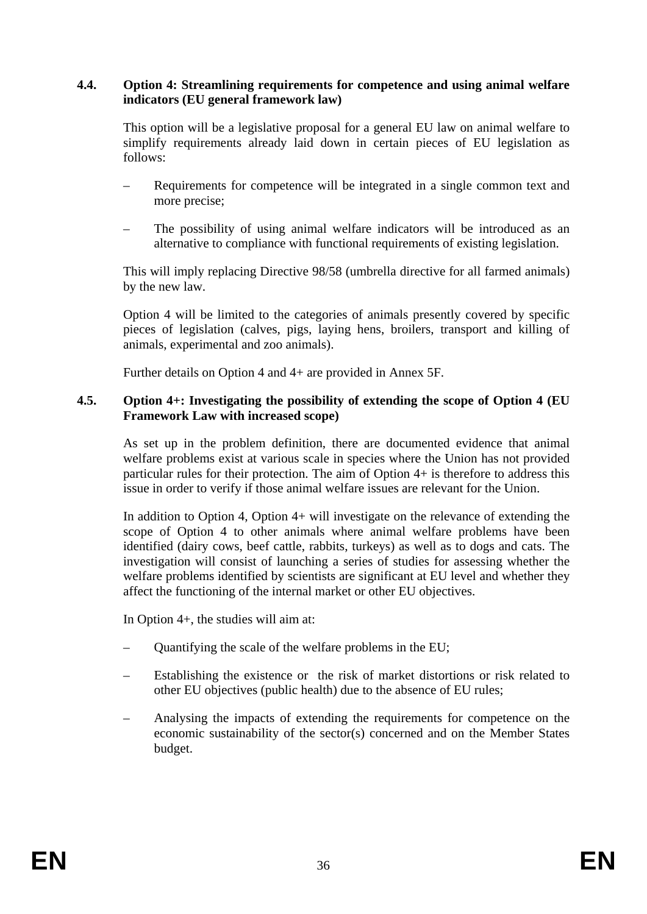# <span id="page-35-0"></span>**4.4. Option 4: Streamlining requirements for competence and using animal welfare indicators (EU general framework law)**

This option will be a legislative proposal for a general EU law on animal welfare to simplify requirements already laid down in certain pieces of EU legislation as follows:

- Requirements for competence will be integrated in a single common text and more precise;
- The possibility of using animal welfare indicators will be introduced as an alternative to compliance with functional requirements of existing legislation.

This will imply replacing Directive 98/58 (umbrella directive for all farmed animals) by the new law.

Option 4 will be limited to the categories of animals presently covered by specific pieces of legislation (calves, pigs, laying hens, broilers, transport and killing of animals, experimental and zoo animals).

Further details on Option 4 and 4+ are provided in Annex 5F.

#### <span id="page-35-1"></span>**4.5. Option 4+: Investigating the possibility of extending the scope of Option 4 (EU Framework Law with increased scope)**

As set up in the problem definition, there are documented evidence that animal welfare problems exist at various scale in species where the Union has not provided particular rules for their protection. The aim of Option 4+ is therefore to address this issue in order to verify if those animal welfare issues are relevant for the Union.

In addition to Option 4, Option 4+ will investigate on the relevance of extending the scope of Option 4 to other animals where animal welfare problems have been identified (dairy cows, beef cattle, rabbits, turkeys) as well as to dogs and cats. The investigation will consist of launching a series of studies for assessing whether the welfare problems identified by scientists are significant at EU level and whether they affect the functioning of the internal market or other EU objectives.

In Option 4+, the studies will aim at:

- Quantifying the scale of the welfare problems in the EU;
- Establishing the existence or the risk of market distortions or risk related to other EU objectives (public health) due to the absence of EU rules;
- Analysing the impacts of extending the requirements for competence on the economic sustainability of the sector(s) concerned and on the Member States budget.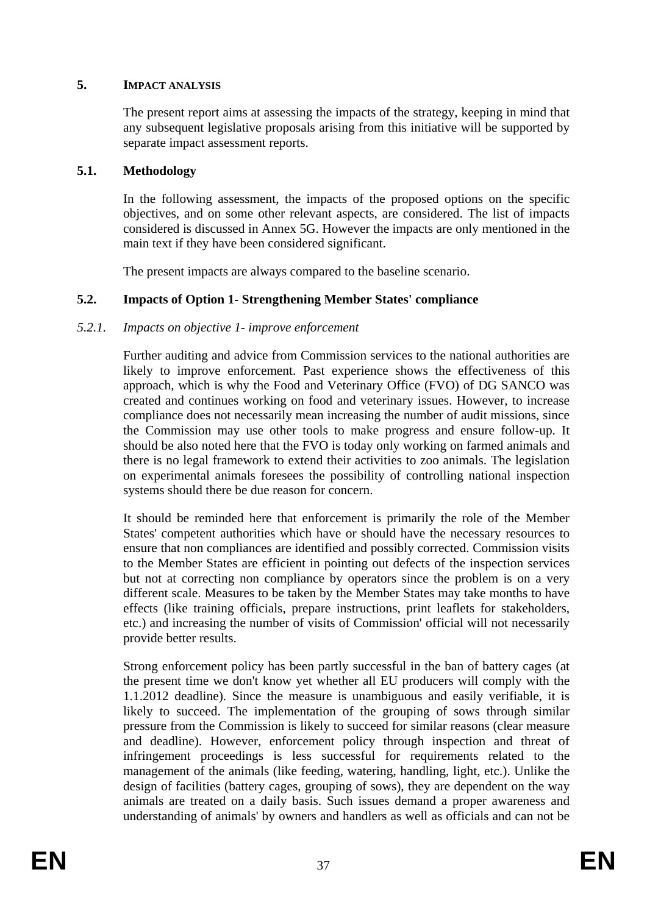### **5. IMPACT ANALYSIS**

The present report aims at assessing the impacts of the strategy, keeping in mind that any subsequent legislative proposals arising from this initiative will be supported by separate impact assessment reports.

### **5.1. Methodology**

In the following assessment, the impacts of the proposed options on the specific objectives, and on some other relevant aspects, are considered. The list of impacts considered is discussed in Annex 5G. However the impacts are only mentioned in the main text if they have been considered significant.

The present impacts are always compared to the baseline scenario.

### **5.2. Impacts of Option 1- Strengthening Member States' compliance**

### *5.2.1. Impacts on objective 1- improve enforcement*

Further auditing and advice from Commission services to the national authorities are likely to improve enforcement. Past experience shows the effectiveness of this approach, which is why the Food and Veterinary Office (FVO) of DG SANCO was created and continues working on food and veterinary issues. However, to increase compliance does not necessarily mean increasing the number of audit missions, since the Commission may use other tools to make progress and ensure follow-up. It should be also noted here that the FVO is today only working on farmed animals and there is no legal framework to extend their activities to zoo animals. The legislation on experimental animals foresees the possibility of controlling national inspection systems should there be due reason for concern.

It should be reminded here that enforcement is primarily the role of the Member States' competent authorities which have or should have the necessary resources to ensure that non compliances are identified and possibly corrected. Commission visits to the Member States are efficient in pointing out defects of the inspection services but not at correcting non compliance by operators since the problem is on a very different scale. Measures to be taken by the Member States may take months to have effects (like training officials, prepare instructions, print leaflets for stakeholders, etc.) and increasing the number of visits of Commission' official will not necessarily provide better results.

Strong enforcement policy has been partly successful in the ban of battery cages (at the present time we don't know yet whether all EU producers will comply with the 1.1.2012 deadline). Since the measure is unambiguous and easily verifiable, it is likely to succeed. The implementation of the grouping of sows through similar pressure from the Commission is likely to succeed for similar reasons (clear measure and deadline). However, enforcement policy through inspection and threat of infringement proceedings is less successful for requirements related to the management of the animals (like feeding, watering, handling, light, etc.). Unlike the design of facilities (battery cages, grouping of sows), they are dependent on the way animals are treated on a daily basis. Such issues demand a proper awareness and understanding of animals' by owners and handlers as well as officials and can not be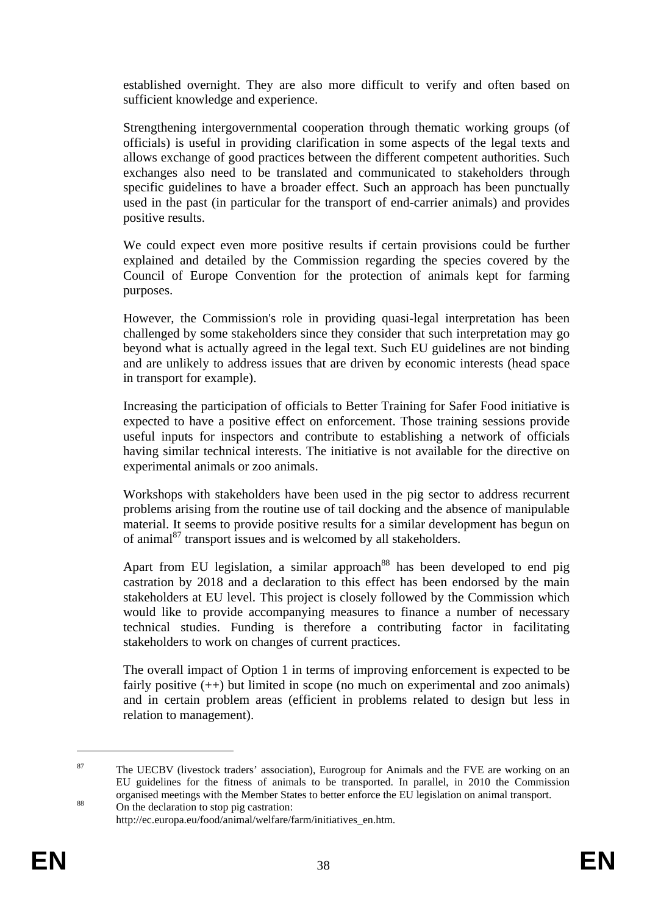established overnight. They are also more difficult to verify and often based on sufficient knowledge and experience.

Strengthening intergovernmental cooperation through thematic working groups (of officials) is useful in providing clarification in some aspects of the legal texts and allows exchange of good practices between the different competent authorities. Such exchanges also need to be translated and communicated to stakeholders through specific guidelines to have a broader effect. Such an approach has been punctually used in the past (in particular for the transport of end-carrier animals) and provides positive results.

We could expect even more positive results if certain provisions could be further explained and detailed by the Commission regarding the species covered by the Council of Europe Convention for the protection of animals kept for farming purposes.

However, the Commission's role in providing quasi-legal interpretation has been challenged by some stakeholders since they consider that such interpretation may go beyond what is actually agreed in the legal text. Such EU guidelines are not binding and are unlikely to address issues that are driven by economic interests (head space in transport for example).

Increasing the participation of officials to Better Training for Safer Food initiative is expected to have a positive effect on enforcement. Those training sessions provide useful inputs for inspectors and contribute to establishing a network of officials having similar technical interests. The initiative is not available for the directive on experimental animals or zoo animals.

Workshops with stakeholders have been used in the pig sector to address recurrent problems arising from the routine use of tail docking and the absence of manipulable material. It seems to provide positive results for a similar development has begun on of animal $^{87}$  transport issues and is welcomed by all stakeholders.

Apart from EU legislation, a similar approach<sup>88</sup> has been developed to end pig castration by 2018 and a declaration to this effect has been endorsed by the main stakeholders at EU level. This project is closely followed by the Commission which would like to provide accompanying measures to finance a number of necessary technical studies. Funding is therefore a contributing factor in facilitating stakeholders to work on changes of current practices.

The overall impact of Option 1 in terms of improving enforcement is expected to be fairly positive  $(++)$  but limited in scope (no much on experimental and zoo animals) and in certain problem areas (efficient in problems related to design but less in relation to management).

<sup>&</sup>lt;sup>87</sup> The UECBV (livestock traders' association), Eurogroup for Animals and the FVE are working on an EU guidelines for the fitness of animals to be transported. In parallel, in 2010 the Commission organised meetings with the Member States to better enforce the EU legislation on animal transport.<br>On the declaration to stop pig castration:

http://ec.europa.eu/food/animal/welfare/farm/initiatives\_en.htm.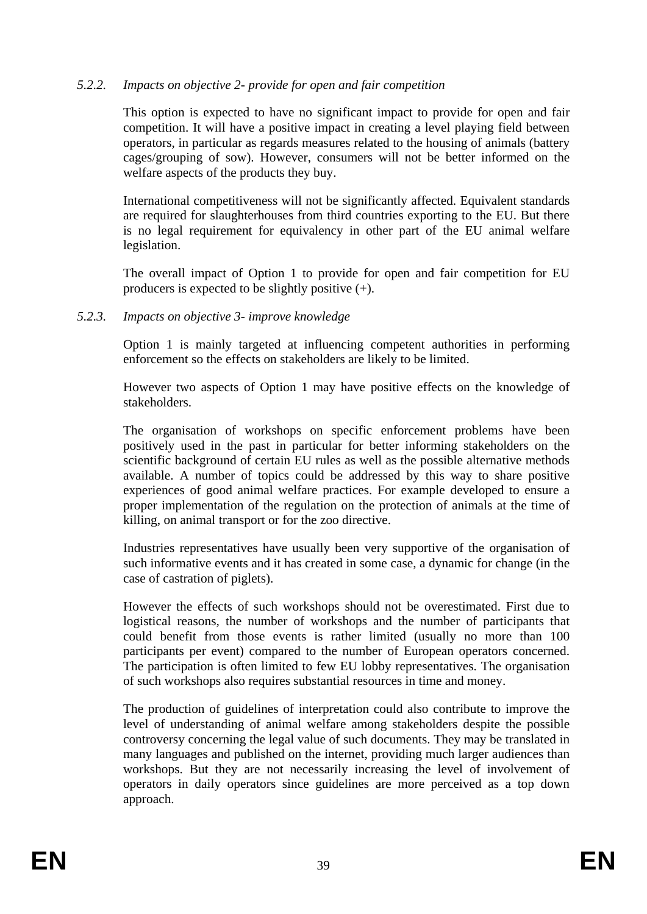### *5.2.2. Impacts on objective 2- provide for open and fair competition*

This option is expected to have no significant impact to provide for open and fair competition. It will have a positive impact in creating a level playing field between operators, in particular as regards measures related to the housing of animals (battery cages/grouping of sow). However, consumers will not be better informed on the welfare aspects of the products they buy.

International competitiveness will not be significantly affected. Equivalent standards are required for slaughterhouses from third countries exporting to the EU. But there is no legal requirement for equivalency in other part of the EU animal welfare legislation.

The overall impact of Option 1 to provide for open and fair competition for EU producers is expected to be slightly positive (+).

#### *5.2.3. Impacts on objective 3- improve knowledge*

Option 1 is mainly targeted at influencing competent authorities in performing enforcement so the effects on stakeholders are likely to be limited.

However two aspects of Option 1 may have positive effects on the knowledge of stakeholders.

The organisation of workshops on specific enforcement problems have been positively used in the past in particular for better informing stakeholders on the scientific background of certain EU rules as well as the possible alternative methods available. A number of topics could be addressed by this way to share positive experiences of good animal welfare practices. For example developed to ensure a proper implementation of the regulation on the protection of animals at the time of killing, on animal transport or for the zoo directive.

Industries representatives have usually been very supportive of the organisation of such informative events and it has created in some case, a dynamic for change (in the case of castration of piglets).

However the effects of such workshops should not be overestimated. First due to logistical reasons, the number of workshops and the number of participants that could benefit from those events is rather limited (usually no more than 100 participants per event) compared to the number of European operators concerned. The participation is often limited to few EU lobby representatives. The organisation of such workshops also requires substantial resources in time and money.

The production of guidelines of interpretation could also contribute to improve the level of understanding of animal welfare among stakeholders despite the possible controversy concerning the legal value of such documents. They may be translated in many languages and published on the internet, providing much larger audiences than workshops. But they are not necessarily increasing the level of involvement of operators in daily operators since guidelines are more perceived as a top down approach.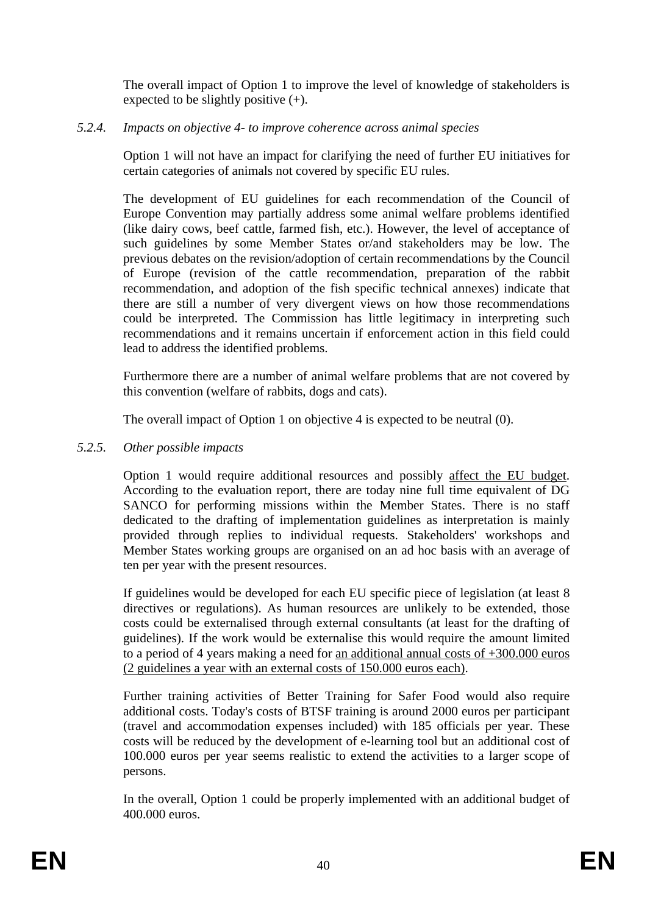The overall impact of Option 1 to improve the level of knowledge of stakeholders is expected to be slightly positive (+).

# *5.2.4. Impacts on objective 4- to improve coherence across animal species*

Option 1 will not have an impact for clarifying the need of further EU initiatives for certain categories of animals not covered by specific EU rules.

The development of EU guidelines for each recommendation of the Council of Europe Convention may partially address some animal welfare problems identified (like dairy cows, beef cattle, farmed fish, etc.). However, the level of acceptance of such guidelines by some Member States or/and stakeholders may be low. The previous debates on the revision/adoption of certain recommendations by the Council of Europe (revision of the cattle recommendation, preparation of the rabbit recommendation, and adoption of the fish specific technical annexes) indicate that there are still a number of very divergent views on how those recommendations could be interpreted. The Commission has little legitimacy in interpreting such recommendations and it remains uncertain if enforcement action in this field could lead to address the identified problems.

Furthermore there are a number of animal welfare problems that are not covered by this convention (welfare of rabbits, dogs and cats).

The overall impact of Option 1 on objective 4 is expected to be neutral (0).

# *5.2.5. Other possible impacts*

Option 1 would require additional resources and possibly affect the EU budget. According to the evaluation report, there are today nine full time equivalent of DG SANCO for performing missions within the Member States. There is no staff dedicated to the drafting of implementation guidelines as interpretation is mainly provided through replies to individual requests. Stakeholders' workshops and Member States working groups are organised on an ad hoc basis with an average of ten per year with the present resources.

If guidelines would be developed for each EU specific piece of legislation (at least 8 directives or regulations). As human resources are unlikely to be extended, those costs could be externalised through external consultants (at least for the drafting of guidelines). If the work would be externalise this would require the amount limited to a period of 4 years making a need for an additional annual costs of +300.000 euros (2 guidelines a year with an external costs of 150.000 euros each).

Further training activities of Better Training for Safer Food would also require additional costs. Today's costs of BTSF training is around 2000 euros per participant (travel and accommodation expenses included) with 185 officials per year. These costs will be reduced by the development of e-learning tool but an additional cost of 100.000 euros per year seems realistic to extend the activities to a larger scope of persons.

In the overall, Option 1 could be properly implemented with an additional budget of 400.000 euros.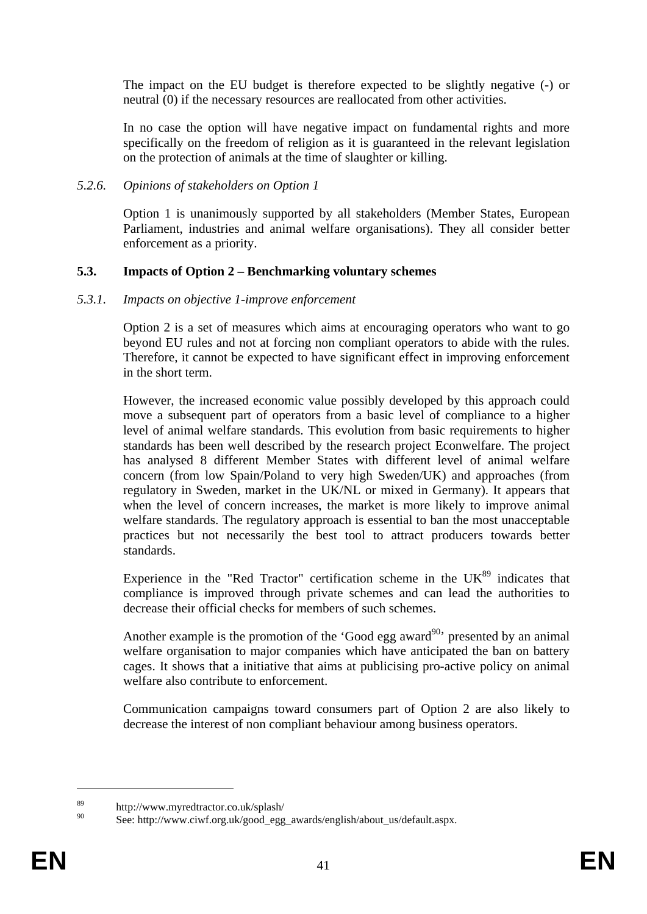The impact on the EU budget is therefore expected to be slightly negative (-) or neutral (0) if the necessary resources are reallocated from other activities.

In no case the option will have negative impact on fundamental rights and more specifically on the freedom of religion as it is guaranteed in the relevant legislation on the protection of animals at the time of slaughter or killing.

#### *5.2.6. Opinions of stakeholders on Option 1*

Option 1 is unanimously supported by all stakeholders (Member States, European Parliament, industries and animal welfare organisations). They all consider better enforcement as a priority.

### **5.3. Impacts of Option 2 – Benchmarking voluntary schemes**

#### *5.3.1. Impacts on objective 1-improve enforcement*

Option 2 is a set of measures which aims at encouraging operators who want to go beyond EU rules and not at forcing non compliant operators to abide with the rules. Therefore, it cannot be expected to have significant effect in improving enforcement in the short term.

However, the increased economic value possibly developed by this approach could move a subsequent part of operators from a basic level of compliance to a higher level of animal welfare standards. This evolution from basic requirements to higher standards has been well described by the research project Econwelfare. The project has analysed 8 different Member States with different level of animal welfare concern (from low Spain/Poland to very high Sweden/UK) and approaches (from regulatory in Sweden, market in the UK/NL or mixed in Germany). It appears that when the level of concern increases, the market is more likely to improve animal welfare standards. The regulatory approach is essential to ban the most unacceptable practices but not necessarily the best tool to attract producers towards better standards.

Experience in the "Red Tractor" certification scheme in the  $UK^{89}$  indicates that compliance is improved through private schemes and can lead the authorities to decrease their official checks for members of such schemes.

Another example is the promotion of the 'Good egg award<sup>90</sup>' presented by an animal welfare organisation to major companies which have anticipated the ban on battery cages. It shows that a initiative that aims at publicising pro-active policy on animal welfare also contribute to enforcement.

Communication campaigns toward consumers part of Option 2 are also likely to decrease the interest of non compliant behaviour among business operators.

<sup>89</sup> http://www.myredtractor.co.uk/splash/

See: http://www.ciwf.org.uk/good\_egg\_awards/english/about\_us/default.aspx.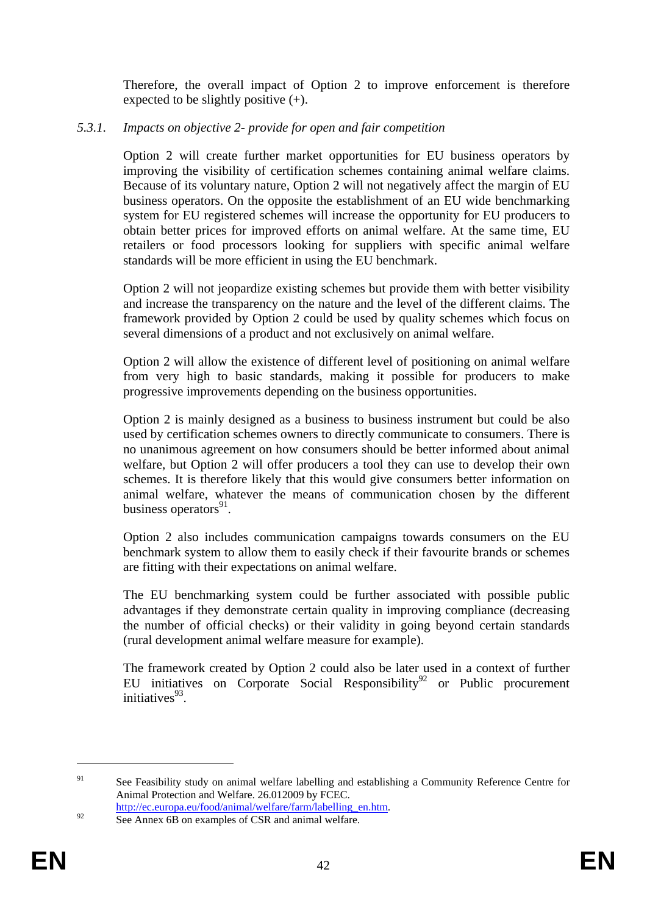Therefore, the overall impact of Option 2 to improve enforcement is therefore expected to be slightly positive (+).

### *5.3.1. Impacts on objective 2- provide for open and fair competition*

Option 2 will create further market opportunities for EU business operators by improving the visibility of certification schemes containing animal welfare claims. Because of its voluntary nature, Option 2 will not negatively affect the margin of EU business operators. On the opposite the establishment of an EU wide benchmarking system for EU registered schemes will increase the opportunity for EU producers to obtain better prices for improved efforts on animal welfare. At the same time, EU retailers or food processors looking for suppliers with specific animal welfare standards will be more efficient in using the EU benchmark.

Option 2 will not jeopardize existing schemes but provide them with better visibility and increase the transparency on the nature and the level of the different claims. The framework provided by Option 2 could be used by quality schemes which focus on several dimensions of a product and not exclusively on animal welfare.

Option 2 will allow the existence of different level of positioning on animal welfare from very high to basic standards, making it possible for producers to make progressive improvements depending on the business opportunities.

Option 2 is mainly designed as a business to business instrument but could be also used by certification schemes owners to directly communicate to consumers. There is no unanimous agreement on how consumers should be better informed about animal welfare, but Option 2 will offer producers a tool they can use to develop their own schemes. It is therefore likely that this would give consumers better information on animal welfare, whatever the means of communication chosen by the different business operators $91$ .

Option 2 also includes communication campaigns towards consumers on the EU benchmark system to allow them to easily check if their favourite brands or schemes are fitting with their expectations on animal welfare.

The EU benchmarking system could be further associated with possible public advantages if they demonstrate certain quality in improving compliance (decreasing the number of official checks) or their validity in going beyond certain standards (rural development animal welfare measure for example).

The framework created by Option 2 could also be later used in a context of further EU initiatives on Corporate Social Responsibility<sup>92</sup> or Public procurement  $initiations<sup>93</sup>$ 

<sup>&</sup>lt;sup>91</sup> See Feasibili[ty study on animal welfare labelling and establishing a Community Refere](http://ec.europa.eu/environment/gpp/pdf/buying_green_handbook_en.pdf)nce Centre for Animal Protection and Welfare. 26.012009 by FCEC.

http://ec.europa.eu/food/animal/welfare/farm/labelling\_en.htm.<br>See Annex 6B on examples of CSR and animal welfare.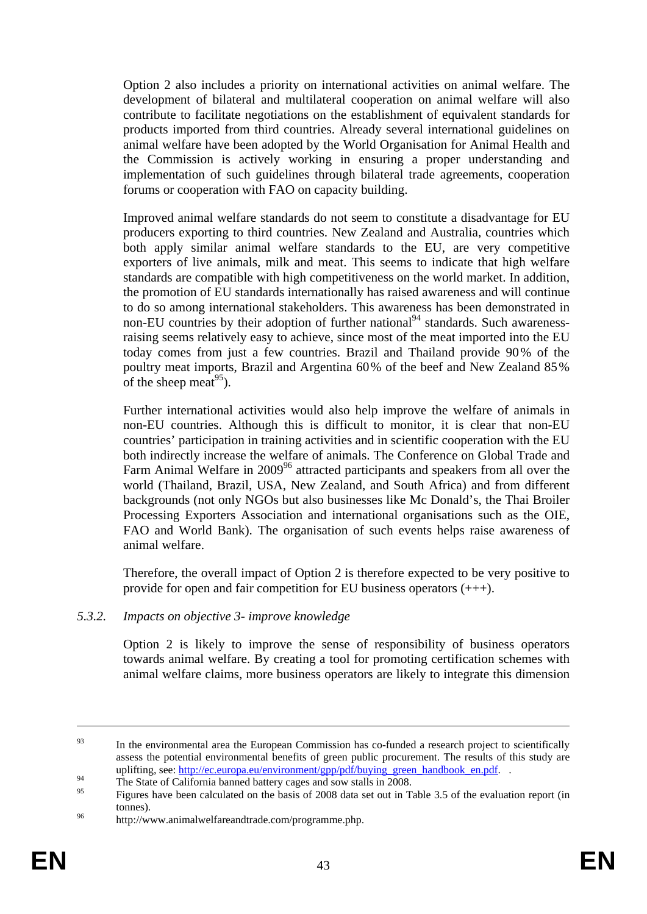Option 2 also includes a priority on international activities on animal welfare. The development of bilateral and multilateral cooperation on animal welfare will also contribute to facilitate negotiations on the establishment of equivalent standards for products imported from third countries. Already several international guidelines on animal welfare have been adopted by the World Organisation for Animal Health and the Commission is actively working in ensuring a proper understanding and implementation of such guidelines through bilateral trade agreements, cooperation forums or cooperation with FAO on capacity building.

Improved animal welfare standards do not seem to constitute a disadvantage for EU producers exporting to third countries. New Zealand and Australia, countries which both apply similar animal welfare standards to the EU, are very competitive exporters of live animals, milk and meat. This seems to indicate that high welfare standards are compatible with high competitiveness on the world market. In addition, the promotion of EU standards internationally has raised awareness and will continue to do so among international stakeholders. This awareness has been demonstrated in non-EU countries by their adoption of further national<sup>94</sup> standards. Such awarenessraising seems relatively easy to achieve, since most of the meat imported into the EU today comes from just a few countries. Brazil and Thailand provide 90% of the poultry meat imports, Brazil and Argentina 60% of the beef and New Zealand 85% of the sheep meat<sup>95</sup>).

Further international activities would also help improve the welfare of animals in non-EU countries. Although this is difficult to monitor, it is clear that non-EU countries' participation in training activities and in scientific cooperation with the EU both indirectly increase the welfare of animals. The Conference on Global Trade and Farm Animal Welfare in 2009<sup>96</sup> attracted participants and speakers from all over the world (Thailand, Brazil, USA, New Zealand, and South Africa) and from different backgrounds (not only NGOs but also businesses like Mc Donald's, the Thai Broiler Processing Exporters Association and international organisations such as the OIE, FAO and World Bank). The organisation of such events helps raise awareness of animal welfare.

Therefore, the overall impact of Option 2 is therefore expected to be very positive to provide for open and fair competition for EU business operators (+++).

#### *5.3.2. Impacts on objective 3- improve knowledge*

Option 2 is likely to improve the sense of responsibility of business operators towards animal welfare. By creating a tool for promoting certification schemes with animal welfare claims, more business operators are likely to integrate this dimension

<sup>&</sup>lt;sup>93</sup> In the environmental area the European Commission has co-funded a research project to scientifically assess the potential environmental benefits of green public procurement. The results of this study are uplifting, see: <u>http://ec.europa.eu/environment/gpp/pdf/buying\_green\_handbook\_en.pdf.</u><br>The State of California banned battery cages and sow stalls in 2008.

<sup>95</sup> Figures have been calculated on the basis of 2008 data set out in Table 3.5 of the evaluation report (in tonnes).<br><sup>96</sup> http://www.animalwelfareandtrade.com/programme.php.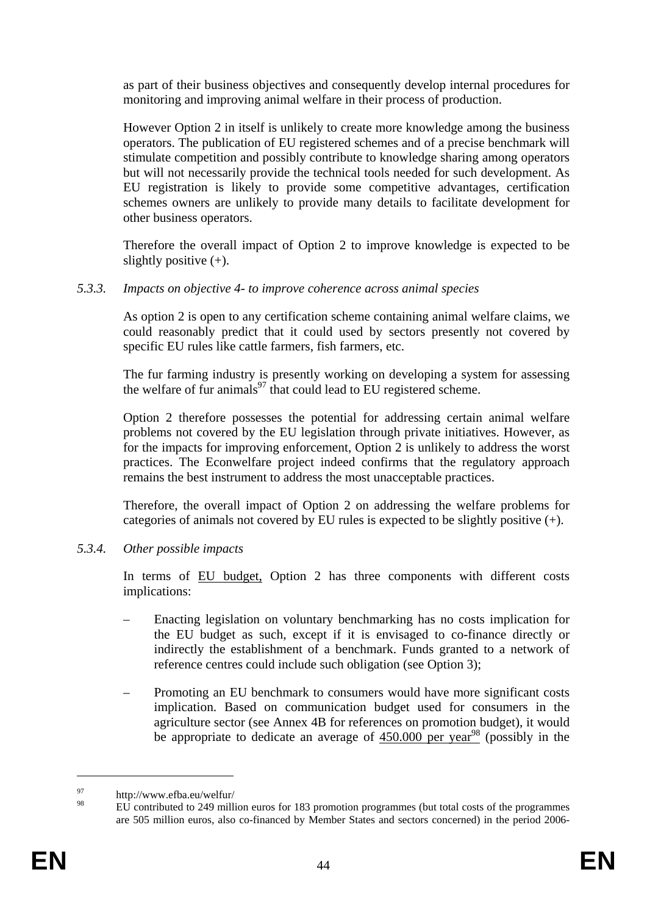as part of their business objectives and consequently develop internal procedures for monitoring and improving animal welfare in their process of production.

However Option 2 in itself is unlikely to create more knowledge among the business operators. The publication of EU registered schemes and of a precise benchmark will stimulate competition and possibly contribute to knowledge sharing among operators but will not necessarily provide the technical tools needed for such development. As EU registration is likely to provide some competitive advantages, certification schemes owners are unlikely to provide many details to facilitate development for other business operators.

Therefore the overall impact of Option 2 to improve knowledge is expected to be slightly positive  $(+)$ .

### *5.3.3. Impacts on objective 4- to improve coherence across animal species*

As option 2 is open to any certification scheme containing animal welfare claims, we could reasonably predict that it could used by sectors presently not covered by specific EU rules like cattle farmers, fish farmers, etc.

The fur farming industry is presently working on developing a system for assessing the welfare of fur animals<sup>97</sup> that could lead to EU registered scheme.

Option 2 therefore possesses the potential for addressing certain animal welfare problems not covered by the EU legislation through private initiatives. However, as for the impacts for improving enforcement, Option 2 is unlikely to address the worst practices. The Econwelfare project indeed confirms that the regulatory approach remains the best instrument to address the most unacceptable practices.

Therefore, the overall impact of Option 2 on addressing the welfare problems for categories of animals not covered by EU rules is expected to be slightly positive (+).

### *5.3.4. Other possible impacts*

In terms of EU budget, Option 2 has three components with different costs implications:

- Enacting legislation on voluntary benchmarking has no costs implication for the EU budget as such, except if it is envisaged to co-finance directly or indirectly the establishment of a benchmark. Funds granted to a network of reference centres could include such obligation (see Option 3);
- Promoting an EU benchmark to consumers would have more significant costs implication. Based on communication budget used for consumers in the agriculture sector (see Annex 4B for references on promotion budget), it would be appropriate to dedicate an average of  $450.000$  per year<sup>98</sup> (possibly in the

 $97$  http://www.efba.eu/welfur/<br> $98$  EU extributed to 240 will

EU contributed to 249 million euros for 183 promotion programmes (but total costs of the programmes are 505 million euros, also co-financed by Member States and sectors concerned) in the period 2006-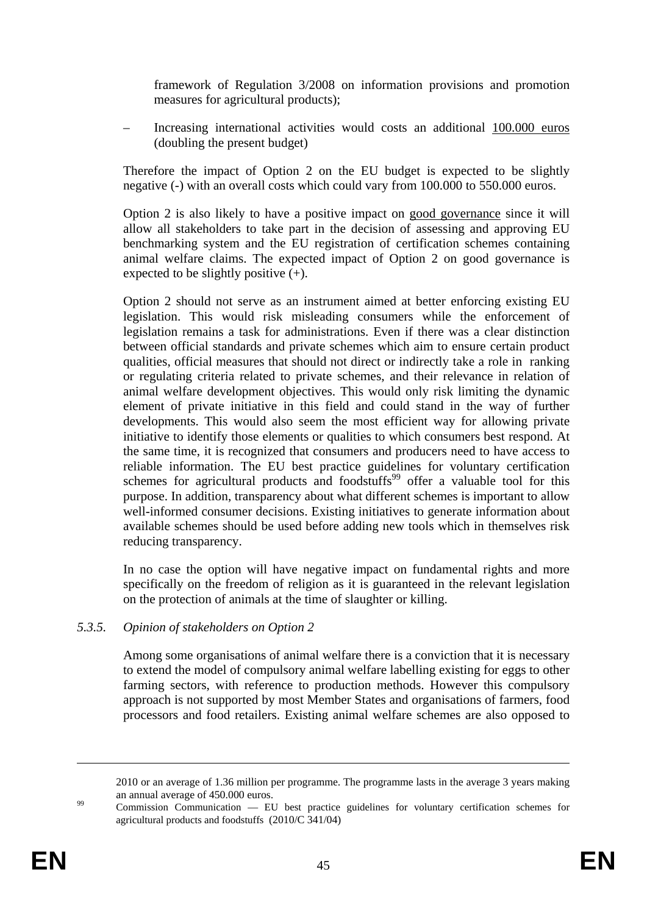framework of Regulation 3/2008 on information provisions and promotion measures for agricultural products);

– Increasing international activities would costs an additional 100.000 euros (doubling the present budget)

Therefore the impact of Option 2 on the EU budget is expected to be slightly negative (-) with an overall costs which could vary from 100.000 to 550.000 euros.

Option 2 is also likely to have a positive impact on good governance since it will allow all stakeholders to take part in the decision of assessing and approving EU benchmarking system and the EU registration of certification schemes containing animal welfare claims. The expected impact of Option 2 on good governance is expected to be slightly positive  $(+)$ .

Option 2 should not serve as an instrument aimed at better enforcing existing EU legislation. This would risk misleading consumers while the enforcement of legislation remains a task for administrations. Even if there was a clear distinction between official standards and private schemes which aim to ensure certain product qualities, official measures that should not direct or indirectly take a role in ranking or regulating criteria related to private schemes, and their relevance in relation of animal welfare development objectives. This would only risk limiting the dynamic element of private initiative in this field and could stand in the way of further developments. This would also seem the most efficient way for allowing private initiative to identify those elements or qualities to which consumers best respond. At the same time, it is recognized that consumers and producers need to have access to reliable information. The EU best practice guidelines for voluntary certification schemes for agricultural products and foodstuffs<sup>99</sup> offer a valuable tool for this purpose. In addition, transparency about what different schemes is important to allow well-informed consumer decisions. Existing initiatives to generate information about available schemes should be used before adding new tools which in themselves risk reducing transparency.

In no case the option will have negative impact on fundamental rights and more specifically on the freedom of religion as it is guaranteed in the relevant legislation on the protection of animals at the time of slaughter or killing.

#### *5.3.5. Opinion of stakeholders on Option 2*

Among some organisations of animal welfare there is a conviction that it is necessary to extend the model of compulsory animal welfare labelling existing for eggs to other farming sectors, with reference to production methods. However this compulsory approach is not supported by most Member States and organisations of farmers, food processors and food retailers. Existing animal welfare schemes are also opposed to

<sup>2010</sup> or an average of 1.36 million per programme. The programme lasts in the average 3 years making

an annual average of 450.000 euros.<br><sup>99</sup> Commission Communication — EU best practice guidelines for voluntary certification schemes for agricultural products and foodstuffs (2010/C 341/04)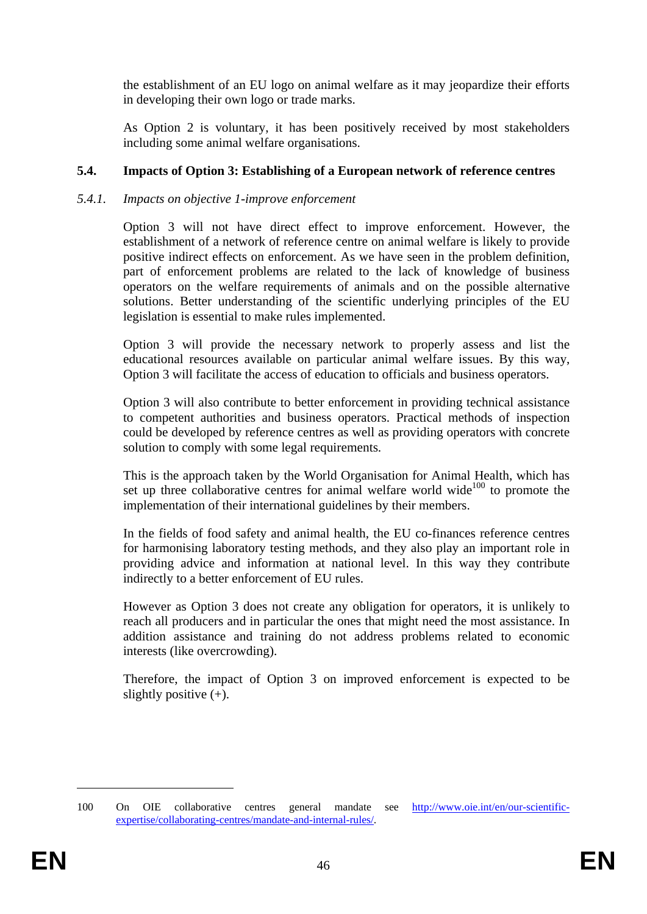the establishment of an EU logo on animal welfare as it may jeopardize their efforts in developing their own logo or trade marks.

As Option 2 is voluntary, it has been positively received by most stakeholders including some animal welfare organisations.

### **5.4. Impacts of Option 3: Establishing of a European network of reference centres**

### *5.4.1. Impacts on objective 1-improve enforcement*

Option 3 will not have direct effect to improve enforcement. However, the establishment of a network of reference centre on animal welfare is likely to provide positive indirect effects on enforcement. As we have seen in the problem definition, part of enforcement problems are related to the lack of knowledge of business operators on the welfare requirements of animals and on the possible alternative solutions. Better understanding of the scientific underlying principles of the EU legislation is essential to make rules implemented.

Option 3 will provide the necessary network to properly assess and list the educational resources available on particular animal welfare issues. By this way, Option 3 will facilitate the access of education to officials and business operators.

Option 3 will also contribute to better enforcement in providing technical assistance to competent authorities and business operators. Practical methods of inspection could be developed by reference centres as well as providing operators with concrete solution to comply with some legal requirements.

This is the approach taken by the World Organisation for Animal Health, which has set up three collaborative centres for animal welfare world wide<sup>100</sup> to promote the implementation of their international guidelines by their members.

In the fields of food safety and animal health, the EU co-finances reference centres for harmonising laboratory testing methods, and they also play an important role in providing advice and information at national level. In this way they contribute indirectly to a better enforcement of EU rules.

However as Option 3 does not create any obligation for operators, it is unlikely to reach all producers and in particular the ones that might need the most assistance. In addition assistance and training do not address problems related to economic interests (like overcrowding).

Therefore, the impact of Option 3 on improved enforcement is expected to be slightly positive  $(+)$ .

<sup>100</sup> On OIE collaborative centres general mandate see [http://www.oie.int/en/our-scientific](http://www.oie.int/en/our-scientific-expertise/collaborating-centres/mandate-and-internal-rules/)[expertise/collaborating-centres/mandate-and-internal-rules/.](http://www.oie.int/en/our-scientific-expertise/collaborating-centres/mandate-and-internal-rules/)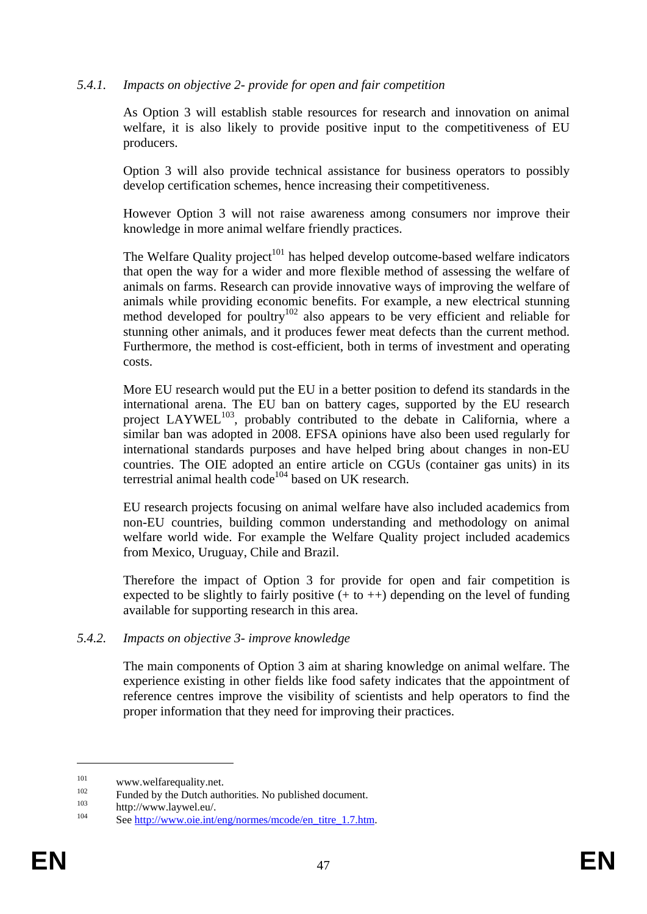#### *5.4.1. Impacts on objective 2- provide for open and fair competition*

As Option 3 will establish stable resources for research and innovation on animal welfare, it is also likely to provide positive input to the competitiveness of EU producers.

Option 3 will also provide technical assistance for business operators to possibly develop certification schemes, hence increasing their competitiveness.

However Option 3 will not raise awareness among consumers nor improve their knowledge in more animal welfare friendly practices.

The Welfare Quality project<sup>101</sup> has helped develop outcome-based welfare indicators that open the way for a wider and more flexible method of assessing the welfare of animals on farms. Research can provide innovative ways of improving the welfare of animals while providing economic benefits. For example, a new electrical stunning method developed for poultry<sup>102</sup> also appears to be very efficient and reliable for stunning other animals, and it produces fewer meat defects than the current method. Furthermore, the method is cost-efficient, both in terms of investment and operating costs.

More EU research would put the EU in a better position to defend its standards in the international arena. The EU ban on battery cages, supported by the EU research project LAYWEL<sup>103</sup>, probably contributed to the debate in California, where a similar ban was adopted in 2008. EFSA opinions have also been used regularly for international standards purposes and have helped bring about changes in non-EU countries. The OIE adopted an entire article on CGUs (container gas units) in its terrestrial animal health code<sup>104</sup> based on UK research.

EU research projects focusing on animal welfare have also included academics from non-EU countries, building common understanding and methodology on animal welfare world wide. For example the Welfare Quality project included academics from Mexico, Uruguay, Chile and Brazil.

Therefore the impact of Option 3 for provide for open and fair competition is expected to be slightly to fairly positive  $(+ to ++)$  depending on the level of funding available for supporting research in this area.

#### *5.4.2. Impacts on objective 3- improve knowledge*

The main components of Option 3 aim at sharing knowledge on animal welfare. The experience existing in other fields like food safety indicates that the appointment of reference centres improve the visibility of scientists and help operators to find the proper information that they need for improving their practices.

<sup>&</sup>lt;sup>101</sup> www.welfarequality.net.<br>
<sup>102</sup> Funded by the Dutch authorities. No published document.<br>
http://www.laywel.eu/.<br>
See http://www.oie.int/eng/normes/mcode/en\_titre\_1.7.htm.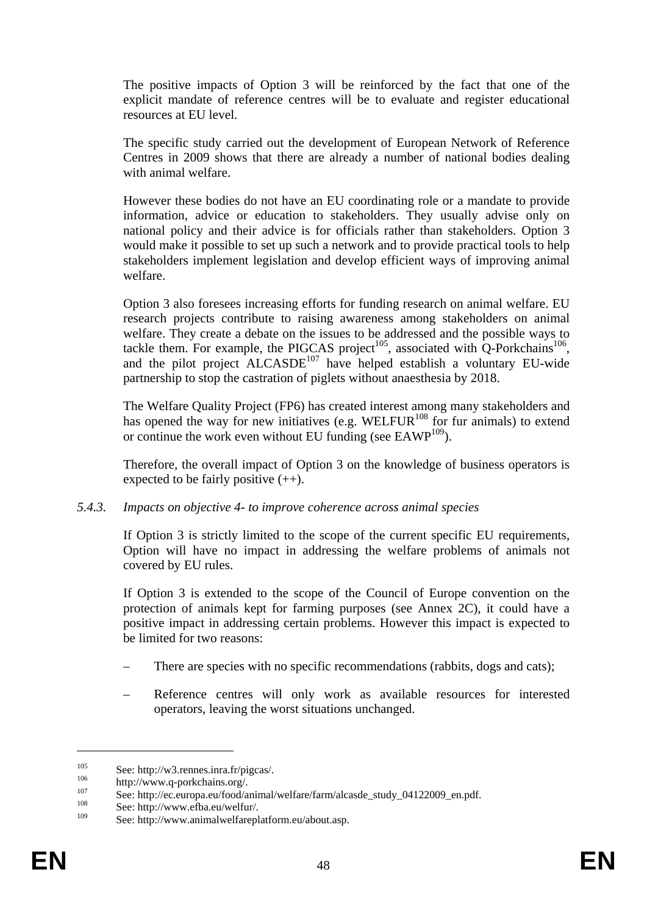The positive impacts of Option 3 will be reinforced by the fact that one of the explicit mandate of reference centres will be to evaluate and register educational resources at EU level.

The specific study carried out the development of European Network of Reference Centres in 2009 shows that there are already a number of national bodies dealing with animal welfare.

However these bodies do not have an EU coordinating role or a mandate to provide information, advice or education to stakeholders. They usually advise only on national policy and their advice is for officials rather than stakeholders. Option 3 would make it possible to set up such a network and to provide practical tools to help stakeholders implement legislation and develop efficient ways of improving animal welfare.

Option 3 also foresees increasing efforts for funding research on animal welfare. EU research projects contribute to raising awareness among stakeholders on animal welfare. They create a debate on the issues to be addressed and the possible ways to tackle them. For example, the PIGCAS project<sup>105</sup>, associated with  $Q$ -Porkchains<sup>106</sup>, and the pilot project  $ALCASDE<sup>107</sup>$  have helped establish a voluntary EU-wide partnership to stop the castration of piglets without anaesthesia by 2018.

The Welfare Quality Project (FP6) has created interest among many stakeholders and has opened the way for new initiatives (e.g. WELFUR<sup>108</sup> for fur animals) to extend or continue the work even without EU funding (see EAWP<sup>109</sup>).

Therefore, the overall impact of Option 3 on the knowledge of business operators is expected to be fairly positive  $(++)$ .

#### *5.4.3. Impacts on objective 4- to improve coherence across animal species*

If Option 3 is strictly limited to the scope of the current specific EU requirements, Option will have no impact in addressing the welfare problems of animals not covered by EU rules.

If Option 3 is extended to the scope of the Council of Europe convention on the protection of animals kept for farming purposes (see Annex 2C), it could have a positive impact in addressing certain problems. However this impact is expected to be limited for two reasons:

- There are species with no specific recommendations (rabbits, dogs and cats);
- Reference centres will only work as available resources for interested operators, leaving the worst situations unchanged.

<sup>105</sup> See: http://w3.rennes.inra.fr/pigcas/.<br>
106 http://www.q-porkchains.org/.<br>
107 See: http://ec.europa.eu/food/animal/welfare/farm/alcasde\_study\_04122009\_en.pdf.<br>
108 See: http://www.efba.eu/welfur/.<br>
109 See: http://ww

See: http://www.animalwelfareplatform.eu/about.asp.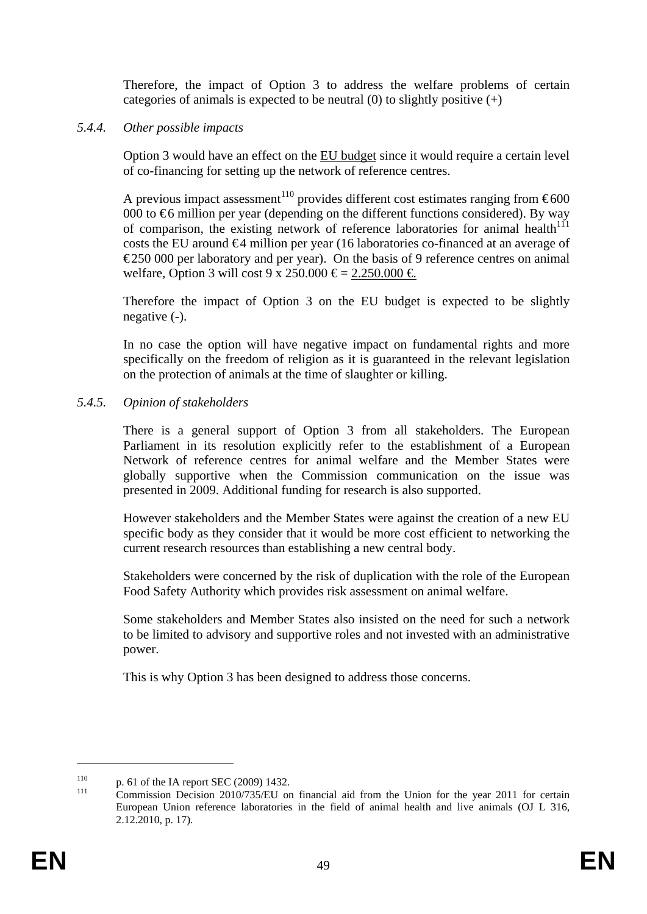Therefore, the impact of Option 3 to address the welfare problems of certain categories of animals is expected to be neutral  $(0)$  to slightly positive  $(+)$ 

#### *5.4.4. Other possible impacts*

Option 3 would have an effect on the EU budget since it would require a certain level of co-financing for setting up the network of reference centres.

A previous impact assessment<sup>110</sup> provides different cost estimates ranging from  $\epsilon$ 600 000 to  $\epsilon$ 6 million per year (depending on the different functions considered). By way of comparison, the existing network of reference laboratories for animal health $111$ costs the EU around €4 million per year (16 laboratories co-financed at an average of  $\epsilon$ 250 000 per laboratory and per year). On the basis of 9 reference centres on animal welfare, Option 3 will cost 9 x 250.000  $\epsilon$  = 2.250.000  $\epsilon$ 

Therefore the impact of Option 3 on the EU budget is expected to be slightly negative (-).

In no case the option will have negative impact on fundamental rights and more specifically on the freedom of religion as it is guaranteed in the relevant legislation on the protection of animals at the time of slaughter or killing.

### *5.4.5. Opinion of stakeholders*

There is a general support of Option 3 from all stakeholders. The European Parliament in its resolution explicitly refer to the establishment of a European Network of reference centres for animal welfare and the Member States were globally supportive when the Commission communication on the issue was presented in 2009. Additional funding for research is also supported.

However stakeholders and the Member States were against the creation of a new EU specific body as they consider that it would be more cost efficient to networking the current research resources than establishing a new central body.

Stakeholders were concerned by the risk of duplication with the role of the European Food Safety Authority which provides risk assessment on animal welfare.

Some stakeholders and Member States also insisted on the need for such a network to be limited to advisory and supportive roles and not invested with an administrative power.

This is why Option 3 has been designed to address those concerns.

<sup>110</sup> p. 61 of the IA report SEC (2009) 1432.<br><sup>111</sup> Commission Decision 2010/735/EU on financial aid from the Union for the year 2011 for certain European Union reference laboratories in the field of animal health and live animals (OJ L 316, 2.12.2010, p. 17).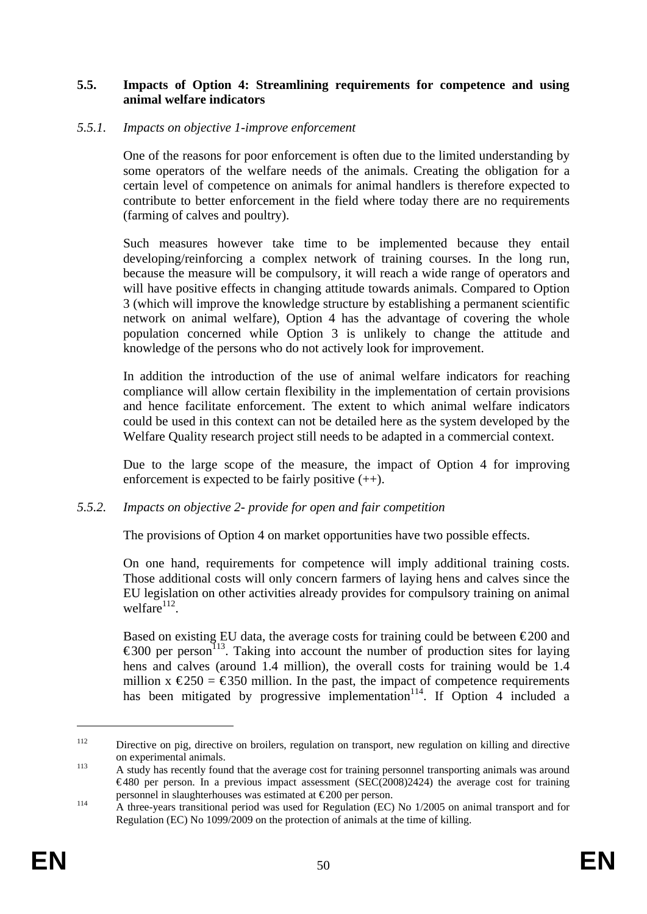### **5.5. Impacts of Option 4: Streamlining requirements for competence and using animal welfare indicators**

#### *5.5.1. Impacts on objective 1-improve enforcement*

One of the reasons for poor enforcement is often due to the limited understanding by some operators of the welfare needs of the animals. Creating the obligation for a certain level of competence on animals for animal handlers is therefore expected to contribute to better enforcement in the field where today there are no requirements (farming of calves and poultry).

Such measures however take time to be implemented because they entail developing/reinforcing a complex network of training courses. In the long run, because the measure will be compulsory, it will reach a wide range of operators and will have positive effects in changing attitude towards animals. Compared to Option 3 (which will improve the knowledge structure by establishing a permanent scientific network on animal welfare), Option 4 has the advantage of covering the whole population concerned while Option 3 is unlikely to change the attitude and knowledge of the persons who do not actively look for improvement.

In addition the introduction of the use of animal welfare indicators for reaching compliance will allow certain flexibility in the implementation of certain provisions and hence facilitate enforcement. The extent to which animal welfare indicators could be used in this context can not be detailed here as the system developed by the Welfare Quality research project still needs to be adapted in a commercial context.

Due to the large scope of the measure, the impact of Option 4 for improving enforcement is expected to be fairly positive  $(++)$ .

### *5.5.2. Impacts on objective 2- provide for open and fair competition*

The provisions of Option 4 on market opportunities have two possible effects.

On one hand, requirements for competence will imply additional training costs. Those additional costs will only concern farmers of laying hens and calves since the EU legislation on other activities already provides for compulsory training on animal welfare $112$ .

Based on existing EU data, the average costs for training could be between  $\epsilon$ 200 and  $\epsilon$ 300 per person<sup>113</sup>. Taking into account the number of production sites for laying hens and calves (around 1.4 million), the overall costs for training would be 1.4 million  $x \le 250 = 350$  million. In the past, the impact of competence requirements has been mitigated by progressive implementation<sup>114</sup>. If Option 4 included a

<sup>112</sup> Directive on pig, directive on broilers, regulation on transport, new regulation on killing and directive on experimental animals.<br>
<sup>113</sup> A study has recently found that the average cost for training personnel transporting animals was around

 $\epsilon$ 480 per person. In a previous impact assessment (SEC(2008)2424) the average cost for training personnel in slaughterhouses was estimated at  $\epsilon$ 200 per person.<br>A three-years transitional period was used for Regulation (EC) No 1/2005 on animal transport and for

Regulation (EC) No 1099/2009 on the protection of animals at the time of killing.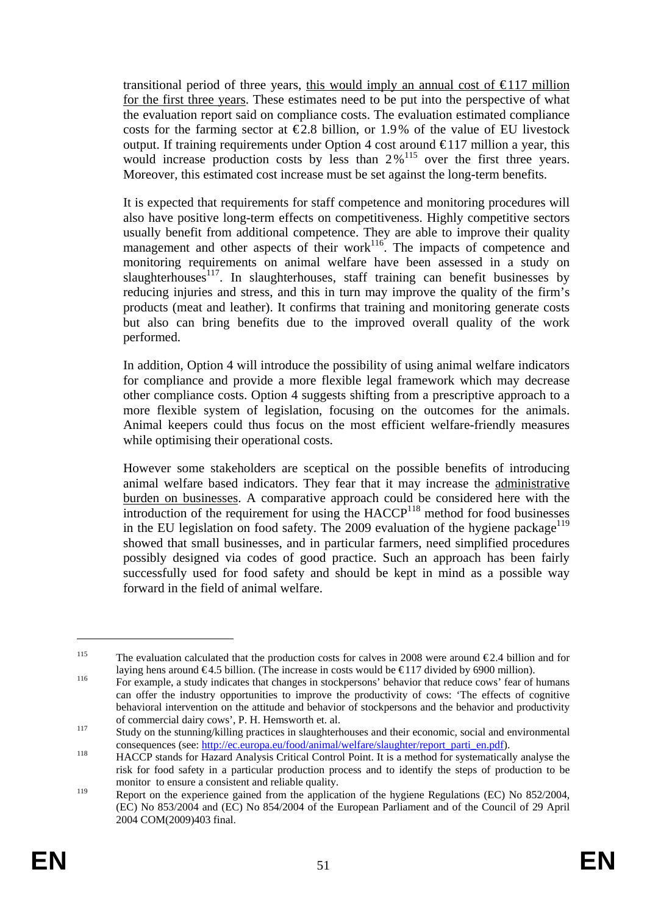transitional period of three years, this would imply an annual cost of  $\epsilon$ 117 million for the first three years. These estimates need to be put into the perspective of what the evaluation report said on compliance costs. The evaluation estimated compliance costs for the farming sector at  $\epsilon$ 2.8 billion, or 1.9% of the value of EU livestock output. If training requirements under Option 4 cost around  $\epsilon$ 117 million a year, this would increase production costs by less than  $2\%$ <sup>115</sup> over the first three years. Moreover, this estimated cost increase must be set against the long-term benefits.

It is expected that requirements for staff competence and monitoring procedures will also have positive long-term effects on competitiveness. Highly competitive sectors usually benefit from additional competence. They are able to improve their quality management and other aspects of their work<sup>116</sup>. The impacts of competence and monitoring requirements on animal welfare have been assessed in a study on slaughterhouses<sup>117</sup>. In slaughterhouses, staff training can benefit businesses by reducing injuries and stress, and this in turn may improve the quality of the firm's products (meat and leather). It confirms that training and monitoring generate costs but also can bring benefits due to the improved overall quality of the work performed.

In addition, Option 4 will introduce the possibility of using animal welfare indicators for compliance and provide a more flexible legal framework which may decrease other compliance costs. Option 4 suggests shifting from a prescriptive approach to a more flexible system of legislation, focusing on the outcomes for the animals. Animal keepers could thus focus on the most efficient welfare-friendly measures while optimising their operational costs.

However some stakeholders are sceptical on the possible benefits of introducing animal welfare based indicators. They fear that it may increase the administrative burden on businesses. A comparative approach could be considered here with the  $introduction of the requirement for using the HACCP<sup>118</sup> method for food businesses$ in the EU legislation on food safety. The 2009 evaluation of the hygiene package<sup>119</sup> showed that small businesses, and in particular farmers, need simplified procedures possibly designed via codes of good practice. Such an approach has been fairly successfully used for food safety and should be kept in mind as a possible way forward in the field of animal welfare.

<sup>&</sup>lt;sup>115</sup> The evaluation calculated that the production costs for calves in 2008 were around  $\epsilon$ 2.4 billion and for laying hens around  $\epsilon$ 4.5 billion. (The increase in costs would be  $\epsilon$ 117 divided by 6900 million).<br>For example, a study indicates that changes in stockpersons' behavior that reduce cows' fear of humans

can offer the industry opportunities to improve the productivity of cows: 'The effects of cognitive behavioral intervention on the attitude and behavior of stockpersons and the behavior and productivity of commercial dairy cows', P. H. Hemsworth et. al.<br>
Study on the stunning/killing practices in slaughterhouses and their economic, social and environmental

consequences (see[: ht](http://ec.europa.eu/food/animal/welfare/slaughter/report_parti_en.pdf)tp://ec.europa.eu/food/animal/welfare/slaughter/report\_parti\_en.pdf).<br>
118 HACCP stands for [Ha](http://ec.europa.eu/food/animal/welfare/slaughter/report_parti_en.pdf)zard Analysis Critical Control Point. It is a method for systematically analyse the

risk for food safety in a particular production process and to identify the steps of production to be monitor to ensure a consistent and reliable quality.

<sup>119&</sup>lt;br>Report on the experience gained from the application of the hygiene Regulations (EC) No 852/2004, (EC) No 853/2004 and (EC) No 854/2004 of the European Parliament and of the Council of 29 April 2004 COM(2009)403 final.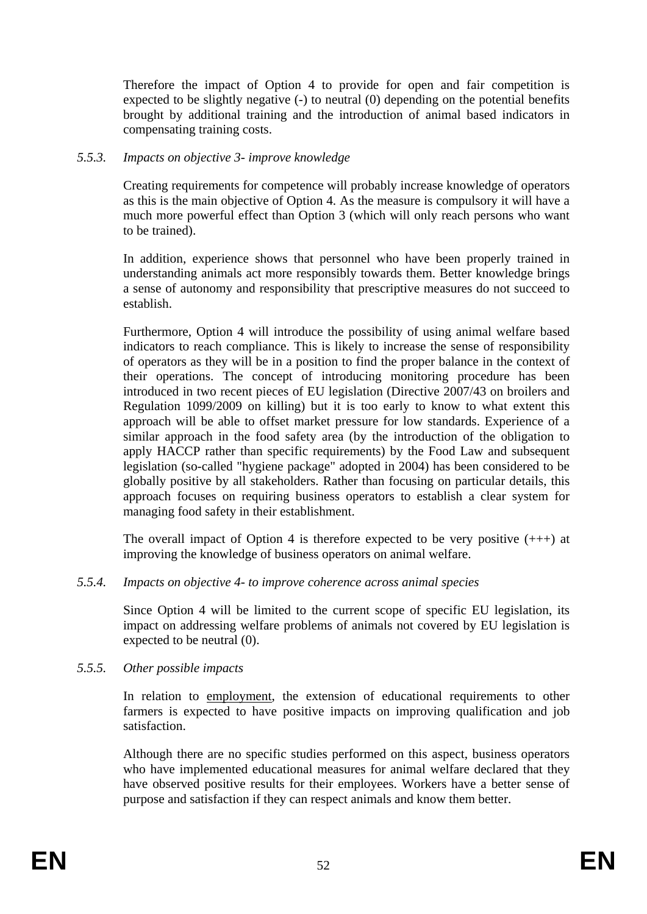Therefore the impact of Option 4 to provide for open and fair competition is expected to be slightly negative (-) to neutral (0) depending on the potential benefits brought by additional training and the introduction of animal based indicators in compensating training costs.

#### *5.5.3. Impacts on objective 3- improve knowledge*

Creating requirements for competence will probably increase knowledge of operators as this is the main objective of Option 4. As the measure is compulsory it will have a much more powerful effect than Option 3 (which will only reach persons who want to be trained).

In addition, experience shows that personnel who have been properly trained in understanding animals act more responsibly towards them. Better knowledge brings a sense of autonomy and responsibility that prescriptive measures do not succeed to establish.

Furthermore, Option 4 will introduce the possibility of using animal welfare based indicators to reach compliance. This is likely to increase the sense of responsibility of operators as they will be in a position to find the proper balance in the context of their operations. The concept of introducing monitoring procedure has been introduced in two recent pieces of EU legislation (Directive 2007/43 on broilers and Regulation 1099/2009 on killing) but it is too early to know to what extent this approach will be able to offset market pressure for low standards. Experience of a similar approach in the food safety area (by the introduction of the obligation to apply HACCP rather than specific requirements) by the Food Law and subsequent legislation (so-called "hygiene package" adopted in 2004) has been considered to be globally positive by all stakeholders. Rather than focusing on particular details, this approach focuses on requiring business operators to establish a clear system for managing food safety in their establishment.

The overall impact of Option 4 is therefore expected to be very positive  $(++)$  at improving the knowledge of business operators on animal welfare.

### *5.5.4. Impacts on objective 4- to improve coherence across animal species*

Since Option 4 will be limited to the current scope of specific EU legislation, its impact on addressing welfare problems of animals not covered by EU legislation is expected to be neutral (0).

#### *5.5.5. Other possible impacts*

In relation to employment, the extension of educational requirements to other farmers is expected to have positive impacts on improving qualification and job satisfaction.

Although there are no specific studies performed on this aspect, business operators who have implemented educational measures for animal welfare declared that they have observed positive results for their employees. Workers have a better sense of purpose and satisfaction if they can respect animals and know them better.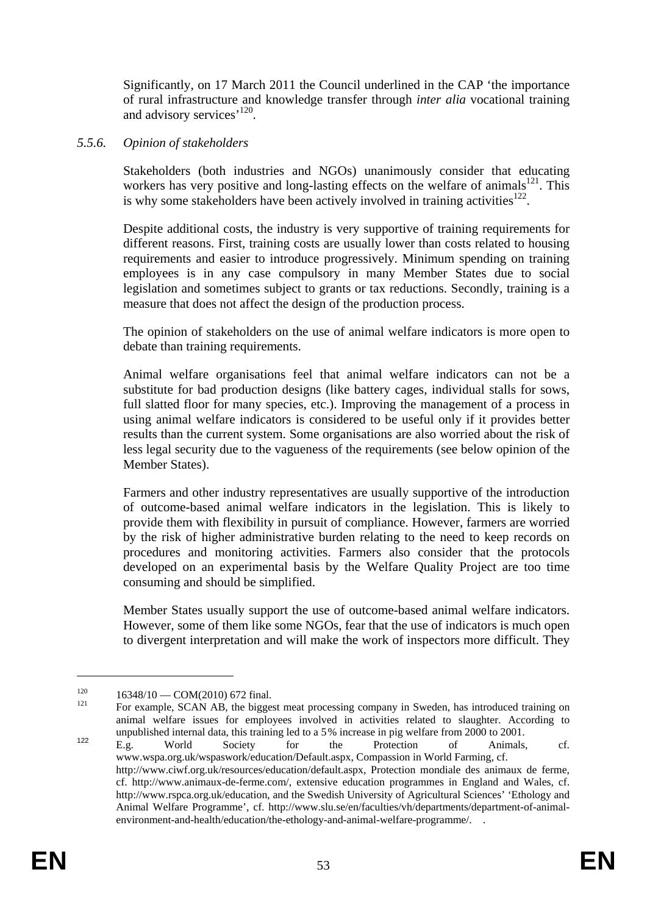Significantly, on 17 March 2011 the Council underlined in the CAP 'the importance of rural infrastructure and knowledge transfer through *inter alia* vocational training and advisory services<sup>'120</sup>.

### *5.5.6. Opinion of stakeholders*

Stakeholders (both industries and NGOs) unanimously consider that educating workers has very positive and long-lasting effects on the welfare of animals<sup>121</sup>. This is why some stakeholders have been actively involved in training activities<sup>122</sup>.

Despite additional costs, the industry is very supportive of training requirements for different reasons. First, training costs are usually lower than costs related to housing requirements and easier to introduce progressively. Minimum spending on training employees is in any case compulsory in many Member States due to social legislation and sometimes subject to grants or tax reductions. Secondly, training is a measure that does not affect the design of the production process.

The opinion of stakeholders on the use of animal welfare indicators is more open to debate than training requirements.

Animal welfare organisations feel that animal welfare indicators can not be a substitute for bad production designs (like battery cages, individual stalls for sows, full slatted floor for many species, etc.). Improving the management of a process in using animal welfare indicators is considered to be useful only if it provides better results than the current system. Some organisations are also worried about the risk of less legal security due to the vagueness of the requirements (see below opinion of the Member States).

Farmers and other industry representatives are usually supportive of the introduction of outcome-based animal welfare indicators in the legislation. This is likely to provide them with flexibility in pursuit of compliance. However, farmers are worried by the risk of higher administrative burden relating to the need to keep records on procedures and monitoring activities. Farmers also consider that the protocols developed on an experimental basis by the Welfare Quality Project are too time consuming and should be simplified.

Member States usually support the use of outcome-based animal welfare indicators. However, some of them like some NGOs, fear that the use of indicators is much open to divergent interpretation and will make the work of inspectors more difficult. They

 $120$  16348/10 — COM(2010) 672 final.<br>
121 For example, SCAN AB, the biggest meat processing company in Sweden, has introduced training on animal welfare issues for employees involved in activities related to slaughter. According to unpublished internal data, this training led to a 5% increase in pig welfare from 2000 to 2001.

<sup>&</sup>lt;sup>122</sup> E.g. World Society for the Protection of Animals, cf. [www.wspa.org.uk/wspaswork/education/Default.aspx,](http://www.wspa.org.uk/wspaswork/education/Default.aspx) Compassion in World Farming, cf. [http://www.ciwf.org.uk/resources/education/default.aspx,](http://www.ciwf.org.uk/resources/education/default.aspx) Protection mondiale des animaux de ferme, cf. [http://www.animaux-de-ferme.com/,](http://www.animaux-de-ferme.com/) extensive education programmes in England and Wales, cf. [http://www.rspca.org.uk/education,](http://www.rspca.org.uk/education) and the Swedish University of Agricultural Sciences' 'Ethology and Animal Welfare Programme', cf. http://www.slu.se/en/faculties/vh/departments/department-of-animalenvironment-and-health/education/the-ethology-and-animal-welfare-programme/. .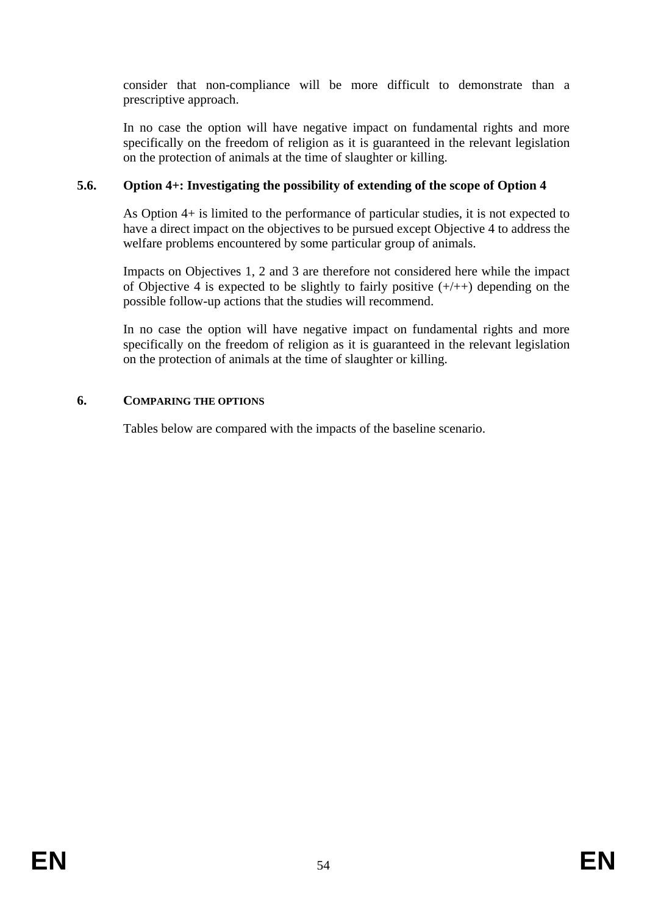consider that non-compliance will be more difficult to demonstrate than a prescriptive approach.

In no case the option will have negative impact on fundamental rights and more specifically on the freedom of religion as it is guaranteed in the relevant legislation on the protection of animals at the time of slaughter or killing.

# **5.6. Option 4+: Investigating the possibility of extending of the scope of Option 4**

As Option 4+ is limited to the performance of particular studies, it is not expected to have a direct impact on the objectives to be pursued except Objective 4 to address the welfare problems encountered by some particular group of animals.

Impacts on Objectives 1, 2 and 3 are therefore not considered here while the impact of Objective 4 is expected to be slightly to fairly positive  $(+/++)$  depending on the possible follow-up actions that the studies will recommend.

In no case the option will have negative impact on fundamental rights and more specifically on the freedom of religion as it is guaranteed in the relevant legislation on the protection of animals at the time of slaughter or killing.

### **6. COMPARING THE OPTIONS**

Tables below are compared with the impacts of the baseline scenario.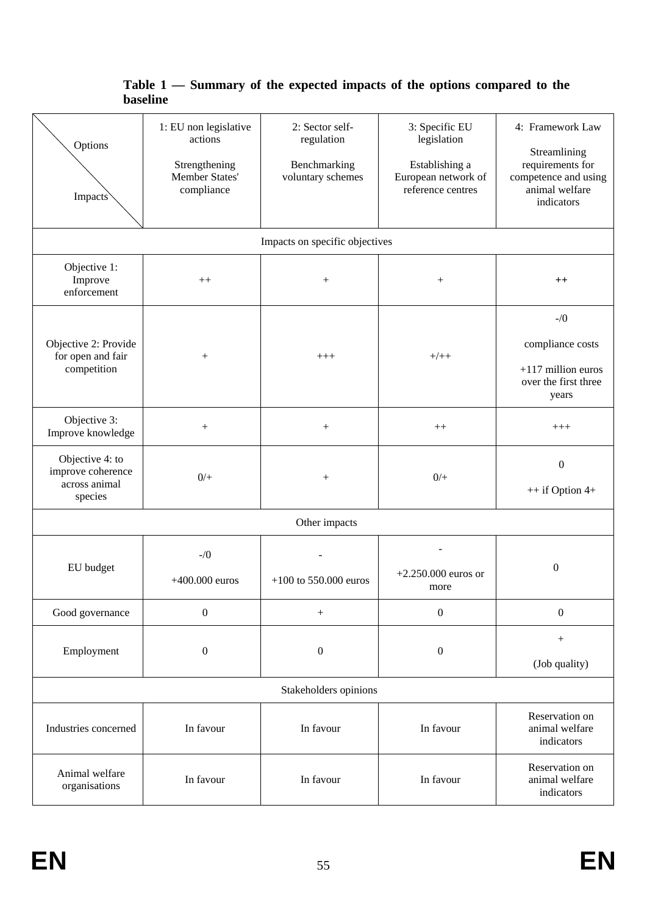# **Table 1 — Summary of the expected impacts of the options compared to the baseline**

| Options<br>Impacts`                                              | 1: EU non legislative<br>actions<br>Strengthening<br>Member States'<br>compliance | 2: Sector self-<br>regulation<br>Benchmarking<br>voluntary schemes | 3: Specific EU<br>legislation<br>Establishing a<br>European network of<br>reference centres | 4: Framework Law<br>Streamlining<br>requirements for<br>competence and using<br>animal welfare<br>indicators |
|------------------------------------------------------------------|-----------------------------------------------------------------------------------|--------------------------------------------------------------------|---------------------------------------------------------------------------------------------|--------------------------------------------------------------------------------------------------------------|
|                                                                  |                                                                                   | Impacts on specific objectives                                     |                                                                                             |                                                                                                              |
| Objective 1:<br>Improve<br>enforcement                           | $^{++}$                                                                           | $^{+}$                                                             |                                                                                             | $^{++}$                                                                                                      |
| Objective 2: Provide<br>for open and fair<br>competition         | $^{+}$                                                                            | $+++$                                                              | $+/+ +$                                                                                     | $-$ /0<br>compliance costs<br>$+117$ million euros<br>over the first three<br>years                          |
| Objective 3:<br>Improve knowledge                                | $\boldsymbol{+}$                                                                  | $^{+}$                                                             | $++$                                                                                        | $^{+++}$                                                                                                     |
| Objective 4: to<br>improve coherence<br>across animal<br>species | $0/+$                                                                             | $^{+}$                                                             | $0/$ +                                                                                      | $\boldsymbol{0}$<br>++ if Option 4+                                                                          |
| Other impacts                                                    |                                                                                   |                                                                    |                                                                                             |                                                                                                              |
| EU budget                                                        | $-1/0$<br>$+400.000$ euros                                                        | $+100$ to 550.000 euros                                            | $+2.250.000$ euros or<br>more                                                               | $\boldsymbol{0}$                                                                                             |
| Good governance                                                  | $\boldsymbol{0}$                                                                  | $\! + \!\!\!\!$                                                    | $\boldsymbol{0}$                                                                            | $\boldsymbol{0}$                                                                                             |
| Employment                                                       | $\boldsymbol{0}$                                                                  | $\boldsymbol{0}$                                                   | $\boldsymbol{0}$                                                                            | (Job quality)                                                                                                |
| Stakeholders opinions                                            |                                                                                   |                                                                    |                                                                                             |                                                                                                              |
| Industries concerned                                             | In favour                                                                         | In favour                                                          | In favour                                                                                   | Reservation on<br>animal welfare<br>indicators                                                               |
| Animal welfare<br>organisations                                  | In favour                                                                         | In favour                                                          | In favour                                                                                   | Reservation on<br>animal welfare<br>indicators                                                               |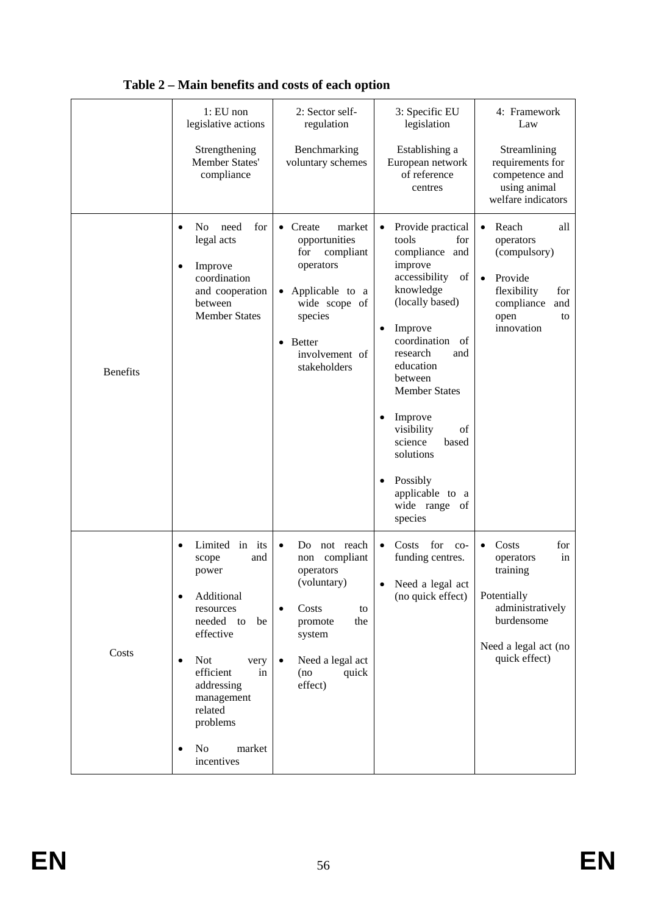|                 | $1: EU$ non<br>legislative actions                                                                                                                                                                                                                    | 2: Sector self-<br>regulation                                                                                                                                                                               | 3: Specific EU<br>legislation                                                                                                                                                                                                                                                                                                                                                     | 4: Framework<br>Law                                                                                                                                   |
|-----------------|-------------------------------------------------------------------------------------------------------------------------------------------------------------------------------------------------------------------------------------------------------|-------------------------------------------------------------------------------------------------------------------------------------------------------------------------------------------------------------|-----------------------------------------------------------------------------------------------------------------------------------------------------------------------------------------------------------------------------------------------------------------------------------------------------------------------------------------------------------------------------------|-------------------------------------------------------------------------------------------------------------------------------------------------------|
|                 | Strengthening<br>Member States'<br>compliance                                                                                                                                                                                                         | Benchmarking<br>voluntary schemes                                                                                                                                                                           | Establishing a<br>European network<br>of reference<br>centres                                                                                                                                                                                                                                                                                                                     | Streamlining<br>requirements for<br>competence and<br>using animal<br>welfare indicators                                                              |
| <b>Benefits</b> | need<br>for<br>N <sub>0</sub><br>legal acts<br>Improve<br>٠<br>coordination<br>and cooperation<br>between<br><b>Member States</b>                                                                                                                     | Create<br>market<br>$\bullet$<br>opportunities<br>compliant<br>for<br>operators<br>Applicable to a<br>$\bullet$<br>wide scope of<br>species<br><b>Better</b><br>$\bullet$<br>involvement of<br>stakeholders | Provide practical<br>$\bullet$<br>tools<br>for<br>compliance<br>and<br>improve<br>accessibility<br>of<br>knowledge<br>(locally based)<br>Improve<br>$\bullet$<br>coordination<br>of<br>research<br>and<br>education<br>between<br><b>Member States</b><br>Improve<br>visibility<br>of<br>science<br>based<br>solutions<br>Possibly<br>applicable to a<br>wide range of<br>species | Reach<br>all<br>$\bullet$<br>operators<br>(compulsory)<br>Provide<br>$\bullet$<br>flexibility<br>for<br>compliance<br>and<br>open<br>to<br>innovation |
| Costs           | Limited in its<br>and<br>scope<br>power<br>Additional<br>resources<br>needed to<br>be<br>effective<br><b>Not</b><br>very<br>$\bullet$<br>efficient<br>in<br>addressing<br>management<br>related<br>problems<br>N <sub>o</sub><br>market<br>incentives | Do not reach<br>$\bullet$<br>non compliant<br>operators<br>(voluntary)<br>Costs<br>to<br>$\bullet$<br>promote<br>the<br>system<br>Need a legal act<br>$\bullet$<br>quick<br>(no<br>effect)                  | Costs<br>for<br>$\bullet$<br>$co-$<br>funding centres.<br>Need a legal act<br>(no quick effect)                                                                                                                                                                                                                                                                                   | Costs<br>for<br>in<br>operators<br>training<br>Potentially<br>administratively<br>burdensome<br>Need a legal act (no<br>quick effect)                 |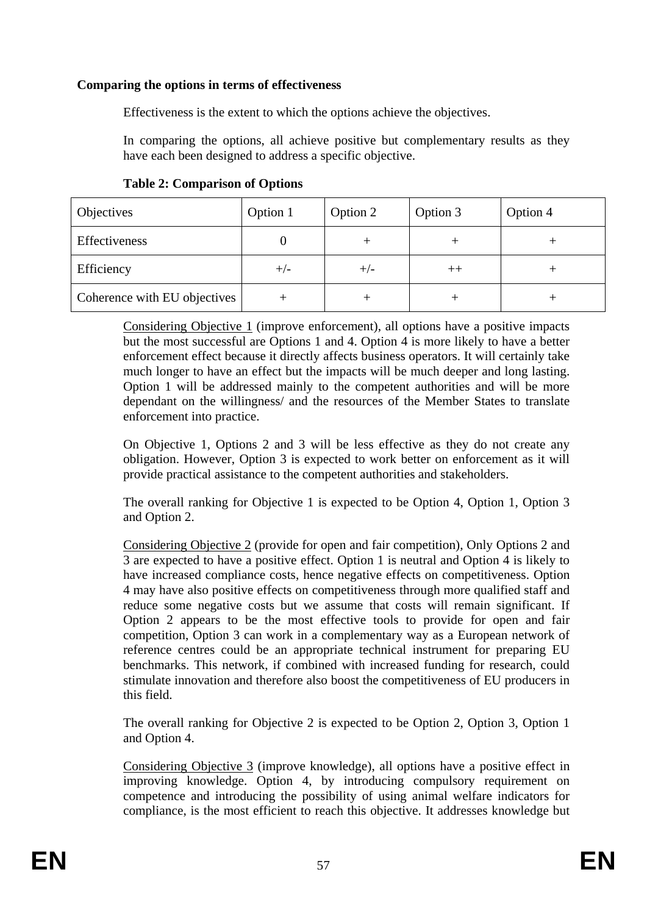### **Comparing the options in terms of effectiveness**

Effectiveness is the extent to which the options achieve the objectives.

In comparing the options, all achieve positive but complementary results as they have each been designed to address a specific objective.

| <b>Objectives</b>            | Option 1 | Option 2 | Option 3 | Option 4 |
|------------------------------|----------|----------|----------|----------|
| Effectiveness                |          |          |          |          |
| Efficiency                   | $+/-$    | $+/-$    | $^{++}$  |          |
| Coherence with EU objectives |          |          |          |          |

Considering Objective 1 (improve enforcement), all options have a positive impacts but the most successful are Options 1 and 4. Option 4 is more likely to have a better enforcement effect because it directly affects business operators. It will certainly take much longer to have an effect but the impacts will be much deeper and long lasting. Option 1 will be addressed mainly to the competent authorities and will be more dependant on the willingness/ and the resources of the Member States to translate enforcement into practice.

On Objective 1, Options 2 and 3 will be less effective as they do not create any obligation. However, Option 3 is expected to work better on enforcement as it will provide practical assistance to the competent authorities and stakeholders.

The overall ranking for Objective 1 is expected to be Option 4, Option 1, Option 3 and Option 2.

Considering Objective 2 (provide for open and fair competition), Only Options 2 and 3 are expected to have a positive effect. Option 1 is neutral and Option 4 is likely to have increased compliance costs, hence negative effects on competitiveness. Option 4 may have also positive effects on competitiveness through more qualified staff and reduce some negative costs but we assume that costs will remain significant. If Option 2 appears to be the most effective tools to provide for open and fair competition, Option 3 can work in a complementary way as a European network of reference centres could be an appropriate technical instrument for preparing EU benchmarks. This network, if combined with increased funding for research, could stimulate innovation and therefore also boost the competitiveness of EU producers in this field.

The overall ranking for Objective 2 is expected to be Option 2, Option 3, Option 1 and Option 4.

Considering Objective 3 (improve knowledge), all options have a positive effect in improving knowledge. Option 4, by introducing compulsory requirement on competence and introducing the possibility of using animal welfare indicators for compliance, is the most efficient to reach this objective. It addresses knowledge but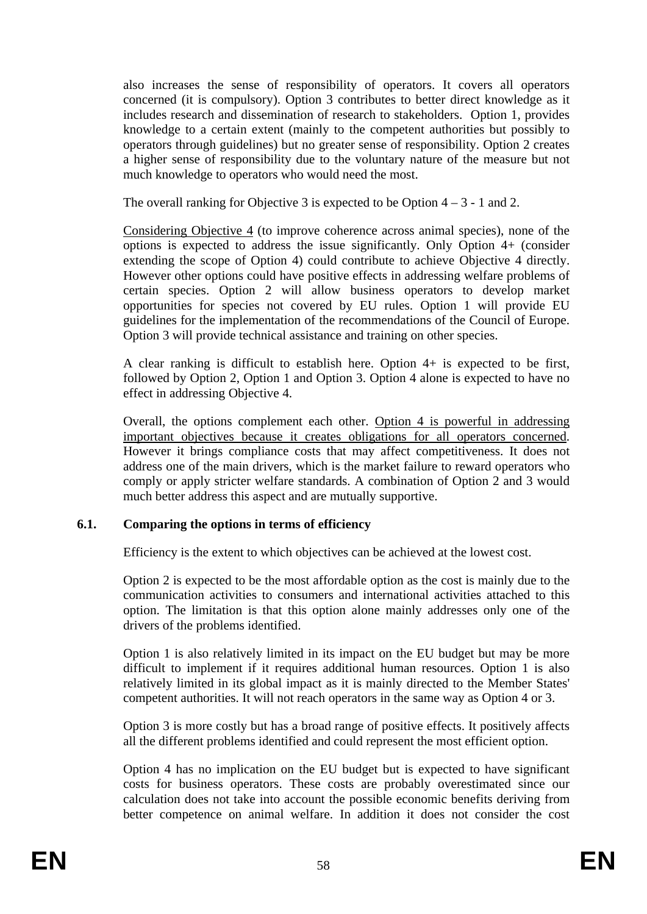also increases the sense of responsibility of operators. It covers all operators concerned (it is compulsory). Option 3 contributes to better direct knowledge as it includes research and dissemination of research to stakeholders. Option 1, provides knowledge to a certain extent (mainly to the competent authorities but possibly to operators through guidelines) but no greater sense of responsibility. Option 2 creates a higher sense of responsibility due to the voluntary nature of the measure but not much knowledge to operators who would need the most.

The overall ranking for Objective 3 is expected to be Option  $4 - 3 - 1$  and 2.

Considering Objective 4 (to improve coherence across animal species), none of the options is expected to address the issue significantly. Only Option 4+ (consider extending the scope of Option 4) could contribute to achieve Objective 4 directly. However other options could have positive effects in addressing welfare problems of certain species. Option 2 will allow business operators to develop market opportunities for species not covered by EU rules. Option 1 will provide EU guidelines for the implementation of the recommendations of the Council of Europe. Option 3 will provide technical assistance and training on other species.

A clear ranking is difficult to establish here. Option 4+ is expected to be first, followed by Option 2, Option 1 and Option 3. Option 4 alone is expected to have no effect in addressing Objective 4.

Overall, the options complement each other. Option 4 is powerful in addressing important objectives because it creates obligations for all operators concerned. However it brings compliance costs that may affect competitiveness. It does not address one of the main drivers, which is the market failure to reward operators who comply or apply stricter welfare standards. A combination of Option 2 and 3 would much better address this aspect and are mutually supportive.

### **6.1. Comparing the options in terms of efficiency**

Efficiency is the extent to which objectives can be achieved at the lowest cost.

Option 2 is expected to be the most affordable option as the cost is mainly due to the communication activities to consumers and international activities attached to this option. The limitation is that this option alone mainly addresses only one of the drivers of the problems identified.

Option 1 is also relatively limited in its impact on the EU budget but may be more difficult to implement if it requires additional human resources. Option 1 is also relatively limited in its global impact as it is mainly directed to the Member States' competent authorities. It will not reach operators in the same way as Option 4 or 3.

Option 3 is more costly but has a broad range of positive effects. It positively affects all the different problems identified and could represent the most efficient option.

Option 4 has no implication on the EU budget but is expected to have significant costs for business operators. These costs are probably overestimated since our calculation does not take into account the possible economic benefits deriving from better competence on animal welfare. In addition it does not consider the cost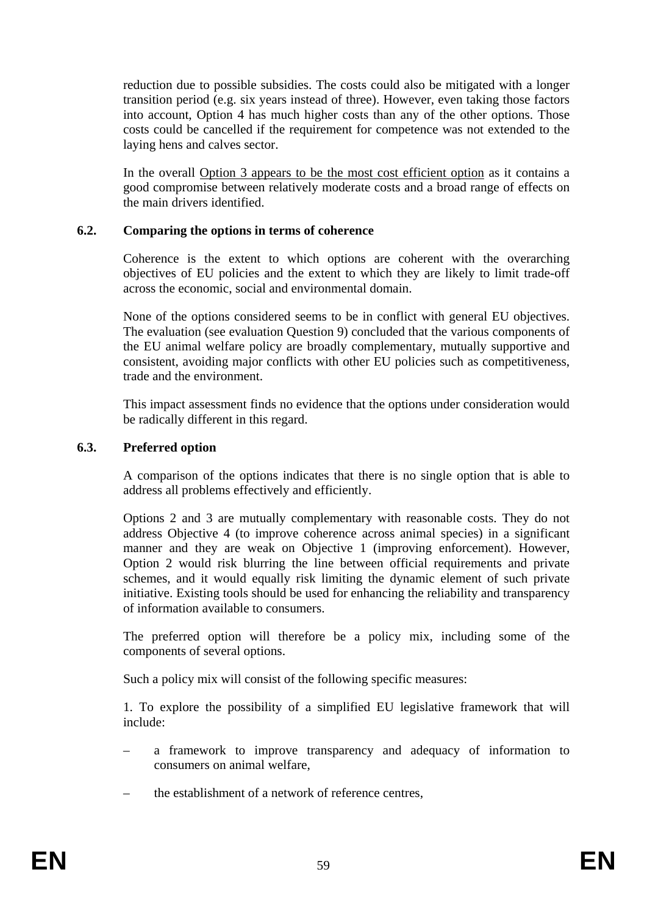reduction due to possible subsidies. The costs could also be mitigated with a longer transition period (e.g. six years instead of three). However, even taking those factors into account, Option 4 has much higher costs than any of the other options. Those costs could be cancelled if the requirement for competence was not extended to the laying hens and calves sector.

In the overall Option 3 appears to be the most cost efficient option as it contains a good compromise between relatively moderate costs and a broad range of effects on the main drivers identified.

### **6.2. Comparing the options in terms of coherence**

Coherence is the extent to which options are coherent with the overarching objectives of EU policies and the extent to which they are likely to limit trade-off across the economic, social and environmental domain.

None of the options considered seems to be in conflict with general EU objectives. The evaluation (see evaluation Question 9) concluded that the various components of the EU animal welfare policy are broadly complementary, mutually supportive and consistent, avoiding major conflicts with other EU policies such as competitiveness, trade and the environment.

This impact assessment finds no evidence that the options under consideration would be radically different in this regard.

### **6.3. Preferred option**

A comparison of the options indicates that there is no single option that is able to address all problems effectively and efficiently.

Options 2 and 3 are mutually complementary with reasonable costs. They do not address Objective 4 (to improve coherence across animal species) in a significant manner and they are weak on Objective 1 (improving enforcement). However, Option 2 would risk blurring the line between official requirements and private schemes, and it would equally risk limiting the dynamic element of such private initiative. Existing tools should be used for enhancing the reliability and transparency of information available to consumers.

The preferred option will therefore be a policy mix, including some of the components of several options.

Such a policy mix will consist of the following specific measures:

1. To explore the possibility of a simplified EU legislative framework that will include:

- a framework to improve transparency and adequacy of information to consumers on animal welfare,
- the establishment of a network of reference centres,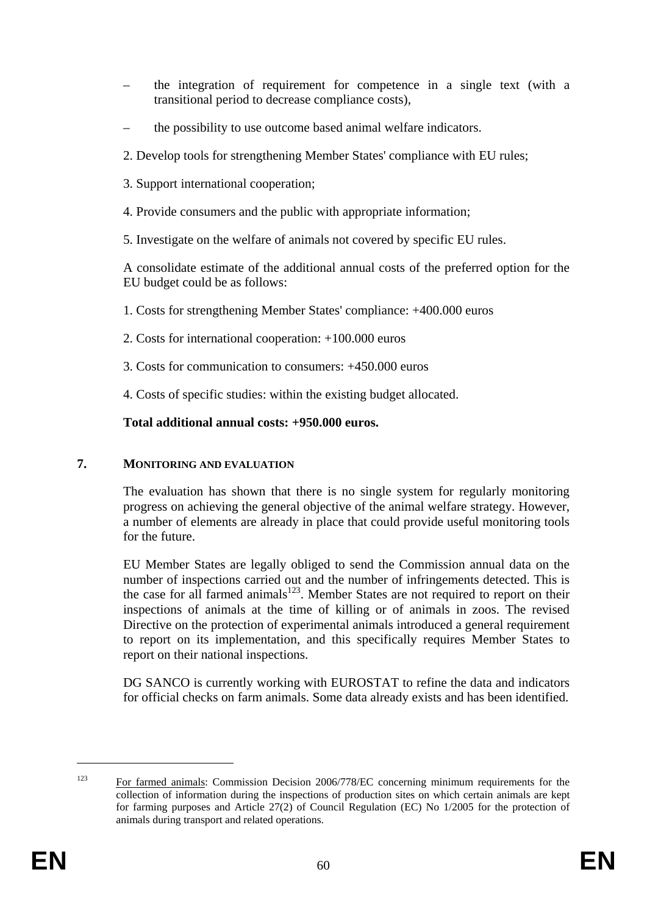- the integration of requirement for competence in a single text (with a transitional period to decrease compliance costs),
- the possibility to use outcome based animal welfare indicators.
- 2. Develop tools for strengthening Member States' compliance with EU rules;
- 3. Support international cooperation;
- 4. Provide consumers and the public with appropriate information;
- 5. Investigate on the welfare of animals not covered by specific EU rules.

A consolidate estimate of the additional annual costs of the preferred option for the EU budget could be as follows:

- 1. Costs for strengthening Member States' compliance: +400.000 euros
- 2. Costs for international cooperation: +100.000 euros
- 3. Costs for communication to consumers: +450.000 euros
- 4. Costs of specific studies: within the existing budget allocated.

# **Total additional annual costs: +950.000 euros.**

### **7. MONITORING AND EVALUATION**

The evaluation has shown that there is no single system for regularly monitoring progress on achieving the general objective of the animal welfare strategy. However, a number of elements are already in place that could provide useful monitoring tools for the future.

EU Member States are legally obliged to send the Commission annual data on the number of inspections carried out and the number of infringements detected. This is the case for all farmed animals $123$ . Member States are not required to report on their inspections of animals at the time of killing or of animals in zoos. The revised Directive on the protection of experimental animals introduced a general requirement to report on its implementation, and this specifically requires Member States to report on their national inspections.

DG SANCO is currently working with EUROSTAT to refine the data and indicators for official checks on farm animals. Some data already exists and has been identified.

<sup>&</sup>lt;sup>123</sup> For farmed animals: Commission Decision 2006/778/EC concerning minimum requirements for the collection of information during the inspections of production sites on which certain animals are kept for farming purposes and Article 27(2) of Council Regulation (EC) No 1/2005 for the protection of animals during transport and related operations.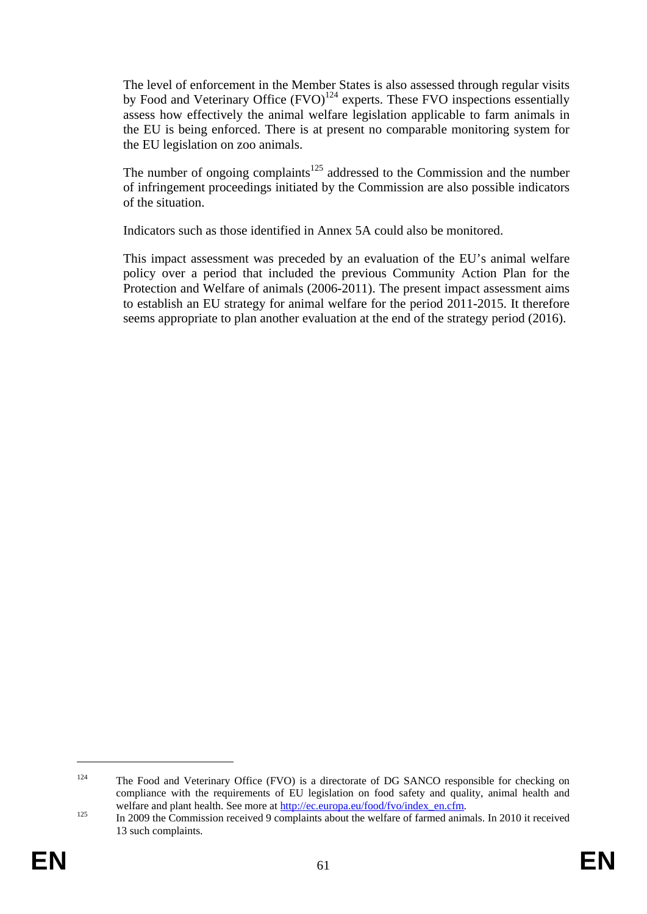The level of enforcement in the Member States is also assessed through regular visits by Food and Veterinary Office  $(FVO)^{124}$  experts. These FVO inspections essentially assess how effectively the animal welfare legislation applicable to farm animals in the EU is being enforced. There is at present no comparable monitoring system for the EU legislation on zoo animals.

The number of ongoing complaints<sup>125</sup> addressed to the Commission and the number of infringement proceedings initiated by the Commission are also possible indicators of the situation.

Indicators such as those identified in Annex 5A could also be monitored.

This impact assessment was preceded by an evaluation of the EU's animal welfare policy over a period that included the previous Community Action Plan for the Protection and Welfare of animals (2006-2011). The present impact assessment aims to establish an EU strategy for animal welfare for the period 2011-2015. It therefore seems appropriate to plan another evaluation at the end of the strategy period (2016).

<sup>&</sup>lt;sup>124</sup> The Food and Veterinary Office (FVO) is a directorate of DG SANCO responsible for checking on compliance with the requirements of EU legislation on food safety and quality, animal health and

welfare and plant health. See more at <u>http://ec.europa.eu/food/fvo/index\_en.cfm</u>.<br>
In 2009 the Commission received 9 [complaints a](http://ec.europa.eu/food/fvo/index_en.cfm)bout the welfare of farmed animals. In 2010 it received 13 such complaints.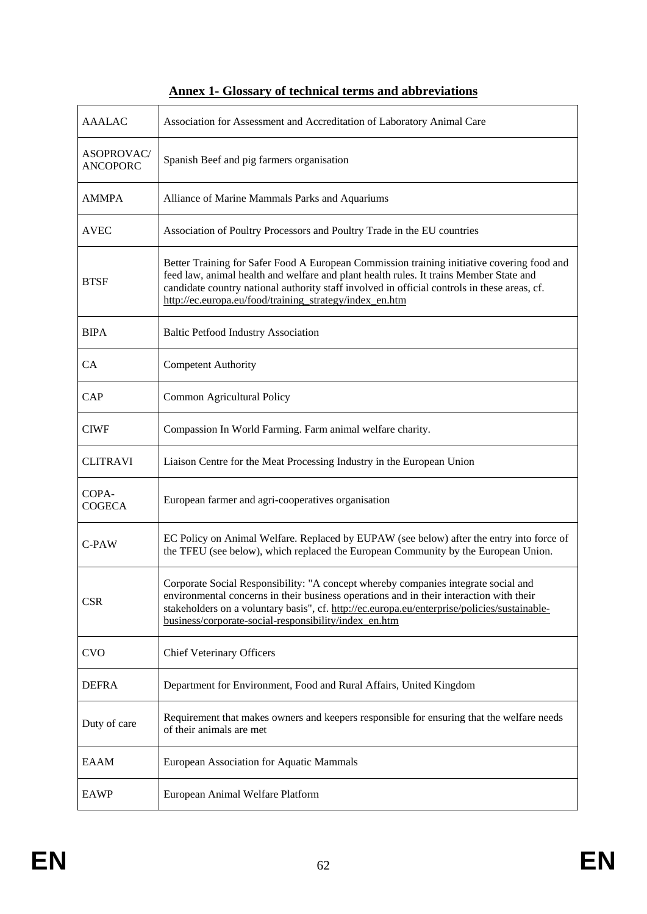| <b>AAALAC</b>                        | Association for Assessment and Accreditation of Laboratory Animal Care                                                                                                                                                                                                                                                                          |
|--------------------------------------|-------------------------------------------------------------------------------------------------------------------------------------------------------------------------------------------------------------------------------------------------------------------------------------------------------------------------------------------------|
| <b>ASOPROVAC/</b><br><b>ANCOPORC</b> | Spanish Beef and pig farmers organisation                                                                                                                                                                                                                                                                                                       |
| <b>AMMPA</b>                         | Alliance of Marine Mammals Parks and Aquariums                                                                                                                                                                                                                                                                                                  |
| <b>AVEC</b>                          | Association of Poultry Processors and Poultry Trade in the EU countries                                                                                                                                                                                                                                                                         |
| <b>BTSF</b>                          | Better Training for Safer Food A European Commission training initiative covering food and<br>feed law, animal health and welfare and plant health rules. It trains Member State and<br>candidate country national authority staff involved in official controls in these areas, cf.<br>http://ec.europa.eu/food/training strategy/index en.htm |
| <b>BIPA</b>                          | <b>Baltic Petfood Industry Association</b>                                                                                                                                                                                                                                                                                                      |
| CA                                   | <b>Competent Authority</b>                                                                                                                                                                                                                                                                                                                      |
| CAP                                  | Common Agricultural Policy                                                                                                                                                                                                                                                                                                                      |
| <b>CIWF</b>                          | Compassion In World Farming. Farm animal welfare charity.                                                                                                                                                                                                                                                                                       |
| <b>CLITRAVI</b>                      | Liaison Centre for the Meat Processing Industry in the European Union                                                                                                                                                                                                                                                                           |
| COPA-<br><b>COGECA</b>               | European farmer and agri-cooperatives organisation                                                                                                                                                                                                                                                                                              |
| $C-PAW$                              | EC Policy on Animal Welfare. Replaced by EUPAW (see below) after the entry into force of<br>the TFEU (see below), which replaced the European Community by the European Union.                                                                                                                                                                  |
| <b>CSR</b>                           | Corporate Social Responsibility: "A concept whereby companies integrate social and<br>environmental concerns in their business operations and in their interaction with their<br>stakeholders on a voluntary basis", cf. http://ec.europa.eu/enterprise/policies/sustainable-<br>business/corporate-social-responsibility/index_en.htm          |
| <b>CVO</b>                           | <b>Chief Veterinary Officers</b>                                                                                                                                                                                                                                                                                                                |
| <b>DEFRA</b>                         | Department for Environment, Food and Rural Affairs, United Kingdom                                                                                                                                                                                                                                                                              |
| Duty of care                         | Requirement that makes owners and keepers responsible for ensuring that the welfare needs<br>of their animals are met                                                                                                                                                                                                                           |
| <b>EAAM</b>                          | European Association for Aquatic Mammals                                                                                                                                                                                                                                                                                                        |
| <b>EAWP</b>                          | European Animal Welfare Platform                                                                                                                                                                                                                                                                                                                |

# **Annex 1- Glossary of technical terms and abbreviations**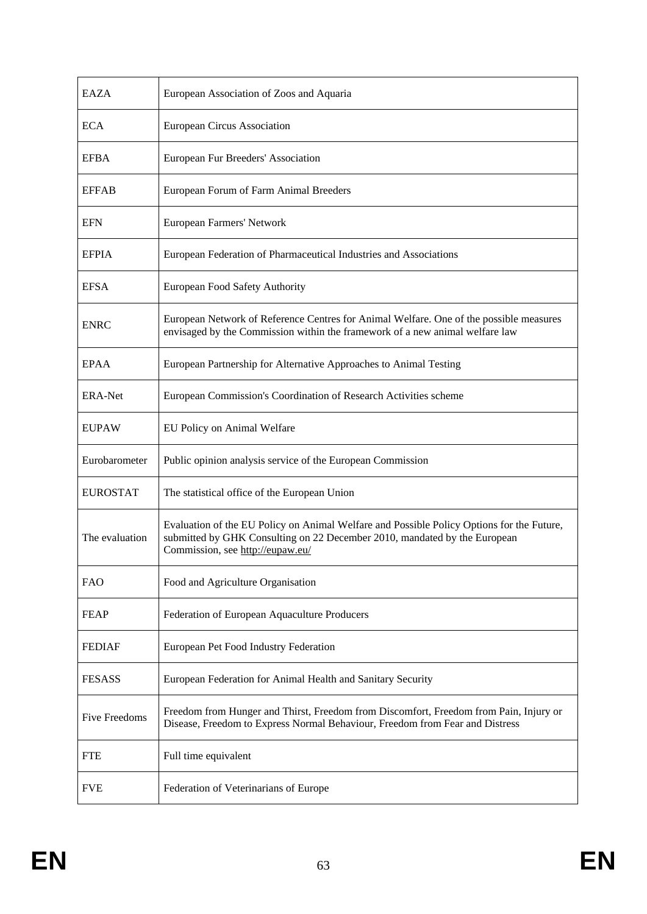| EAZA                 | European Association of Zoos and Aquaria                                                                                                                                                                   |
|----------------------|------------------------------------------------------------------------------------------------------------------------------------------------------------------------------------------------------------|
| ECA                  | <b>European Circus Association</b>                                                                                                                                                                         |
| <b>EFBA</b>          | European Fur Breeders' Association                                                                                                                                                                         |
| <b>EFFAB</b>         | European Forum of Farm Animal Breeders                                                                                                                                                                     |
| <b>EFN</b>           | European Farmers' Network                                                                                                                                                                                  |
| <b>EFPIA</b>         | European Federation of Pharmaceutical Industries and Associations                                                                                                                                          |
| <b>EFSA</b>          | European Food Safety Authority                                                                                                                                                                             |
| <b>ENRC</b>          | European Network of Reference Centres for Animal Welfare. One of the possible measures<br>envisaged by the Commission within the framework of a new animal welfare law                                     |
| <b>EPAA</b>          | European Partnership for Alternative Approaches to Animal Testing                                                                                                                                          |
| <b>ERA-Net</b>       | European Commission's Coordination of Research Activities scheme                                                                                                                                           |
| <b>EUPAW</b>         | EU Policy on Animal Welfare                                                                                                                                                                                |
| Eurobarometer        | Public opinion analysis service of the European Commission                                                                                                                                                 |
| <b>EUROSTAT</b>      | The statistical office of the European Union                                                                                                                                                               |
| The evaluation       | Evaluation of the EU Policy on Animal Welfare and Possible Policy Options for the Future,<br>submitted by GHK Consulting on 22 December 2010, mandated by the European<br>Commission, see http://eupaw.eu/ |
| <b>FAO</b>           | Food and Agriculture Organisation                                                                                                                                                                          |
| <b>FEAP</b>          | Federation of European Aquaculture Producers                                                                                                                                                               |
| <b>FEDIAF</b>        | European Pet Food Industry Federation                                                                                                                                                                      |
| <b>FESASS</b>        | European Federation for Animal Health and Sanitary Security                                                                                                                                                |
| <b>Five Freedoms</b> | Freedom from Hunger and Thirst, Freedom from Discomfort, Freedom from Pain, Injury or<br>Disease, Freedom to Express Normal Behaviour, Freedom from Fear and Distress                                      |
| <b>FTE</b>           | Full time equivalent                                                                                                                                                                                       |
| <b>FVE</b>           | Federation of Veterinarians of Europe                                                                                                                                                                      |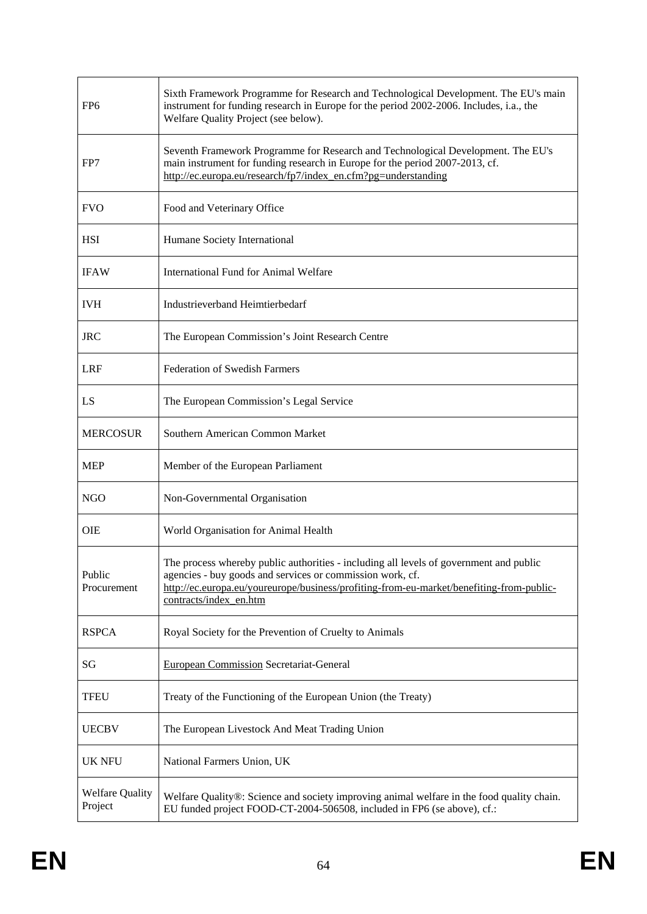| FP <sub>6</sub>                   | Sixth Framework Programme for Research and Technological Development. The EU's main<br>instrument for funding research in Europe for the period 2002-2006. Includes, i.a., the<br>Welfare Quality Project (see below).                                                    |
|-----------------------------------|---------------------------------------------------------------------------------------------------------------------------------------------------------------------------------------------------------------------------------------------------------------------------|
| FP7                               | Seventh Framework Programme for Research and Technological Development. The EU's<br>main instrument for funding research in Europe for the period 2007-2013, cf.<br>http://ec.europa.eu/research/fp7/index_en.cfm?pg=understanding                                        |
| <b>FVO</b>                        | Food and Veterinary Office                                                                                                                                                                                                                                                |
| HSI                               | Humane Society International                                                                                                                                                                                                                                              |
| <b>IFAW</b>                       | <b>International Fund for Animal Welfare</b>                                                                                                                                                                                                                              |
| <b>IVH</b>                        | Industrieverband Heimtierbedarf                                                                                                                                                                                                                                           |
| <b>JRC</b>                        | The European Commission's Joint Research Centre                                                                                                                                                                                                                           |
| <b>LRF</b>                        | <b>Federation of Swedish Farmers</b>                                                                                                                                                                                                                                      |
| LS                                | The European Commission's Legal Service                                                                                                                                                                                                                                   |
| <b>MERCOSUR</b>                   | Southern American Common Market                                                                                                                                                                                                                                           |
| <b>MEP</b>                        | Member of the European Parliament                                                                                                                                                                                                                                         |
| <b>NGO</b>                        | Non-Governmental Organisation                                                                                                                                                                                                                                             |
| <b>OIE</b>                        | World Organisation for Animal Health                                                                                                                                                                                                                                      |
| Public<br>Procurement             | The process whereby public authorities - including all levels of government and public<br>agencies - buy goods and services or commission work, cf.<br>http://ec.europa.eu/youreurope/business/profiting-from-eu-market/benefiting-from-public-<br>contracts/index_en.htm |
| <b>RSPCA</b>                      | Royal Society for the Prevention of Cruelty to Animals                                                                                                                                                                                                                    |
| SG                                | <b>European Commission Secretariat-General</b>                                                                                                                                                                                                                            |
| <b>TFEU</b>                       | Treaty of the Functioning of the European Union (the Treaty)                                                                                                                                                                                                              |
| <b>UECBV</b>                      | The European Livestock And Meat Trading Union                                                                                                                                                                                                                             |
| <b>UK NFU</b>                     | National Farmers Union, UK                                                                                                                                                                                                                                                |
| <b>Welfare Quality</b><br>Project | Welfare Quality®: Science and society improving animal welfare in the food quality chain.<br>EU funded project FOOD-CT-2004-506508, included in FP6 (se above), cf.:                                                                                                      |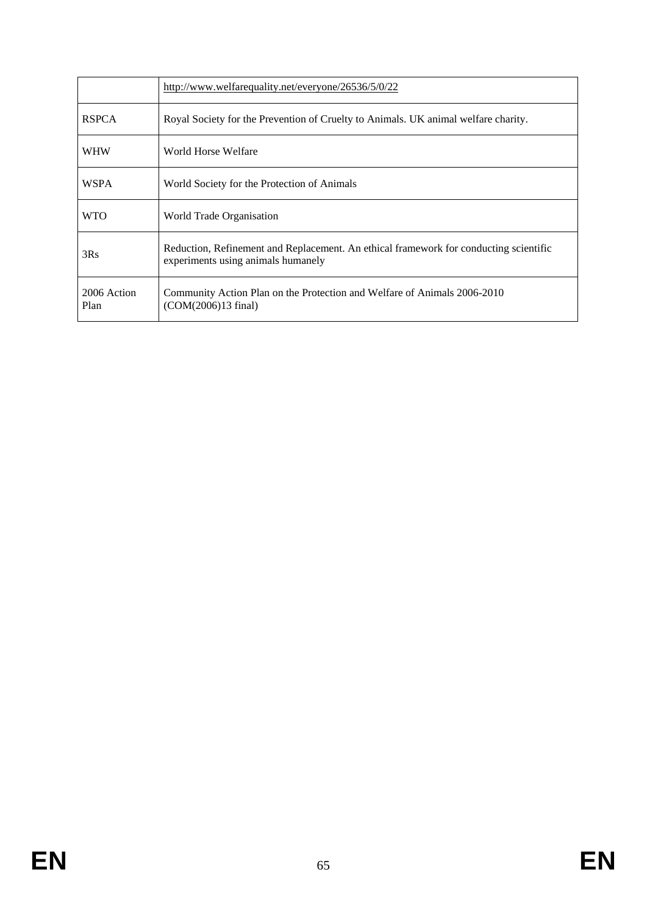|                     | http://www.welfarequality.net/everyone/26536/5/0/22                                                                         |
|---------------------|-----------------------------------------------------------------------------------------------------------------------------|
| <b>RSPCA</b>        | Royal Society for the Prevention of Cruelty to Animals. UK animal welfare charity.                                          |
| <b>WHW</b>          | World Horse Welfare                                                                                                         |
| <b>WSPA</b>         | World Society for the Protection of Animals                                                                                 |
| <b>WTO</b>          | World Trade Organisation                                                                                                    |
| 3Rs                 | Reduction, Refinement and Replacement. An ethical framework for conducting scientific<br>experiments using animals humanely |
| 2006 Action<br>Plan | Community Action Plan on the Protection and Welfare of Animals 2006-2010<br>(COM(2006)13 final)                             |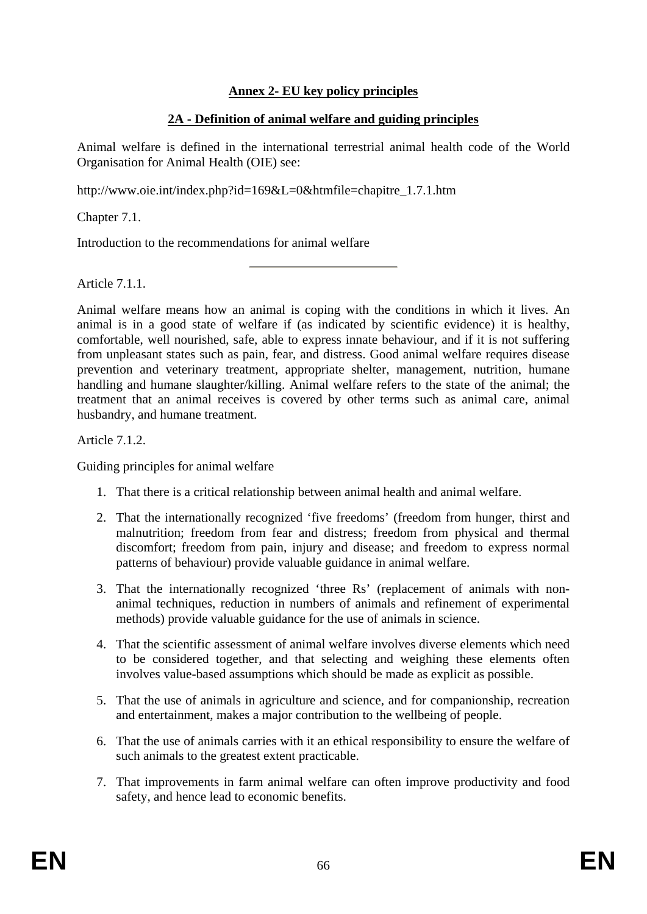# **Annex 2- EU key policy principles**

# **2A - Definition of animal welfare and guiding principles**

Animal welfare is defined in the international terrestrial animal health code of the World Organisation for Animal Health (OIE) see:

[http://www.oie.int/index.php?id=169&L=0&htmfile=chapitre\\_1.7.1.htm](http://www.oie.int/index.php?id=169&L=0&htmfile=chapitre_1.7.1.htm) 

Chapter 7.1.

Introduction to the recommendations for animal welfare

Article 7.1.1.

[Animal welfare](http://www.oie.int/index.php?id=169&L=0&htmfile=glossaire.htm#terme_bien_etre_animal) means how an [animal](http://www.oie.int/index.php?id=169&L=0&htmfile=glossaire.htm#terme_animal) is coping with the conditions in which it lives. An [animal](http://www.oie.int/index.php?id=169&L=0&htmfile=glossaire.htm#terme_animal) is in a good state of [welfare](http://www.oie.int/index.php?id=169&L=0&htmfile=glossaire.htm#terme_bien_etre_animal) if (as indicated by scientific evidence) it is healthy, comfortable, well nourished, safe, able to express innate behaviour, and if it is not suffering from unpleasant states such as pain, fear, and distress. Good [animal welfare](http://www.oie.int/index.php?id=169&L=0&htmfile=glossaire.htm#terme_bien_etre_animal) requires [disease](http://www.oie.int/index.php?id=169&L=0&htmfile=glossaire.htm#terme_maladie)  prevention and veterinary treatment, appropriate shelter, management, nutrition, humane handling and humane [slaughter/](http://www.oie.int/index.php?id=169&L=0&htmfile=glossaire.htm#terme_abattage)[killing.](http://www.oie.int/index.php?id=169&L=0&htmfile=glossaire.htm#terme_mise_a_mort) [Animal welfare](http://www.oie.int/index.php?id=169&L=0&htmfile=glossaire.htm#terme_bien_etre_animal) refers to the state of the [animal;](http://www.oie.int/index.php?id=169&L=0&htmfile=glossaire.htm#terme_animal) the treatment that an [animal](http://www.oie.int/index.php?id=169&L=0&htmfile=glossaire.htm#terme_animal) receives is covered by other terms such as animal care, animal husbandry, and humane treatment.

Article 7.1.2.

Guiding principles for animal welfare

- 1. That there is a critical relationship between animal health and [animal welfare.](http://www.oie.int/index.php?id=169&L=0&htmfile=glossaire.htm#terme_bien_etre_animal)
- 2. That the internationally recognized 'five freedoms' (freedom from hunger, thirst and malnutrition; freedom from fear and distress; freedom from physical and thermal discomfort; freedom from pain, injury and [disease;](http://www.oie.int/index.php?id=169&L=0&htmfile=glossaire.htm#terme_maladie) and freedom to express normal patterns of behaviour) provide valuable guidance in [animal welfare.](http://www.oie.int/index.php?id=169&L=0&htmfile=glossaire.htm#terme_bien_etre_animal)
- 3. That the internationally recognized 'three Rs' (replacement of [animals](http://www.oie.int/index.php?id=169&L=0&htmfile=glossaire.htm#terme_animal) with nonanimal techniques, reduction in numbers of [animals](http://www.oie.int/index.php?id=169&L=0&htmfile=glossaire.htm#terme_animal) and refinement of experimental methods) provide valuable guidance for the use of [animals](http://www.oie.int/index.php?id=169&L=0&htmfile=glossaire.htm#terme_animal) in science.
- 4. That the scientific assessment of [animal welfare](http://www.oie.int/index.php?id=169&L=0&htmfile=glossaire.htm#terme_bien_etre_animal) involves diverse elements which need to be considered together, and that selecting and weighing these elements often involves value-based assumptions which should be made as explicit as possible.
- 5. That the use of [animals](http://www.oie.int/index.php?id=169&L=0&htmfile=glossaire.htm#terme_animal) in agriculture and science, and for companionship, recreation and entertainment, makes a major contribution to the wellbeing of people.
- 6. That the use o[f animals c](http://www.oie.int/index.php?id=169&L=0&htmfile=glossaire.htm#terme_animal)arries with it an ethical responsibility to ensure the [welfare o](http://www.oie.int/index.php?id=169&L=0&htmfile=glossaire.htm#terme_bien_etre_animal)f such [animals](http://www.oie.int/index.php?id=169&L=0&htmfile=glossaire.htm#terme_animal) to the greatest extent practicable.
- 7. That improvements in farm [animal welfare](http://www.oie.int/index.php?id=169&L=0&htmfile=glossaire.htm#terme_bien_etre_animal) can often improve productivity and food safety, and hence lead to economic benefits.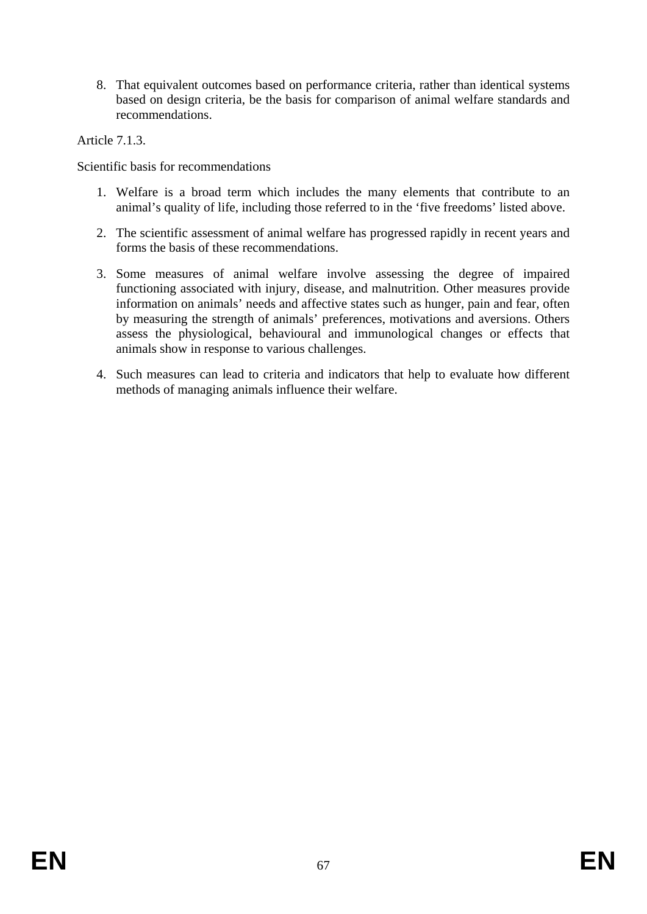8. That equivalent outcomes based on performance criteria, rather than identical systems based on design criteria, be the basis for comparison of [animal welfare](http://www.oie.int/index.php?id=169&L=0&htmfile=glossaire.htm#terme_bien_etre_animal) standards and recommendations.

Article 7.1.3.

Scientific basis for recommendations

- 1. [Welfare](http://www.oie.int/index.php?id=169&L=0&htmfile=glossaire.htm#terme_bien_etre_animal) is a broad term which includes the many elements that contribute to an [animal'](http://www.oie.int/index.php?id=169&L=0&htmfile=glossaire.htm#terme_animal)s quality of life, including those referred to in the 'five freedoms' listed above.
- 2. The scientific assessment of [animal welfare](http://www.oie.int/index.php?id=169&L=0&htmfile=glossaire.htm#terme_bien_etre_animal) has progressed rapidly in recent years and forms the basis of these recommendations.
- 3. Some measures of [animal welfare](http://www.oie.int/index.php?id=169&L=0&htmfile=glossaire.htm#terme_bien_etre_animal) involve assessing the degree of impaired functioning associated with injury, [disease,](http://www.oie.int/index.php?id=169&L=0&htmfile=glossaire.htm#terme_maladie) and malnutrition. Other measures provide information on [animals'](http://www.oie.int/index.php?id=169&L=0&htmfile=glossaire.htm#terme_animal) needs and affective states such as hunger, pain and fear, often by measuring the strength of [animals'](http://www.oie.int/index.php?id=169&L=0&htmfile=glossaire.htm#terme_animal) preferences, motivations and aversions. Others assess the physiological, behavioural and immunological changes or effects that [animals](http://www.oie.int/index.php?id=169&L=0&htmfile=glossaire.htm#terme_animal) show in response to various challenges.
- 4. Such measures can lead to criteria and indicators that help to evaluate how different methods of managing [animals](http://www.oie.int/index.php?id=169&L=0&htmfile=glossaire.htm#terme_animal) influence thei[r welfare.](http://www.oie.int/index.php?id=169&L=0&htmfile=glossaire.htm#terme_bien_etre_animal)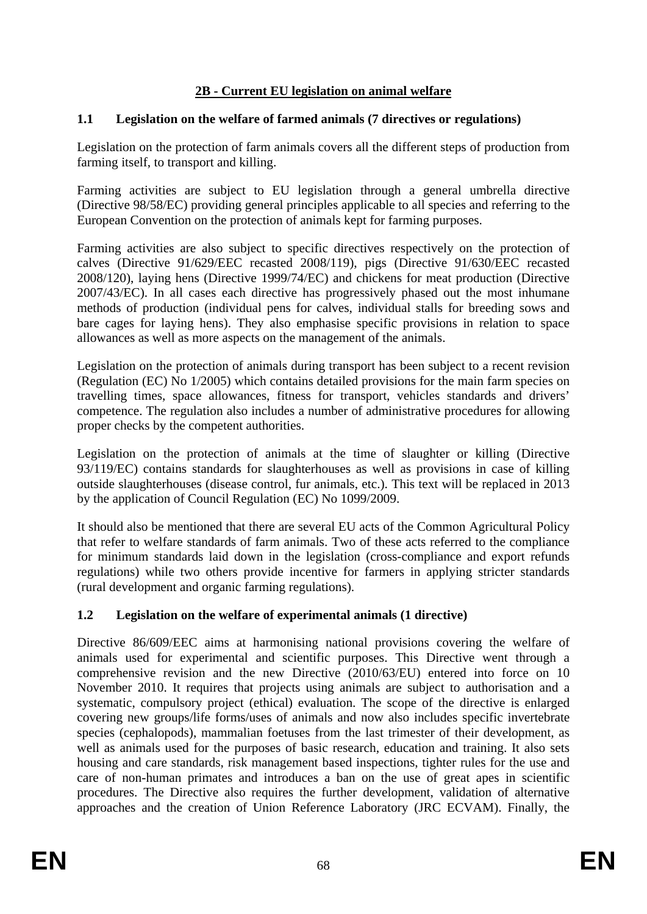# **2B - Current EU legislation on animal welfare**

# **1.1 Legislation on the welfare of farmed animals (7 directives or regulations)**

Legislation on the protection of farm animals covers all the different steps of production from farming itself, to transport and killing.

Farming activities are subject to EU legislation through a general umbrella directive (Directive 98/58/EC) providing general principles applicable to all species and referring to the European Convention on the protection of animals kept for farming purposes.

Farming activities are also subject to specific directives respectively on the protection of calves (Directive 91/629/EEC recasted 2008/119), pigs (Directive 91/630/EEC recasted 2008/120), laying hens (Directive 1999/74/EC) and chickens for meat production (Directive 2007/43/EC). In all cases each directive has progressively phased out the most inhumane methods of production (individual pens for calves, individual stalls for breeding sows and bare cages for laying hens). They also emphasise specific provisions in relation to space allowances as well as more aspects on the management of the animals.

Legislation on the protection of animals during transport has been subject to a recent revision (Regulation (EC) No 1/2005) which contains detailed provisions for the main farm species on travelling times, space allowances, fitness for transport, vehicles standards and drivers' competence. The regulation also includes a number of administrative procedures for allowing proper checks by the competent authorities.

Legislation on the protection of animals at the time of slaughter or killing (Directive 93/119/EC) contains standards for slaughterhouses as well as provisions in case of killing outside slaughterhouses (disease control, fur animals, etc.). This text will be replaced in 2013 by the application of Council Regulation (EC) No 1099/2009.

It should also be mentioned that there are several EU acts of the Common Agricultural Policy that refer to welfare standards of farm animals. Two of these acts referred to the compliance for minimum standards laid down in the legislation (cross-compliance and export refunds regulations) while two others provide incentive for farmers in applying stricter standards (rural development and organic farming regulations).

### **1.2 Legislation on the welfare of experimental animals (1 directive)**

Directive 86/609/EEC aims at harmonising national provisions covering the welfare of animals used for experimental and scientific purposes. This Directive went through a comprehensive revision and the new Directive (2010/63/EU) entered into force on 10 November 2010. It requires that projects using animals are subject to authorisation and a systematic, compulsory project (ethical) evaluation. The scope of the directive is enlarged covering new groups/life forms/uses of animals and now also includes specific invertebrate species (cephalopods), mammalian foetuses from the last trimester of their development, as well as animals used for the purposes of basic research, education and training. It also sets housing and care standards, risk management based inspections, tighter rules for the use and care of non-human primates and introduces a ban on the use of great apes in scientific procedures. The Directive also requires the further development, validation of alternative approaches and the creation of Union Reference Laboratory (JRC ECVAM). Finally, the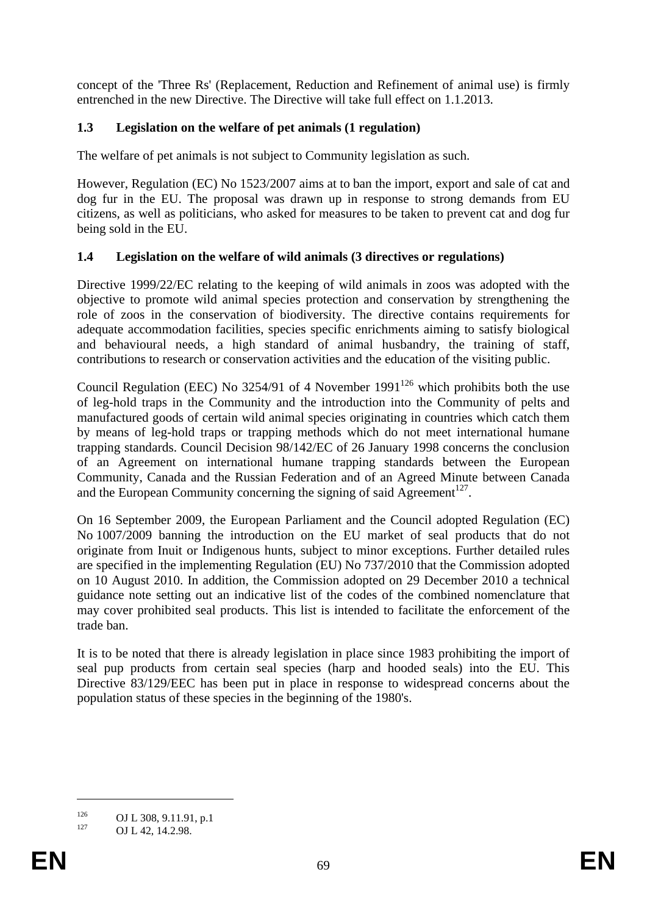concept of the 'Three Rs' (Replacement, Reduction and Refinement of animal use) is firmly entrenched in the new Directive. The Directive will take full effect on 1.1.2013.

# **1.3 Legislation on the welfare of pet animals (1 regulation)**

The welfare of pet animals is not subject to Community legislation as such.

However, Regulation (EC) No 1523/2007 aims at to ban the import, export and sale of cat and dog fur in the EU. The proposal was drawn up in response to strong demands from EU citizens, as well as politicians, who asked for measures to be taken to prevent cat and dog fur being sold in the EU.

# **1.4 Legislation on the welfare of wild animals (3 directives or regulations)**

Directive 1999/22/EC relating to the keeping of wild animals in zoos was adopted with the objective to promote wild animal species protection and conservation by strengthening the role of zoos in the conservation of biodiversity. The directive contains requirements for adequate accommodation facilities, species specific enrichments aiming to satisfy biological and behavioural needs, a high standard of animal husbandry, the training of staff, contributions to research or conservation activities and the education of the visiting public.

Council Regulation (EEC) No  $3254/91$  of 4 November  $1991^{126}$  which prohibits both the use of leg-hold traps in the Community and the introduction into the Community of pelts and manufactured goods of certain wild animal species originating in countries which catch them by means of leg-hold traps or trapping methods which do not meet international humane trapping standards. Council Decision [98/142/EC o](http://eur-lex.europa.eu/smartapi/cgi/sga_doc?smartapi!celexplus!prod!DocNumber&lg=en&type_doc=Decision&an_doc=1998&nu_doc=142)f 26 January 1998 concerns the conclusion of an Agreement on international humane trapping standards between the European Community, Canada and the Russian Federation and of an Agreed Minute between Canada and the European Community concerning the signing of said Agreement<sup>127</sup>.

On 16 September 2009, the European Parliament and the Council adopted Regulation (EC) No 1007/2009 banning the introduction on the EU market of seal products that do not originate from Inuit or Indigenous hunts, subject to minor exceptions. Further detailed rules are specified in the implementing Regulation (EU) No 737/2010 that the Commission adopted on 10 August 2010. In addition, the Commission adopted on 29 December 2010 a technical guidance note setting out an indicative list of the codes of the combined nomenclature that may cover prohibited seal products. This list is intended to facilitate the enforcement of the trade ban.

It is to be noted that there is already legislation in place since 1983 prohibiting the import of seal pup products from certain seal species (harp and hooded seals) into the EU. This Directive [83/129/EEC](http://eur-lex.europa.eu/LexUriServ/LexUriServ.do?uri=CELEX:31983L0129:EN:HTML) has been put in place in response to widespread concerns about the population status of these species in the beginning of the 1980's.

<sup>126</sup> **OJ L 308, 9.11.91, p.1**<br>127 **OJ L 42, 14.2.98.**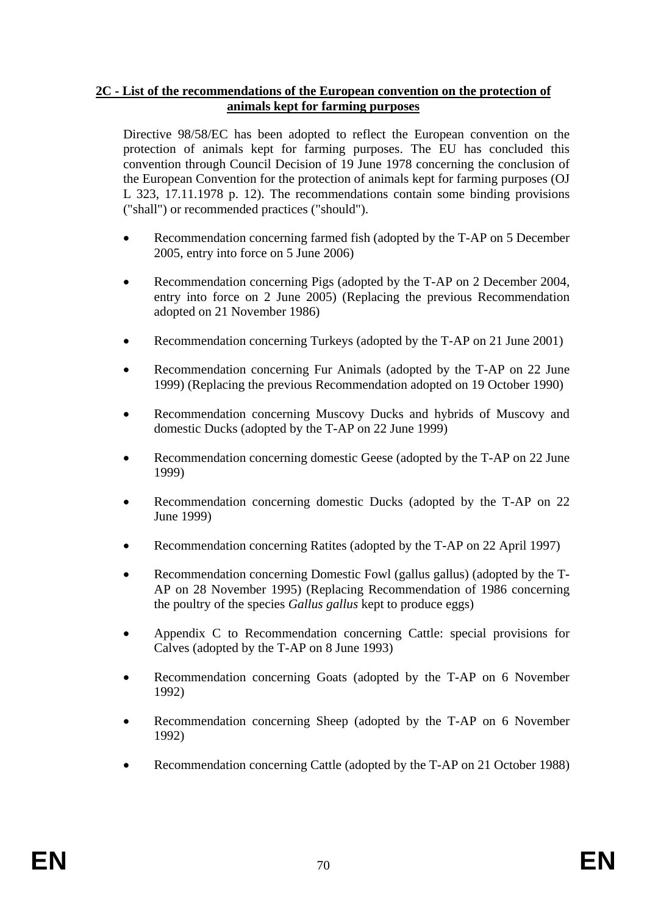### **2C - List of the recommendations of the European convention on the protection of animals kept for farming purposes**

Directive 98/58/EC has been adopted to reflect the European convention on the protection of animals kept for farming purposes. The EU has concluded this convention through Council Decision of 19 June 1978 concerning the conclusion of the European Convention for the protection of animals kept for farming purposes (OJ L 323, 17.11.1978 p. 12). The recommendations contain some binding provisions ("shall") or recommended practices ("should").

- [Recommendation concerning farmed fish \(adopted by the T-AP on 5 December](http://wayback.archive-it.org/1365/20090214064951/http:/www.coe.int/t/e/legal_affairs/legal_co-operation/biological_safety%2C_use_of_animals/farming/Rec fish E.asp#TopOfPage)  [2005, entry into force on 5 June 2006\)](http://wayback.archive-it.org/1365/20090214064951/http:/www.coe.int/t/e/legal_affairs/legal_co-operation/biological_safety%2C_use_of_animals/farming/Rec fish E.asp#TopOfPage)
- Recommendation concerning Pigs (adopted by the T-AP on 2 December 2004, [entry into force on 2 June 2005\)](http://wayback.archive-it.org/1365/20090214064951/http:/www.coe.int/t/e/legal_affairs/legal_co-operation/biological_safety%2C_use_of_animals/farming/Rec pigs rev E 2004.asp#TopOfPage) (Replacing the previous [Recommendation](http://wayback.archive-it.org/1365/20090214064951/http:/www.coe.int/t/e/legal_affairs/legal_co-operation/biological_safety%2C_use_of_animals/farming/Rec pigs E.asp#TopOfPage)  [adopted on 21 November 1986\)](http://wayback.archive-it.org/1365/20090214064951/http:/www.coe.int/t/e/legal_affairs/legal_co-operation/biological_safety%2C_use_of_animals/farming/Rec pigs E.asp#TopOfPage)
- Recommendation concerning Turkeys (adopted by the T-AP on 21 June 2001)
- [Recommendation concerning Fur Animals \(adopted by the T-AP on 22 June](http://wayback.archive-it.org/1365/20090214064951/http:/www.coe.int/t/e/legal_affairs/legal_co-operation/biological_safety%2C_use_of_animals/farming/Rec fur animals E 1999.asp#TopOfPage)  [1999\) \(](http://wayback.archive-it.org/1365/20090214064951/http:/www.coe.int/t/e/legal_affairs/legal_co-operation/biological_safety%2C_use_of_animals/farming/Rec fur animals E 1999.asp#TopOfPage)Replacing the previous Recommendation adopted on 19 October 1990)
- [Recommendation concerning Muscovy Ducks and hybrids of Muscovy and](http://wayback.archive-it.org/1365/20090214064951/http:/www.coe.int/t/e/legal_affairs/legal_co-operation/biological_safety%2C_use_of_animals/farming/Rec Muscovy ducks E 1999.asp#TopOfPage)  [domestic Ducks \(adopted by the T-AP on 22 June 1999\)](http://wayback.archive-it.org/1365/20090214064951/http:/www.coe.int/t/e/legal_affairs/legal_co-operation/biological_safety%2C_use_of_animals/farming/Rec Muscovy ducks E 1999.asp#TopOfPage)
- Recommendation concerning domestic Geese (adopted by the T-AP on 22 June [1999\)](http://wayback.archive-it.org/1365/20090214064951/http:/www.coe.int/t/e/legal_affairs/legal_co-operation/biological_safety%2C_use_of_animals/farming/Rec geese.asp#TopOfPage)
- Recommendation concerning domestic Ducks (adopted by the T-AP on 22 [June 1999\)](http://wayback.archive-it.org/1365/20090214064951/http:/www.coe.int/t/e/legal_affairs/legal_co-operation/biological_safety%2C_use_of_animals/farming/Rec ducks.asp#TopOfPage)
- [Recommendation concerning Ratites \(adopted by the T-AP on 22 April 1997\)](http://wayback.archive-it.org/1365/20090214064951/http:/www.coe.int/t/e/legal_affairs/legal_co-operation/biological_safety%2C_use_of_animals/farming/Rec ratites E.asp#TopOfPage)
- [Recommendation concerning Domestic Fowl \(gallus gallus\) \(adopted by the T-](http://wayback.archive-it.org/1365/20090214064951/http:/www.coe.int/t/e/legal_affairs/legal_co-operation/biological_safety%2C_use_of_animals/farming/Rec fowl E.asp#TopOfPage)[AP on 28 November 1995\)](http://wayback.archive-it.org/1365/20090214064951/http:/www.coe.int/t/e/legal_affairs/legal_co-operation/biological_safety%2C_use_of_animals/farming/Rec fowl E.asp#TopOfPage) (Replacing Recommendation of 1986 concerning the poultry of the species *Gallus gallus* kept to produce eggs)
- [Appendix C to Recommendation concerning Cattle: special provisions for](http://wayback.archive-it.org/1365/20090214064951/http:/www.coe.int/t/e/legal_affairs/legal_co-operation/biological_safety%2C_use_of_animals/farming/Rec calves E.asp#TopOfPage)  [Calves \(adopted by the T-AP on 8 June 1993\)](http://wayback.archive-it.org/1365/20090214064951/http:/www.coe.int/t/e/legal_affairs/legal_co-operation/biological_safety%2C_use_of_animals/farming/Rec calves E.asp#TopOfPage)
- Recommendation concerning Goats (adopted by the T-AP on 6 November [1992\)](http://wayback.archive-it.org/1365/20090214064951/http:/www.coe.int/t/e/legal_affairs/legal_co-operation/biological_safety%2C_use_of_animals/farming/Rec goats E.asp#TopOfPage)
- Recommendation concerning Sheep (adopted by the T-AP on 6 November [1992\)](http://wayback.archive-it.org/1365/20090214064951/http:/www.coe.int/t/e/legal_affairs/legal_co-operation/biological_safety%2C_use_of_animals/farming/Rec sheep E.asp#TopOfPage)
- Recommendation concerning Cattle (adopted by the T-AP on 21 October 1988)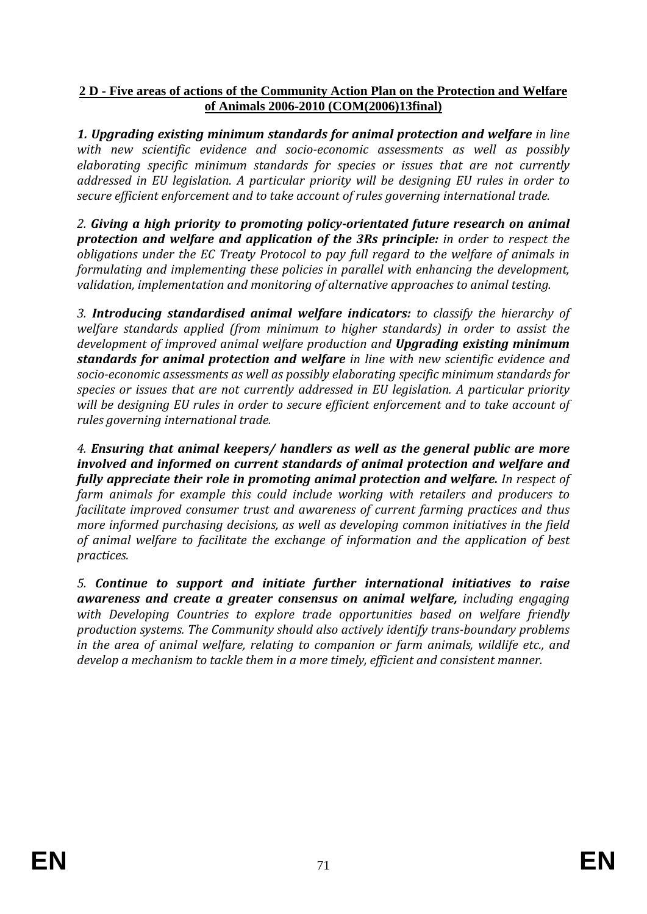# **2 D - Five areas of actions of the Community Action Plan on the Protection and Welfare of Animals 2006-2010 (COM(2006)13final)**

**1. Upgrading existing minimum standards for animal protection and welfare** in line *with new scientific evidence and socio-economic assessments as well as possibly elaborating specific minimum standards for species or issues that are not currently addressed in EU legislation. A particular priority will be designing EU rules in order to secure efficient enforcement and to take account of rules governing international trade.* 

*2. Giving a high priority to promoting policy-orientated future research on animal protection and welfare and application of the 3Rs principle: in order to respect the obligations under the EC Treaty Protocol to pay full regard to the welfare of animals in formulating and implementing these policies in parallel with enhancing the development, validation, implementation and monitoring of alternative approaches to animal testing.* 

*3. Introducing standardised animal welfare indicators: to classify the hierarchy of welfare standards applied (from minimum to higher standards) in order to assist the development of improved animal welfare production and Upgrading existing minimum standards for animal protection and welfare in line with new scientific evidence and socio-economic assessments as well as possibly elaborating specific minimum standards for species or issues that are not currently addressed in EU legislation. A particular priority will be designing EU rules in order to secure efficient enforcement and to take account of rules governing international trade.* 

*4. Ensuring that animal keepers/ handlers as well as the general public are more involved and informed on current standards of animal protection and welfare and fully appreciate their role in promoting animal protection and welfare. In respect of farm animals for example this could include working with retailers and producers to facilitate improved consumer trust and awareness of current farming practices and thus more informed purchasing decisions, as well as developing common initiatives in the field of animal welfare to facilitate the exchange of information and the application of best practices.* 

*5. Continue to support and initiate further international initiatives to raise awareness and create a greater consensus on animal welfare, including engaging with Developing Countries to explore trade opportunities based on welfare friendly production systems. The Community should also actively identify trans-boundary problems in the area of animal welfare, relating to companion or farm animals, wildlife etc., and develop a mechanism to tackle them in a more timely, efficient and consistent manner.*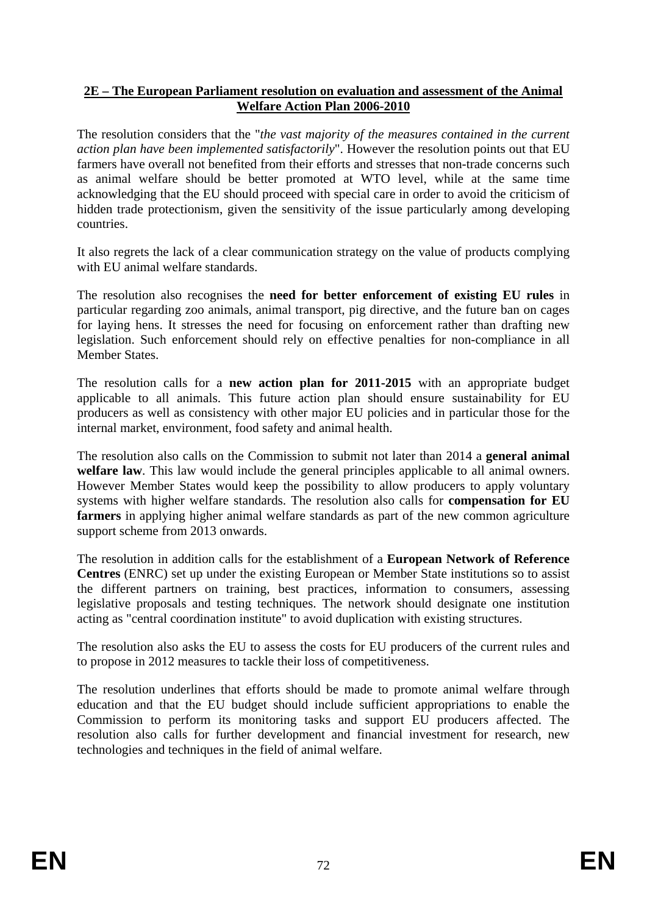### **2E – The European Parliament resolution on evaluation and assessment of the Animal Welfare Action Plan 2006-2010**

The resolution considers that the "*the vast majority of the measures contained in the current action plan have been implemented satisfactorily*". However the resolution points out that EU farmers have overall not benefited from their efforts and stresses that non-trade concerns such as animal welfare should be better promoted at WTO level, while at the same time acknowledging that the EU should proceed with special care in order to avoid the criticism of hidden trade protectionism, given the sensitivity of the issue particularly among developing countries.

It also regrets the lack of a clear communication strategy on the value of products complying with EU animal welfare standards.

The resolution also recognises the **need for better enforcement of existing EU rules** in particular regarding zoo animals, animal transport, pig directive, and the future ban on cages for laying hens. It stresses the need for focusing on enforcement rather than drafting new legislation. Such enforcement should rely on effective penalties for non-compliance in all Member States.

The resolution calls for a **new action plan for 2011-2015** with an appropriate budget applicable to all animals. This future action plan should ensure sustainability for EU producers as well as consistency with other major EU policies and in particular those for the internal market, environment, food safety and animal health.

The resolution also calls on the Commission to submit not later than 2014 a **general animal welfare law**. This law would include the general principles applicable to all animal owners. However Member States would keep the possibility to allow producers to apply voluntary systems with higher welfare standards. The resolution also calls for **compensation for EU farmers** in applying higher animal welfare standards as part of the new common agriculture support scheme from 2013 onwards.

The resolution in addition calls for the establishment of a **European Network of Reference Centres** (ENRC) set up under the existing European or Member State institutions so to assist the different partners on training, best practices, information to consumers, assessing legislative proposals and testing techniques. The network should designate one institution acting as "central coordination institute" to avoid duplication with existing structures.

The resolution also asks the EU to assess the costs for EU producers of the current rules and to propose in 2012 measures to tackle their loss of competitiveness.

The resolution underlines that efforts should be made to promote animal welfare through education and that the EU budget should include sufficient appropriations to enable the Commission to perform its monitoring tasks and support EU producers affected. The resolution also calls for further development and financial investment for research, new technologies and techniques in the field of animal welfare.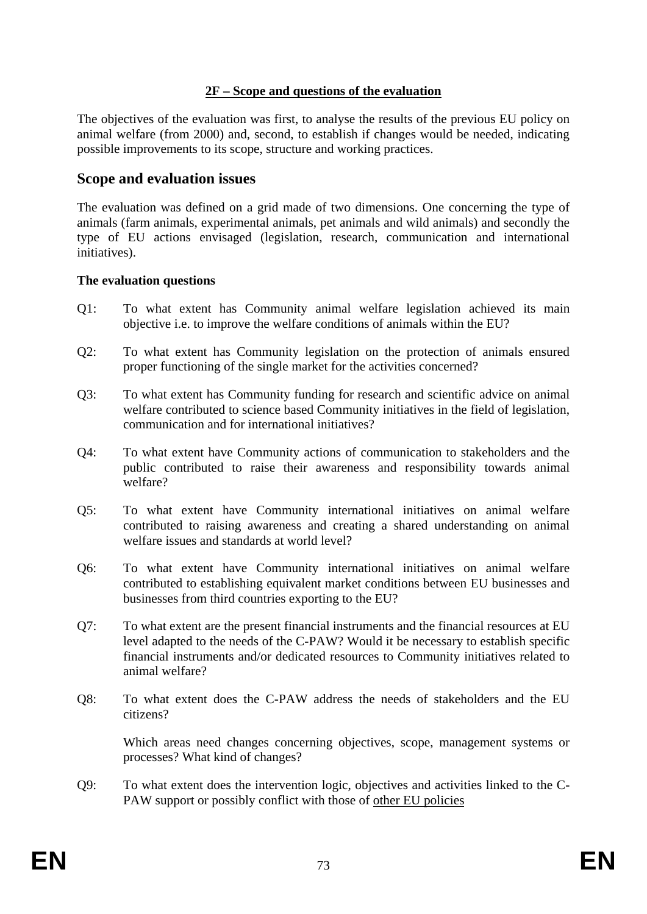## **2F – Scope and questions of the evaluation**

The objectives of the evaluation was first, to analyse the results of the previous EU policy on animal welfare (from 2000) and, second, to establish if changes would be needed, indicating possible improvements to its scope, structure and working practices.

# **Scope and evaluation issues**

The evaluation was defined on a grid made of two dimensions. One concerning the type of animals (farm animals, experimental animals, pet animals and wild animals) and secondly the type of EU actions envisaged (legislation, research, communication and international initiatives).

### **The evaluation questions**

- Q1: To what extent has Community animal welfare legislation achieved its main objective i.e. to improve the welfare conditions of animals within the EU?
- Q2: To what extent has Community legislation on the protection of animals ensured proper functioning of the single market for the activities concerned?
- Q3: To what extent has Community funding for research and scientific advice on animal welfare contributed to science based Community initiatives in the field of legislation, communication and for international initiatives?
- Q4: To what extent have Community actions of communication to stakeholders and the public contributed to raise their awareness and responsibility towards animal welfare?
- Q5: To what extent have Community international initiatives on animal welfare contributed to raising awareness and creating a shared understanding on animal welfare issues and standards at world level?
- Q6: To what extent have Community international initiatives on animal welfare contributed to establishing equivalent market conditions between EU businesses and businesses from third countries exporting to the EU?
- Q7: To what extent are the present financial instruments and the financial resources at EU level adapted to the needs of the C-PAW? Would it be necessary to establish specific financial instruments and/or dedicated resources to Community initiatives related to animal welfare?
- Q8: To what extent does the C-PAW address the needs of stakeholders and the EU citizens?

Which areas need changes concerning objectives, scope, management systems or processes? What kind of changes?

Q9: To what extent does the intervention logic, objectives and activities linked to the C-PAW support or possibly conflict with those of other EU policies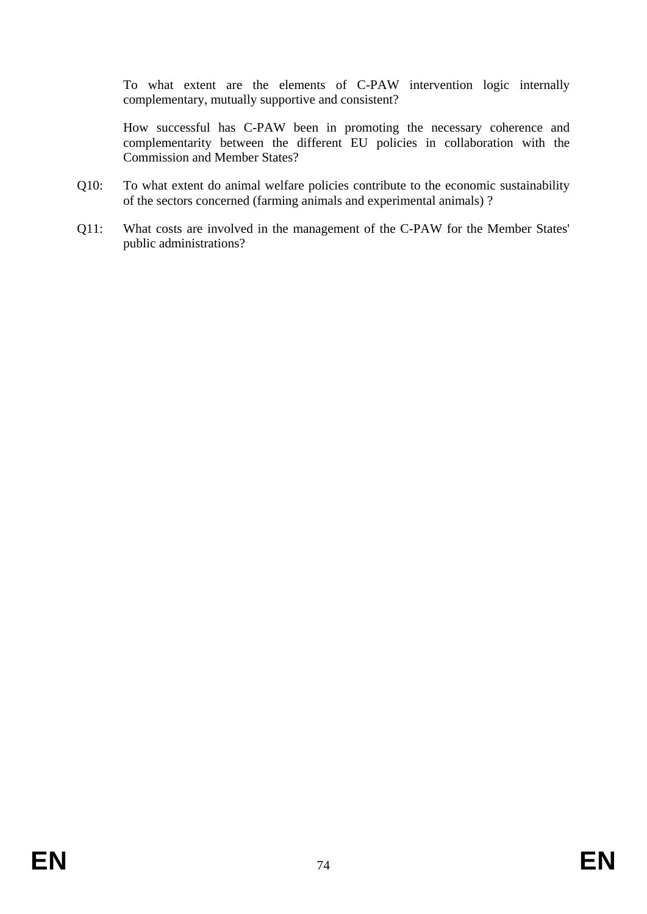To what extent are the elements of C-PAW intervention logic internally complementary, mutually supportive and consistent?

 How successful has C-PAW been in promoting the necessary coherence and complementarity between the different EU policies in collaboration with the Commission and Member States?

- Q10: To what extent do animal welfare policies contribute to the economic sustainability of the sectors concerned (farming animals and experimental animals) ?
- Q11: What costs are involved in the management of the C-PAW for the Member States' public administrations?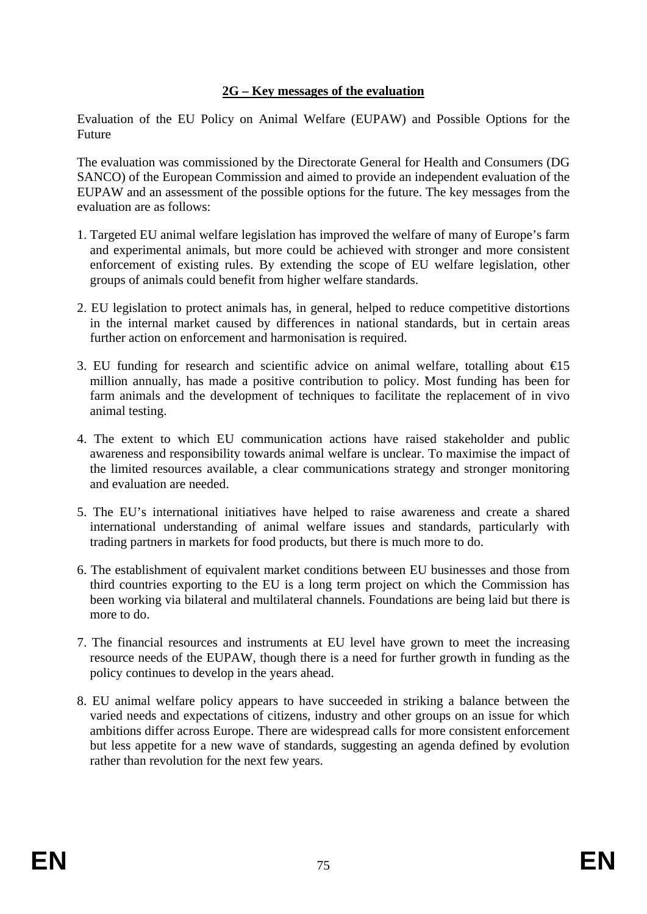# **2G – Key messages of the evaluation**

Evaluation of the EU Policy on Animal Welfare (EUPAW) and Possible Options for the Future

The evaluation was commissioned by the Directorate General for Health and Consumers (DG SANCO) of the European Commission and aimed to provide an independent evaluation of the EUPAW and an assessment of the possible options for the future. The key messages from the evaluation are as follows:

- 1. Targeted EU animal welfare legislation has improved the welfare of many of Europe's farm and experimental animals, but more could be achieved with stronger and more consistent enforcement of existing rules. By extending the scope of EU welfare legislation, other groups of animals could benefit from higher welfare standards.
- 2. EU legislation to protect animals has, in general, helped to reduce competitive distortions in the internal market caused by differences in national standards, but in certain areas further action on enforcement and harmonisation is required.
- 3. EU funding for research and scientific advice on animal welfare, totalling about  $\epsilon$ 15 million annually, has made a positive contribution to policy. Most funding has been for farm animals and the development of techniques to facilitate the replacement of in vivo animal testing.
- 4. The extent to which EU communication actions have raised stakeholder and public awareness and responsibility towards animal welfare is unclear. To maximise the impact of the limited resources available, a clear communications strategy and stronger monitoring and evaluation are needed.
- 5. The EU's international initiatives have helped to raise awareness and create a shared international understanding of animal welfare issues and standards, particularly with trading partners in markets for food products, but there is much more to do.
- 6. The establishment of equivalent market conditions between EU businesses and those from third countries exporting to the EU is a long term project on which the Commission has been working via bilateral and multilateral channels. Foundations are being laid but there is more to do.
- 7. The financial resources and instruments at EU level have grown to meet the increasing resource needs of the EUPAW, though there is a need for further growth in funding as the policy continues to develop in the years ahead.
- 8. EU animal welfare policy appears to have succeeded in striking a balance between the varied needs and expectations of citizens, industry and other groups on an issue for which ambitions differ across Europe. There are widespread calls for more consistent enforcement but less appetite for a new wave of standards, suggesting an agenda defined by evolution rather than revolution for the next few years.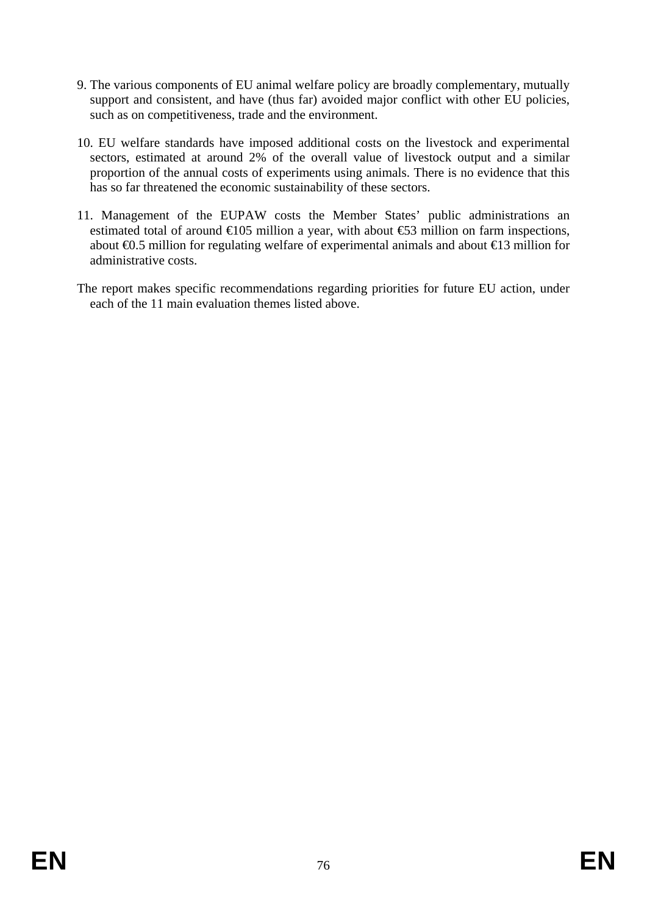- 9. The various components of EU animal welfare policy are broadly complementary, mutually support and consistent, and have (thus far) avoided major conflict with other EU policies, such as on competitiveness, trade and the environment.
- 10. EU welfare standards have imposed additional costs on the livestock and experimental sectors, estimated at around 2% of the overall value of livestock output and a similar proportion of the annual costs of experiments using animals. There is no evidence that this has so far threatened the economic sustainability of these sectors.
- 11. Management of the EUPAW costs the Member States' public administrations an estimated total of around  $\epsilon$ 105 million a year, with about  $\epsilon$ 53 million on farm inspections, about €0.5 million for regulating welfare of experimental animals and about €13 million for administrative costs.
- The report makes specific recommendations regarding priorities for future EU action, under each of the 11 main evaluation themes listed above.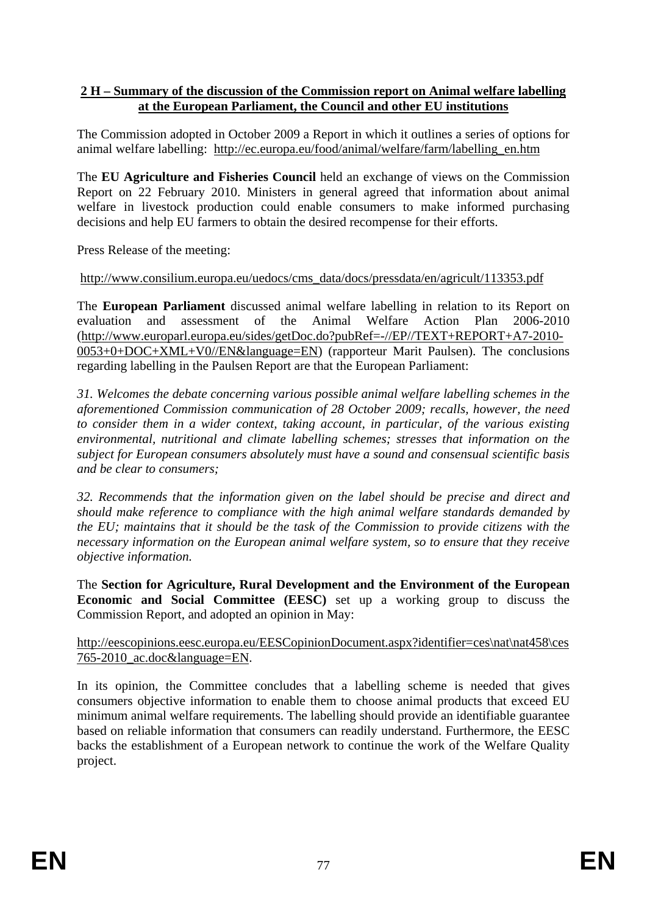## **2 H – Summary of the discussion of the Commission report on Animal welfare labelling at the European Parliament, the Council and other EU institutions**

The Commission adopted in October 2009 a Report in which it outlines a series of options for animal welfare labelling: [http://ec.europa.eu/food/animal/welfare/farm/labelling\\_en.htm](http://ec.europa.eu/food/animal/welfare/farm/labelling_en.htm)

The **EU Agriculture and Fisheries Council** held an exchange of views on the Commission Report on 22 February 2010. Ministers in general agreed that information about animal welfare in livestock production could enable consumers to make informed purchasing decisions and help EU farmers to obtain the desired recompense for their efforts.

Press Release of the meeting:

# [http://www.consilium.europa.eu/uedocs/cms\\_data/docs/pressdata/en/agricult/113353.pdf](http://www.consilium.europa.eu/uedocs/cms_data/docs/pressdata/en/agricult/113353.pdf)

The **European Parliament** discussed animal welfare labelling in relation to its Report on evaluation and assessment of the Animal Welfare Action Plan 2006-2010 [\(http://www.europarl.europa.eu/sides/getDoc.do?pubRef=-//EP//TEXT+REPORT+A7-2010-](http://www.europarl.europa.eu/sides/getDoc.do?pubRef=-//EP//TEXT+REPORT+A7-2010-0053+0+DOC+XML+V0//EN&language=EN) [0053+0+DOC+XML+V0//EN&language=EN\)](http://www.europarl.europa.eu/sides/getDoc.do?pubRef=-//EP//TEXT+REPORT+A7-2010-0053+0+DOC+XML+V0//EN&language=EN) (rapporteur Marit Paulsen). The conclusions regarding labelling in the Paulsen Report are that the European Parliament:

*31. Welcomes the debate concerning various possible animal welfare labelling schemes in the aforementioned Commission communication of 28 October 2009; recalls, however, the need to consider them in a wider context, taking account, in particular, of the various existing environmental, nutritional and climate labelling schemes; stresses that information on the subject for European consumers absolutely must have a sound and consensual scientific basis and be clear to consumers;* 

*32. Recommends that the information given on the label should be precise and direct and should make reference to compliance with the high animal welfare standards demanded by the EU; maintains that it should be the task of the Commission to provide citizens with the necessary information on the European animal welfare system, so to ensure that they receive objective information.* 

The **Section for Agriculture, Rural Development and the Environment of the European Economic and Social Committee (EESC)** set up a working group to discuss the Commission Report, and adopted an opinion in May:

## [http://eescopinions.eesc.europa.eu/EESCopinionDocument.aspx?identifier=ces\nat\nat458\ces](http://eescopinions.eesc.europa.eu/EESCopinionDocument.aspx?identifier=ces\nat\nat458\ces765-2010_ac.doc&language=EN) [765-2010\\_ac.doc&language=EN.](http://eescopinions.eesc.europa.eu/EESCopinionDocument.aspx?identifier=ces\nat\nat458\ces765-2010_ac.doc&language=EN)

In its opinion, the Committee concludes that a labelling scheme is needed that gives consumers objective information to enable them to choose animal products that exceed EU minimum animal welfare requirements. The labelling should provide an identifiable guarantee based on reliable information that consumers can readily understand. Furthermore, the EESC backs the establishment of a European network to continue the work of the Welfare Quality project.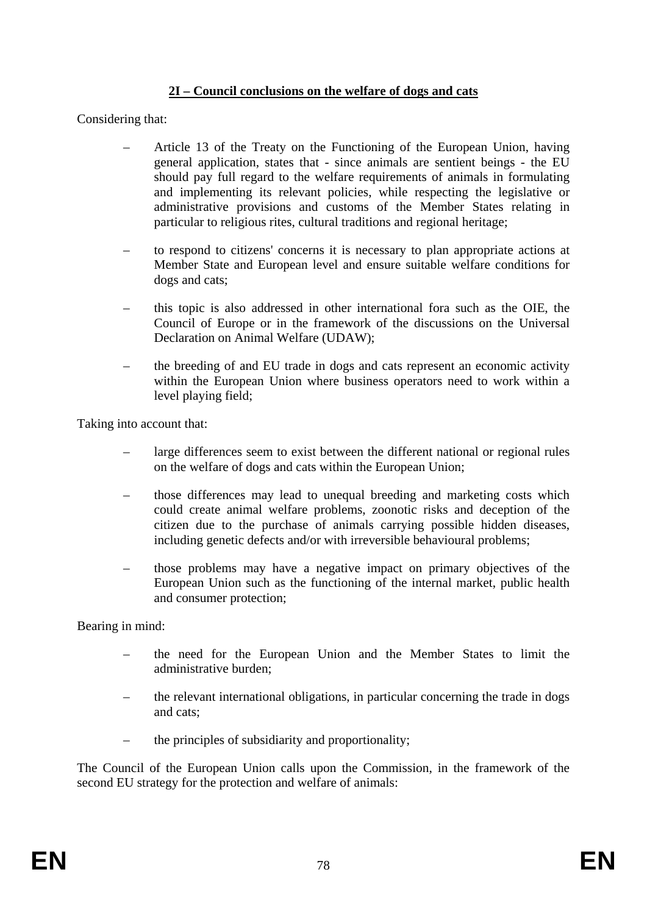# **2I – Council conclusions on the welfare of dogs and cats**

Considering that:

- Article 13 of the Treaty on the Functioning of the European Union, having general application, states that - since animals are sentient beings - the EU should pay full regard to the welfare requirements of animals in formulating and implementing its relevant policies, while respecting the legislative or administrative provisions and customs of the Member States relating in particular to religious rites, cultural traditions and regional heritage;
- to respond to citizens' concerns it is necessary to plan appropriate actions at Member State and European level and ensure suitable welfare conditions for dogs and cats;
- this topic is also addressed in other international fora such as the OIE, the Council of Europe or in the framework of the discussions on the Universal Declaration on Animal Welfare (UDAW);
- the breeding of and EU trade in dogs and cats represent an economic activity within the European Union where business operators need to work within a level playing field;

Taking into account that:

- large differences seem to exist between the different national or regional rules on the welfare of dogs and cats within the European Union;
- those differences may lead to unequal breeding and marketing costs which could create animal welfare problems, zoonotic risks and deception of the citizen due to the purchase of animals carrying possible hidden diseases, including genetic defects and/or with irreversible behavioural problems;
- those problems may have a negative impact on primary objectives of the European Union such as the functioning of the internal market, public health and consumer protection;

Bearing in mind:

- the need for the European Union and the Member States to limit the administrative burden;
- the relevant international obligations, in particular concerning the trade in dogs and cats;
- the principles of subsidiarity and proportionality;

The Council of the European Union calls upon the Commission, in the framework of the second EU strategy for the protection and welfare of animals: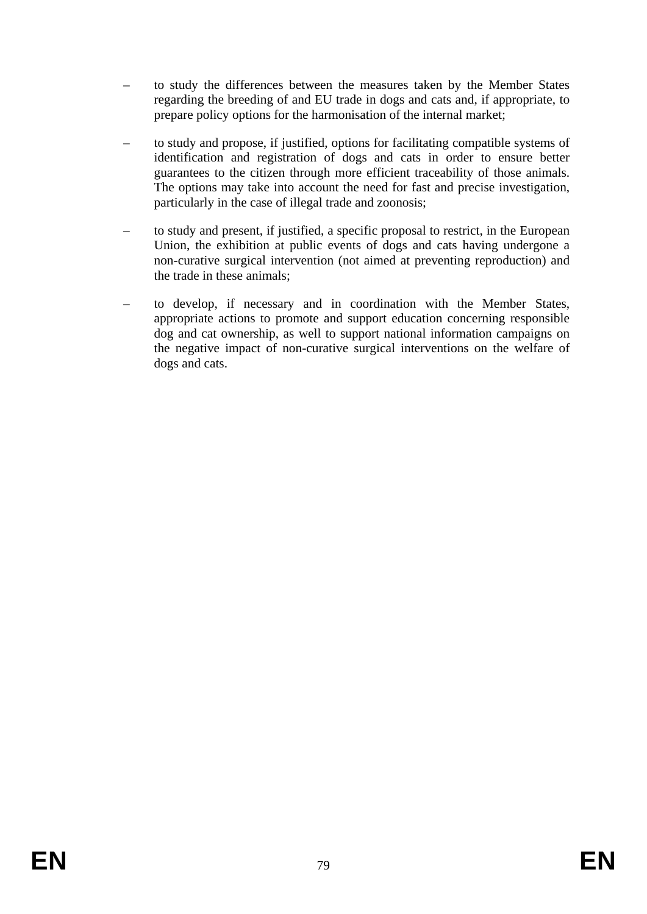- to study the differences between the measures taken by the Member States regarding the breeding of and EU trade in dogs and cats and, if appropriate, to prepare policy options for the harmonisation of the internal market;
- to study and propose, if justified, options for facilitating compatible systems of identification and registration of dogs and cats in order to ensure better guarantees to the citizen through more efficient traceability of those animals. The options may take into account the need for fast and precise investigation, particularly in the case of illegal trade and zoonosis;
- to study and present, if justified, a specific proposal to restrict, in the European Union, the exhibition at public events of dogs and cats having undergone a non-curative surgical intervention (not aimed at preventing reproduction) and the trade in these animals;
- to develop, if necessary and in coordination with the Member States, appropriate actions to promote and support education concerning responsible dog and cat ownership, as well to support national information campaigns on the negative impact of non-curative surgical interventions on the welfare of dogs and cats.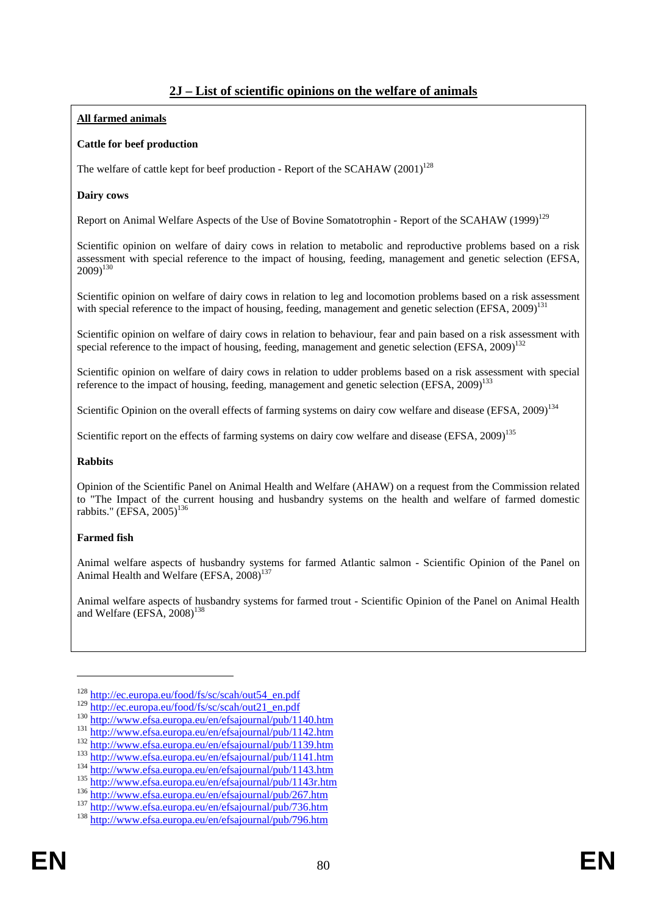## **2J – List of scientific opinions on the welfare of animals**

#### **All farmed animals**

#### **Cattle for beef production**

The welfare of cattle kept for beef production - Report of the SCAHAW  $(2001)^{128}$ 

#### **Dairy cows**

Report on Animal Welfare Aspects of the Use of Bovine Somatotrophin - Report of the SCAHAW (1999)<sup>129</sup>

Scientific opinion on welfare of dairy cows in relation to metabolic and reproductive problems based on a risk assessment with special reference to the impact of housing, feeding, management and genetic selection (EFSA,  $2009$ <sup>130</sup>

Scientific opinion on welfare of dairy cows in relation to leg and locomotion problems based on a risk assessment with special reference to the impact of housing, feeding, management and genetic selection (EFSA, 2009)<sup>131</sup>

Scientific opinion on welfare of dairy cows in relation to behaviour, fear and pain based on a risk assessment with special reference to the impact of housing, feeding, management and genetic selection (EFSA, 2009)<sup>132</sup>

Scientific opinion on welfare of dairy cows in relation to udder problems based on a risk assessment with special reference to the impact of housing, feeding, management and genetic selection (EFSA, 2009)<sup>133</sup>

Scientific Opinion on the overall effects of farming systems on dairy cow welfare and disease (EFSA, 2009)<sup>134</sup>

Scientific report on the effects of farming systems on dairy cow welfare and disease (EFSA, 2009)<sup>135</sup>

#### **Rabbits**

Opinion of the Scientific Panel on Animal Health and Welfare (AHAW) on a request from the Commission related to "The Impact of the current housing and husbandry systems on the health and welfare of farmed domestic rabbits." (EFSA, 2005)<sup>136</sup>

#### **Farmed fish**

<u>.</u>

Animal welfare aspects of husbandry systems for farmed Atlantic salmon - Scientific Opinion of the Panel on Animal Health and Welfare  $(EFSA, 2008)^{137}$ 

Animal welfare aspects of husbandry systems for farmed trout - Scientific Opinion of the Panel on Animal Health and Welfare (EFSA,  $2008$ )<sup>138</sup>

<sup>&</sup>lt;sup>128</sup> [http://ec.europa.eu/food/fs/sc/scah/out54\\_en.pdf](http://ec.europa.eu/food/fs/sc/scah/out54_en.pdf)<br><sup>129</sup> http://ec.europa.eu/food/fs/sc/scah/out21\_en.pdf

 $\frac{\frac{130}{\text{http://www.efsa.europa.eu/en/efsajournal/public/1140.htm}}{\frac{\text{http://www.efsa.europa.eu/en/efsajournal/public/1142.htm}}{\frac{\text{http://www.efsa.europa.eu/en/efsajournal/public/1142.htm}}{\frac{\text{http://www.efsa.europa.eu/en/efsajournal/public/1139.htm}}{\frac{\text{http://www.efsa.europa.eu/en/efsajournal/public/1141.htm}}{\frac{\text{http://www.efsa.europa.eu/en/efsajournal/public/1141.htm}}{\frac{\text{http://www.efsa.europa.eu/en/efsajournal/public/1143.htm}}{\frac{\text{http://www.efsa.europa.eu/en/efsajournal/public/114$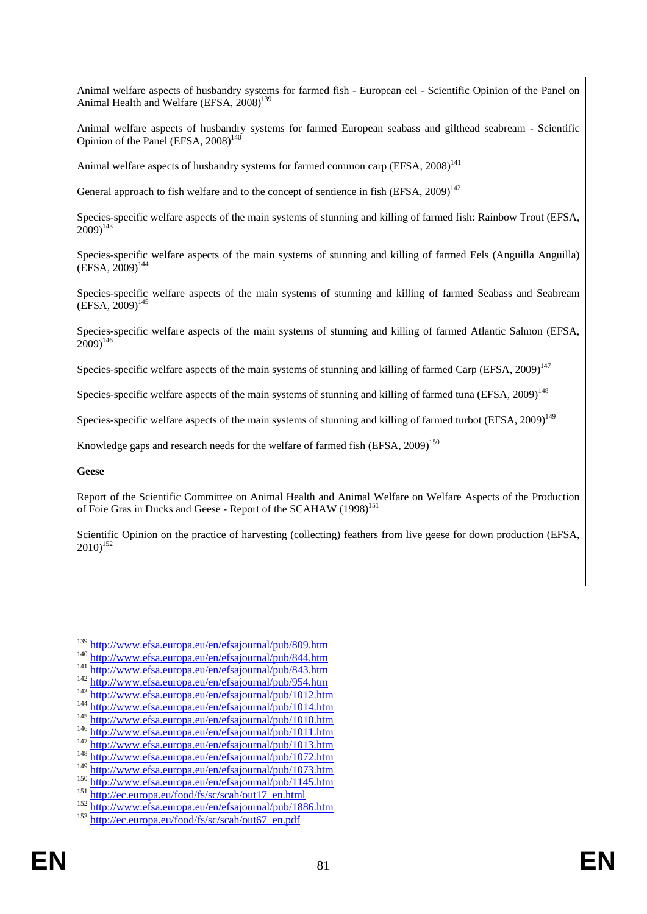Animal welfare aspects of husbandry systems for farmed fish - European eel - Scientific Opinion of the Panel on Animal Health and Welfare (EFSA, 2008)<sup>139</sup>

Animal welfare aspects of husbandry systems for farmed European seabass and gilthead seabream - Scientific Opinion of the Panel (EFSA,  $2008$ )<sup>140</sup>

Animal welfare aspects of husbandry systems for farmed common carp (EFSA,  $2008$ )<sup>141</sup>

General approach to fish welfare and to the concept of sentience in fish  $(EFSA, 2009)^{142}$ 

Species-specific welfare aspects of the main systems of stunning and killing of farmed fish: Rainbow Trout (EFSA,  $2009$ <sup>143</sup>

Species-specific welfare aspects of the main systems of stunning and killing of farmed Eels (Anguilla Anguilla)  $(EFSA, 2009)^{144}$ 

Species-specific welfare aspects of the main systems of stunning and killing of farmed Seabass and Seabream  $(EFSA, 2009)^{145}$ 

Species-specific welfare aspects of the main systems of stunning and killing of farmed Atlantic Salmon (EFSA,  $(2009)^{146}$ 

Species-specific welfare aspects of the main systems of stunning and killing of farmed Carp (EFSA,  $2009$ )<sup>147</sup>

Species-specific welfare aspects of the main systems of stunning and killing of farmed tuna (EFSA, 2009)<sup>148</sup>

Species-specific welfare aspects of the main systems of stunning and killing of farmed turbot (EFSA,  $2009$ )<sup>149</sup>

Knowledge gaps and research needs for the welfare of farmed fish (EFSA,  $2009$ )<sup>150</sup>

**Geese** 

1

Report of the Scientific Committee on Animal Health and Animal Welfare on Welfare Aspects of the Production of Foie Gras in Ducks and Geese - Report of the SCAHAW (1998)<sup>151</sup>

Scientific Opinion on the practice of harvesting (collecting) feathers from live geese for down production (EFSA,  $2010$ <sup>152</sup>

 $139 \frac{\text{http://www.efsa.europa.eu/en/efsajournal/pub/809.htm}{\text{http://www.efsa.europa.eu/en/efsajournal/pub/844.htm}\n141 \frac{\text{http://www.efsa.europa.eu/en/efsajournal/pub/844.htm}{\text{http://www.efsa.europa.eu/en/efsajournal/pub/843.htm}\n142 \frac{\text{http://www.efsa.europa.eu/en/efsajournal/pub/954.htm}{\text{http://www.efsa.europa.eu/en/efsajournal/pub/1012.htm}\n143 \frac{\text{http://www.efsa.europa.eu/en/efsajournal/pub/1011.htm}{\text{http://www.efsa.europa.eu/en/efsajournal/pub/$  $139 \frac{\text{http://www.efsa.europa.eu/en/efsajournal/pub/809.htm}{\text{http://www.efsa.europa.eu/en/efsajournal/pub/844.htm}\n141 \frac{\text{http://www.efsa.europa.eu/en/efsajournal/pub/844.htm}{\text{http://www.efsa.europa.eu/en/efsajournal/pub/843.htm}\n142 \frac{\text{http://www.efsa.europa.eu/en/efsajournal/pub/954.htm}{\text{http://www.efsa.europa.eu/en/efsajournal/pub/1012.htm}\n143 \frac{\text{http://www.efsa.europa.eu/en/efsajournal/pub/1011.htm}{\text{http://www.efsa.europa.eu/en/efsajournal/pub/$  $139 \frac{\text{http://www.efsa.europa.eu/en/efsajournal/pub/809.htm}{\text{http://www.efsa.europa.eu/en/efsajournal/pub/844.htm}\n141 \frac{\text{http://www.efsa.europa.eu/en/efsajournal/pub/844.htm}{\text{http://www.efsa.europa.eu/en/efsajournal/pub/843.htm}\n142 \frac{\text{http://www.efsa.europa.eu/en/efsajournal/pub/954.htm}{\text{http://www.efsa.europa.eu/en/efsajournal/pub/1012.htm}\n143 \frac{\text{http://www.efsa.europa.eu/en/efsajournal/pub/1011.htm}{\text{http://www.efsa.europa.eu/en/efsajournal/pub/$  $139 \frac{\text{http://www.efsa.europa.eu/en/efsajournal/pub/809.htm}{\text{http://www.efsa.europa.eu/en/efsajournal/pub/844.htm}\n141 \frac{\text{http://www.efsa.europa.eu/en/efsajournal/pub/844.htm}{\text{http://www.efsa.europa.eu/en/efsajournal/pub/843.htm}\n142 \frac{\text{http://www.efsa.europa.eu/en/efsajournal/pub/954.htm}{\text{http://www.efsa.europa.eu/en/efsajournal/pub/1012.htm}\n143 \frac{\text{http://www.efsa.europa.eu/en/efsajournal/pub/1011.htm}{\text{http://www.efsa.europa.eu/en/efsajournal/pub/$  $139 \frac{\text{http://www.efsa.europa.eu/en/efsajournal/pub/809.htm}{\text{http://www.efsa.europa.eu/en/efsajournal/pub/844.htm}\n141 \frac{\text{http://www.efsa.europa.eu/en/efsajournal/pub/844.htm}{\text{http://www.efsa.europa.eu/en/efsajournal/pub/843.htm}\n142 \frac{\text{http://www.efsa.europa.eu/en/efsajournal/pub/954.htm}{\text{http://www.efsa.europa.eu/en/efsajournal/pub/1012.htm}\n143 \frac{\text{http://www.efsa.europa.eu/en/efsajournal/pub/1011.htm}{\text{http://www.efsa.europa.eu/en/efsajournal/pub/$  $139 \frac{\text{http://www.efsa.europa.eu/en/efsajournal/pub/809.htm}{\text{http://www.efsa.europa.eu/en/efsajournal/pub/844.htm}\n141 \frac{\text{http://www.efsa.europa.eu/en/efsajournal/pub/844.htm}{\text{http://www.efsa.europa.eu/en/efsajournal/pub/843.htm}\n142 \frac{\text{http://www.efsa.europa.eu/en/efsajournal/pub/954.htm}{\text{http://www.efsa.europa.eu/en/efsajournal/pub/1012.htm}\n143 \frac{\text{http://www.efsa.europa.eu/en/efsajournal/pub/1011.htm}{\text{http://www.efsa.europa.eu/en/efsajournal/pub/$  $139 \frac{\text{http://www.efsa.europa.eu/en/efsajournal/pub/809.htm}{\text{http://www.efsa.europa.eu/en/efsajournal/pub/844.htm}\n141 \frac{\text{http://www.efsa.europa.eu/en/efsajournal/pub/844.htm}{\text{http://www.efsa.europa.eu/en/efsajournal/pub/843.htm}\n142 \frac{\text{http://www.efsa.europa.eu/en/efsajournal/pub/954.htm}{\text{http://www.efsa.europa.eu/en/efsajournal/pub/1012.htm}\n143 \frac{\text{http://www.efsa.europa.eu/en/efsajournal/pub/1011.htm}{\text{http://www.efsa.europa.eu/en/efsajournal/pub/$  $139 \frac{\text{http://www.efsa.europa.eu/en/efsajournal/pub/809.htm}{\text{http://www.efsa.europa.eu/en/efsajournal/pub/844.htm}\n141 \frac{\text{http://www.efsa.europa.eu/en/efsajournal/pub/844.htm}{\text{http://www.efsa.europa.eu/en/efsajournal/pub/843.htm}\n142 \frac{\text{http://www.efsa.europa.eu/en/efsajournal/pub/954.htm}{\text{http://www.efsa.europa.eu/en/efsajournal/pub/1012.htm}\n143 \frac{\text{http://www.efsa.europa.eu/en/efsajournal/pub/1011.htm}{\text{http://www.efsa.europa.eu/en/efsajournal/pub/$  $139 \frac{\text{http://www.efsa.europa.eu/en/efsajournal/pub/809.htm}{\text{http://www.efsa.europa.eu/en/efsajournal/pub/844.htm}\n141 \frac{\text{http://www.efsa.europa.eu/en/efsajournal/pub/844.htm}{\text{http://www.efsa.europa.eu/en/efsajournal/pub/843.htm}\n142 \frac{\text{http://www.efsa.europa.eu/en/efsajournal/pub/954.htm}{\text{http://www.efsa.europa.eu/en/efsajournal/pub/1012.htm}\n143 \frac{\text{http://www.efsa.europa.eu/en/efsajournal/pub/1011.htm}{\text{http://www.efsa.europa.eu/en/efsajournal/pub/$  $139 \frac{\text{http://www.efsa.europa.eu/en/efsajournal/pub/809.htm}{\text{http://www.efsa.europa.eu/en/efsajournal/pub/844.htm}\n141 \frac{\text{http://www.efsa.europa.eu/en/efsajournal/pub/844.htm}{\text{http://www.efsa.europa.eu/en/efsajournal/pub/843.htm}\n142 \frac{\text{http://www.efsa.europa.eu/en/efsajournal/pub/954.htm}{\text{http://www.efsa.europa.eu/en/efsajournal/pub/1012.htm}\n143 \frac{\text{http://www.efsa.europa.eu/en/efsajournal/pub/1011.htm}{\text{http://www.efsa.europa.eu/en/efsajournal/pub/$  $139 \frac{\text{http://www.efsa.europa.eu/en/efsajournal/pub/809.htm}{\text{http://www.efsa.europa.eu/en/efsajournal/pub/844.htm}\n141 \frac{\text{http://www.efsa.europa.eu/en/efsajournal/pub/844.htm}{\text{http://www.efsa.europa.eu/en/efsajournal/pub/843.htm}\n142 \frac{\text{http://www.efsa.europa.eu/en/efsajournal/pub/954.htm}{\text{http://www.efsa.europa.eu/en/efsajournal/pub/1012.htm}\n143 \frac{\text{http://www.efsa.europa.eu/en/efsajournal/pub/1011.htm}{\text{http://www.efsa.europa.eu/en/efsajournal/pub/$  $139 \frac{\text{http://www.efsa.europa.eu/en/efsajournal/pub/809.htm}{\text{http://www.efsa.europa.eu/en/efsajournal/pub/844.htm}\n141 \frac{\text{http://www.efsa.europa.eu/en/efsajournal/pub/844.htm}{\text{http://www.efsa.europa.eu/en/efsajournal/pub/843.htm}\n142 \frac{\text{http://www.efsa.europa.eu/en/efsajournal/pub/954.htm}{\text{http://www.efsa.europa.eu/en/efsajournal/pub/1012.htm}\n143 \frac{\text{http://www.efsa.europa.eu/en/efsajournal/pub/1011.htm}{\text{http://www.efsa.europa.eu/en/efsajournal/pub/$  $139 \frac{\text{http://www.efsa.europa.eu/en/efsajournal/pub/809.htm}{\text{http://www.efsa.europa.eu/en/efsajournal/pub/844.htm}\n141 \frac{\text{http://www.efsa.europa.eu/en/efsajournal/pub/844.htm}{\text{http://www.efsa.europa.eu/en/efsajournal/pub/843.htm}\n142 \frac{\text{http://www.efsa.europa.eu/en/efsajournal/pub/954.htm}{\text{http://www.efsa.europa.eu/en/efsajournal/pub/1012.htm}\n143 \frac{\text{http://www.efsa.europa.eu/en/efsajournal/pub/1011.htm}{\text{http://www.efsa.europa.eu/en/efsajournal/pub/$ 

<sup>&</sup>lt;sup>150</sup><br><http://www.efsa.europa.eu/en/efsajournal/pub/1145.htm><br><sup>151</sup><br>[http://ec.europa.eu/food/fs/sc/scah/out17\\_en.html](http://ec.europa.eu/food/fs/sc/scah/out17_en.html)<br><sup>152</sup><br><http://www.efsa.europa.eu/en/efsajournal/pub/1886.htm><br><sup>153</sup> http://ec.europa.eu/fo<u>od/fs/sc/scah/out</u>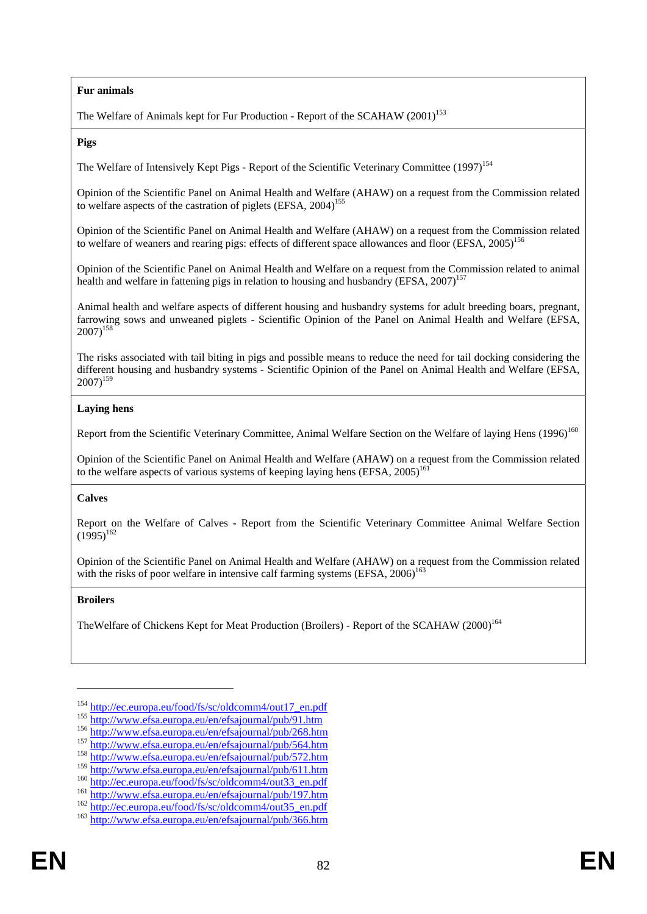#### **Fur animals**

The Welfare of Animals kept for Fur Production - Report of the SCAHAW  $(2001)^{153}$ 

**Pigs**

The Welfare of Intensively Kept Pigs - Report of the Scientific Veterinary Committee (1997)<sup>154</sup>

Opinion of the Scientific Panel on Animal Health and Welfare (AHAW) on a request from the Commission related to welfare aspects of the castration of piglets  $(EFSA, 2004)$ <sup>155</sup>

Opinion of the Scientific Panel on Animal Health and Welfare (AHAW) on a request from the Commission related to welfare of weaners and rearing pigs: effects of different space allowances and floor (EFSA, 2005)<sup>156</sup>

Opinion of the Scientific Panel on Animal Health and Welfare on a request from the Commission related to animal health and welfare in fattening pigs in relation to housing and husbandry (EFSA,  $2007$ )<sup>157</sup>

Animal health and welfare aspects of different housing and husbandry systems for adult breeding boars, pregnant, farrowing sows and unweaned piglets - Scientific Opinion of the Panel on Animal Health and Welfare (EFSA,  $2007$ <sup>158</sup>

The risks associated with tail biting in pigs and possible means to reduce the need for tail docking considering the different housing and husbandry systems - Scientific Opinion of the Panel on Animal Health and Welfare (EFSA,  $2007$ <sup>159</sup>

#### **Laying hens**

Report from the Scientific Veterinary Committee, Animal Welfare Section on the Welfare of laying Hens (1996)<sup>160</sup>

Opinion of the Scientific Panel on Animal Health and Welfare (AHAW) on a request from the Commission related to the welfare aspects of various systems of keeping laying hens  $(EFSA, 2005)^{16}$ 

#### **Calves**

Report on the Welfare of Calves - Report from the Scientific Veterinary Committee Animal Welfare Section  $(1995)^{162}$ 

Opinion of the Scientific Panel on Animal Health and Welfare (AHAW) on a request from the Commission related with the risks of poor welfare in intensive calf farming systems (EFSA,  $2006$ )<sup>163</sup>

#### **Broilers**

1

TheWelfare of Chickens Kept for Meat Production (Broilers) - Report of the SCAHAW (2000)<sup>164</sup>

<sup>&</sup>lt;sup>154</sup> http://www.efsa.europa.eu/food/fs/sc/oldcomm4/out17\_en.pdf<br>
<sup>155</sup> <http://www.efsa.europa.eu/en/efsajournal/pub/91.htm><br>
<sup>156</sup> <http://www.efsa.europa.eu/en/efsajournal/pub/268.htm><br>
<sup>157</sup> http://www.efsa.europa.eu/en/e

<sup>&</sup>lt;sup>160</sup> [http://ec.europa.eu/food/fs/sc/oldcomm4/out33\\_en.pdf](http://ec.europa.eu/food/fs/sc/oldcomm4/out33_en.pdf)<br><sup>161</sup> <http://www.efsa.europa.eu/en/efsajournal/pub/197.htm><br><sup>162</sup> [http://ec.europa.eu/food/fs/sc/oldcomm4/out35\\_en.pdf](http://ec.europa.eu/food/fs/sc/oldcomm4/out35_en.pdf)<br><sup>163</sup> http://www.efsa.europa.eu/en/efsajourna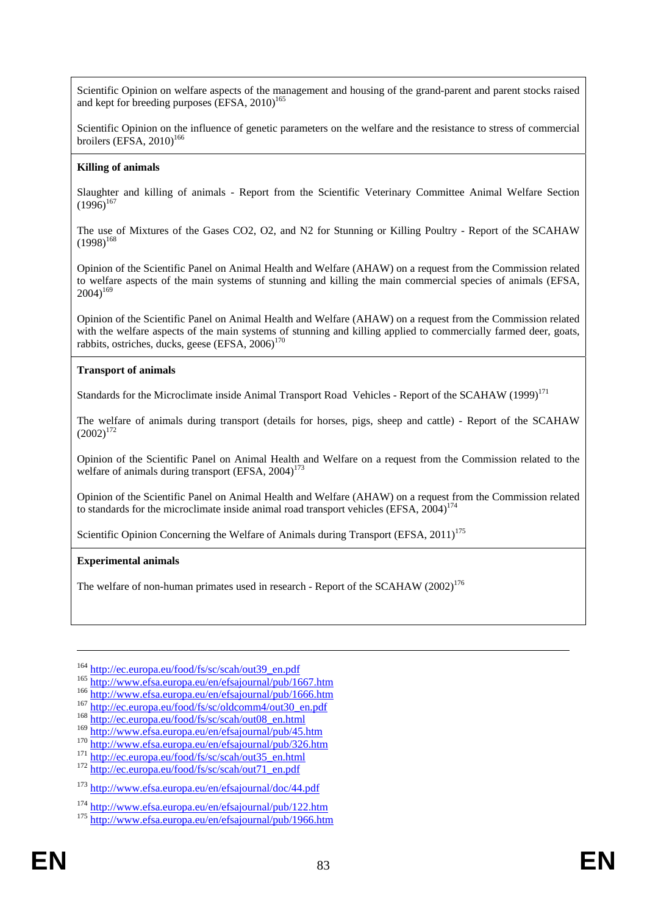Scientific Opinion on welfare aspects of the management and housing of the grand-parent and parent stocks raised and kept for breeding purposes  $\left($  EFSA, 2010)<sup>165</sup>

Scientific Opinion on the influence of genetic parameters on the welfare and the resistance to stress of commercial broilers (EFSA,  $2010$ )<sup>166</sup>

#### **Killing of animals**

Slaughter and killing of animals - Report from the Scientific Veterinary Committee Animal Welfare Section  $(1996)^{167}$ 

The use of Mixtures of the Gases CO2, O2, and N2 for Stunning or Killing Poultry - Report of the SCAHAW  $(1998)^{168}$ 

Opinion of the Scientific Panel on Animal Health and Welfare (AHAW) on a request from the Commission related to welfare aspects of the main systems of stunning and killing the main commercial species of animals (EFSA,  $2004$ <sup>169</sup>

Opinion of the Scientific Panel on Animal Health and Welfare (AHAW) on a request from the Commission related with the welfare aspects of the main systems of stunning and killing applied to commercially farmed deer, goats, rabbits, ostriches, ducks, geese (EFSA, 2006)<sup>170</sup>

#### **Transport of animals**

Standards for the Microclimate inside Animal Transport Road Vehicles - Report of the SCAHAW (1999)<sup>171</sup>

The welfare of animals during transport (details for horses, pigs, sheep and cattle) - Report of the SCAHAW  $(2002)^{172}$ 

Opinion of the Scientific Panel on Animal Health and Welfare on a request from the Commission related to the welfare of animals during transport  $(EFSA, 2004)^{173}$ 

Opinion of the Scientific Panel on Animal Health and Welfare (AHAW) on a request from the Commission related to standards for the microclimate inside animal road transport vehicles (EFSA,  $2004$ )<sup>174</sup>

Scientific Opinion Concerning the Welfare of Animals during Transport (EFSA,  $2011$ )<sup>175</sup>

#### **Experimental animals**

1

The welfare of non-human primates used in research - Report of the SCAHAW  $(2002)^{176}$ 

<sup>&</sup>lt;sup>164</sup> http://www.efsa.europa.eu/food/fs/sc/scah/out39 en.pdf<br>
<sup>165</sup> [http://www.efsa.europa.eu/en/efsajournal/pu](http://www.efsa.europa.eu/en/efsajournal/pub/1667.htm)b/1667.htm<br>
<sup>166</sup> <http://www.efsa.europa.eu/en/efsajournal/pub/1666.htm><br>
<sup>167</sup> http://ec.europa.eu/food/fs/sc/

<sup>170</sup> <http://www.efsa.europa.eu/en/efsajournal/pub/326.htm><br>
171 [http://ec.europa.eu/food/fs/sc/scah/out35\\_en.html](http://ec.europa.eu/food/fs/sc/scah/out35_en.html)<br>
172 [http://ec.europa.eu/food/fs/sc/scah/out71\\_en.pdf](http://ec.europa.eu/food/fs/sc/scah/out71_en.pdf)

<sup>173</sup> <http://www.efsa.europa.eu/en/efsajournal/doc/44.pdf>

<sup>&</sup>lt;sup>174</sup> <http://www.efsa.europa.eu/en/efsajournal/pub/122.htm> 175 <http://www.efsa.europa.eu/en/efsajournal/pub/1966.htm>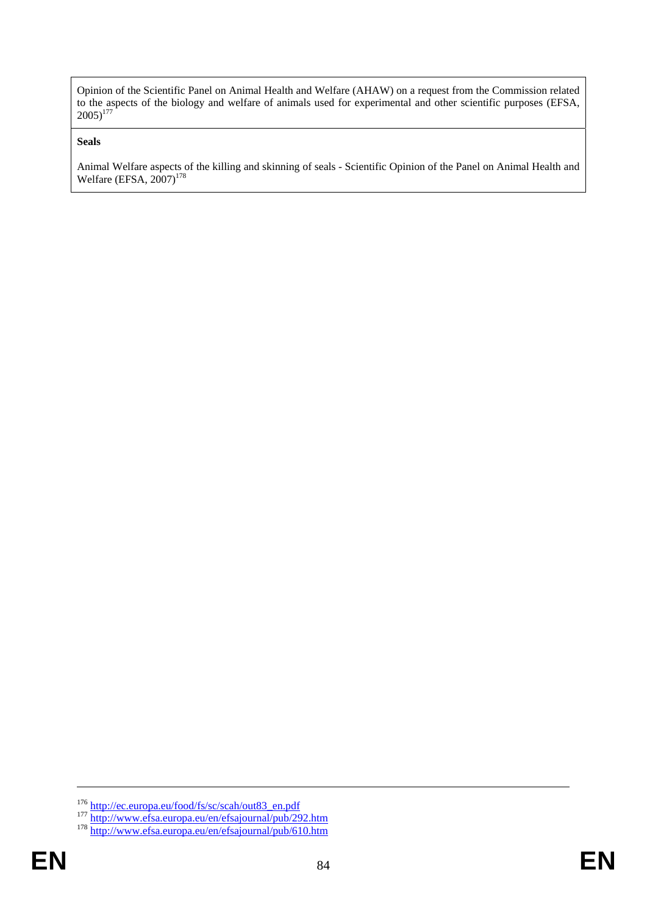Opinion of the Scientific Panel on Animal Health and Welfare (AHAW) on a request from the Commission related to the aspects of the biology and welfare of animals used for experimental and other scientific purposes (EFSA,  $2005)^{177}$ 

#### **Seals**

Animal Welfare aspects of the killing and skinning of seals - Scientific Opinion of the Panel on Animal Health and Welfare (EFSA,  $2007$ )<sup>178</sup>

<sup>&</sup>lt;sup>176</sup> [http](http://www.efsa.europa.eu/en/efsajournal/pub/292.htm)://ec.europa.eu/food/fs/sc/scah/out83\_en.pdf<br><sup>177</sup> http://www.efsa.europa.eu/en/efsajournal/pub/292.htm<br><sup>178</sup> <http://www.efsa.europa.eu/en/efsajournal/pub/610.htm>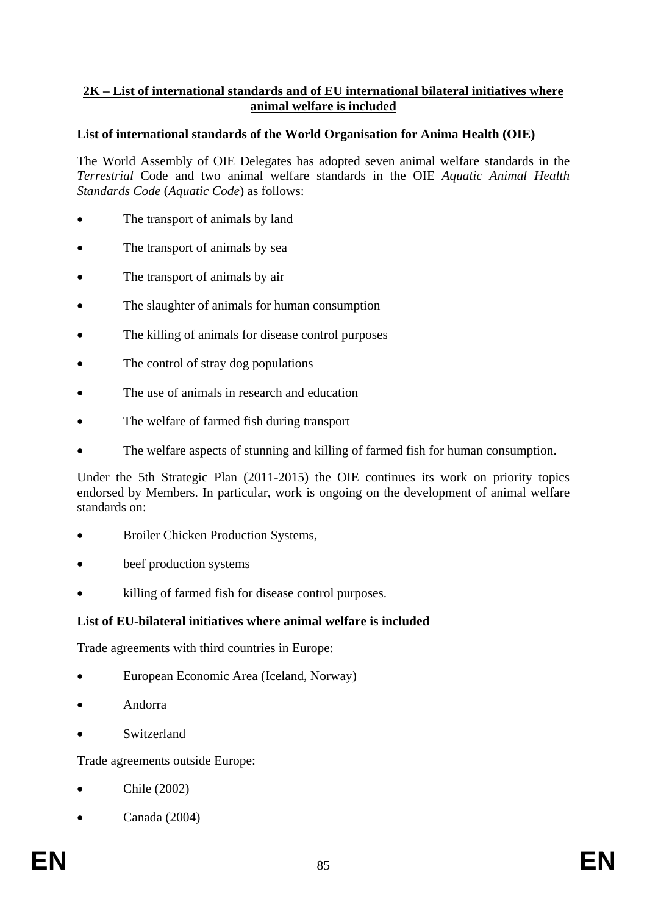# **2K – List of international standards and of EU international bilateral initiatives where animal welfare is included**

# **List of international standards of the World Organisation for Anima Health (OIE)**

The World Assembly of OIE Delegates has adopted seven animal welfare standards in the *Terrestrial* Code and two animal welfare standards in the OIE *Aquatic Animal Health Standards Code* (*Aquatic Code*) as follows:

- The transport of animals by land
- The transport of animals by sea
- The transport of animals by air
- The slaughter of animals for human consumption
- The killing of animals for disease control purposes
- The control of stray dog populations
- The use of animals in research and education
- The welfare of farmed fish during transport
- The welfare aspects of stunning and killing of farmed fish for human consumption.

Under the 5th Strategic Plan (2011-2015) the OIE continues its work on priority topics endorsed by Members. In particular, work is ongoing on the development of animal welfare standards on:

- Broiler Chicken Production Systems,
- beef production systems
- killing of farmed fish for disease control purposes.

# **List of EU-bilateral initiatives where animal welfare is included**

### Trade agreements with third countries in Europe:

- European Economic Area (Iceland, Norway)
- Andorra
- **Switzerland**

### Trade agreements outside Europe:

- $\bullet$  Chile (2002)
- Canada (2004)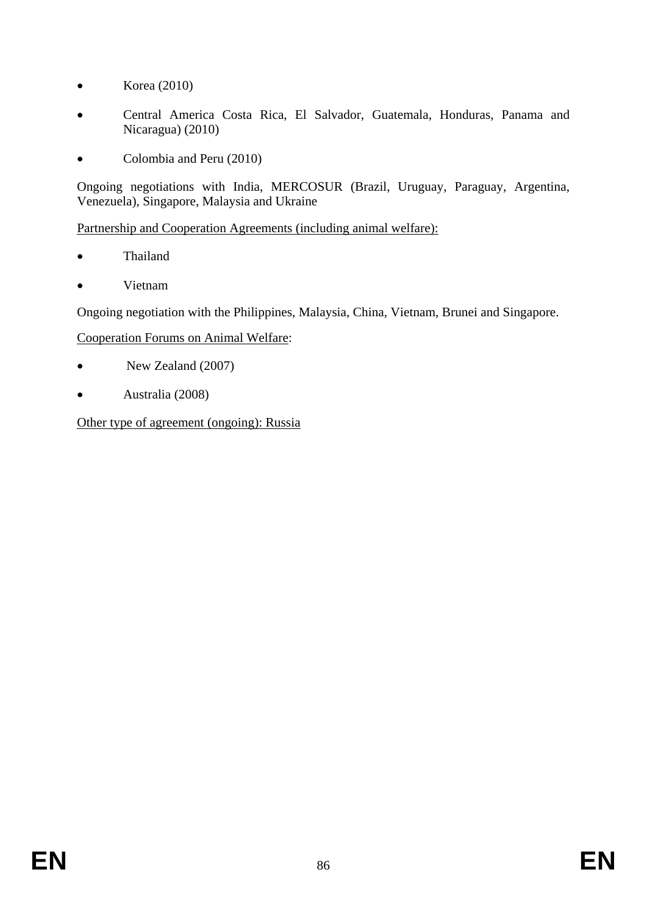- Korea  $(2010)$
- Central America Costa Rica, El Salvador, Guatemala, Honduras, Panama and Nicaragua) (2010)
- Colombia and Peru (2010)

Ongoing negotiations with India, MERCOSUR (Brazil, Uruguay, Paraguay, Argentina, Venezuela), Singapore, Malaysia and Ukraine

Partnership and Cooperation Agreements (including animal welfare):

- Thailand
- Vietnam

Ongoing negotiation with the Philippines, Malaysia, China, Vietnam, Brunei and Singapore.

# Cooperation Forums on Animal Welfare:

- New Zealand (2007)
- Australia (2008)

Other type of agreement (ongoing): Russia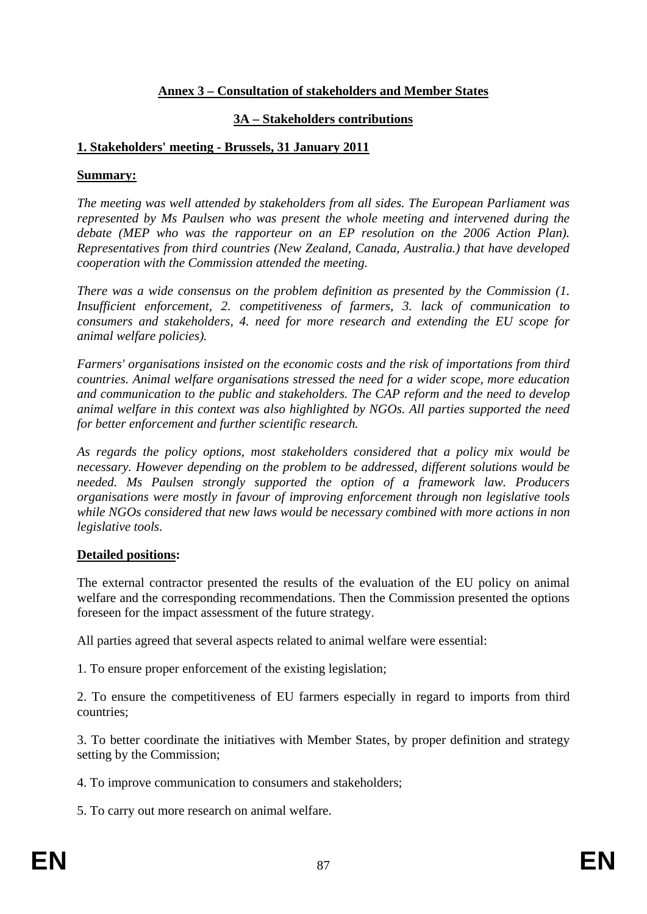# **Annex 3 – Consultation of stakeholders and Member States**

# **3A – Stakeholders contributions**

# **1. Stakeholders' meeting - Brussels, 31 January 2011**

### **Summary:**

*The meeting was well attended by stakeholders from all sides. The European Parliament was represented by Ms Paulsen who was present the whole meeting and intervened during the debate (MEP who was the rapporteur on an EP resolution on the 2006 Action Plan). Representatives from third countries (New Zealand, Canada, Australia.) that have developed cooperation with the Commission attended the meeting.* 

*There was a wide consensus on the problem definition as presented by the Commission (1. Insufficient enforcement, 2. competitiveness of farmers, 3. lack of communication to consumers and stakeholders, 4. need for more research and extending the EU scope for animal welfare policies).* 

*Farmers' organisations insisted on the economic costs and the risk of importations from third countries. Animal welfare organisations stressed the need for a wider scope, more education and communication to the public and stakeholders. The CAP reform and the need to develop animal welfare in this context was also highlighted by NGOs. All parties supported the need for better enforcement and further scientific research.* 

*As regards the policy options, most stakeholders considered that a policy mix would be necessary. However depending on the problem to be addressed, different solutions would be needed. Ms Paulsen strongly supported the option of a framework law. Producers organisations were mostly in favour of improving enforcement through non legislative tools while NGOs considered that new laws would be necessary combined with more actions in non legislative tools.* 

# **Detailed positions:**

The external contractor presented the results of the evaluation of the EU policy on animal welfare and the corresponding recommendations. Then the Commission presented the options foreseen for the impact assessment of the future strategy.

All parties agreed that several aspects related to animal welfare were essential:

1. To ensure proper enforcement of the existing legislation;

2. To ensure the competitiveness of EU farmers especially in regard to imports from third countries;

3. To better coordinate the initiatives with Member States, by proper definition and strategy setting by the Commission;

4. To improve communication to consumers and stakeholders;

5. To carry out more research on animal welfare.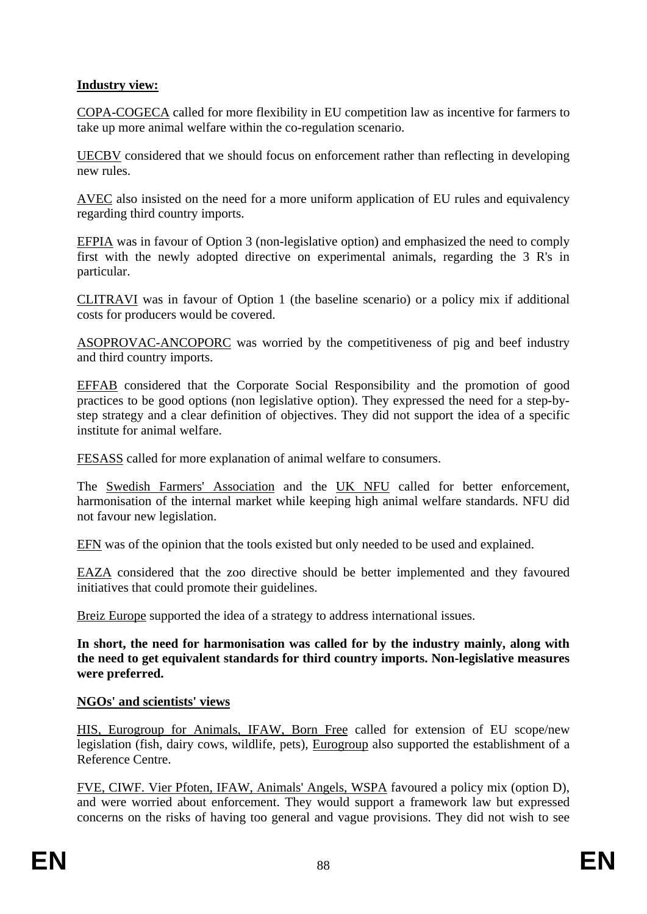# **Industry view:**

COPA-COGECA called for more flexibility in EU competition law as incentive for farmers to take up more animal welfare within the co-regulation scenario.

UECBV considered that we should focus on enforcement rather than reflecting in developing new rules.

AVEC also insisted on the need for a more uniform application of EU rules and equivalency regarding third country imports.

EFPIA was in favour of Option 3 (non-legislative option) and emphasized the need to comply first with the newly adopted directive on experimental animals, regarding the 3 R's in particular.

CLITRAVI was in favour of Option 1 (the baseline scenario) or a policy mix if additional costs for producers would be covered.

ASOPROVAC-ANCOPORC was worried by the competitiveness of pig and beef industry and third country imports.

EFFAB considered that the Corporate Social Responsibility and the promotion of good practices to be good options (non legislative option). They expressed the need for a step-bystep strategy and a clear definition of objectives. They did not support the idea of a specific institute for animal welfare.

FESASS called for more explanation of animal welfare to consumers.

The Swedish Farmers' Association and the UK NFU called for better enforcement, harmonisation of the internal market while keeping high animal welfare standards. NFU did not favour new legislation.

EFN was of the opinion that the tools existed but only needed to be used and explained.

EAZA considered that the zoo directive should be better implemented and they favoured initiatives that could promote their guidelines.

Breiz Europe supported the idea of a strategy to address international issues.

**In short, the need for harmonisation was called for by the industry mainly, along with the need to get equivalent standards for third country imports. Non-legislative measures were preferred.** 

### **NGOs' and scientists' views**

HIS, Eurogroup for Animals, IFAW, Born Free called for extension of EU scope/new legislation (fish, dairy cows, wildlife, pets), Eurogroup also supported the establishment of a Reference Centre.

FVE, CIWF. Vier Pfoten, IFAW, Animals' Angels, WSPA favoured a policy mix (option D), and were worried about enforcement. They would support a framework law but expressed concerns on the risks of having too general and vague provisions. They did not wish to see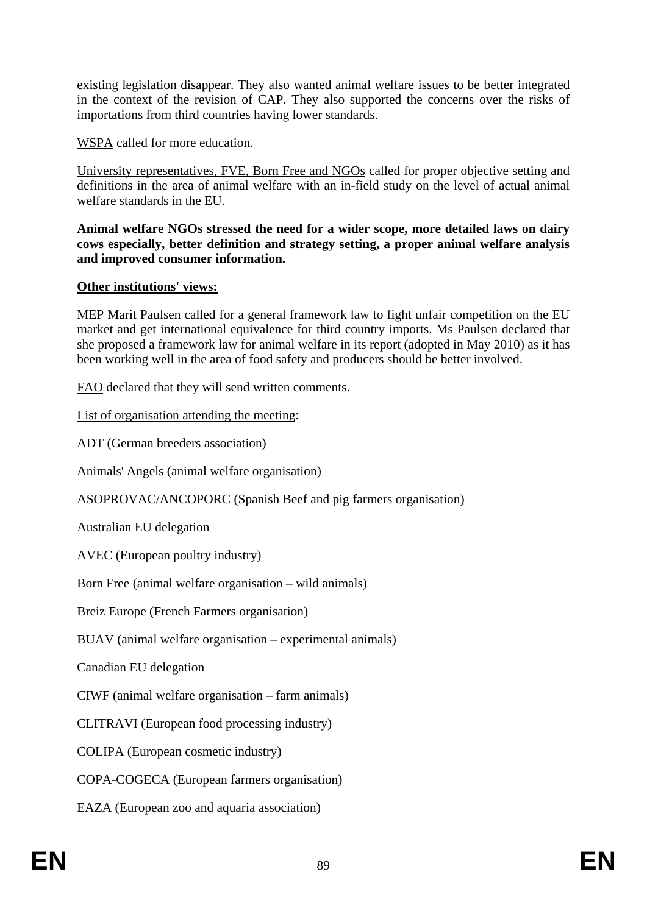existing legislation disappear. They also wanted animal welfare issues to be better integrated in the context of the revision of CAP. They also supported the concerns over the risks of importations from third countries having lower standards.

WSPA called for more education.

University representatives, FVE, Born Free and NGOs called for proper objective setting and definitions in the area of animal welfare with an in-field study on the level of actual animal welfare standards in the EU.

**Animal welfare NGOs stressed the need for a wider scope, more detailed laws on dairy cows especially, better definition and strategy setting, a proper animal welfare analysis and improved consumer information.** 

# **Other institutions' views:**

MEP Marit Paulsen called for a general framework law to fight unfair competition on the EU market and get international equivalence for third country imports. Ms Paulsen declared that she proposed a framework law for animal welfare in its report (adopted in May 2010) as it has been working well in the area of food safety and producers should be better involved.

FAO declared that they will send written comments.

List of organisation attending the meeting:

ADT (German breeders association)

Animals' Angels (animal welfare organisation)

ASOPROVAC/ANCOPORC (Spanish Beef and pig farmers organisation)

Australian EU delegation

AVEC (European poultry industry)

Born Free (animal welfare organisation – wild animals)

Breiz Europe (French Farmers organisation)

BUAV (animal welfare organisation – experimental animals)

Canadian EU delegation

CIWF (animal welfare organisation – farm animals)

CLITRAVI (European food processing industry)

COLIPA (European cosmetic industry)

COPA-COGECA (European farmers organisation)

EAZA (European zoo and aquaria association)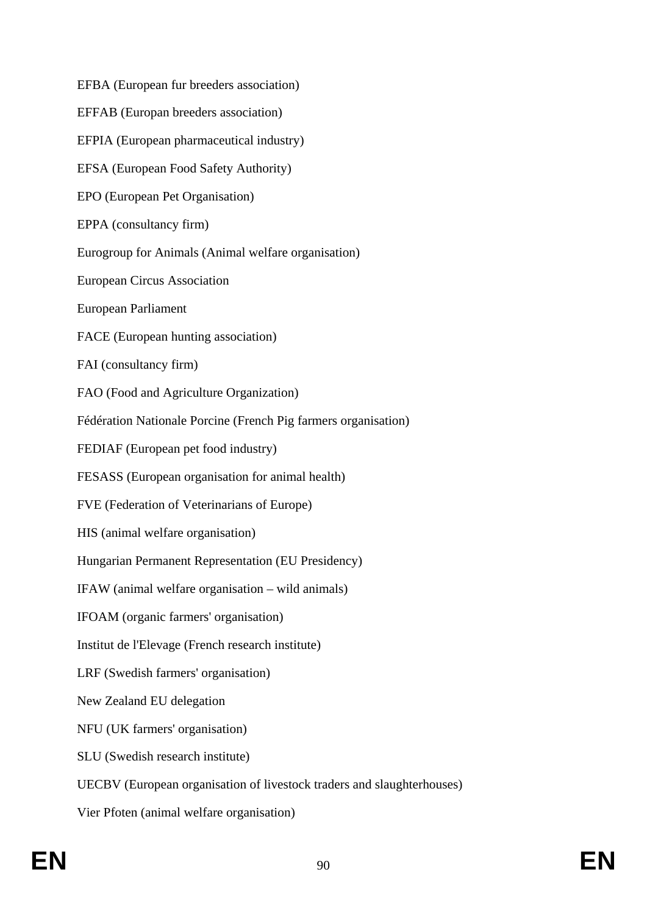EFBA (European fur breeders association) EFFAB (Europan breeders association) EFPIA (European pharmaceutical industry) EFSA (European Food Safety Authority) EPO (European Pet Organisation) EPPA (consultancy firm) Eurogroup for Animals (Animal welfare organisation) European Circus Association European Parliament FACE (European hunting association) FAI (consultancy firm) FAO (Food and Agriculture Organization) Fédération Nationale Porcine (French Pig farmers organisation) FEDIAF (European pet food industry) FESASS (European organisation for animal health) FVE (Federation of Veterinarians of Europe) HIS (animal welfare organisation) Hungarian Permanent Representation (EU Presidency) IFAW (animal welfare organisation – wild animals) IFOAM (organic farmers' organisation) Institut de l'Elevage (French research institute) LRF (Swedish farmers' organisation) New Zealand EU delegation NFU (UK farmers' organisation) SLU (Swedish research institute) UECBV (European organisation of livestock traders and slaughterhouses) Vier Pfoten (animal welfare organisation)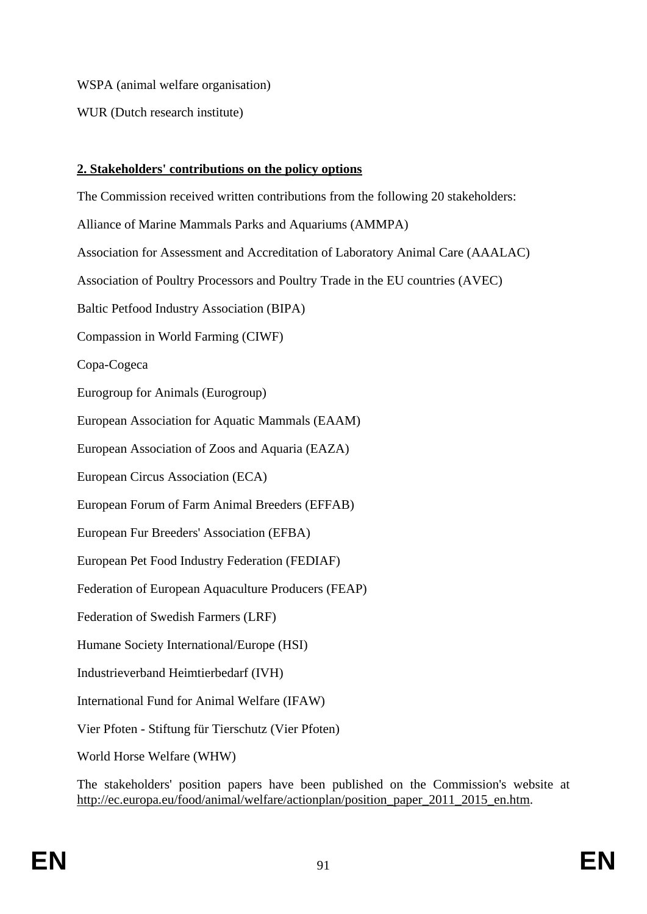WSPA (animal welfare organisation)

WUR (Dutch research institute)

# **2. Stakeholders' contributions on the policy options**

The Commission received written contributions from the following 20 stakeholders: Alliance of Marine Mammals Parks and Aquariums (AMMPA) Association for Assessment and Accreditation of Laboratory Animal Care (AAALAC) Association of Poultry Processors and Poultry Trade in the EU countries (AVEC) Baltic Petfood Industry Association (BIPA) Compassion in World Farming (CIWF) Copa-Cogeca Eurogroup for Animals (Eurogroup) European Association for Aquatic Mammals (EAAM) European Association of Zoos and Aquaria (EAZA) European Circus Association (ECA) European Forum of Farm Animal Breeders (EFFAB) European Fur Breeders' Association (EFBA) European Pet Food Industry Federation (FEDIAF) Federation of European Aquaculture Producers (FEAP) Federation of Swedish Farmers (LRF) Humane Society International/Europe (HSI) Industrieverband Heimtierbedarf (IVH) International Fund for Animal Welfare (IFAW) Vier Pfoten - Stiftung für Tierschutz (Vier Pfoten) World Horse Welfare (WHW)

The stakeholders' position papers have been published on the Commission's website at http://ec.europa.eu/food/animal/welfare/actionplan/position\_paper\_2011\_2015\_en.htm.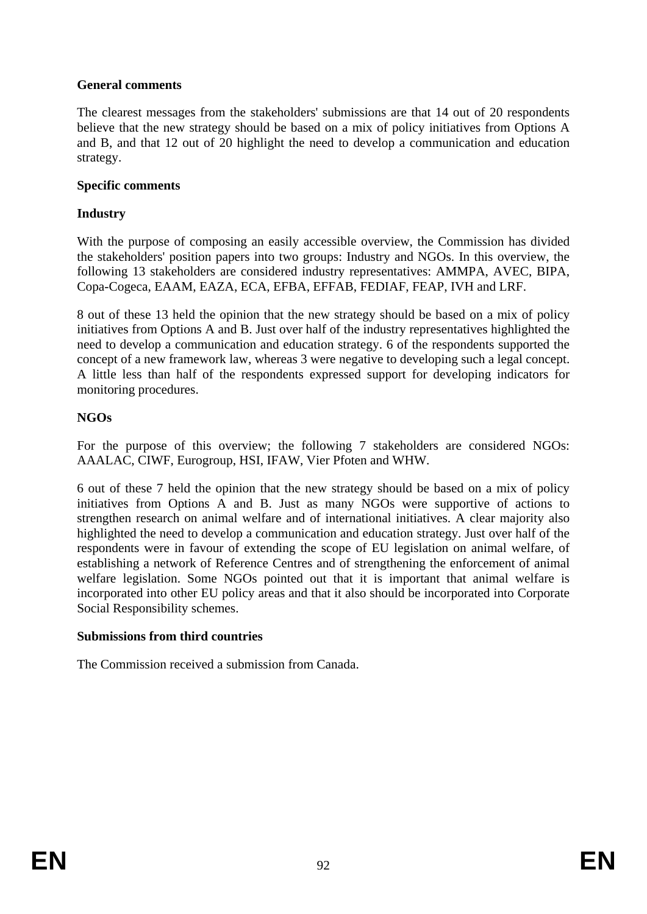# **General comments**

The clearest messages from the stakeholders' submissions are that 14 out of 20 respondents believe that the new strategy should be based on a mix of policy initiatives from Options A and B, and that 12 out of 20 highlight the need to develop a communication and education strategy.

## **Specific comments**

## **Industry**

With the purpose of composing an easily accessible overview, the Commission has divided the stakeholders' position papers into two groups: Industry and NGOs. In this overview, the following 13 stakeholders are considered industry representatives: AMMPA, AVEC, BIPA, Copa-Cogeca, EAAM, EAZA, ECA, EFBA, EFFAB, FEDIAF, FEAP, IVH and LRF.

8 out of these 13 held the opinion that the new strategy should be based on a mix of policy initiatives from Options A and B. Just over half of the industry representatives highlighted the need to develop a communication and education strategy. 6 of the respondents supported the concept of a new framework law, whereas 3 were negative to developing such a legal concept. A little less than half of the respondents expressed support for developing indicators for monitoring procedures.

## **NGOs**

For the purpose of this overview; the following 7 stakeholders are considered NGOs: AAALAC, CIWF, Eurogroup, HSI, IFAW, Vier Pfoten and WHW.

6 out of these 7 held the opinion that the new strategy should be based on a mix of policy initiatives from Options A and B. Just as many NGOs were supportive of actions to strengthen research on animal welfare and of international initiatives. A clear majority also highlighted the need to develop a communication and education strategy. Just over half of the respondents were in favour of extending the scope of EU legislation on animal welfare, of establishing a network of Reference Centres and of strengthening the enforcement of animal welfare legislation. Some NGOs pointed out that it is important that animal welfare is incorporated into other EU policy areas and that it also should be incorporated into Corporate Social Responsibility schemes.

### **Submissions from third countries**

The Commission received a submission from Canada.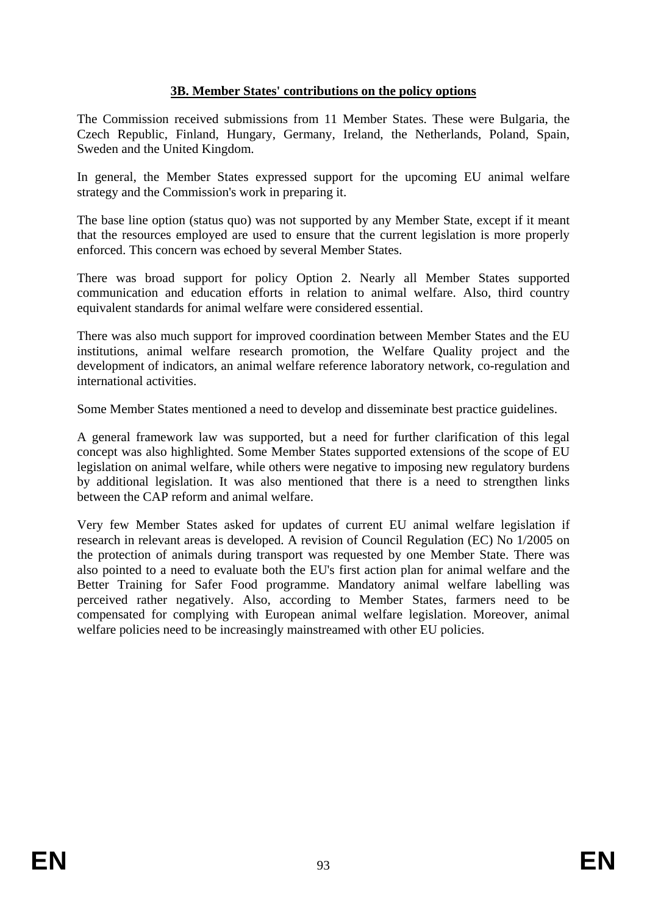# **3B. Member States' contributions on the policy options**

The Commission received submissions from 11 Member States. These were Bulgaria, the Czech Republic, Finland, Hungary, Germany, Ireland, the Netherlands, Poland, Spain, Sweden and the United Kingdom.

In general, the Member States expressed support for the upcoming EU animal welfare strategy and the Commission's work in preparing it.

The base line option (status quo) was not supported by any Member State, except if it meant that the resources employed are used to ensure that the current legislation is more properly enforced. This concern was echoed by several Member States.

There was broad support for policy Option 2. Nearly all Member States supported communication and education efforts in relation to animal welfare. Also, third country equivalent standards for animal welfare were considered essential.

There was also much support for improved coordination between Member States and the EU institutions, animal welfare research promotion, the Welfare Quality project and the development of indicators, an animal welfare reference laboratory network, co-regulation and international activities.

Some Member States mentioned a need to develop and disseminate best practice guidelines.

A general framework law was supported, but a need for further clarification of this legal concept was also highlighted. Some Member States supported extensions of the scope of EU legislation on animal welfare, while others were negative to imposing new regulatory burdens by additional legislation. It was also mentioned that there is a need to strengthen links between the CAP reform and animal welfare.

Very few Member States asked for updates of current EU animal welfare legislation if research in relevant areas is developed. A revision of Council Regulation (EC) No 1/2005 on the protection of animals during transport was requested by one Member State. There was also pointed to a need to evaluate both the EU's first action plan for animal welfare and the Better Training for Safer Food programme. Mandatory animal welfare labelling was perceived rather negatively. Also, according to Member States, farmers need to be compensated for complying with European animal welfare legislation. Moreover, animal welfare policies need to be increasingly mainstreamed with other EU policies.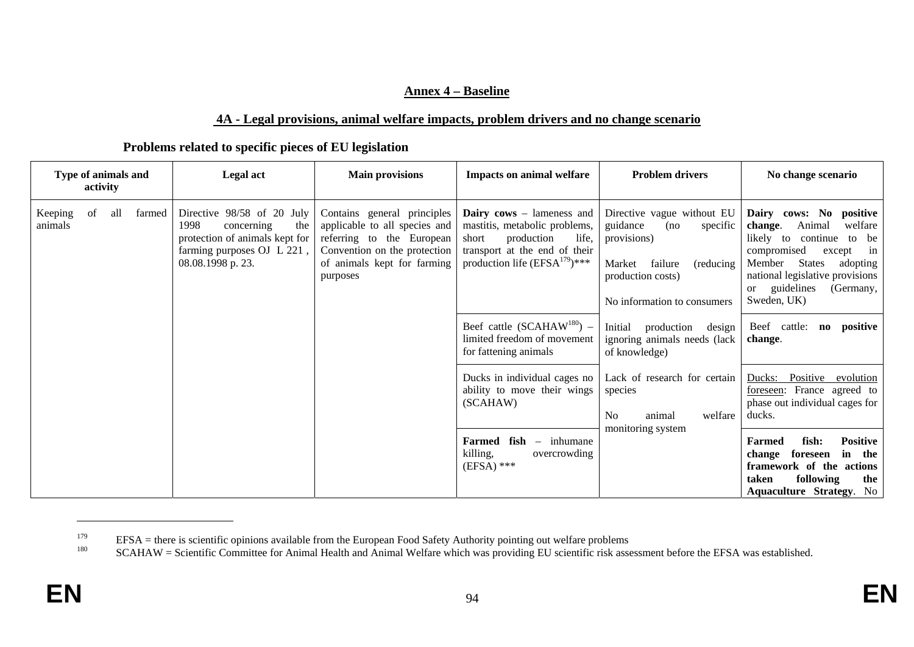#### **Annex 4 – Baseline**

#### **4A - Legal provisions, animal welfare impacts, problem drivers and no change scenario**

#### **Problems related to specific pieces of EU legislation**

| Type of animals and<br>activity |    |     |        | <b>Legal</b> act                                                                                                                             | <b>Main provisions</b>                                                                                                                                               | <b>Impacts on animal welfare</b>                                                                                                                                         | <b>Problem drivers</b>                                                                                                                                           | No change scenario                                                                                                                                                                                                                                            |
|---------------------------------|----|-----|--------|----------------------------------------------------------------------------------------------------------------------------------------------|----------------------------------------------------------------------------------------------------------------------------------------------------------------------|--------------------------------------------------------------------------------------------------------------------------------------------------------------------------|------------------------------------------------------------------------------------------------------------------------------------------------------------------|---------------------------------------------------------------------------------------------------------------------------------------------------------------------------------------------------------------------------------------------------------------|
| Keeping<br>animals              | of | all | farmed | Directive 98/58 of 20 July<br>1998<br>the<br>concerning<br>protection of animals kept for<br>farming purposes OJ L 221,<br>08.08.1998 p. 23. | Contains general principles<br>applicable to all species and<br>referring to the European<br>Convention on the protection<br>of animals kept for farming<br>purposes | <b>Dairy cows</b> – lameness and<br>mastitis, metabolic problems,<br>production<br>life.<br>short<br>transport at the end of their<br>production life $(EFSA^{179})$ *** | Directive vague without EU<br>guidance<br>specific<br>(no)<br>provisions)<br>failure<br>Market<br>(reducing)<br>production costs)<br>No information to consumers | Dairy cows: No positive<br>Animal<br>welfare<br>change.<br>likely to continue<br>be<br>to<br>compromised<br>in<br>except<br>Member<br><b>States</b><br>adopting<br>national legislative provisions<br>guidelines<br>(Germany,<br><sub>or</sub><br>Sweden, UK) |
|                                 |    |     |        |                                                                                                                                              |                                                                                                                                                                      | Beef cattle $(SCAHAW^{180})$ –<br>limited freedom of movement<br>for fattening animals                                                                                   | Initial<br>production<br>design<br>ignoring animals needs (lack<br>of knowledge)                                                                                 | Beef cattle:<br>positive<br>$\mathbf{n}\mathbf{o}$<br>change.                                                                                                                                                                                                 |
|                                 |    |     |        |                                                                                                                                              |                                                                                                                                                                      | Ducks in individual cages no<br>ability to move their wings<br>(SCAHAW)                                                                                                  | Lack of research for certain<br>species<br>N <sub>o</sub><br>welfare<br>animal                                                                                   | Positive<br>Ducks:<br>evolution<br>France agreed to<br>foreseen:<br>phase out individual cages for<br>ducks.                                                                                                                                                  |
|                                 |    |     |        |                                                                                                                                              |                                                                                                                                                                      | Farmed fish<br>$-$ inhumane<br>killing,<br>overcrowding<br>$(EFSA)$ ***                                                                                                  | monitoring system                                                                                                                                                | <b>Positive</b><br>fish:<br>Farmed<br>in<br>foreseen<br>the<br>change<br>framework of the actions<br>following<br>the<br>taken<br><b>Aquaculture Strategy. No</b>                                                                                             |

<sup>&</sup>lt;sup>179</sup> EFSA = there is scientific opinions available from the European Food Safety Authority pointing out welfare problems<br><sup>180</sup> ECAHAW = Scientific Committee for Animal Health and Animal Welfare which we providing EU scie

SCAHAW = Scientific Committee for Animal Health and Animal Welfare which was providing EU scientific risk assessment before the EFSA was established.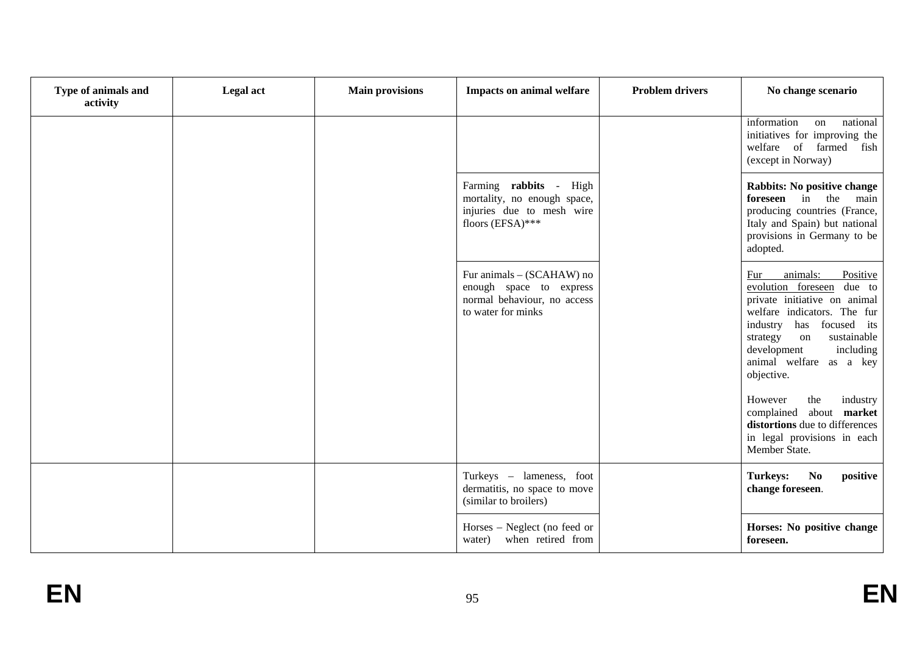| Type of animals and<br>activity | <b>Legal</b> act | <b>Main provisions</b> | <b>Impacts on animal welfare</b>                                                                          | <b>Problem drivers</b> | No change scenario                                                                                                                                                                                                                                                 |
|---------------------------------|------------------|------------------------|-----------------------------------------------------------------------------------------------------------|------------------------|--------------------------------------------------------------------------------------------------------------------------------------------------------------------------------------------------------------------------------------------------------------------|
|                                 |                  |                        |                                                                                                           |                        | information<br>national<br>on<br>initiatives for improving the<br>welfare of farmed fish<br>(except in Norway)                                                                                                                                                     |
|                                 |                  |                        | Farming rabbits - High<br>mortality, no enough space,<br>injuries due to mesh wire<br>floors (EFSA)***    |                        | <b>Rabbits: No positive change</b><br>foreseen in the<br>main<br>producing countries (France,<br>Italy and Spain) but national<br>provisions in Germany to be<br>adopted.                                                                                          |
|                                 |                  |                        | Fur animals - (SCAHAW) no<br>enough space to express<br>normal behaviour, no access<br>to water for minks |                        | Fur<br>animals:<br>Positive<br>evolution foreseen due to<br>private initiative on animal<br>welfare indicators. The fur<br>focused its<br>has<br>industry<br>sustainable<br>strategy<br>on<br>development<br>including<br>animal welfare<br>as a key<br>objective. |
|                                 |                  |                        |                                                                                                           |                        | the<br>However<br>industry<br>about market<br>complained<br>distortions due to differences<br>in legal provisions in each<br>Member State.                                                                                                                         |
|                                 |                  |                        | Turkeys - lameness, foot<br>dermatitis, no space to move<br>(similar to broilers)                         |                        | <b>Turkeys:</b><br><b>No</b><br>positive<br>change foreseen.                                                                                                                                                                                                       |
|                                 |                  |                        | Horses – Neglect (no feed or<br>when retired from<br>water)                                               |                        | Horses: No positive change<br>foreseen.                                                                                                                                                                                                                            |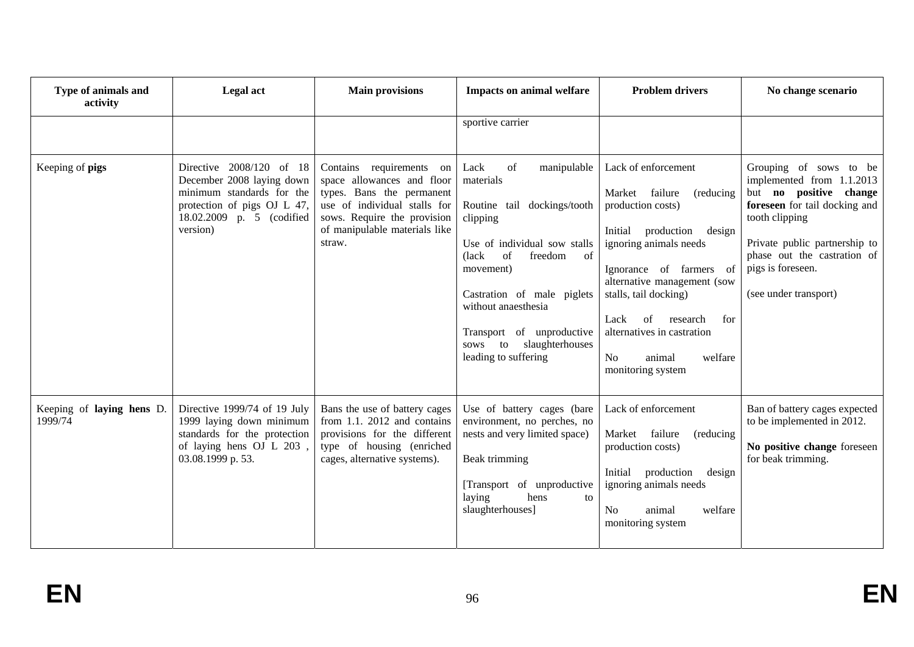| Type of animals and<br>activity      | Legal act                                                                                                                                                  | <b>Main provisions</b>                                                                                                                                                                        | <b>Problem drivers</b><br><b>Impacts on animal welfare</b>                                                                                                                                                                                                                                                 |                                                                                                                                                                                                                                                                                                                                                                   | No change scenario                                                                                                                                                                                                                             |
|--------------------------------------|------------------------------------------------------------------------------------------------------------------------------------------------------------|-----------------------------------------------------------------------------------------------------------------------------------------------------------------------------------------------|------------------------------------------------------------------------------------------------------------------------------------------------------------------------------------------------------------------------------------------------------------------------------------------------------------|-------------------------------------------------------------------------------------------------------------------------------------------------------------------------------------------------------------------------------------------------------------------------------------------------------------------------------------------------------------------|------------------------------------------------------------------------------------------------------------------------------------------------------------------------------------------------------------------------------------------------|
|                                      |                                                                                                                                                            |                                                                                                                                                                                               | sportive carrier                                                                                                                                                                                                                                                                                           |                                                                                                                                                                                                                                                                                                                                                                   |                                                                                                                                                                                                                                                |
| Keeping of pigs                      | Directive 2008/120 of 18<br>December 2008 laying down<br>minimum standards for the<br>protection of pigs OJ L 47,<br>18.02.2009 p. 5 (codified<br>version) | Contains requirements on<br>space allowances and floor<br>types. Bans the permanent<br>use of individual stalls for<br>sows. Require the provision<br>of manipulable materials like<br>straw. | of<br>Lack<br>manipulable<br>materials<br>Routine tail dockings/tooth<br>clipping<br>Use of individual sow stalls<br>of<br>(lack)<br>of<br>freedom<br>movement)<br>Castration of male piglets<br>without anaesthesia<br>Transport of unproductive<br>slaughterhouses<br>to<br>sows<br>leading to suffering | Lack of enforcement<br>failure<br>Market<br>(reducing)<br>production costs)<br>Initial<br>production<br>design<br>ignoring animals needs<br>Ignorance of farmers of<br>alternative management (sow<br>stalls, tail docking)<br><sub>of</sub><br>Lack<br>research<br>for<br>alternatives in castration<br>N <sub>o</sub><br>welfare<br>animal<br>monitoring system | Grouping of sows to be<br>implemented from 1.1.2013<br>but no positive change<br>foreseen for tail docking and<br>tooth clipping<br>Private public partnership to<br>phase out the castration of<br>pigs is foreseen.<br>(see under transport) |
| Keeping of laying hens D.<br>1999/74 | Directive 1999/74 of 19 July<br>1999 laying down minimum<br>standards for the protection<br>of laying hens OJ L 203,<br>03.08.1999 p. 53.                  | Bans the use of battery cages<br>from 1.1. 2012 and contains<br>provisions for the different<br>type of housing (enriched<br>cages, alternative systems).                                     | Use of battery cages (bare<br>environment, no perches, no<br>nests and very limited space)<br>Beak trimming<br>[Transport of unproductive<br>laying<br>hens<br>to<br>slaughterhouses]                                                                                                                      | Lack of enforcement<br>Market<br>failure<br>(reducing)<br>production costs)<br>Initial<br>production<br>design<br>ignoring animals needs<br>No<br>animal<br>welfare<br>monitoring system                                                                                                                                                                          | Ban of battery cages expected<br>to be implemented in 2012.<br>No positive change foreseen<br>for beak trimming.                                                                                                                               |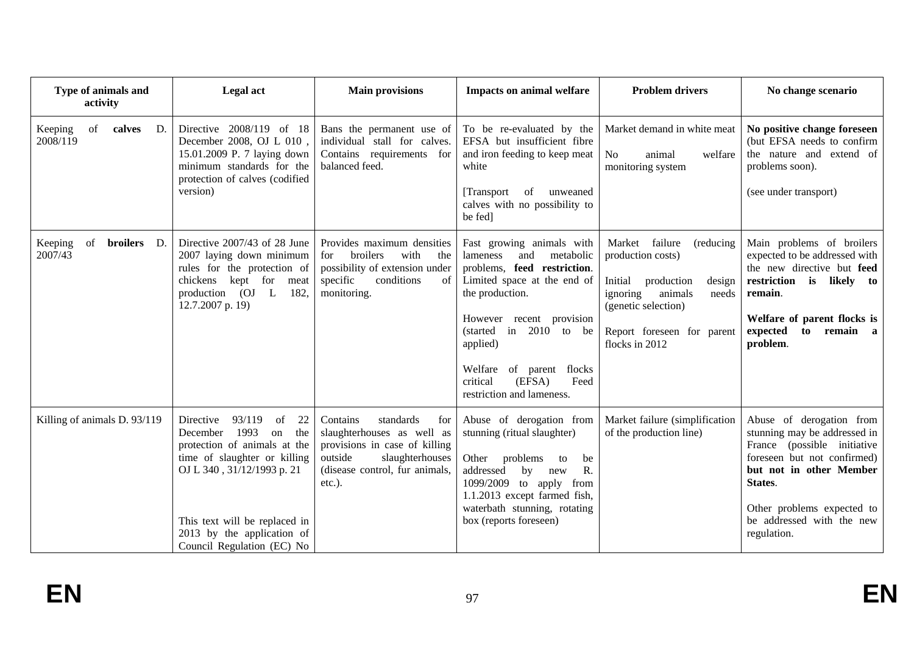| Type of animals and<br>activity                   | Legal act                                                                                                                                                                                                                                                | <b>Main provisions</b>                                                                                                                                                | <b>Impacts on animal welfare</b>                                                                                                                                                                                                                                                                                                                   | <b>Problem drivers</b>                                                                                                                                                                        | No change scenario                                                                                                                                                                                                                     |
|---------------------------------------------------|----------------------------------------------------------------------------------------------------------------------------------------------------------------------------------------------------------------------------------------------------------|-----------------------------------------------------------------------------------------------------------------------------------------------------------------------|----------------------------------------------------------------------------------------------------------------------------------------------------------------------------------------------------------------------------------------------------------------------------------------------------------------------------------------------------|-----------------------------------------------------------------------------------------------------------------------------------------------------------------------------------------------|----------------------------------------------------------------------------------------------------------------------------------------------------------------------------------------------------------------------------------------|
| of<br>Keeping<br>calves<br>D.<br>2008/119         | Directive 2008/119 of 18<br>December 2008, OJ L 010,<br>15.01.2009 P. 7 laying down<br>minimum standards for the<br>protection of calves (codified<br>version)                                                                                           | Bans the permanent use of<br>individual stall for calves.<br>Contains requirements for<br>balanced feed.                                                              | To be re-evaluated by the<br>EFSA but insufficient fibre<br>and iron feeding to keep meat<br>white<br>of unweaned<br>[Transport]<br>calves with no possibility to<br>be fed]                                                                                                                                                                       | Market demand in white meat<br>N <sub>0</sub><br>animal<br>welfare<br>monitoring system                                                                                                       | No positive change foreseen<br>(but EFSA needs to confirm<br>the nature and extend of<br>problems soon).<br>(see under transport)                                                                                                      |
| <b>broilers</b><br>of<br>Keeping<br>D.<br>2007/43 | Directive 2007/43 of 28 June<br>2007 laying down minimum<br>rules for the protection of<br>chickens kept for<br>meat<br>production (OJ L<br>182,<br>12.7.2007 p. 19)                                                                                     | Provides maximum densities<br>broilers<br>with<br>for<br>the<br>possibility of extension under<br>specific<br>conditions<br>of<br>monitoring.                         | Fast growing animals with<br>and<br>metabolic<br>lameness<br>problems, feed restriction.<br>Limited space at the end of<br>the production.<br>However recent provision<br>$(\text{started} \quad \text{in} \quad 2010 \quad \text{to}$<br>be<br>applied)<br>of parent flocks<br>Welfare<br>critical<br>(EFSA)<br>Feed<br>restriction and lameness. | Market<br>failure<br>(reducing<br>production costs)<br>Initial<br>production<br>design<br>ignoring<br>animals<br>needs<br>(genetic selection)<br>Report foreseen for parent<br>flocks in 2012 | Main problems of broilers<br>expected to be addressed with<br>the new directive but feed<br>restriction is likely to<br>remain.<br>Welfare of parent flocks is<br>expected<br>to remain a<br>problem.                                  |
| Killing of animals D. 93/119                      | 93/119<br>of<br>22<br>Directive<br>December 1993<br>the<br>on<br>protection of animals at the<br>time of slaughter or killing<br>OJ L 340, 31/12/1993 p. 21<br>This text will be replaced in<br>2013 by the application of<br>Council Regulation (EC) No | Contains<br>standards<br>for<br>slaughterhouses as well as<br>provisions in case of killing<br>outside<br>slaughterhouses<br>(disease control, fur animals,<br>etc.). | Abuse of derogation from<br>stunning (ritual slaughter)<br>problems<br>Other<br>to<br>be<br>R.<br>addressed<br>by<br>new<br>1099/2009 to apply from<br>1.1.2013 except farmed fish,<br>waterbath stunning, rotating<br>box (reports foreseen)                                                                                                      | Market failure (simplification<br>of the production line)                                                                                                                                     | Abuse of derogation from<br>stunning may be addressed in<br>France (possible initiative<br>foreseen but not confirmed)<br>but not in other Member<br>States.<br>Other problems expected to<br>be addressed with the new<br>regulation. |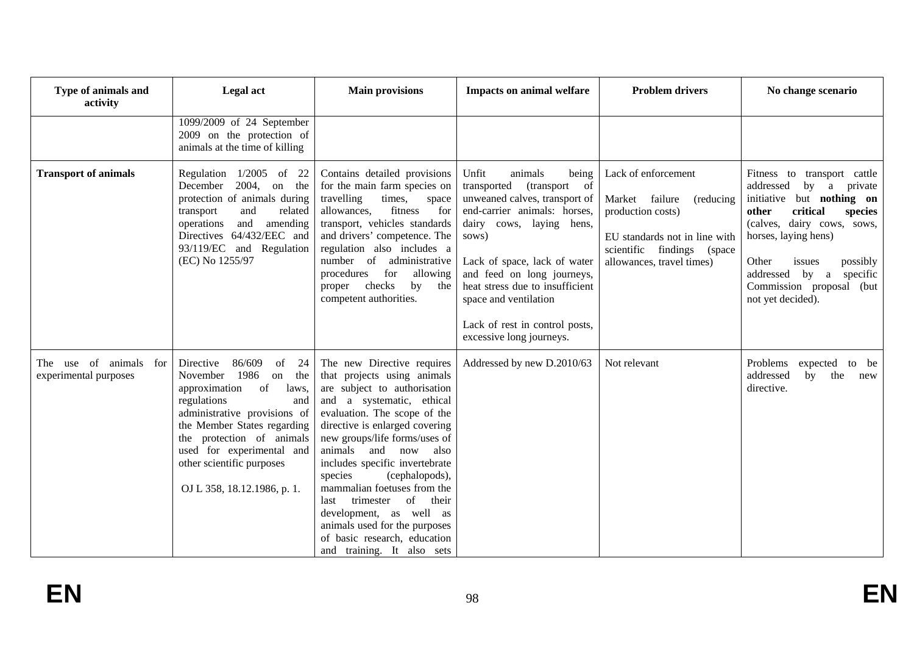| Type of animals and<br>activity                    | Legal act                                                                                                                                                                                                                                                                                                   | <b>Main provisions</b>                                                                                                                                                                                                                                                                                                                                                                                                                                                                                        | <b>Impacts on animal welfare</b>                                                                                                                                                                                                                                                                                                                                       | <b>Problem drivers</b>                                                                                                                                               | No change scenario                                                                                                                                                                                                                                                                              |
|----------------------------------------------------|-------------------------------------------------------------------------------------------------------------------------------------------------------------------------------------------------------------------------------------------------------------------------------------------------------------|---------------------------------------------------------------------------------------------------------------------------------------------------------------------------------------------------------------------------------------------------------------------------------------------------------------------------------------------------------------------------------------------------------------------------------------------------------------------------------------------------------------|------------------------------------------------------------------------------------------------------------------------------------------------------------------------------------------------------------------------------------------------------------------------------------------------------------------------------------------------------------------------|----------------------------------------------------------------------------------------------------------------------------------------------------------------------|-------------------------------------------------------------------------------------------------------------------------------------------------------------------------------------------------------------------------------------------------------------------------------------------------|
|                                                    | 1099/2009 of 24 September<br>2009 on the protection of<br>animals at the time of killing                                                                                                                                                                                                                    |                                                                                                                                                                                                                                                                                                                                                                                                                                                                                                               |                                                                                                                                                                                                                                                                                                                                                                        |                                                                                                                                                                      |                                                                                                                                                                                                                                                                                                 |
| <b>Transport of animals</b>                        | Regulation 1/2005 of 22<br>December<br>$2004$ , on the<br>protection of animals during<br>related<br>transport<br>and<br>and<br>operations<br>amending<br>Directives 64/432/EEC and<br>93/119/EC and Regulation<br>(EC) No 1255/97                                                                          | Contains detailed provisions<br>for the main farm species on<br>travelling<br>times,<br>space<br>fitness<br>for<br>allowances,<br>transport, vehicles standards<br>and drivers' competence. The<br>regulation also includes a<br>number of<br>administrative<br>for<br>allowing<br>procedures<br>proper checks<br>by<br>the<br>competent authorities.                                                                                                                                                         | Unfit<br>animals<br>being<br><sub>of</sub><br>transported<br>(transport)<br>unweaned calves, transport of<br>end-carrier animals: horses,<br>dairy cows, laying hens,<br>sows)<br>Lack of space, lack of water<br>and feed on long journeys,<br>heat stress due to insufficient<br>space and ventilation<br>Lack of rest in control posts,<br>excessive long journeys. | Lack of enforcement<br>Market failure<br>(reducing)<br>production costs)<br>EU standards not in line with<br>scientific findings (space<br>allowances, travel times) | Fitness to transport cattle<br>addressed<br>by a private<br>initiative but nothing on<br>critical<br>other<br>species<br>(calves, dairy cows, sows,<br>horses, laying hens)<br>Other<br>issues<br>possibly<br>addressed<br>by<br>specific<br>a<br>Commission proposal (but<br>not yet decided). |
| The use of animals<br>for<br>experimental purposes | 86/609<br>Directive<br>of<br>24<br>1986<br>on<br>the<br>November<br>approximation<br>of<br>laws,<br>regulations<br>and<br>administrative provisions of<br>the Member States regarding<br>the protection of animals<br>used for experimental and<br>other scientific purposes<br>OJ L 358, 18.12.1986, p. 1. | The new Directive requires<br>that projects using animals<br>are subject to authorisation<br>and a systematic, ethical<br>evaluation. The scope of the<br>directive is enlarged covering<br>new groups/life forms/uses of<br>animals and now<br>also<br>includes specific invertebrate<br>species<br>(cephalopods),<br>mammalian foetuses from the<br>trimester of<br>their<br>last<br>development, as well as<br>animals used for the purposes<br>of basic research, education<br>and training. It also sets | Addressed by new D.2010/63                                                                                                                                                                                                                                                                                                                                             | Not relevant                                                                                                                                                         | Problems<br>expected to be<br>addressed<br>the<br>by<br>new<br>directive.                                                                                                                                                                                                                       |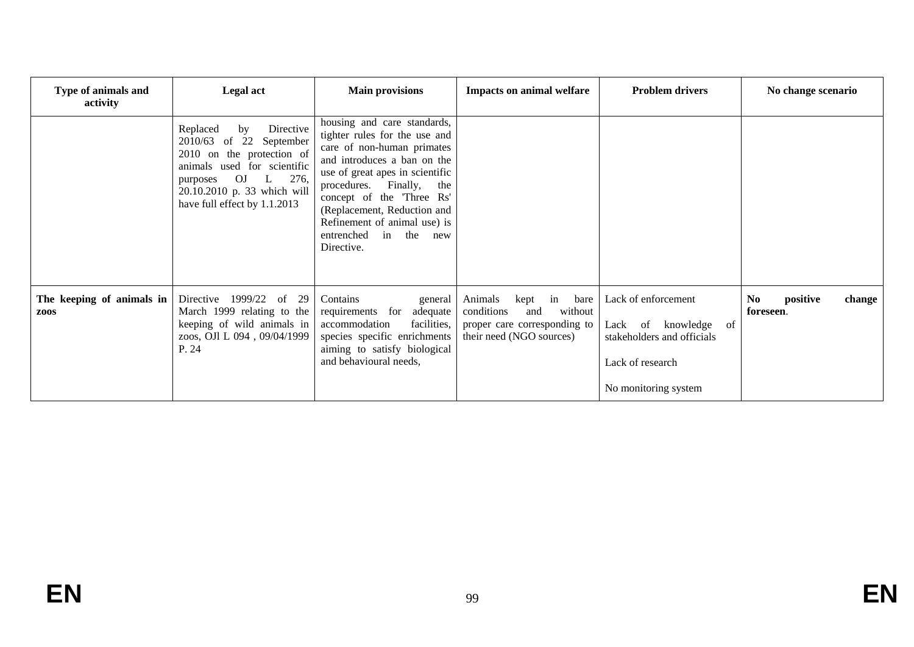| Type of animals and<br>activity          | <b>Legal act</b>                                                                                                                                                                                           | <b>Main provisions</b>                                                                                                                                                                                                                                                                                                                  | <b>Impacts on animal welfare</b>                                                                                    | <b>Problem drivers</b>                                                                                                   | No change scenario                     |
|------------------------------------------|------------------------------------------------------------------------------------------------------------------------------------------------------------------------------------------------------------|-----------------------------------------------------------------------------------------------------------------------------------------------------------------------------------------------------------------------------------------------------------------------------------------------------------------------------------------|---------------------------------------------------------------------------------------------------------------------|--------------------------------------------------------------------------------------------------------------------------|----------------------------------------|
|                                          | Directive<br>Replaced<br>by<br>2010/63 of 22 September<br>2010 on the protection of<br>animals used for scientific<br>OJ L 276,<br>purposes<br>20.10.2010 p. 33 which will<br>have full effect by 1.1.2013 | housing and care standards,<br>tighter rules for the use and<br>care of non-human primates<br>and introduces a ban on the<br>use of great apes in scientific<br>procedures. Finally,<br>the<br>concept of the 'Three Rs'<br>(Replacement, Reduction and<br>Refinement of animal use) is<br>entrenched<br>in<br>the<br>new<br>Directive. |                                                                                                                     |                                                                                                                          |                                        |
| The keeping of animals in<br><b>ZOOS</b> | Directive 1999/22<br>of 29<br>March 1999 relating to the<br>keeping of wild animals in<br>zoos, OJl L 094, 09/04/1999<br>P. 24                                                                             | Contains<br>general<br>requirements for adequate<br>accommodation<br>facilities,<br>species specific enrichments<br>aiming to satisfy biological<br>and behavioural needs,                                                                                                                                                              | kept in bare<br>Animals<br>conditions<br>without<br>and<br>proper care corresponding to<br>their need (NGO sources) | Lack of enforcement<br>of<br>Lack of knowledge<br>stakeholders and officials<br>Lack of research<br>No monitoring system | No.<br>positive<br>change<br>foreseen. |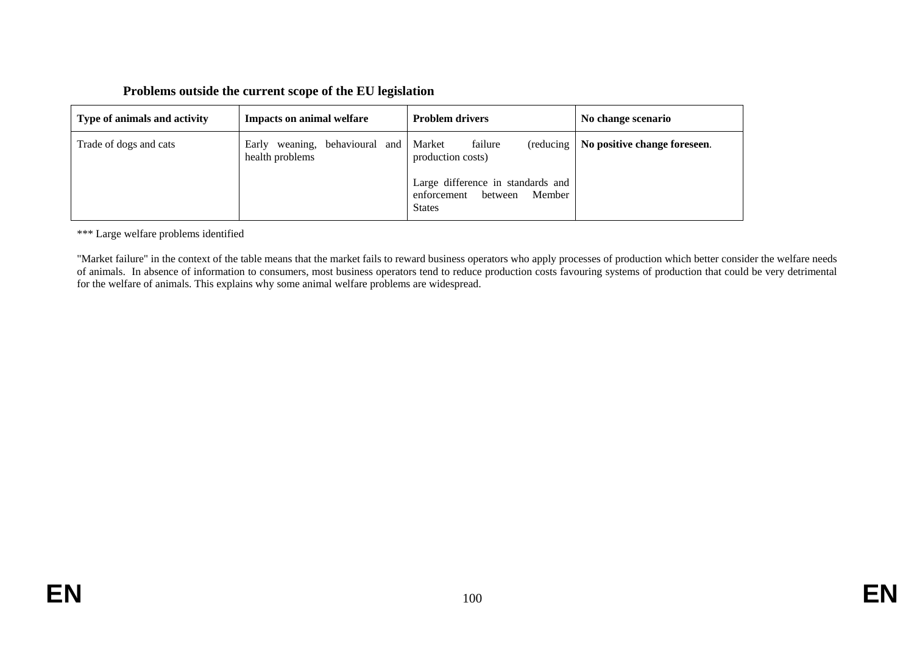## **Problems outside the current scope of the EU legislation**

| Type of animals and activity | <b>Impacts on animal welfare</b>                     | <b>Problem drivers</b>                                                                                                                         | No change scenario           |
|------------------------------|------------------------------------------------------|------------------------------------------------------------------------------------------------------------------------------------------------|------------------------------|
| Trade of dogs and cats       | weaning, behavioural and<br>Early<br>health problems | failure<br>Market<br>(reducing)<br>production costs)<br>Large difference in standards and<br>Member<br>between<br>enforcement<br><b>States</b> | No positive change foreseen. |

\*\*\* Large welfare problems identified

"Market failure" in the context of the table means that the market fails to reward business operators who apply processes of production which better consider the welfare needs of animals. In absence of information to consumers, most business operators tend to reduce production costs favouring systems of production that could be very detrimental for the welfare of animals. This explains why some animal welfare problems are widespread.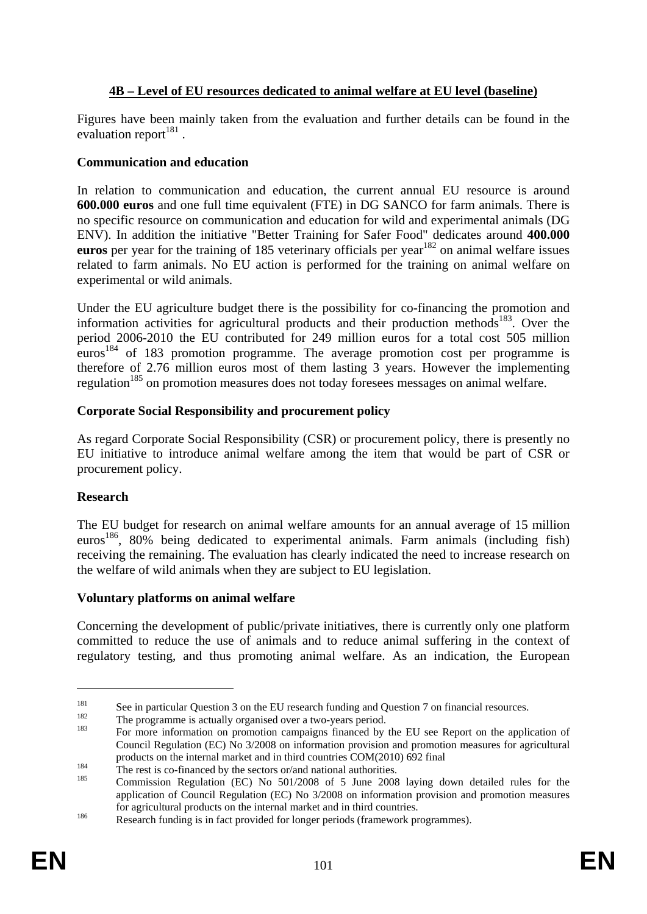# **4B – Level of EU resources dedicated to animal welfare at EU level (baseline)**

Figures have been mainly taken from the evaluation and further details can be found in the evaluation report $181$ .

## **Communication and education**

In relation to communication and education, the current annual EU resource is around **600.000 euros** and one full time equivalent (FTE) in DG SANCO for farm animals. There is no specific resource on communication and education for wild and experimental animals (DG ENV). In addition the initiative "Better Training for Safer Food" dedicates around **400.000 euros** per year for the training of 185 veterinary officials per year<sup>182</sup> on animal welfare issues related to farm animals. No EU action is performed for the training on animal welfare on experimental or wild animals.

Under the EU agriculture budget there is the possibility for co-financing the promotion and information activities for agricultural products and their production methods<sup>183</sup>. Over the period 2006-2010 the EU contributed for 249 million euros for a total cost 505 million euros<sup>184</sup> of 183 promotion programme. The average promotion cost per programme is therefore of 2.76 million euros most of them lasting 3 years. However the implementing regulation<sup>185</sup> on promotion measures does not today foresees messages on animal welfare.

## **Corporate Social Responsibility and procurement policy**

As regard Corporate Social Responsibility (CSR) or procurement policy, there is presently no EU initiative to introduce animal welfare among the item that would be part of CSR or procurement policy.

### **Research**

The EU budget for research on animal welfare amounts for an annual average of 15 million euros<sup>186</sup>, 80% being dedicated to experimental animals. Farm animals (including fish) receiving the remaining. The evaluation has clearly indicated the need to increase research on the welfare of wild animals when they are subject to EU legislation.

### **Voluntary platforms on animal welfare**

Concerning the development of public/private initiatives, there is currently only one platform committed to reduce the use of animals and to reduce animal suffering in the context of regulatory testing, and thus promoting animal welfare. As an indication, the European

<sup>&</sup>lt;sup>181</sup><br>See in particular Question 3 on the EU research funding and Question 7 on financial resources.<br>The programme is actually organised over a two-years period.<br>For more information on promotion campaigns financed by the

Council Regulation (EC) No 3/2008 on information provision and promotion measures for agricultural products on the internal market and in third countries COM(2010) 692 final<br>
<sup>184</sup> The rest is co-financed by the sectors or/and national authorities.<br>
Commission Regulation (EC) No 501/2008 of 5 June 2008 laying down detai

application of Council Regulation (EC) No 3/2008 on information provision and promotion measures for agricultural products on the internal market and in third countries.<br>Research funding is in fact provided for longer periods (framework programmes).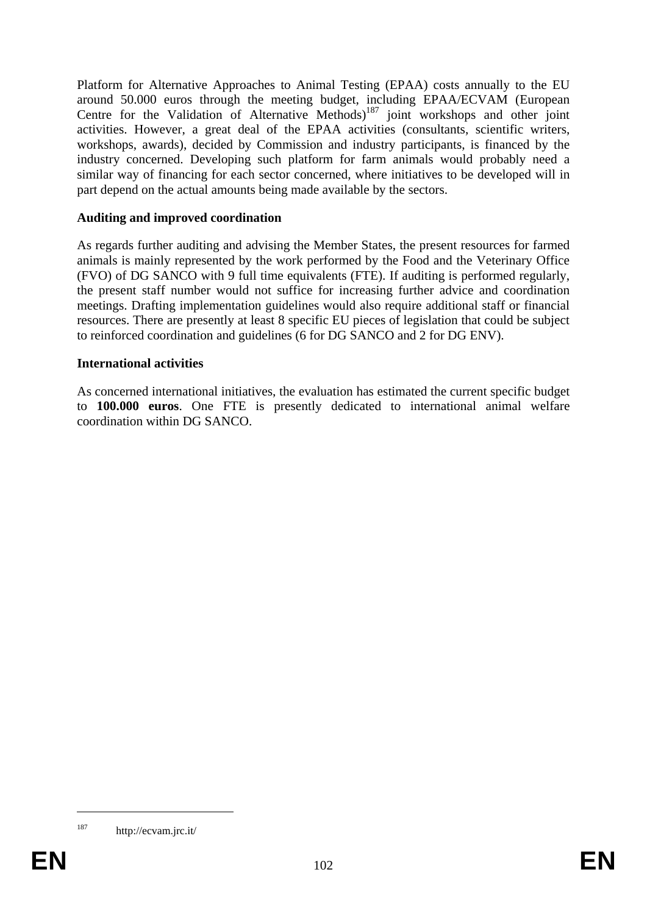Platform for Alternative Approaches to Animal Testing (EPAA) costs annually to the EU around 50.000 euros through the meeting budget, including EPAA/ECVAM (European Centre for the Validation of Alternative Methods)<sup>187</sup> joint workshops and other joint activities. However, a great deal of the EPAA activities (consultants, scientific writers, workshops, awards), decided by Commission and industry participants, is financed by the industry concerned. Developing such platform for farm animals would probably need a similar way of financing for each sector concerned, where initiatives to be developed will in part depend on the actual amounts being made available by the sectors.

### **Auditing and improved coordination**

As regards further auditing and advising the Member States, the present resources for farmed animals is mainly represented by the work performed by the Food and the Veterinary Office (FVO) of DG SANCO with 9 full time equivalents (FTE). If auditing is performed regularly, the present staff number would not suffice for increasing further advice and coordination meetings. Drafting implementation guidelines would also require additional staff or financial resources. There are presently at least 8 specific EU pieces of legislation that could be subject to reinforced coordination and guidelines (6 for DG SANCO and 2 for DG ENV).

### **International activities**

As concerned international initiatives, the evaluation has estimated the current specific budget to **100.000 euros**. One FTE is presently dedicated to international animal welfare coordination within DG SANCO.

<sup>187</sup> http://ecvam.jrc.it/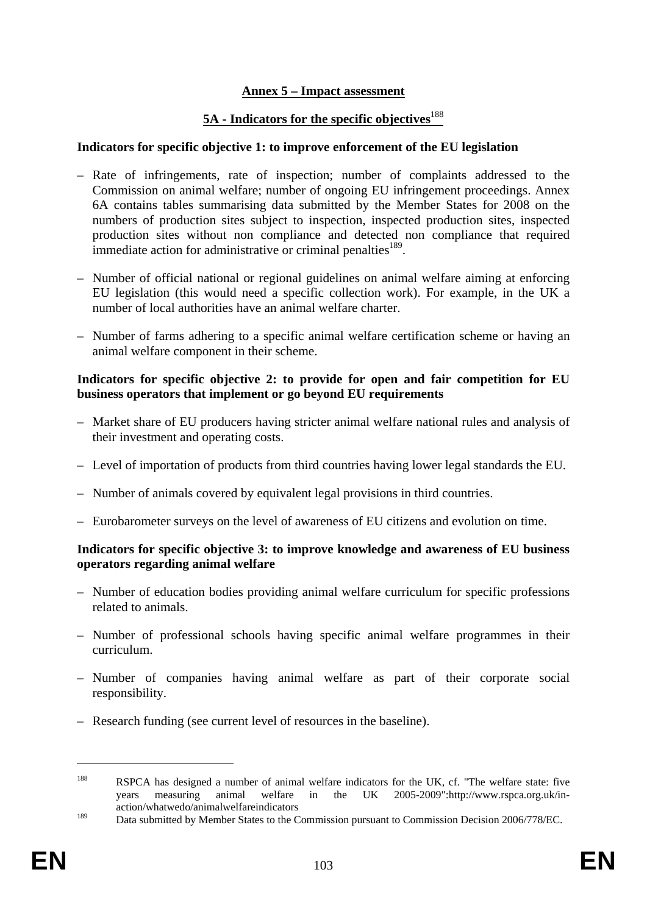## **Annex 5 – Impact assessment**

## **5A - Indicators for the specific objectives**<sup>188</sup>

#### **Indicators for specific objective 1: to improve enforcement of the EU legislation**

- Rate of infringements, rate of inspection; number of complaints addressed to the Commission on animal welfare; number of ongoing EU infringement proceedings. Annex 6A contains tables summarising data submitted by the Member States for 2008 on the numbers of production sites subject to inspection, inspected production sites, inspected production sites without non compliance and detected non compliance that required immediate action for administrative or criminal penalties<sup>189</sup>.
- Number of official national or regional guidelines on animal welfare aiming at enforcing EU legislation (this would need a specific collection work). For example, in the UK a number of local authorities have an animal welfare charter.
- Number of farms adhering to a specific animal welfare certification scheme or having an animal welfare component in their scheme.

### **Indicators for specific objective 2: to provide for open and fair competition for EU business operators that implement or go beyond EU requirements**

- Market share of EU producers having stricter animal welfare national rules and analysis of their investment and operating costs.
- Level of importation of products from third countries having lower legal standards the EU.
- Number of animals covered by equivalent legal provisions in third countries.
- Eurobarometer surveys on the level of awareness of EU citizens and evolution on time.

### **Indicators for specific objective 3: to improve knowledge and awareness of EU business operators regarding animal welfare**

- Number of education bodies providing animal welfare curriculum for specific professions related to animals.
- Number of professional schools having specific animal welfare programmes in their curriculum.
- Number of companies having animal welfare as part of their corporate social responsibility.
- Research funding (see current level of resources in the baseline).

<sup>188</sup> RSPCA has designed a number of animal welfare indicators for the UK, cf. "The welfare state: five years measuring animal welfare in the UK 2005-2009"[:http://www.rspca.org.uk/in](http://www.rspca.org.uk/in-action/whatwedo/animalwelfareindicators)[action/whatwedo/animalwelfareindicators](http://www.rspca.org.uk/in-action/whatwedo/animalwelfareindicators) 

<sup>&</sup>lt;sup>189</sup> Data submitted by Member States to the Commission pursuant to Commission Decision 2006/778/EC.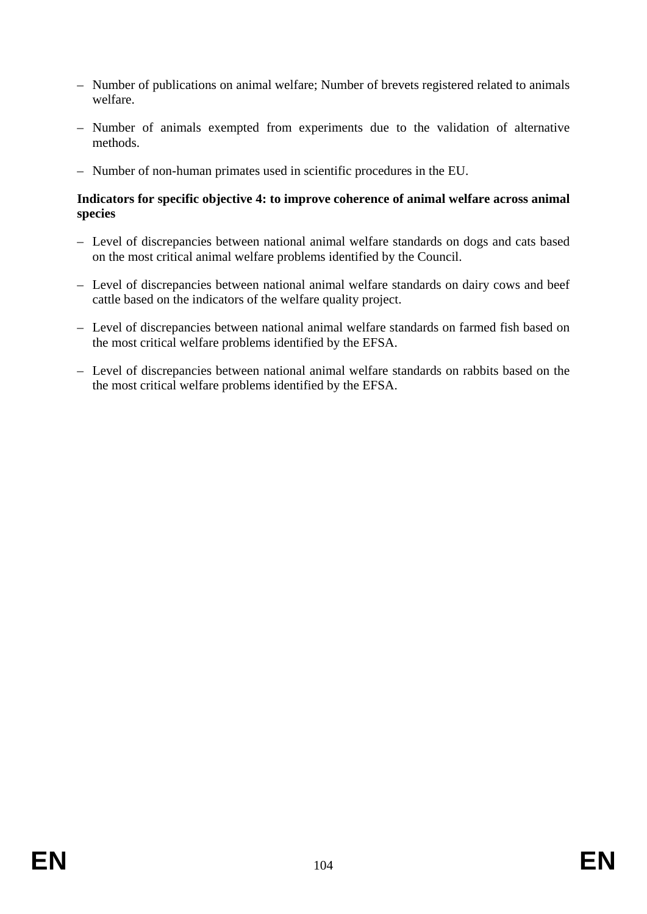- Number of publications on animal welfare; Number of brevets registered related to animals welfare.
- Number of animals exempted from experiments due to the validation of alternative methods.
- Number of non-human primates used in scientific procedures in the EU.

## **Indicators for specific objective 4: to improve coherence of animal welfare across animal species**

- Level of discrepancies between national animal welfare standards on dogs and cats based on the most critical animal welfare problems identified by the Council.
- Level of discrepancies between national animal welfare standards on dairy cows and beef cattle based on the indicators of the welfare quality project.
- Level of discrepancies between national animal welfare standards on farmed fish based on the most critical welfare problems identified by the EFSA.
- Level of discrepancies between national animal welfare standards on rabbits based on the the most critical welfare problems identified by the EFSA.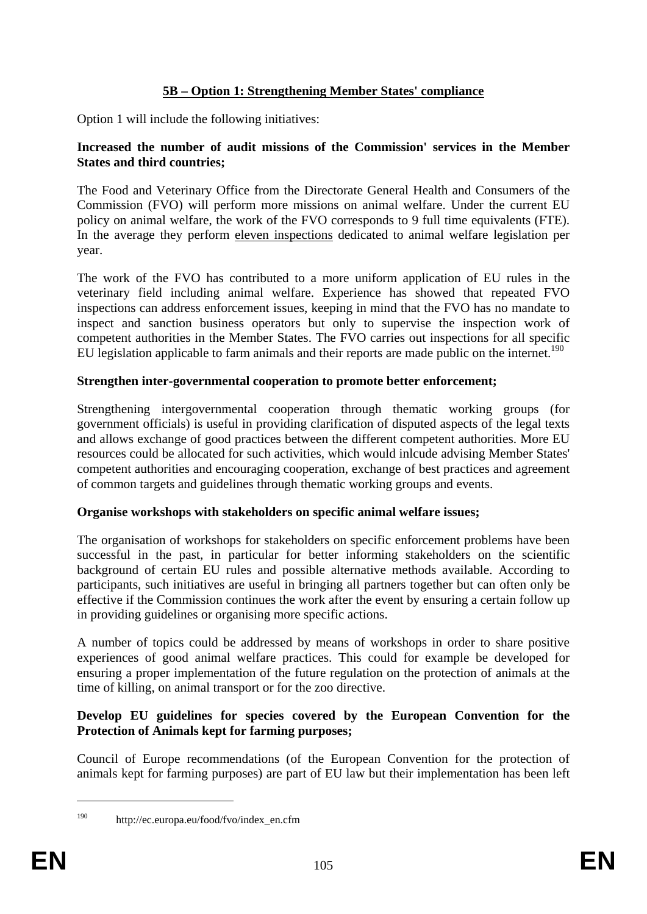# **5B – Option 1: Strengthening Member States' compliance**

Option 1 will include the following initiatives:

### **Increased the number of audit missions of the Commission' services in the Member States and third countries;**

The Food and Veterinary Office from the Directorate General Health and Consumers of the Commission (FVO) will perform more missions on animal welfare. Under the current EU policy on animal welfare, the work of the FVO corresponds to 9 full time equivalents (FTE). In the average they perform eleven inspections dedicated to animal welfare legislation per year.

The work of the FVO has contributed to a more uniform application of EU rules in the veterinary field including animal welfare. Experience has showed that repeated FVO inspections can address enforcement issues, keeping in mind that the FVO has no mandate to inspect and sanction business operators but only to supervise the inspection work of competent authorities in the Member States. The FVO carries out inspections for all specific EU legislation applicable to farm animals and their reports are made public on the internet.<sup>190</sup>

## **Strengthen inter-governmental cooperation to promote better enforcement;**

Strengthening intergovernmental cooperation through thematic working groups (for government officials) is useful in providing clarification of disputed aspects of the legal texts and allows exchange of good practices between the different competent authorities. More EU resources could be allocated for such activities, which would inlcude advising Member States' competent authorities and encouraging cooperation, exchange of best practices and agreement of common targets and guidelines through thematic working groups and events.

# **Organise workshops with stakeholders on specific animal welfare issues;**

The organisation of workshops for stakeholders on specific enforcement problems have been successful in the past, in particular for better informing stakeholders on the scientific background of certain EU rules and possible alternative methods available. According to participants, such initiatives are useful in bringing all partners together but can often only be effective if the Commission continues the work after the event by ensuring a certain follow up in providing guidelines or organising more specific actions.

A number of topics could be addressed by means of workshops in order to share positive experiences of good animal welfare practices. This could for example be developed for ensuring a proper implementation of the future regulation on the protection of animals at the time of killing, on animal transport or for the zoo directive.

## **Develop EU guidelines for species covered by the European Convention for the Protection of Animals kept for farming purposes;**

Council of Europe recommendations (of the European Convention for the protection of animals kept for farming purposes) are part of EU law but their implementation has been left

<sup>1</sup> 

<sup>190</sup> http://ec.europa.eu/food/fvo/index\_en.cfm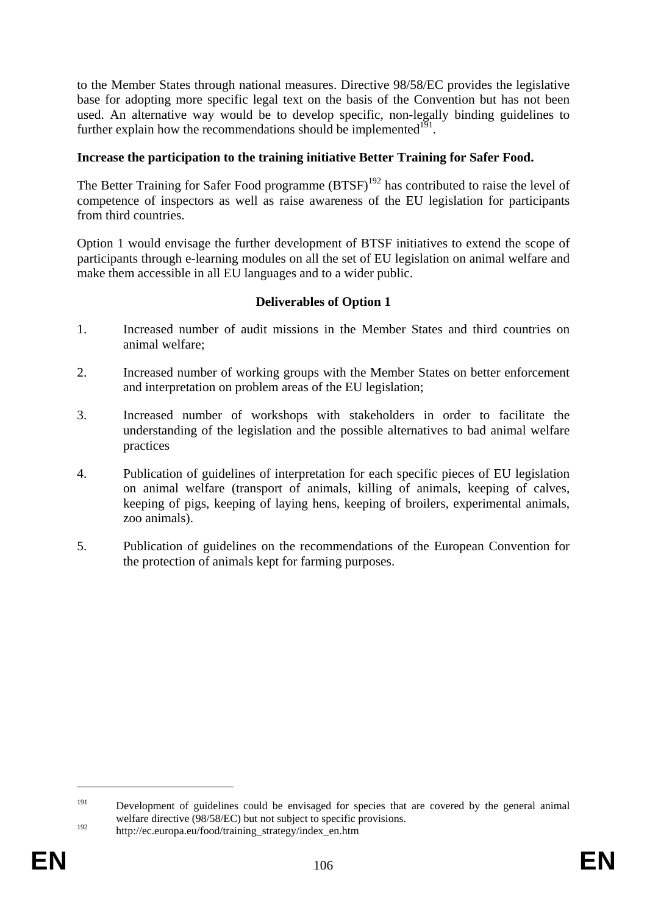to the Member States through national measures. Directive 98/58/EC provides the legislative base for adopting more specific legal text on the basis of the Convention but has not been used. An alternative way would be to develop specific, non-legally binding guidelines to further explain how the recommendations should be implemented $1^{19}$ .

## **Increase the participation to the training initiative Better Training for Safer Food.**

The Better Training for Safer Food programme  $(BTSF)^{192}$  has contributed to raise the level of competence of inspectors as well as raise awareness of the EU legislation for participants from third countries.

Option 1 would envisage the further development of BTSF initiatives to extend the scope of participants through e-learning modules on all the set of EU legislation on animal welfare and make them accessible in all EU languages and to a wider public.

### **Deliverables of Option 1**

- 1. Increased number of audit missions in the Member States and third countries on animal welfare;
- 2. Increased number of working groups with the Member States on better enforcement and interpretation on problem areas of the EU legislation;
- 3. Increased number of workshops with stakeholders in order to facilitate the understanding of the legislation and the possible alternatives to bad animal welfare practices
- 4. Publication of guidelines of interpretation for each specific pieces of EU legislation on animal welfare (transport of animals, killing of animals, keeping of calves, keeping of pigs, keeping of laying hens, keeping of broilers, experimental animals, zoo animals).
- 5. Publication of guidelines on the recommendations of the European Convention for the protection of animals kept for farming purposes.

<sup>&</sup>lt;sup>191</sup> Development of guidelines could be envisaged for species that are covered by the general animal welfare directive (98/58/EC) but not subject to specific provisions.

<sup>&</sup>lt;sup>192</sup> http://ec.europa.eu/food/training\_strategy/index\_en.htm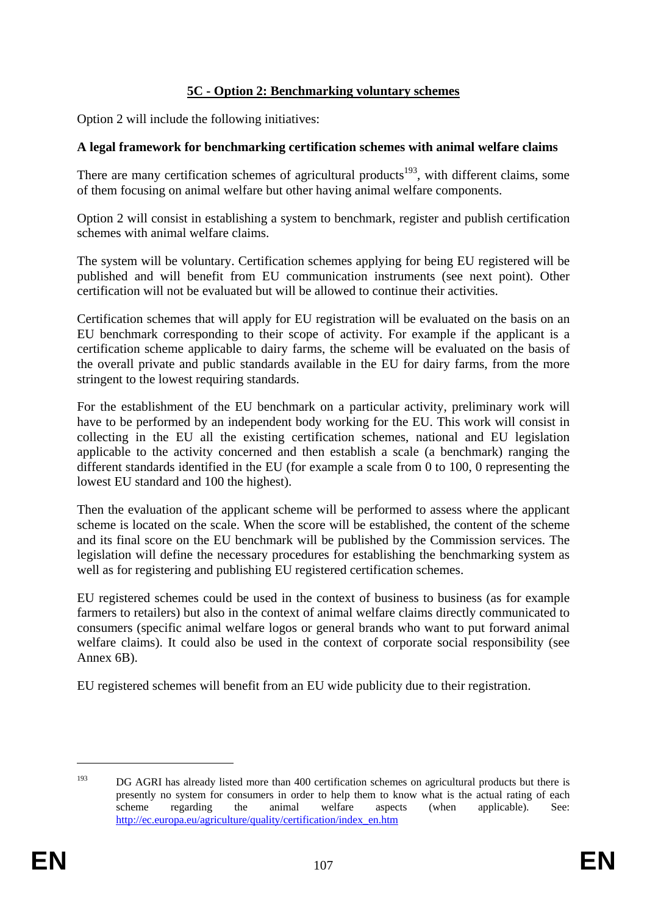# **5C - Option 2: Benchmarking voluntary schemes**

Option 2 will include the following initiatives:

## **A legal framework for benchmarking certification schemes with animal welfare claims**

There are many certification schemes of agricultural products<sup>193</sup>, with different claims, some of them focusing on animal welfare but other having animal welfare components.

Option 2 will consist in establishing a system to benchmark, register and publish certification schemes with animal welfare claims.

The system will be voluntary. Certification schemes applying for being EU registered will be published and will benefit from EU communication instruments (see next point). Other certification will not be evaluated but will be allowed to continue their activities.

Certification schemes that will apply for EU registration will be evaluated on the basis on an EU benchmark corresponding to their scope of activity. For example if the applicant is a certification scheme applicable to dairy farms, the scheme will be evaluated on the basis of the overall private and public standards available in the EU for dairy farms, from the more stringent to the lowest requiring standards.

For the establishment of the EU benchmark on a particular activity, preliminary work will have to be performed by an independent body working for the EU. This work will consist in collecting in the EU all the existing certification schemes, national and EU legislation applicable to the activity concerned and then establish a scale (a benchmark) ranging the different standards identified in the EU (for example a scale from 0 to 100, 0 representing the lowest EU standard and 100 the highest).

Then the evaluation of the applicant scheme will be performed to assess where the applicant scheme is located on the scale. When the score will be established, the content of the scheme and its final score on the EU benchmark will be published by the Commission services. The legislation will define the necessary procedures for establishing the benchmarking system as well as for registering and publishing EU registered certification schemes.

EU registered schemes could be used in the context of business to business (as for example farmers to retailers) but also in the context of animal welfare claims directly communicated to consumers (specific animal welfare logos or general brands who want to put forward animal welfare claims). It could also be used in the context of corporate social responsibility (see Annex 6B).

EU registered schemes will benefit from an EU wide publicity due to their registration.

<sup>&</sup>lt;sup>193</sup> DG AGRI has already listed more than 400 certification schemes on agricultural products but there is presently no system for consumers in order to help them to know what is the actual rating of each scheme regarding the animal welfare aspects (when applicable). See: [http://ec.europa.eu/agriculture/quality/certification/index\\_en.htm](http://ec.europa.eu/agriculture/quality/certification/index_en.htm)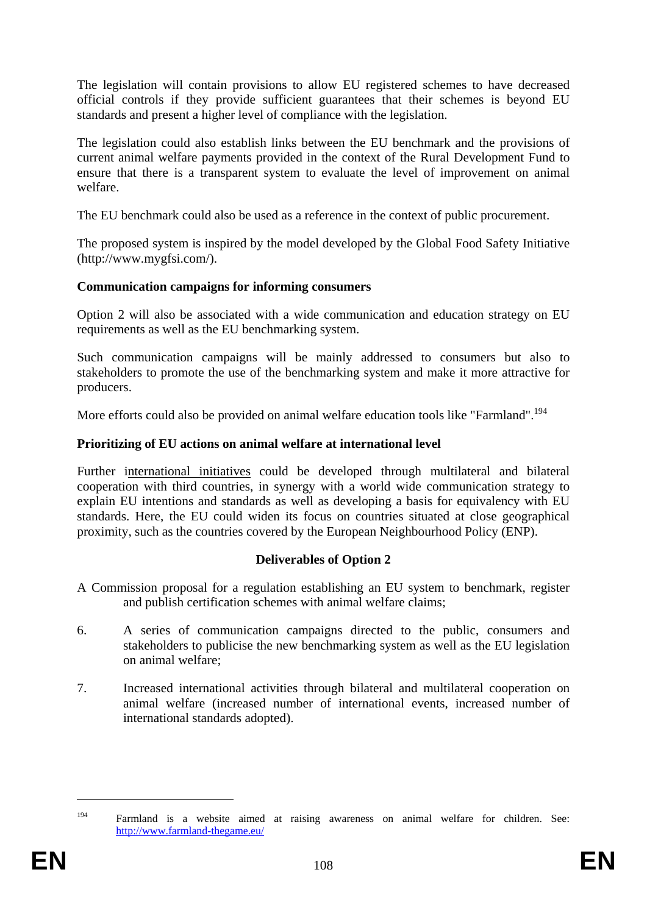The legislation will contain provisions to allow EU registered schemes to have decreased official controls if they provide sufficient guarantees that their schemes is beyond EU standards and present a higher level of compliance with the legislation.

The legislation could also establish links between the EU benchmark and the provisions of current animal welfare payments provided in the context of the Rural Development Fund to ensure that there is a transparent system to evaluate the level of improvement on animal welfare.

The EU benchmark could also be used as a reference in the context of public procurement.

The proposed system is inspired by the model developed by the Global Food Safety Initiative [\(http://www.mygfsi.com/\)](http://www.mygfsi.com/).

## **Communication campaigns for informing consumers**

Option 2 will also be associated with a wide communication and education strategy on EU requirements as well as the EU benchmarking system.

Such communication campaigns will be mainly addressed to consumers but also to stakeholders to promote the use of the benchmarking system and make it more attractive for producers.

More efforts could also be provided on animal welfare education tools like "Farmland".<sup>194</sup>

## **Prioritizing of EU actions on animal welfare at international level**

Further international initiatives could be developed through multilateral and bilateral cooperation with third countries, in synergy with a world wide communication strategy to explain EU intentions and standards as well as developing a basis for equivalency with EU standards. Here, the EU could widen its focus on countries situated at close geographical proximity, such as the countries covered by the European Neighbourhood Policy (ENP).

# **Deliverables of Option 2**

- A Commission proposal for a regulation establishing an EU system to benchmark, register and publish certification schemes with animal welfare claims;
- 6. A series of communication campaigns directed to the public, consumers and stakeholders to publicise the new benchmarking system as well as the EU legislation on animal welfare;
- 7. Increased international activities through bilateral and multilateral cooperation on animal welfare (increased number of international events, increased number of international standards adopted).

<sup>194</sup> Farmland is a website aimed at raising awareness on animal welfare for children. See: <http://www.farmland-thegame.eu/>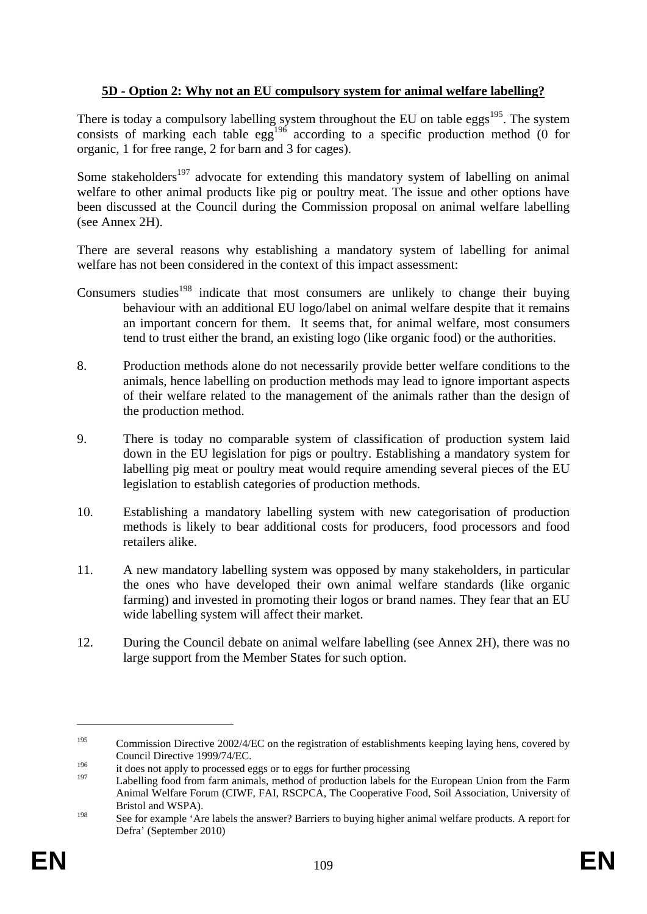# **5D - Option 2: Why not an EU compulsory system for animal welfare labelling?**

There is today a compulsory labelling system throughout the EU on table eggs<sup>195</sup>. The system consists of marking each table egg<sup>196</sup> according to a specific production method (0 for organic, 1 for free range, 2 for barn and 3 for cages).

Some stakeholders<sup>197</sup> advocate for extending this mandatory system of labelling on animal welfare to other animal products like pig or poultry meat. The issue and other options have been discussed at the Council during the Commission proposal on animal welfare labelling (see Annex 2H).

There are several reasons why establishing a mandatory system of labelling for animal welfare has not been considered in the context of this impact assessment:

- Consumers studies<sup>198</sup> indicate that most consumers are unlikely to change their buying behaviour with an additional EU logo/label on animal welfare despite that it remains an important concern for them. It seems that, for animal welfare, most consumers tend to trust either the brand, an existing logo (like organic food) or the authorities.
- 8. Production methods alone do not necessarily provide better welfare conditions to the animals, hence labelling on production methods may lead to ignore important aspects of their welfare related to the management of the animals rather than the design of the production method.
- 9. There is today no comparable system of classification of production system laid down in the EU legislation for pigs or poultry. Establishing a mandatory system for labelling pig meat or poultry meat would require amending several pieces of the EU legislation to establish categories of production methods.
- 10. Establishing a mandatory labelling system with new categorisation of production methods is likely to bear additional costs for producers, food processors and food retailers alike.
- 11. A new mandatory labelling system was opposed by many stakeholders, in particular the ones who have developed their own animal welfare standards (like organic farming) and invested in promoting their logos or brand names. They fear that an EU wide labelling system will affect their market.
- 12. During the Council debate on animal welfare labelling (see Annex 2H), there was no large support from the Member States for such option.

<sup>&</sup>lt;sup>195</sup> Commission Directive 2002/4/EC on the registration of establishments keeping laying hens, covered by Council Directive 1999/74/EC.

<sup>&</sup>lt;sup>196</sup> it does not apply to processed eggs or to eggs for further processing

Labelling food from farm animals, method of production labels for the European Union from the Farm Animal Welfare Forum (CIWF, FAI, RSCPCA, The Cooperative Food, Soil Association, University of Bristol and WSPA).

<sup>198</sup> See for example 'Are labels the answer? Barriers to buying higher animal welfare products. A report for Defra' (September 2010)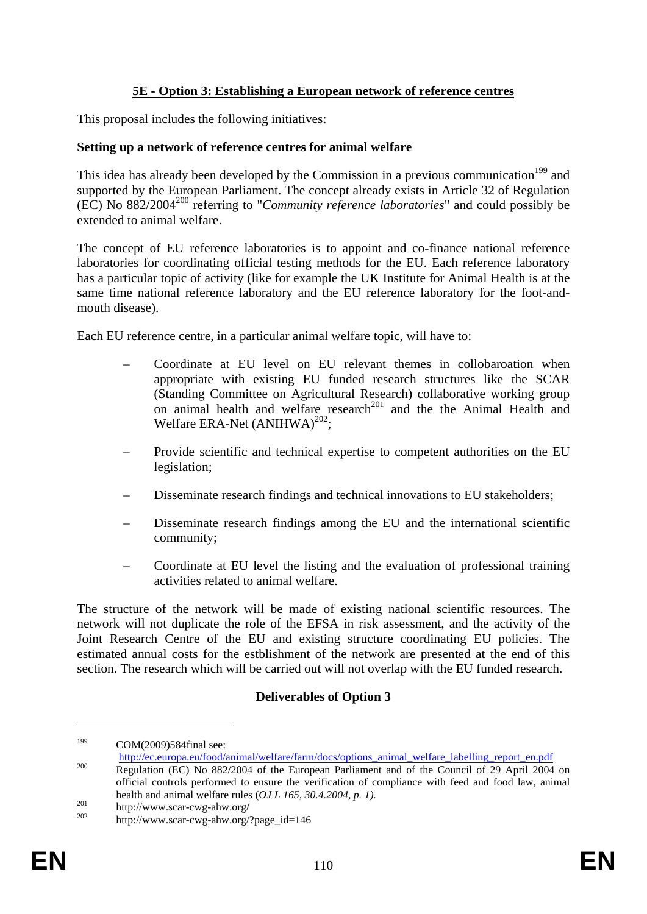# **5E - Option 3: Establishing a European network of reference centres**

This proposal includes the following initiatives:

### **Setting up a network of reference centres for animal welfare**

This idea has already been developed by the Commission in a previous communication<sup>199</sup> and supported by the European Parliament. The concept already exists in Article 32 of Regulation (EC) No 882/2004200 referring to "*Community reference laboratories*" and could possibly be extended to animal welfare.

The concept of EU reference laboratories is to appoint and co-finance national reference laboratories for coordinating official testing methods for the EU. Each reference laboratory has a particular topic of activity (like for example the UK Institute for Animal Health is at the same time national reference laboratory and the EU reference laboratory for the foot-andmouth disease).

Each EU reference centre, in a particular animal welfare topic, will have to:

- Coordinate at EU level on EU relevant themes in collobaroation when appropriate with existing EU funded research structures like the SCAR (Standing Committee on Agricultural Research) collaborative working group on animal health and welfare research<sup>201</sup> and the the Animal Health and Welfare ERA-Net  $(ANIHWA)^{202}$ :
- Provide scientific and technical expertise to competent authorities on the EU legislation;
- Disseminate research findings and technical innovations to EU stakeholders;
- Disseminate research findings among the EU and the international scientific community;
- Coordinate at EU level the listing and the evaluation of professional training activities related to animal welfare.

The structure of the network will be made of existing national scientific resources. The network will not duplicate the role of the EFSA in risk assessment, and the activity of the Joint Research Centre of the EU and existing structure coordinating EU policies. The estimated annual costs for the estblishment of the network are presented at the end of this section. The research which will be carried out will not overlap with the EU funded research.

# **Deliverables of Option 3**

<sup>&</sup>lt;sup>199</sup> COM(2009)584final see:<br>http://ec.europa.eu/food/animal/welfare/farm/docs/options\_animal\_welfare\_labelling\_report\_en.pdf

http://ec.europa.europa.europa.europa.europa.europa.europa.europa.europa.europa.europa.europa.europa.europa.eu<br>[Regulation \(EC\) No 882/2004 of the European Parliament and of the Council of 29 April 2004](http://ec.europa.eu/food/animal/welfare/farm/docs/options_animal_welfare_labelling_report_en.pdf) on official controls performed to ensure the verification of compliance with feed and food law, animal health and animal welfare rules (*OJ L 165, 30.4.2004, p. 1*).<br>
<sup>201</sup> http://www.scar-cwg-ahw.org/<br>
<sup>202</sup> http://www.scar-cwg-ahw.org/?page\_id=146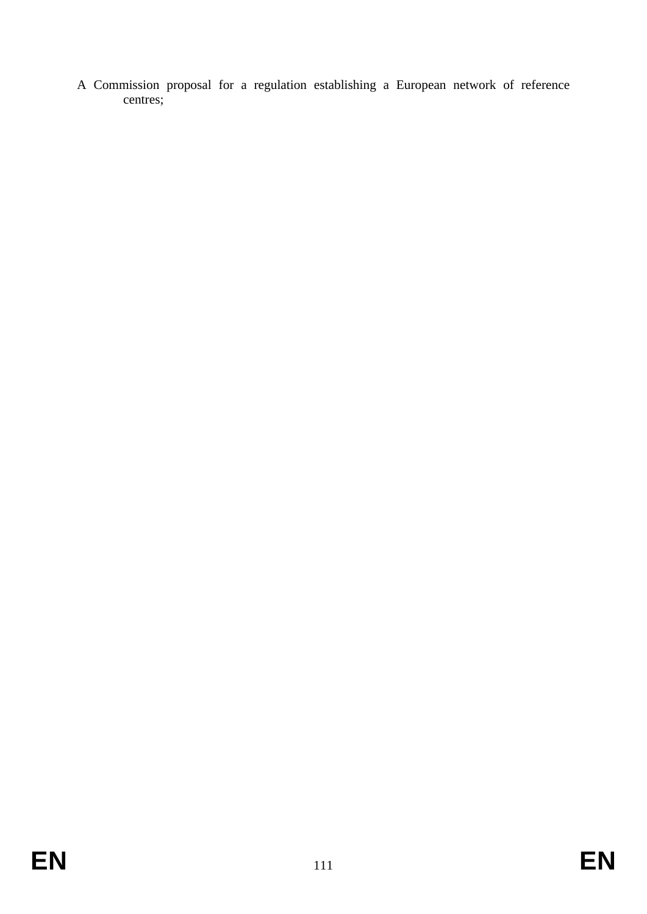A Commission proposal for a regulation establishing a European network of reference centres;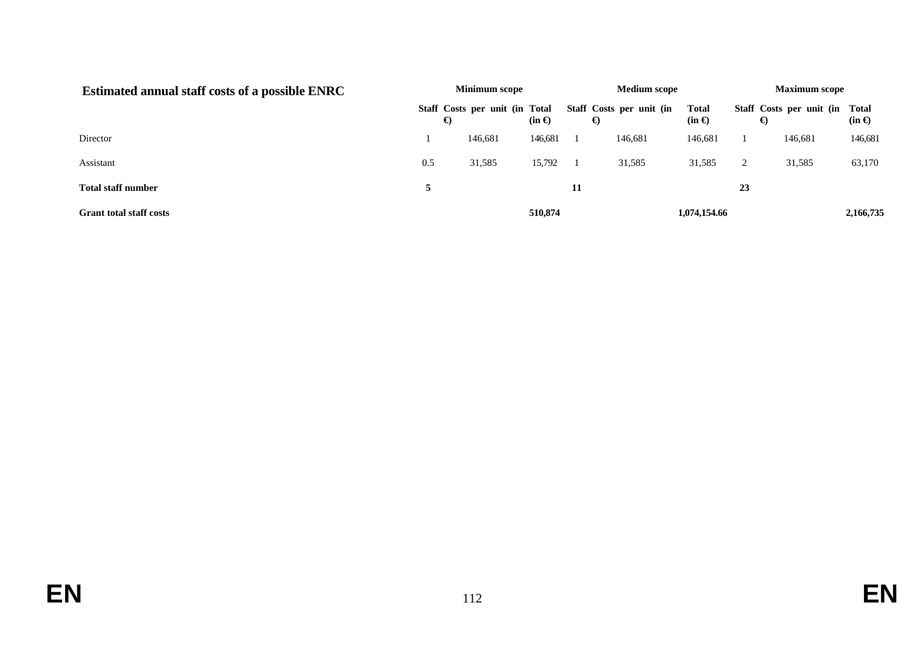| <b>Estimated annual staff costs of a possible ENRC</b> | <b>Minimum scope</b> |                                     |               |    | <b>Medium scope</b>           |                               |                | <b>Maximum scope</b>     |                        |  |
|--------------------------------------------------------|----------------------|-------------------------------------|---------------|----|-------------------------------|-------------------------------|----------------|--------------------------|------------------------|--|
|                                                        |                      | Staff Costs per unit (in Total<br>€ | $(in \Theta)$ |    | Staff Costs per unit (in<br>€ | <b>Total</b><br>$(in \Theta)$ | €              | Staff Costs per unit (in | Total<br>$(in \Theta)$ |  |
| Director                                               |                      | 146,681                             | 146,681       |    | 146,681                       | 146,681                       |                | 146,681                  | 146,681                |  |
| Assistant                                              | 0.5                  | 31,585                              | 15,792        |    | 31,585                        | 31,585                        | $\overline{2}$ | 31,585                   | 63,170                 |  |
| <b>Total staff number</b>                              | 5                    |                                     |               | 11 |                               |                               | 23             |                          |                        |  |
| <b>Grant total staff costs</b>                         |                      |                                     | 510,874       |    |                               | 1,074,154.66                  |                |                          | 2,166,735              |  |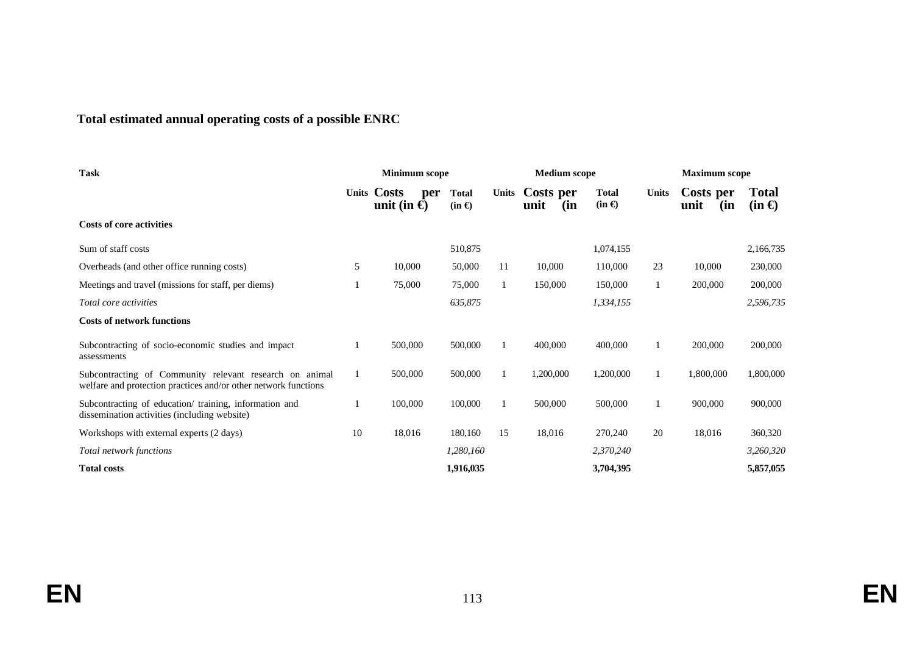# **Total estimated annual operating costs of a possible ENRC**

| <b>Task</b>                                                                                                                |    | <b>Minimum scope</b>                       |                                 | <b>Medium scope</b> |                          |                              | <b>Maximum</b> scope |                          |                               |
|----------------------------------------------------------------------------------------------------------------------------|----|--------------------------------------------|---------------------------------|---------------------|--------------------------|------------------------------|----------------------|--------------------------|-------------------------------|
|                                                                                                                            |    | Units Costs<br>per<br>unit (in $\bigoplus$ | <b>Total</b><br>$(in \bigoplus$ | <b>Units</b>        | Costs per<br>unit<br>(in | <b>Total</b><br>$(in \oplus$ | Units                | Costs per<br>(in<br>unit | <b>Total</b><br>$(in \Theta)$ |
| <b>Costs of core activities</b>                                                                                            |    |                                            |                                 |                     |                          |                              |                      |                          |                               |
| Sum of staff costs                                                                                                         |    |                                            | 510,875                         |                     |                          | 1,074,155                    |                      |                          | 2,166,735                     |
| Overheads (and other office running costs)                                                                                 | 5  | 10,000                                     | 50,000                          | 11                  | 10,000                   | 110,000                      | 23                   | 10,000                   | 230,000                       |
| Meetings and travel (missions for staff, per diems)                                                                        |    | 75,000                                     | 75,000                          |                     | 150,000                  | 150,000                      |                      | 200,000                  | 200,000                       |
| <i>Total core activities</i>                                                                                               |    |                                            | 635,875                         |                     |                          | 1,334,155                    |                      |                          | 2,596,735                     |
| <b>Costs of network functions</b>                                                                                          |    |                                            |                                 |                     |                          |                              |                      |                          |                               |
| Subcontracting of socio-economic studies and impact<br>assessments                                                         |    | 500,000                                    | 500,000                         |                     | 400,000                  | 400,000                      |                      | 200,000                  | 200,000                       |
| Subcontracting of Community relevant research on animal<br>welfare and protection practices and/or other network functions | 1  | 500,000                                    | 500,000                         |                     | 1,200,000                | 1,200,000                    |                      | 1,800,000                | 1,800,000                     |
| Subcontracting of education/ training, information and<br>dissemination activities (including website)                     |    | 100,000                                    | 100,000                         |                     | 500,000                  | 500,000                      |                      | 900,000                  | 900,000                       |
| Workshops with external experts (2 days)                                                                                   | 10 | 18,016                                     | 180,160                         | 15                  | 18,016                   | 270,240                      | 20                   | 18,016                   | 360,320                       |
| Total network functions                                                                                                    |    |                                            | 1,280,160                       |                     |                          | 2,370,240                    |                      |                          | 3,260,320                     |
| <b>Total costs</b>                                                                                                         |    |                                            | 1,916,035                       |                     |                          | 3,704,395                    |                      |                          | 5,857,055                     |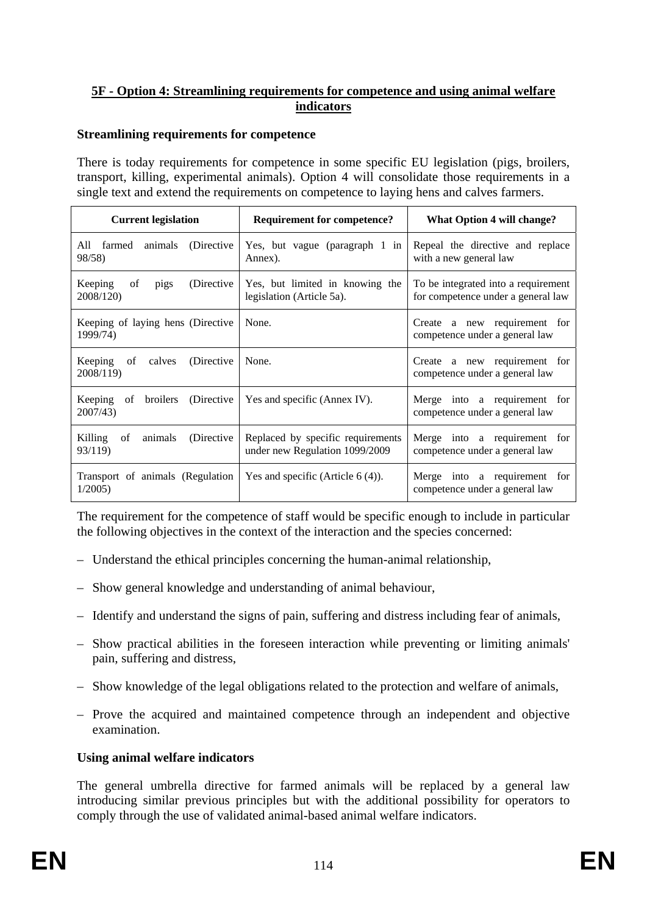# **5F - Option 4: Streamlining requirements for competence and using animal welfare indicators**

### **Streamlining requirements for competence**

There is today requirements for competence in some specific EU legislation (pigs, broilers, transport, killing, experimental animals). Option 4 will consolidate those requirements in a single text and extend the requirements on competence to laying hens and calves farmers.

| <b>Current legislation</b>                         | <b>Requirement for competence?</b>                                  | What Option 4 will change?                                                |  |  |  |
|----------------------------------------------------|---------------------------------------------------------------------|---------------------------------------------------------------------------|--|--|--|
| animals (Directive<br>All<br>farmed<br>98/58)      | Yes, but vague (paragraph 1 in<br>Annex).                           | Repeal the directive and replace<br>with a new general law                |  |  |  |
| Keeping<br>(Directive)<br>of<br>pigs<br>2008/120)  | Yes, but limited in knowing the<br>legislation (Article 5a).        | To be integrated into a requirement<br>for competence under a general law |  |  |  |
| Keeping of laying hens (Directive<br>1999/74)      | None.                                                               | Create a new requirement for<br>competence under a general law            |  |  |  |
| Keeping<br>(Directive<br>calves<br>of<br>2008/119) | None.                                                               | Create a new requirement for<br>competence under a general law            |  |  |  |
| Keeping<br>broilers (Directive<br>of<br>2007/43)   | Yes and specific (Annex IV).                                        | Merge into a requirement for<br>competence under a general law            |  |  |  |
| Killing<br>(Directive)<br>of<br>animals<br>93/119) | Replaced by specific requirements<br>under new Regulation 1099/2009 | Merge into a requirement for<br>competence under a general law            |  |  |  |
| Transport of animals (Regulation<br>1/2005         | Yes and specific (Article $6(4)$ ).                                 | Merge into a requirement for<br>competence under a general law            |  |  |  |

The requirement for the competence of staff would be specific enough to include in particular the following objectives in the context of the interaction and the species concerned:

- Understand the ethical principles concerning the human-animal relationship,
- Show general knowledge and understanding of animal behaviour,
- Identify and understand the signs of pain, suffering and distress including fear of animals,
- Show practical abilities in the foreseen interaction while preventing or limiting animals' pain, suffering and distress,
- Show knowledge of the legal obligations related to the protection and welfare of animals,
- Prove the acquired and maintained competence through an independent and objective examination.

# **Using animal welfare indicators**

The general umbrella directive for farmed animals will be replaced by a general law introducing similar previous principles but with the additional possibility for operators to comply through the use of validated animal-based animal welfare indicators.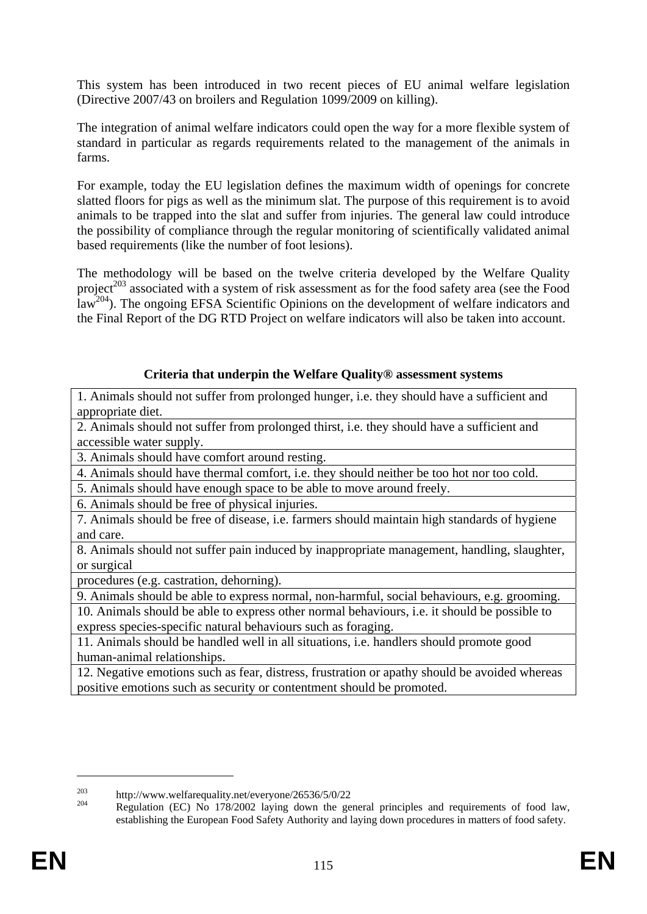This system has been introduced in two recent pieces of EU animal welfare legislation (Directive 2007/43 on broilers and Regulation 1099/2009 on killing).

The integration of animal welfare indicators could open the way for a more flexible system of standard in particular as regards requirements related to the management of the animals in farms.

For example, today the EU legislation defines the maximum width of openings for concrete slatted floors for pigs as well as the minimum slat. The purpose of this requirement is to avoid animals to be trapped into the slat and suffer from injuries. The general law could introduce the possibility of compliance through the regular monitoring of scientifically validated animal based requirements (like the number of foot lesions).

The methodology will be based on the twelve criteria developed by the Welfare Quality project<sup>203</sup> associated with a system of risk assessment as for the food safety area (see the Food law<sup>204</sup>). The ongoing EFSA Scientific Opinions on the development of welfare indicators and the Final Report of the DG RTD Project on welfare indicators will also be taken into account.

### **Criteria that underpin the Welfare Quality® assessment systems**

1. Animals should not suffer from prolonged hunger, i.e. they should have a sufficient and appropriate diet.

2. Animals should not suffer from prolonged thirst, i.e. they should have a sufficient and accessible water supply.

3. Animals should have comfort around resting.

4. Animals should have thermal comfort, i.e. they should neither be too hot nor too cold.

5. Animals should have enough space to be able to move around freely.

6. Animals should be free of physical injuries.

7. Animals should be free of disease, i.e. farmers should maintain high standards of hygiene and care.

8. Animals should not suffer pain induced by inappropriate management, handling, slaughter, or surgical

procedures (e.g. castration, dehorning).

9. Animals should be able to express normal, non-harmful, social behaviours, e.g. grooming.

10. Animals should be able to express other normal behaviours, i.e. it should be possible to express species-specific natural behaviours such as foraging.

11. Animals should be handled well in all situations, i.e. handlers should promote good human-animal relationships.

12. Negative emotions such as fear, distress, frustration or apathy should be avoided whereas positive emotions such as security or contentment should be promoted.

<sup>&</sup>lt;sup>203</sup> http://www.welfarequality.net/everyone/26536/5/0/22<br><sup>204</sup> Regulation (EC) No 178/2002 laying down the general principles and requirements of food law, establishing the European Food Safety Authority and laying down procedures in matters of food safety.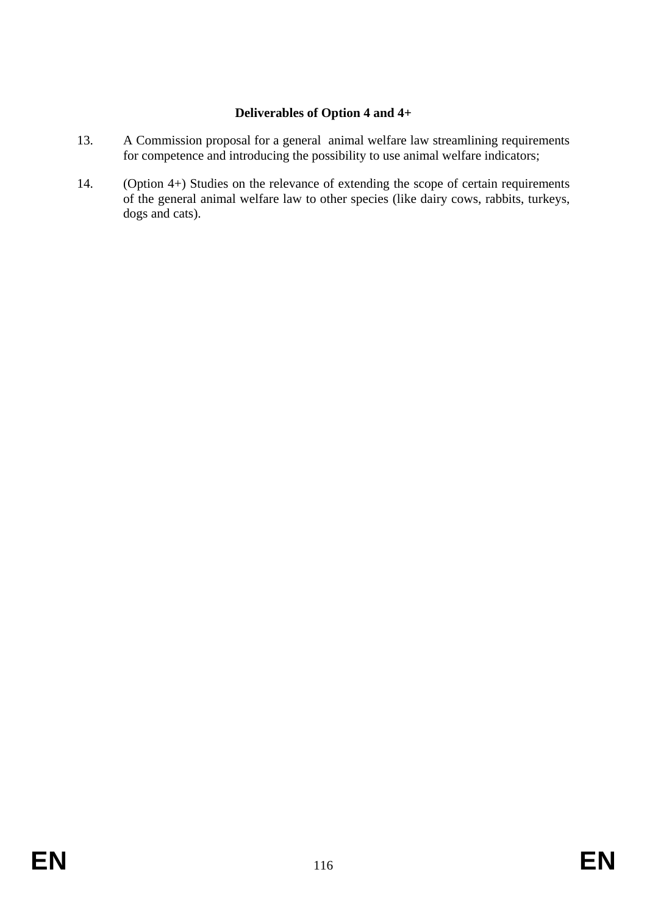# **Deliverables of Option 4 and 4+**

- 13. A Commission proposal for a general animal welfare law streamlining requirements for competence and introducing the possibility to use animal welfare indicators;
- 14. (Option 4+) Studies on the relevance of extending the scope of certain requirements of the general animal welfare law to other species (like dairy cows, rabbits, turkeys, dogs and cats).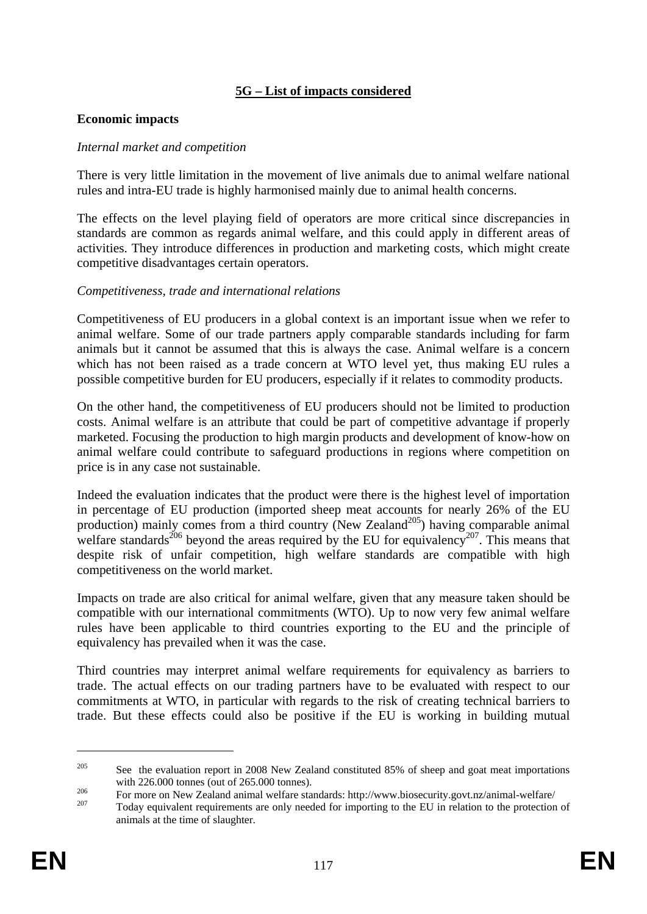# **5G – List of impacts considered**

#### **Economic impacts**

#### *Internal market and competition*

There is very little limitation in the movement of live animals due to animal welfare national rules and intra-EU trade is highly harmonised mainly due to animal health concerns.

The effects on the level playing field of operators are more critical since discrepancies in standards are common as regards animal welfare, and this could apply in different areas of activities. They introduce differences in production and marketing costs, which might create competitive disadvantages certain operators.

#### *Competitiveness, trade and international relations*

Competitiveness of EU producers in a global context is an important issue when we refer to animal welfare. Some of our trade partners apply comparable standards including for farm animals but it cannot be assumed that this is always the case. Animal welfare is a concern which has not been raised as a trade concern at WTO level yet, thus making EU rules a possible competitive burden for EU producers, especially if it relates to commodity products.

On the other hand, the competitiveness of EU producers should not be limited to production costs. Animal welfare is an attribute that could be part of competitive advantage if properly marketed. Focusing the production to high margin products and development of know-how on animal welfare could contribute to safeguard productions in regions where competition on price is in any case not sustainable.

Indeed the evaluation indicates that the product were there is the highest level of importation in percentage of EU production (imported sheep meat accounts for nearly 26% of the EU production) mainly comes from a third country (New Zealand<sup>205</sup>) having comparable animal welfare standards<sup>206</sup> beyond the areas required by the EU for equivalency<sup>207</sup>. This means that despite risk of unfair competition, high welfare standards are compatible with high competitiveness on the world market.

Impacts on trade are also critical for animal welfare, given that any measure taken should be compatible with our international commitments (WTO). Up to now very few animal welfare rules have been applicable to third countries exporting to the EU and the principle of equivalency has prevailed when it was the case.

Third countries may interpret animal welfare requirements for equivalency as barriers to trade. The actual effects on our trading partners have to be evaluated with respect to our commitments at WTO, in particular with regards to the risk of creating technical barriers to trade. But these effects could also be positive if the EU is working in building mutual

<u>.</u>

<sup>&</sup>lt;sup>205</sup> See the evaluation report in 2008 New Zealand constituted 85% of sheep and goat meat importations

with 226.000 tonnes (out of 265.000 tonnes).<br>
For more on New Zealand animal welfare standards: http://www.biosecurity.govt.nz/animal-welfare/<br>
Today equivalent requirements are only needed for importing to the EU in relat

animals at the time of slaughter.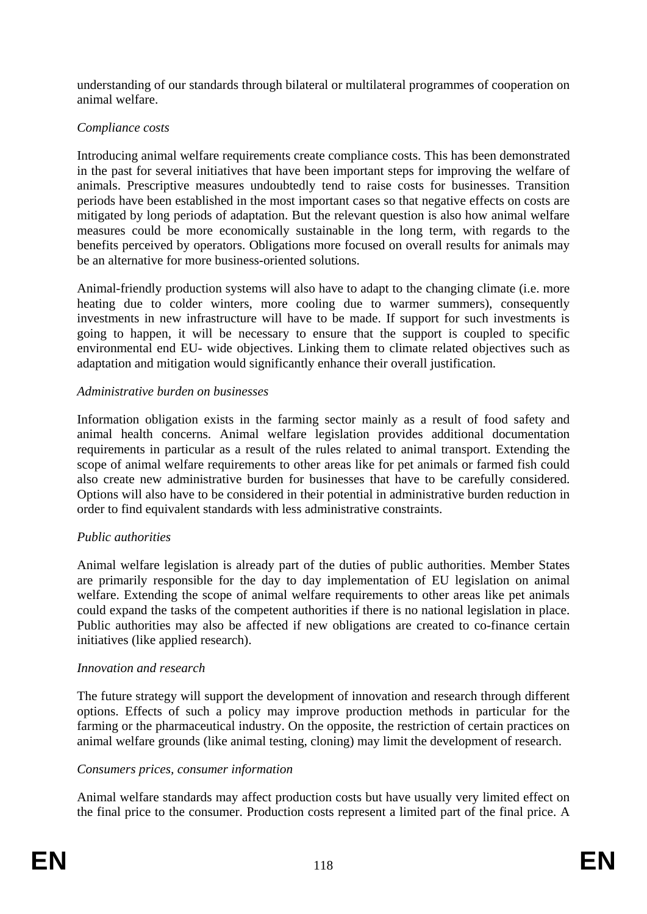understanding of our standards through bilateral or multilateral programmes of cooperation on animal welfare.

# *Compliance costs*

Introducing animal welfare requirements create compliance costs. This has been demonstrated in the past for several initiatives that have been important steps for improving the welfare of animals. Prescriptive measures undoubtedly tend to raise costs for businesses. Transition periods have been established in the most important cases so that negative effects on costs are mitigated by long periods of adaptation. But the relevant question is also how animal welfare measures could be more economically sustainable in the long term, with regards to the benefits perceived by operators. Obligations more focused on overall results for animals may be an alternative for more business-oriented solutions.

Animal-friendly production systems will also have to adapt to the changing climate (i.e. more heating due to colder winters, more cooling due to warmer summers), consequently investments in new infrastructure will have to be made. If support for such investments is going to happen, it will be necessary to ensure that the support is coupled to specific environmental end EU- wide objectives. Linking them to climate related objectives such as adaptation and mitigation would significantly enhance their overall justification.

### *Administrative burden on businesses*

Information obligation exists in the farming sector mainly as a result of food safety and animal health concerns. Animal welfare legislation provides additional documentation requirements in particular as a result of the rules related to animal transport. Extending the scope of animal welfare requirements to other areas like for pet animals or farmed fish could also create new administrative burden for businesses that have to be carefully considered. Options will also have to be considered in their potential in administrative burden reduction in order to find equivalent standards with less administrative constraints.

# *Public authorities*

Animal welfare legislation is already part of the duties of public authorities. Member States are primarily responsible for the day to day implementation of EU legislation on animal welfare. Extending the scope of animal welfare requirements to other areas like pet animals could expand the tasks of the competent authorities if there is no national legislation in place. Public authorities may also be affected if new obligations are created to co-finance certain initiatives (like applied research).

# *Innovation and research*

The future strategy will support the development of innovation and research through different options. Effects of such a policy may improve production methods in particular for the farming or the pharmaceutical industry. On the opposite, the restriction of certain practices on animal welfare grounds (like animal testing, cloning) may limit the development of research.

# *Consumers prices, consumer information*

Animal welfare standards may affect production costs but have usually very limited effect on the final price to the consumer. Production costs represent a limited part of the final price. A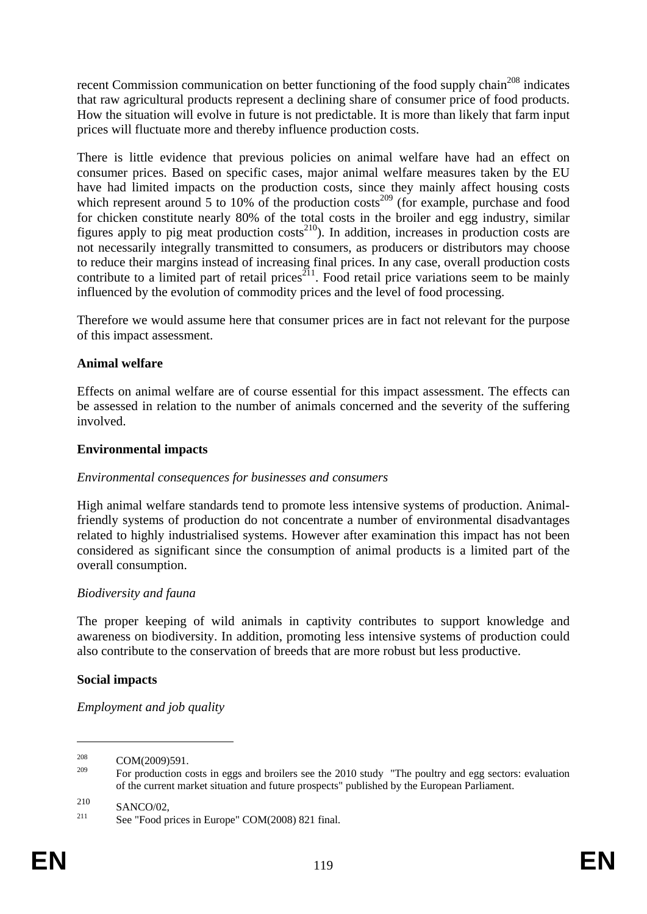recent Commission communication on better functioning of the food supply chain<sup>208</sup> indicates that raw agricultural products represent a declining share of consumer price of food products. How the situation will evolve in future is not predictable. It is more than likely that farm input prices will fluctuate more and thereby influence production costs.

There is little evidence that previous policies on animal welfare have had an effect on consumer prices. Based on specific cases, major animal welfare measures taken by the EU have had limited impacts on the production costs, since they mainly affect housing costs which represent around 5 to 10% of the production  $\cos^{-209}$  (for example, purchase and food for chicken constitute nearly 80% of the total costs in the broiler and egg industry, similar figures apply to pig meat production costs<sup>210</sup>). In addition, increases in production costs are not necessarily integrally transmitted to consumers, as producers or distributors may choose to reduce their margins instead of increasing final prices. In any case, overall production costs contribute to a limited part of retail prices<sup>211</sup>. Food retail price variations seem to be mainly influenced by the evolution of commodity prices and the level of food processing.

Therefore we would assume here that consumer prices are in fact not relevant for the purpose of this impact assessment.

#### **Animal welfare**

Effects on animal welfare are of course essential for this impact assessment. The effects can be assessed in relation to the number of animals concerned and the severity of the suffering involved.

### **Environmental impacts**

#### *Environmental consequences for businesses and consumers*

High animal welfare standards tend to promote less intensive systems of production. Animalfriendly systems of production do not concentrate a number of environmental disadvantages related to highly industrialised systems. However after examination this impact has not been considered as significant since the consumption of animal products is a limited part of the overall consumption.

#### *Biodiversity and fauna*

The proper keeping of wild animals in captivity contributes to support knowledge and awareness on biodiversity. In addition, promoting less intensive systems of production could also contribute to the conservation of breeds that are more robust but less productive.

#### **Social impacts**

<u>.</u>

*Employment and job quality* 

 $\frac{208}{209}$  COM(2009)591.

<sup>209</sup> For production costs in eggs and broilers see the 2010 study "The poultry and egg sectors: evaluation of the current market situation and future prospects" published by the European Parliament.

<sup>210</sup> SANCO/02,<br><sup>211</sup> See "Food prices in Europe" COM(2008) 821 final.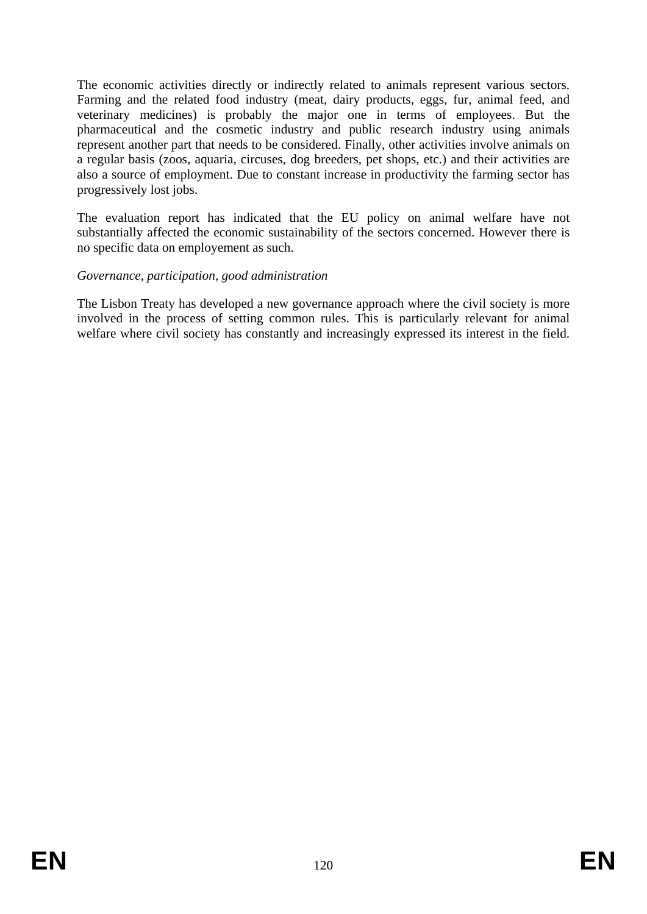The economic activities directly or indirectly related to animals represent various sectors. Farming and the related food industry (meat, dairy products, eggs, fur, animal feed, and veterinary medicines) is probably the major one in terms of employees. But the pharmaceutical and the cosmetic industry and public research industry using animals represent another part that needs to be considered. Finally, other activities involve animals on a regular basis (zoos, aquaria, circuses, dog breeders, pet shops, etc.) and their activities are also a source of employment. Due to constant increase in productivity the farming sector has progressively lost jobs.

The evaluation report has indicated that the EU policy on animal welfare have not substantially affected the economic sustainability of the sectors concerned. However there is no specific data on employement as such.

### *Governance, participation, good administration*

The Lisbon Treaty has developed a new governance approach where the civil society is more involved in the process of setting common rules. This is particularly relevant for animal welfare where civil society has constantly and increasingly expressed its interest in the field.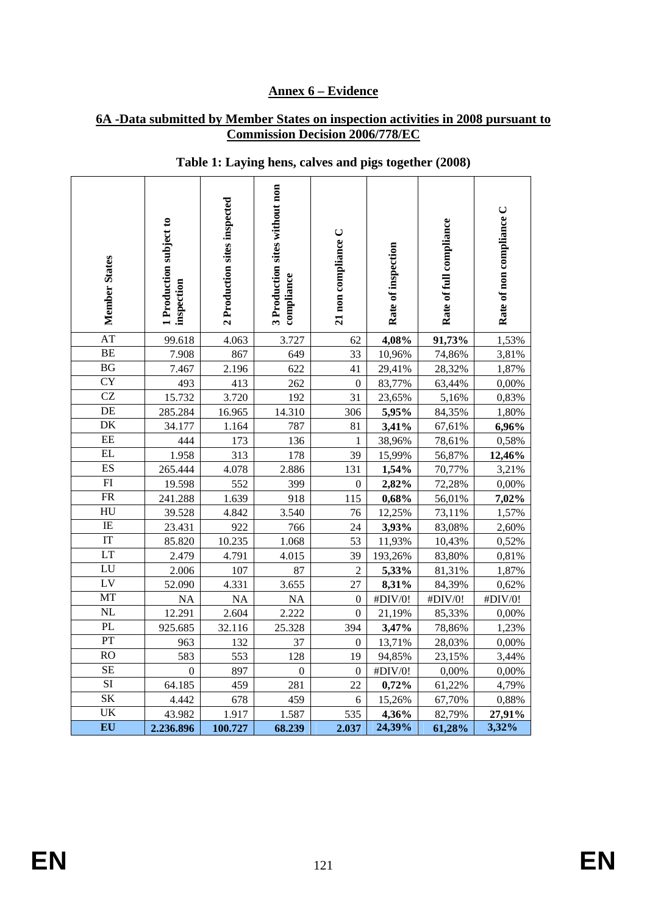### **Annex 6 – Evidence**

#### **6A -Data submitted by Member States on inspection activities in 2008 pursuant to Commission Decision 2006/778/EC**

| <b>Member States</b>   | I Production subject to<br>inspection | 2 Production sites inspected | 3 Production sites without non<br>compliance | 21 non compliance C | Rate of inspection | Rate of full compliance | Rate of non compliance C |
|------------------------|---------------------------------------|------------------------------|----------------------------------------------|---------------------|--------------------|-------------------------|--------------------------|
| AT                     | 99.618                                | 4.063                        | 3.727                                        | 62                  | 4,08%              | 91,73%                  | 1,53%                    |
| BE                     | 7.908                                 | 867                          | 649                                          | 33                  | 10,96%             | 74,86%                  | 3,81%                    |
| BG                     | 7.467                                 | 2.196                        | 622                                          | 41                  | 29,41%             | 28,32%                  | 1,87%                    |
| $\overline{\rm CY}$    | 493                                   | 413                          | 262                                          | $\overline{0}$      | 83,77%             | 63,44%                  | 0,00%                    |
| CZ                     | 15.732                                | 3.720                        | 192                                          | 31                  | 23,65%             | 5,16%                   | 0,83%                    |
| DE                     | 285.284                               | 16.965                       | 14.310                                       | 306                 | 5,95%              | 84,35%                  | 1,80%                    |
| DK                     | 34.177                                | 1.164                        | 787                                          | 81                  | 3,41%              | 67,61%                  | 6,96%                    |
| $\rm EE$               | 444                                   | 173                          | 136                                          | 1                   | 38,96%             | 78,61%                  | 0,58%                    |
| EL                     | 1.958                                 | 313                          | 178                                          | 39                  | 15,99%             | 56,87%                  | 12,46%                   |
| ES                     | 265.444                               | 4.078                        | 2.886                                        | 131                 | 1,54%              | 70,77%                  | 3,21%                    |
| ${\rm FI}$             | 19.598                                | 552                          | 399                                          | $\boldsymbol{0}$    | 2,82%              | 72,28%                  | 0,00%                    |
| $\overline{\text{FR}}$ | 241.288                               | 1.639                        | 918                                          | 115                 | 0,68%              | 56,01%                  | 7,02%                    |
| HU                     | 39.528                                | 4.842                        | 3.540                                        | 76                  | 12,25%             | 73,11%                  | 1,57%                    |
| $\rm IE$               | 23.431                                | 922                          | 766                                          | 24                  | 3,93%              | 83,08%                  | 2,60%                    |
| IT                     | 85.820                                | 10.235                       | 1.068                                        | 53                  | 11,93%             | 10,43%                  | 0,52%                    |
| LT                     | 2.479                                 | 4.791                        | 4.015                                        | 39                  | 193,26%            | 83,80%                  | 0,81%                    |
| LU                     | 2.006                                 | 107                          | 87                                           | $\overline{c}$      | 5,33%              | 81,31%                  | 1,87%                    |
| LV                     | 52.090                                | 4.331                        | 3.655                                        | 27                  | 8,31%              | 84,39%                  | 0,62%                    |
| MT                     | <b>NA</b>                             | <b>NA</b>                    | <b>NA</b>                                    | $\boldsymbol{0}$    | #DIV/0!            | #DIV/0!                 | #DIV/0!                  |
| <b>NL</b>              | 12.291                                | 2.604                        | 2.222                                        | $\boldsymbol{0}$    | 21,19%             | 85,33%                  | 0,00%                    |
| PL                     | 925.685                               | 32.116                       | 25.328                                       | 394                 | 3,47%              | 78,86%                  | 1,23%                    |
| PT                     | 963                                   | 132                          | 37                                           | $\boldsymbol{0}$    | 13,71%             | 28,03%                  | 0,00%                    |
| $\overline{RO}$        | 583                                   | 553                          | 128                                          | 19                  | 94,85%             | 23,15%                  | 3,44%                    |
| <b>SE</b>              | $\boldsymbol{0}$                      | 897                          | $\mathbf{0}$                                 | $\boldsymbol{0}$    | #DIV/0!            | 0,00%                   | 0,00%                    |
| $\overline{SI}$        | 64.185                                | 459                          | 281                                          | 22                  | 0,72%              | 61,22%                  | 4,79%                    |
| $\overline{\text{SK}}$ | 4.442                                 | 678                          | 459                                          | 6                   | 15,26%             | 67,70%                  | 0,88%                    |
| UK                     | 43.982                                | 1.917                        | 1.587                                        | 535                 | 4,36%              | 82,79%                  | 27,91%                   |
| EU                     | 2.236.896                             | 100.727                      | 68.239                                       | 2.037               | 24,39%             | 61,28%                  | 3,32%                    |

# **Table 1: Laying hens, calves and pigs together (2008)**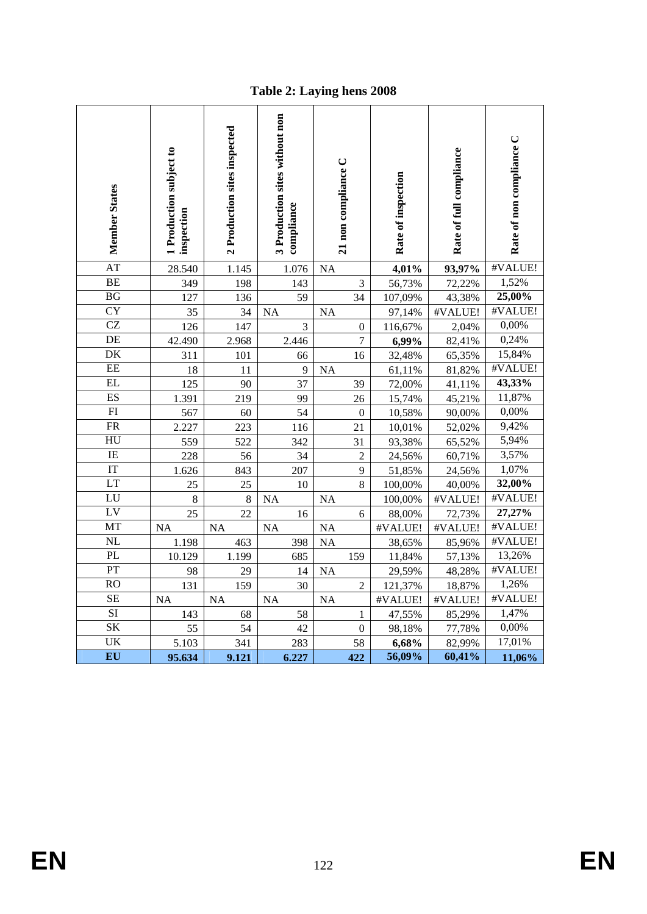**Table 2: Laying hens 2008** 

| <b>Member States</b>   | <b>Production subject to</b><br>inspection | 2 Production sites inspected | 3 Production sites without non<br>compliance | 21 non compliance C | Rate of inspection | Rate of full compliance | Rate of non compliance C |
|------------------------|--------------------------------------------|------------------------------|----------------------------------------------|---------------------|--------------------|-------------------------|--------------------------|
| $\overline{AT}$        | 28.540                                     | 1.145                        | 1.076                                        | <b>NA</b>           | 4,01%              | 93,97%                  | #VALUE!                  |
| <b>BE</b>              | 349                                        | 198                          | 143                                          | $\mathfrak{Z}$      | 56,73%             | 72,22%                  | 1,52%                    |
| BG                     | 127                                        | 136                          | 59                                           | 34                  | 107,09%            | 43,38%                  | 25,00%                   |
| <b>CY</b>              | 35                                         | 34                           | <b>NA</b>                                    | <b>NA</b>           | 97,14%             | #VALUE!                 | #VALUE!                  |
| CZ                     | 126                                        | 147                          | 3                                            | $\boldsymbol{0}$    | 116,67%            | 2,04%                   | 0,00%                    |
| DE                     | 42.490                                     | 2.968                        | 2.446                                        | 7                   | 6,99%              | 82,41%                  | 0,24%                    |
| $\overline{\rm DK}$    | 311                                        | 101                          | 66                                           | 16                  | 32,48%             | 65,35%                  | 15,84%                   |
| EE                     | 18                                         | 11                           | 9                                            | <b>NA</b>           | 61,11%             | 81,82%                  | #VALUE!                  |
| EL                     | 125                                        | 90                           | 37                                           | 39                  | 72,00%             | 41,11%                  | 43,33%                   |
| ES                     | 1.391                                      | 219                          | 99                                           | 26                  | 15,74%             | 45,21%                  | 11,87%                   |
| $\overline{FI}$        | 567                                        | 60                           | 54                                           | $\overline{0}$      | 10,58%             | 90,00%                  | 0,00%                    |
| $\overline{\text{FR}}$ | 2.227                                      | 223                          | 116                                          | 21                  | 10,01%             | 52,02%                  | 9,42%                    |
| HU                     | 559                                        | 522                          | 342                                          | 31                  | 93,38%             | 65,52%                  | 5,94%                    |
| IE                     | 228                                        | 56                           | 34                                           | $\overline{2}$      | 24,56%             | 60,71%                  | 3,57%                    |
| $\overline{\text{IT}}$ | 1.626                                      | 843                          | 207                                          | 9                   | 51,85%             | 24,56%                  | 1,07%                    |
| LT                     | 25                                         | 25                           | 10                                           | $8\,$               | 100,00%            | 40,00%                  | 32,00%                   |
| LU                     | 8                                          | $\,8\,$                      | <b>NA</b>                                    | <b>NA</b>           | 100,00%            | #VALUE!                 | #VALUE!                  |
| $\overline{LV}$        | 25                                         | 22                           | 16                                           | 6                   | 88,00%             | 72,73%                  | 27,27%                   |
| MT                     | <b>NA</b>                                  | NA                           | <b>NA</b>                                    | NA                  | #VALUE!            | #VALUE!                 | #VALUE!                  |
| $\overline{\text{NL}}$ | 1.198                                      | 463                          | 398                                          | <b>NA</b>           | 38,65%             | 85,96%                  | #VALUE!                  |
| PL                     | 10.129                                     | 1.199                        | 685                                          | 159                 | 11,84%             | 57,13%                  | 13,26%                   |
| PT                     | 98                                         | 29                           | 14                                           | <b>NA</b>           | 29,59%             | 48,28%                  | #VALUE!                  |
| <b>RO</b>              | 131                                        | 159                          | 30                                           | $\sqrt{2}$          | 121,37%            | 18,87%                  | 1,26%                    |
| <b>SE</b>              | <b>NA</b>                                  | <b>NA</b>                    | <b>NA</b>                                    | <b>NA</b>           | #VALUE!            | #VALUE!                 | #VALUE!                  |
| $\overline{SI}$        | 143                                        | 68                           | 58                                           | 1                   | 47,55%             | 85,29%                  | 1,47%                    |
| SK                     | 55                                         | 54                           | 42                                           | $\mathbf{0}$        | 98,18%             | 77,78%                  | 0,00%                    |
| UK                     | 5.103                                      | 341                          | 283                                          | 58                  | 6,68%              | 82,99%                  | 17,01%                   |
| EU                     | 95.634                                     | 9.121                        | 6.227                                        | 422                 | 56,09%             | 60,41%                  | 11,06%                   |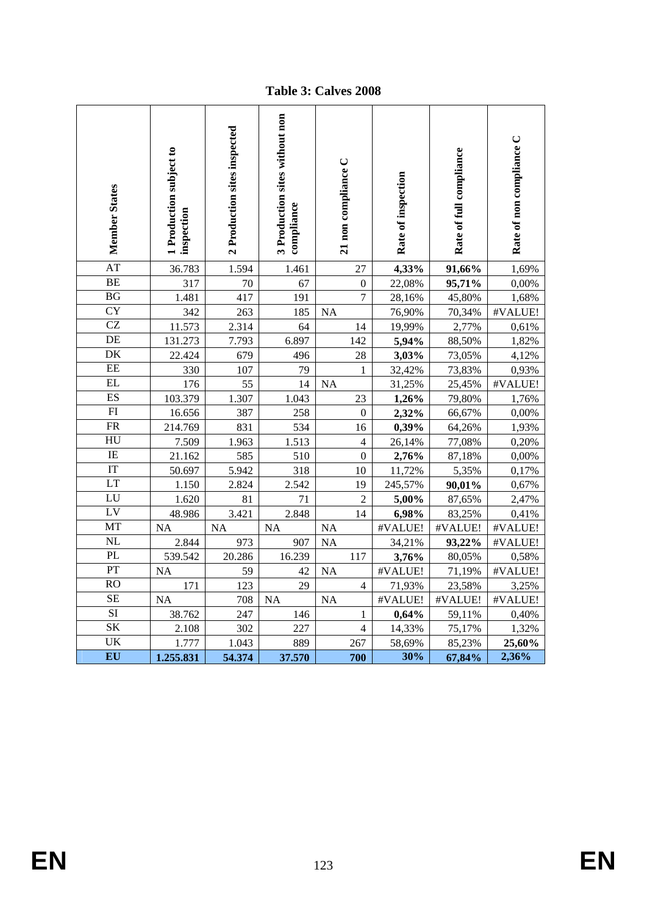**Table 3: Calves 2008** 

| <b>Member States</b>     | Production subject to<br>inspection | 2 Production sites inspected | 3 Production sites without non<br>compliance | 21 non compliance C | Rate of inspection | Rate of full compliance | Rate of non compliance C |
|--------------------------|-------------------------------------|------------------------------|----------------------------------------------|---------------------|--------------------|-------------------------|--------------------------|
| <b>AT</b>                | 36.783                              | 1.594                        | 1.461                                        | 27                  | 4,33%              | 91,66%                  | 1,69%                    |
| <b>BE</b>                | 317                                 | 70                           | 67                                           | $\overline{0}$      | 22,08%             | 95,71%                  | 0,00%                    |
| BG                       | 1.481                               | 417                          | 191                                          | $\overline{7}$      | 28,16%             | 45,80%                  | 1,68%                    |
| $\overline{\text{CY}}$   | 342                                 | 263                          | 185                                          | <b>NA</b>           | 76,90%             | 70,34%                  | #VALUE!                  |
| <b>CZ</b>                | 11.573                              | 2.314                        | 64                                           | 14                  | 19,99%             | 2,77%                   | 0,61%                    |
| DE                       | 131.273                             | 7.793                        | 6.897                                        | 142                 | 5,94%              | 88,50%                  | 1,82%                    |
| DK                       | 22.424                              | 679                          | 496                                          | 28                  | 3,03%              | 73,05%                  | 4,12%                    |
| $\rm{EE}$                | 330                                 | 107                          | 79                                           | $\mathbf{1}$        | 32,42%             | 73,83%                  | 0,93%                    |
| EL                       | 176                                 | 55                           | 14                                           | <b>NA</b>           | 31,25%             | 25,45%                  | #VALUE!                  |
| ES                       | 103.379                             | 1.307                        | 1.043                                        | 23                  | 1,26%              | 79,80%                  | 1,76%                    |
| FI                       | 16.656                              | 387                          | 258                                          | $\boldsymbol{0}$    | 2,32%              | 66,67%                  | 0,00%                    |
| $\overline{\text{FR}}$   | 214.769                             | 831                          | 534                                          | 16                  | 0,39%              | 64,26%                  | 1,93%                    |
| $\overline{\mathrm{HU}}$ | 7.509                               | 1.963                        | 1.513                                        | $\overline{4}$      | 26,14%             | 77,08%                  | 0,20%                    |
| IE                       | 21.162                              | 585                          | 510                                          | $\overline{0}$      | 2,76%              | 87,18%                  | 0,00%                    |
| $\overline{\text{IT}}$   | 50.697                              | 5.942                        | 318                                          | 10                  | 11,72%             | 5,35%                   | 0,17%                    |
| LT                       | 1.150                               | 2.824                        | 2.542                                        | 19                  | 245,57%            | 90,01%                  | 0,67%                    |
| LU                       | 1.620                               | 81                           | 71                                           | $\overline{2}$      | 5,00%              | 87,65%                  | 2,47%                    |
| LV                       | 48.986                              | 3.421                        | 2.848                                        | 14                  | 6,98%              | 83,25%                  | 0,41%                    |
| MT                       | <b>NA</b>                           | <b>NA</b>                    | <b>NA</b>                                    | <b>NA</b>           | #VALUE!            | #VALUE!                 | #VALUE!                  |
| NL                       | 2.844                               | 973                          | 907                                          | <b>NA</b>           | 34,21%             | 93,22%                  | #VALUE!                  |
| PL                       | 539.542                             | 20.286                       | 16.239                                       | 117                 | 3,76%              | 80,05%                  | 0,58%                    |
| $\overline{PT}$          | <b>NA</b>                           | 59                           | 42                                           | <b>NA</b>           | #VALUE!            | 71,19%                  | #VALUE!                  |
| <b>RO</b>                | 171                                 | 123                          | 29                                           | $\overline{4}$      | 71,93%             | 23,58%                  | 3,25%                    |
| <b>SE</b>                | <b>NA</b>                           | 708                          | <b>NA</b>                                    | <b>NA</b>           | #VALUE!            | #VALUE!                 | #VALUE!                  |
| $\overline{SI}$          | 38.762                              | 247                          | 146                                          | 1                   | 0,64%              | 59,11%                  | 0,40%                    |
| $\rm SK$                 | 2.108                               | 302                          | 227                                          | $\overline{4}$      | 14,33%             | 75,17%                  | 1,32%                    |
| UK                       | 1.777                               | 1.043                        | 889                                          | 267                 | 58,69%             | 85,23%                  | 25,60%                   |
| EU                       | 1.255.831                           | 54.374                       | 37.570                                       | 700                 | 30%                | 67,84%                  | 2,36%                    |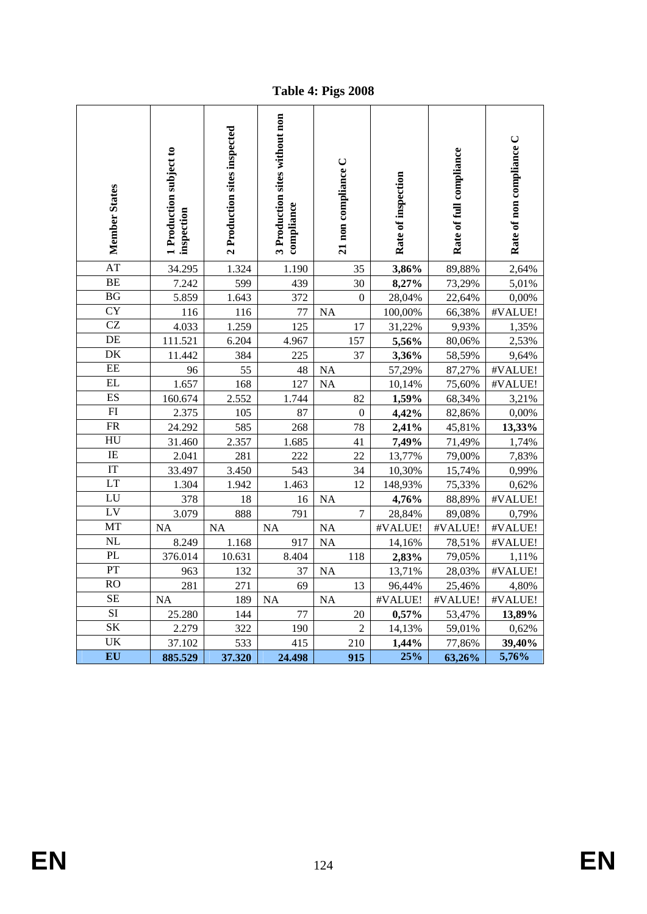**Table 4: Pigs 2008** 

| Member States          | 1 Production subject to<br>inspection | 2 Production sites inspected | 3 Production sites without non<br>compliance | 21 non compliance C | Rate of inspection | Rate of full compliance | Rate of non compliance C |
|------------------------|---------------------------------------|------------------------------|----------------------------------------------|---------------------|--------------------|-------------------------|--------------------------|
| AT                     | 34.295                                | 1.324                        | 1.190                                        | 35                  | 3,86%              | 89,88%                  | 2,64%                    |
| <b>BE</b>              | 7.242                                 | 599                          | 439                                          | 30                  | 8,27%              | 73,29%                  | 5,01%                    |
| BG                     | 5.859                                 | 1.643                        | 372                                          | $\boldsymbol{0}$    | 28,04%             | 22,64%                  | 0,00%                    |
| <b>CY</b>              | 116                                   | 116                          | 77                                           | <b>NA</b>           | 100,00%            | 66,38%                  | #VALUE!                  |
| $\overline{\text{CZ}}$ | 4.033                                 | 1.259                        | 125                                          | 17                  | 31,22%             | 9,93%                   | 1,35%                    |
| DE                     | 111.521                               | 6.204                        | 4.967                                        | 157                 | 5,56%              | 80,06%                  | 2,53%                    |
| DK                     | 11.442                                | 384                          | 225                                          | 37                  | 3,36%              | 58,59%                  | 9,64%                    |
| EE                     | 96                                    | 55                           | 48                                           | <b>NA</b>           | 57,29%             | 87,27%                  | #VALUE!                  |
| EL                     | 1.657                                 | 168                          | 127                                          | <b>NA</b>           | 10,14%             | 75,60%                  | #VALUE!                  |
| ES                     | 160.674                               | 2.552                        | 1.744                                        | 82                  | 1,59%              | 68,34%                  | 3,21%                    |
| FI                     | 2.375                                 | 105                          | 87                                           | $\boldsymbol{0}$    | 4,42%              | 82,86%                  | 0,00%                    |
| $\overline{\text{FR}}$ | 24.292                                | 585                          | 268                                          | 78                  | 2,41%              | 45,81%                  | 13,33%                   |
| HU                     | 31.460                                | 2.357                        | 1.685                                        | 41                  | 7,49%              | 71,49%                  | 1,74%                    |
| $\rm IE$               | 2.041                                 | 281                          | 222                                          | 22                  | 13,77%             | 79,00%                  | 7,83%                    |
| $\overline{\text{IT}}$ | 33.497                                | 3.450                        | 543                                          | 34                  | 10,30%             | 15,74%                  | 0,99%                    |
| <b>LT</b>              | 1.304                                 | 1.942                        | 1.463                                        | 12                  | 148,93%            | 75,33%                  | 0,62%                    |
| LU                     | 378                                   | 18                           | 16                                           | <b>NA</b>           | 4,76%              | 88,89%                  | #VALUE!                  |
| LV                     | 3.079                                 | 888                          | 791                                          | $\overline{7}$      | 28,84%             | 89,08%                  | 0,79%                    |
| MT                     | <b>NA</b>                             | <b>NA</b>                    | <b>NA</b>                                    | <b>NA</b>           | #VALUE!            | #VALUE!                 | #VALUE!                  |
| NL                     | 8.249                                 | 1.168                        | 917                                          | <b>NA</b>           | 14,16%             | 78,51%                  | #VALUE!                  |
| PL                     | 376.014                               | 10.631                       | 8.404                                        | 118                 | 2,83%              | 79,05%                  | 1,11%                    |
| PT                     | 963                                   | 132                          | 37                                           | <b>NA</b>           | 13,71%             | 28,03%                  | #VALUE!                  |
| RO                     | 281                                   | 271                          | 69                                           | 13                  | 96,44%             | 25,46%                  | 4,80%                    |
| <b>SE</b>              | <b>NA</b>                             | 189                          | <b>NA</b>                                    | <b>NA</b>           | #VALUE!            | #VALUE!                 | #VALUE!                  |
| $\overline{SI}$        | 25.280                                | 144                          | 77                                           | 20                  | 0,57%              | 53,47%                  | 13,89%                   |
| $\overline{\text{SK}}$ | 2.279                                 | 322                          | 190                                          | $\overline{2}$      | 14,13%             | 59,01%                  | 0,62%                    |
| UK                     | 37.102                                | 533                          | 415                                          | 210                 | 1,44%              | 77,86%                  | 39,40%                   |
| EU                     | 885.529                               | 37.320                       | 24.498                                       | 915                 | 25%                | 63,26%                  | 5,76%                    |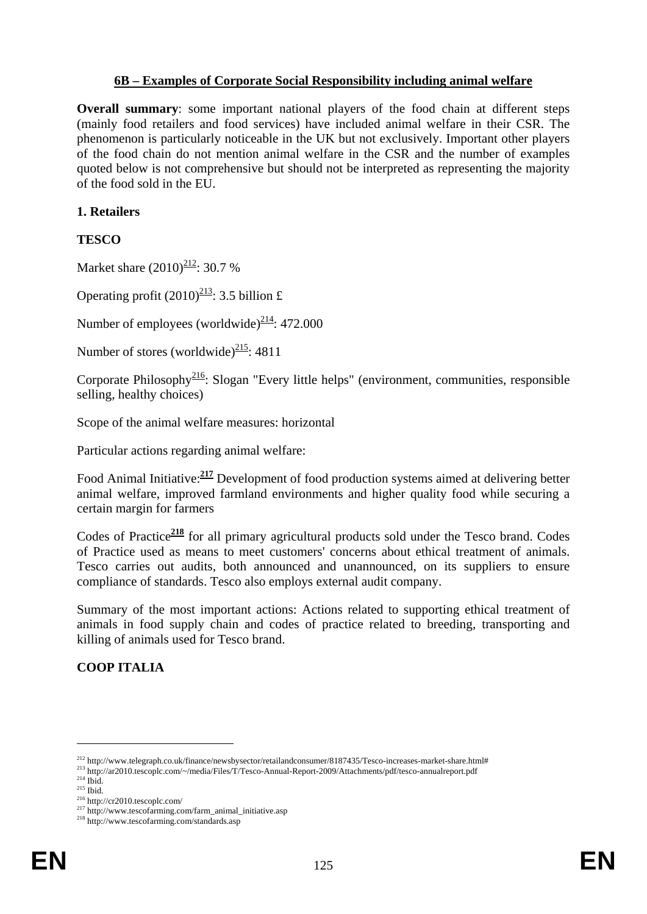### **6B – Examples of Corporate Social Responsibility including animal welfare**

**Overall summary**: some important national players of the food chain at different steps (mainly food retailers and food services) have included animal welfare in their CSR. The phenomenon is particularly noticeable in the UK but not exclusively. Important other players of the food chain do not mention animal welfare in the CSR and the number of examples quoted below is not comprehensive but should not be interpreted as representing the majority of the food sold in the EU.

### **1. Retailers**

# **TESCO**

Market share  $(2010)^{212}$ : 30.7 %

Operating profit  $(2010)^{213}$ : 3.5 billion £

Number of employees (worldwide)<sup> $214$ </sup>: 472.000

Number of stores (worldwide) $\frac{215}{21}$ : 4811

Corporate Philosophy<sup>216</sup>: Slogan "Every little helps" (environment, communities, responsible selling, healthy choices)

Scope of the animal welfare measures: horizontal

Particular actions regarding animal welfare:

Food Animal Initiative:**<sup>217</sup>** Development of food production systems aimed at delivering better animal welfare, improved farmland environments and higher quality food while securing a certain margin for farmers

Codes of Practice<sup>218</sup> for all primary agricultural products sold under the Tesco brand. Codes of Practice used as means to meet customers' concerns about ethical treatment of animals. Tesco carries out audits, both announced and unannounced, on its suppliers to ensure compliance of standards. Tesco also employs external audit company.

Summary of the most important actions: Actions related to supporting ethical treatment of animals in food supply chain and codes of practice related to breeding, transporting and killing of animals used for Tesco brand.

# **COOP ITALIA**

<sup>212</sup> http://www.telegraph.co.uk/finance/newsbysector/retailandconsumer/8187435/Tesco-increases-market-share.html#

<sup>213</sup> http://ar2010.tescoplc.com/~/media/Files/T/Tesco-Annual-Report-2009/Attachments/pdf/tesco-annualreport.pdf

 $214$  Ibid.  $^{215}$  Ibid.

<sup>216</sup> http://cr2010.tescoplc.com/

<sup>217</sup> http://www.tescofarming.com/farm\_animal\_initiative.asp

<sup>&</sup>lt;sup>218</sup> http://www.tescofarming.com/standards.asp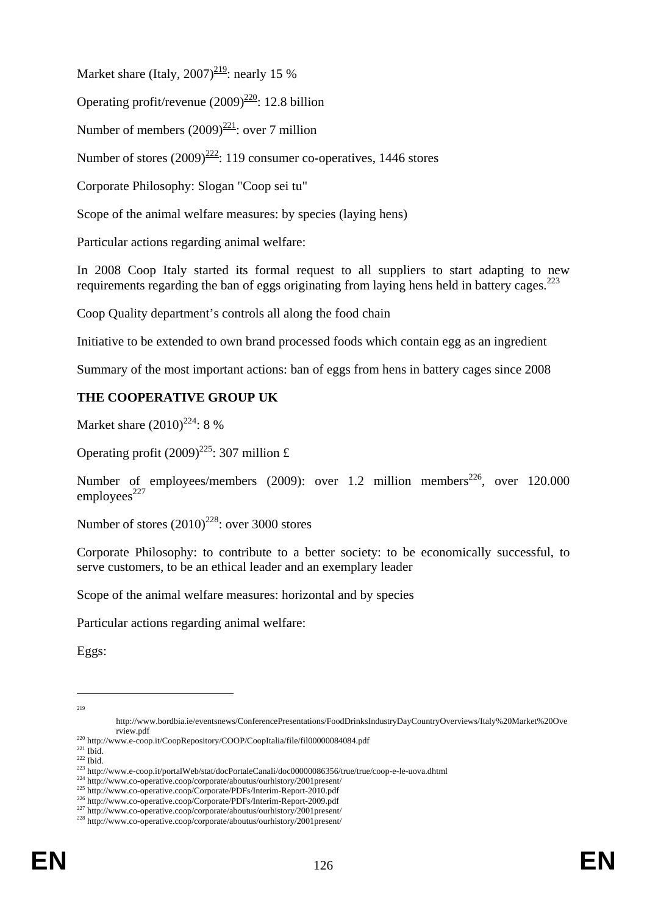Market share (Italy,  $2007$ )<sup>219</sup>: nearly 15 %

Operating profit/revenue  $(2009)^{220}$ : 12.8 billion

Number of members  $(2009)^{221}$ : over 7 million

Number of stores  $(2009)^{222}$ : 119 consumer co-operatives, 1446 stores

Corporate Philosophy: Slogan "Coop sei tu"

Scope of the animal welfare measures: by species (laying hens)

Particular actions regarding animal welfare:

In 2008 Coop Italy started its formal request to all suppliers to start adapting to new requirements regarding the ban of eggs originating from laying hens held in battery cages.<sup>223</sup>

Coop Quality department's controls all along the food chain

Initiative to be extended to own brand processed foods which contain egg as an ingredient

Summary of the most important actions: ban of eggs from hens in battery cages since 2008

# **THE COOPERATIVE GROUP UK**

Market share  $(2010)^{224}$ : 8 %

Operating profit  $(2009)^{225}$ : 307 million £

Number of employees/members (2009): over 1.2 million members<sup>226</sup>, over 120.000 employees $^{227}$ 

Number of stores  $(2010)^{228}$ : over 3000 stores

Corporate Philosophy: to contribute to a better society: to be economically successful, to serve customers, to be an ethical leader and an exemplary leader

Scope of the animal welfare measures: horizontal and by species

Particular actions regarding animal welfare:

Eggs:

<u>.</u> 219

http://www.bordbia.ie/eventsnews/ConferencePresentations/FoodDrinksIndustryDayCountryOverviews/Italy%20Market%20Ove rview.pdf

<sup>220</sup> http://www.e-coop.it/CoopRepository/COOP/CoopItalia/file/fil00000084084.pdf

 $221$  Ibid.

 $222$  Ibid.

<sup>223</sup> http://www.e-coop.it/portalWeb/stat/docPortaleCanali/doc00000086356/true/true/coop-e-le-uova.dhtml

<sup>224</sup> http://www.co-operative.coop/corporate/aboutus/ourhistory/2001present/

<sup>225</sup> http://www.co-operative.coop/Corporate/PDFs/Interim-Report-2010.pdf

<sup>226</sup> http://www.co-operative.coop/Corporate/PDFs/Interim-Report-2009.pdf

<sup>&</sup>lt;sup>227</sup> http://www.co-operative.coop/corporate/aboutus/ourhistory/2001present/

<sup>&</sup>lt;sup>228</sup> http://www.co-operative.coop/corporate/aboutus/ourhistory/2001present/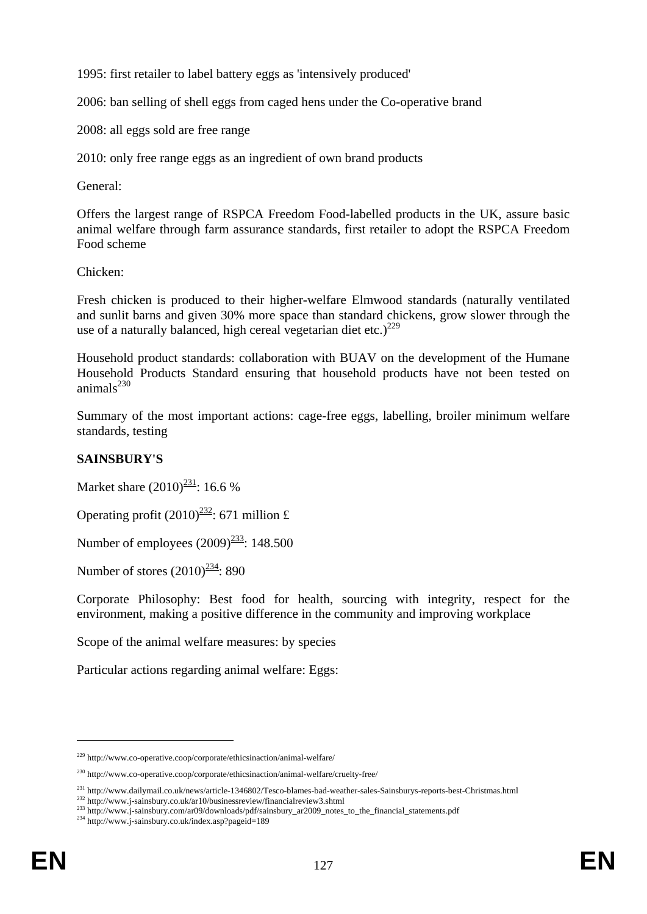1995: first retailer to label battery eggs as 'intensively produced'

2006: ban selling of shell eggs from caged hens under the Co-operative brand

2008: all eggs sold are free range

2010: only free range eggs as an ingredient of own brand products

General:

Offers the largest range of RSPCA Freedom Food-labelled products in the UK, assure basic animal welfare through farm assurance standards, first retailer to adopt the RSPCA Freedom Food scheme

Chicken:

Fresh chicken is produced to their higher-welfare Elmwood standards (naturally ventilated and sunlit barns and given 30% more space than standard chickens, grow slower through the use of a naturally balanced, high cereal vegetarian diet etc.)<sup>229</sup>

Household product standards: collaboration with BUAV on the development of the Humane Household Products Standard ensuring that household products have not been tested on animal $s^{230}$ 

Summary of the most important actions: cage-free eggs, labelling, broiler minimum welfare standards, testing

# **SAINSBURY'S**

Market share  $(2010)^{231}$ : 16.6 %

Operating profit  $(2010)^{232}$ : 671 million £

Number of employees  $(2009)^{233}$ : 148.500

Number of stores  $(2010)^{234}$ : 890

Corporate Philosophy: Best food for health, sourcing with integrity, respect for the environment, making a positive difference in the community and improving workplace

Scope of the animal welfare measures: by species

Particular actions regarding animal welfare: Eggs:

<sup>229</sup> http://www.co-operative.coop/corporate/ethicsinaction/animal-welfare/

<sup>230</sup> http://www.co-operative.coop/corporate/ethicsinaction/animal-welfare/cruelty-free/

<sup>231</sup> http://www.dailymail.co.uk/news/article-1346802/Tesco-blames-bad-weather-sales-Sainsburys-reports-best-Christmas.html

<sup>232</sup> http://www.j-sainsbury.co.uk/ar10/businessreview/financialreview3.shtml

<sup>233</sup> http://www.j-sainsbury.com/ar09/downloads/pdf/sainsbury\_ar2009\_notes\_to\_the\_financial\_statements.pdf

<sup>&</sup>lt;sup>234</sup> http://www.j-sainsbury.co.uk/index.asp?pageid=189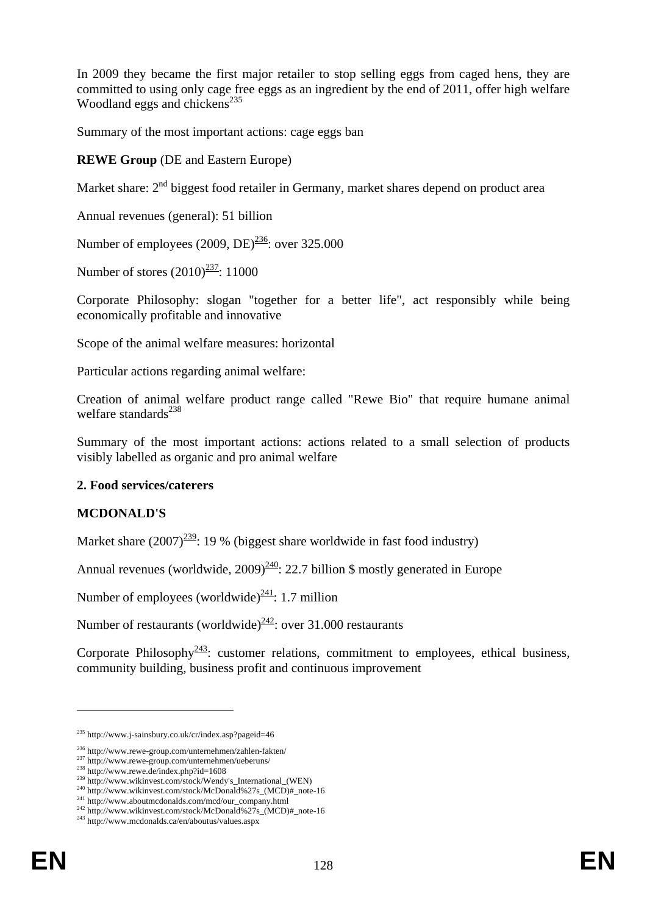In 2009 they became the first major retailer to stop selling eggs from caged hens, they are committed to using only cage free eggs as an ingredient by the end of 2011, offer high welfare Woodland eggs and chickens<sup>235</sup>

Summary of the most important actions: cage eggs ban

### **REWE Group** (DE and Eastern Europe)

Market share:  $2<sup>nd</sup>$  biggest food retailer in Germany, market shares depend on product area

Annual revenues (general): 51 billion

Number of employees  $(2009, DE)^{236}$ : over 325,000

Number of stores  $(2010)^{237}$ : 11000

Corporate Philosophy: slogan "together for a better life", act responsibly while being economically profitable and innovative

Scope of the animal welfare measures: horizontal

Particular actions regarding animal welfare:

Creation of animal welfare product range called "Rewe Bio" that require humane animal welfare standards $^{238}$ 

Summary of the most important actions: actions related to a small selection of products visibly labelled as organic and pro animal welfare

#### **2. Food services/caterers**

#### **MCDONALD'S**

Market share  $(2007)^{239}$ : 19 % (biggest share worldwide in fast food industry)

Annual revenues (worldwide,  $2009$ <sup> $240$ </sup>: 22.7 billion \$ mostly generated in Europe

Number of employees (worldwide)<sup>241</sup>: 1.7 million

Number of restaurants (worldwide)<sup> $242$ </sup>: over 31.000 restaurants

Corporate Philosophy<sup>243</sup>: customer relations, commitment to employees, ethical business, community building, business profit and continuous improvement

<sup>235</sup> http://www.j-sainsbury.co.uk/cr/index.asp?pageid=46

<sup>236</sup> http://www.rewe-group.com/unternehmen/zahlen-fakten/

<sup>&</sup>lt;sup>237</sup> http://www.rewe-group.com/unternehmen/ueberuns/

 $238$  http://www.rewe.de/index.php?id=1608

<sup>&</sup>lt;sup>239</sup> http://www.wikinvest.com/stock/Wendy's\_International\_(WEN)

<sup>&</sup>lt;sup>240</sup> http://www.wikinvest.com/stock/McDonald%27s\_(MCD)#\_note-16

<sup>241</sup> http://www.aboutmcdonalds.com/mcd/our\_company.html <sup>242</sup> http://www.wikinvest.com/stock/McDonald%27s\_(MCD)#\_note-16

<sup>&</sup>lt;sup>243</sup> http://www.mcdonalds.ca/en/aboutus/values.aspx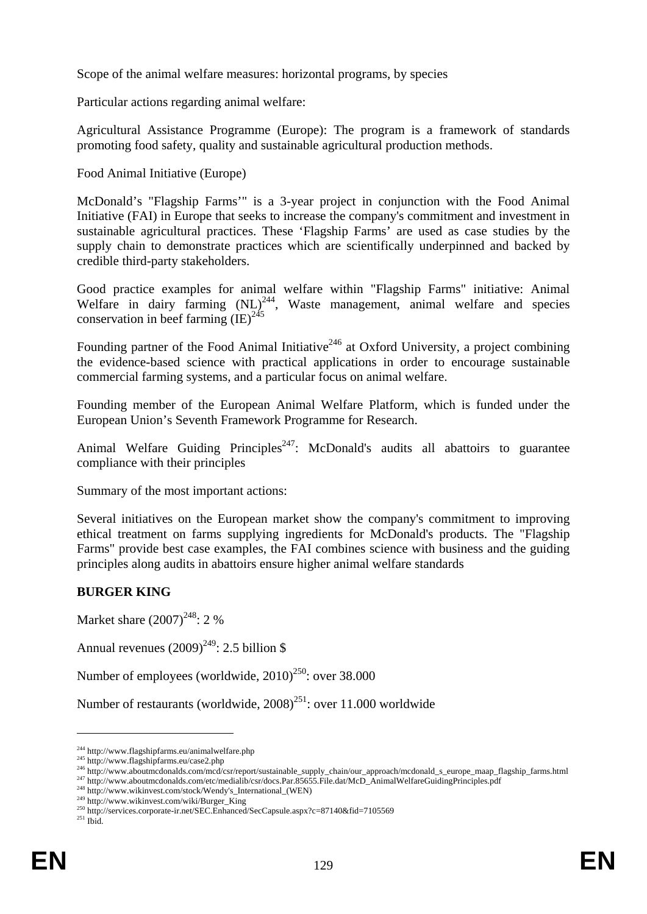Scope of the animal welfare measures: horizontal programs, by species

Particular actions regarding animal welfare:

Agricultural Assistance Programme (Europe): The program is a framework of standards promoting food safety, quality and sustainable agricultural production methods.

Food Animal Initiative (Europe)

McDonald's "Flagship Farms'" is a 3-year project in conjunction with the Food Animal Initiative (FAI) in Europe that seeks to increase the company's commitment and investment in sustainable agricultural practices. These 'Flagship Farms' are used as case studies by the supply chain to demonstrate practices which are scientifically underpinned and backed by credible third-party stakeholders.

Good practice examples for animal welfare within "Flagship Farms" initiative: Animal Welfare in dairy farming  $(NL)^{244}$ , Waste management, animal welfare and species conservation in beef farming  $\overline{(IE)}^{245}$ 

Founding partner of the Food Animal Initiative<sup>246</sup> at Oxford University, a project combining the evidence-based science with practical applications in order to encourage sustainable commercial farming systems, and a particular focus on animal welfare.

Founding member of the European Animal Welfare Platform, which is funded under the European Union's Seventh Framework Programme for Research.

Animal Welfare Guiding Principles<sup>247</sup>: McDonald's audits all abattoirs to guarantee compliance with their principles

Summary of the most important actions:

Several initiatives on the European market show the company's commitment to improving ethical treatment on farms supplying ingredients for McDonald's products. The "Flagship Farms" provide best case examples, the FAI combines science with business and the guiding principles along audits in abattoirs ensure higher animal welfare standards

# **BURGER KING**

Market share  $(2007)^{248}$ : 2 %

Annual revenues  $(2009)^{249}$ : 2.5 billion \$

Number of employees (worldwide,  $2010^{250}$ : over 38.000

Number of restaurants (worldwide,  $2008$ )<sup>251</sup>: over 11.000 worldwide

<u>.</u>

<sup>244</sup> http://www.flagshipfarms.eu/animalwelfare.php

<sup>&</sup>lt;sup>245</sup> http://www.flagshipfarms.eu/case2.php

<sup>246</sup> http://www.aboutmcdonalds.com/mcd/csr/report/sustainable\_supply\_chain/our\_approach/mcdonald\_s\_europe\_maap\_flagship\_farms.html

<sup>&</sup>lt;sup>247</sup> http://www.aboutmcdonalds.com/etc/medialib/csr/docs.Par.85655.File.dat/McD\_AnimalWelfareGuidingPrinciples.pdf

<sup>&</sup>lt;sup>248</sup> http://www.wikinvest.com/stock/Wendy's\_International\_(WEN)

<sup>249</sup> http://www.wikinvest.com/wiki/Burger\_King

<sup>250</sup> http://services.corporate-ir.net/SEC.Enhanced/SecCapsule.aspx?c=87140&fid=7105569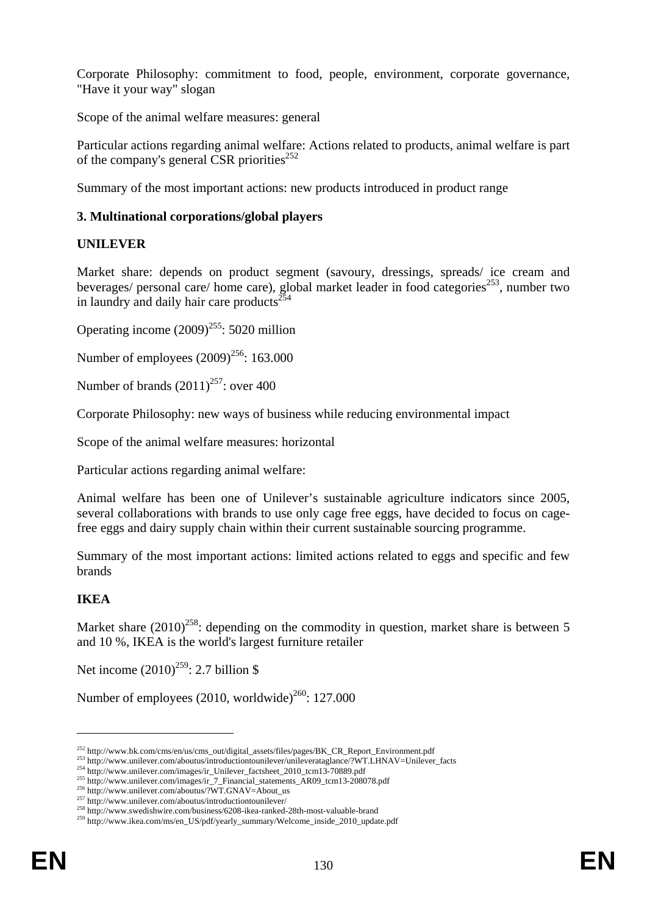Corporate Philosophy: commitment to food, people, environment, corporate governance, "Have it your way" slogan

Scope of the animal welfare measures: general

Particular actions regarding animal welfare: Actions related to products, animal welfare is part of the company's general CSR priorities<sup>252</sup>

Summary of the most important actions: new products introduced in product range

# **3. Multinational corporations/global players**

# **UNILEVER**

Market share: depends on product segment (savoury, dressings, spreads/ ice cream and beverages/ personal care/ home care), global market leader in food categories<sup>253</sup>, number two in laundry and daily hair care products $^{254}$ 

Operating income  $(2009)^{255}$ : 5020 million

Number of employees  $(2009)^{256}$ : 163,000

Number of brands  $(2011)^{257}$ : over 400

Corporate Philosophy: new ways of business while reducing environmental impact

Scope of the animal welfare measures: horizontal

Particular actions regarding animal welfare:

Animal welfare has been one of Unilever's sustainable agriculture indicators since 2005, several collaborations with brands to use only cage free eggs, have decided to focus on cagefree eggs and dairy supply chain within their current sustainable sourcing programme.

Summary of the most important actions: limited actions related to eggs and specific and few brands

# **IKEA**

<u>.</u>

Market share  $(2010)^{258}$ : depending on the commodity in question, market share is between 5 and 10 %, IKEA is the world's largest furniture retailer

Net income  $(2010)^{259}$ : 2.7 billion \$

Number of employees (2010, worldwide)<sup>260</sup>: 127,000

<sup>&</sup>lt;sup>252</sup> http://www.bk.com/cms/en/us/cms\_out/digital\_assets/files/pages/BK\_CR\_Report\_Environment.pdf

<sup>253</sup> http://www.unilever.com/aboutus/introductiontounilever/unileverataglance/?WT.LHNAV=Unilever\_facts

<sup>254</sup> http://www.unilever.com/images/ir\_Unilever\_factsheet\_2010\_tcm13-70889.pdf

<sup>&</sup>lt;sup>255</sup> http://www.unilever.com/images/ir\_7\_Financial\_statements\_AR09\_tcm13-208078.pdf

<sup>256</sup> http://www.unilever.com/aboutus/?WT.GNAV=About\_us

<sup>257</sup> http://www.unilever.com/aboutus/introductiontounilever/

<sup>258</sup> http://www.swedishwire.com/business/6208-ikea-ranked-28th-most-valuable-brand

<sup>259</sup> http://www.ikea.com/ms/en\_US/pdf/yearly\_summary/Welcome\_inside\_2010\_update.pdf